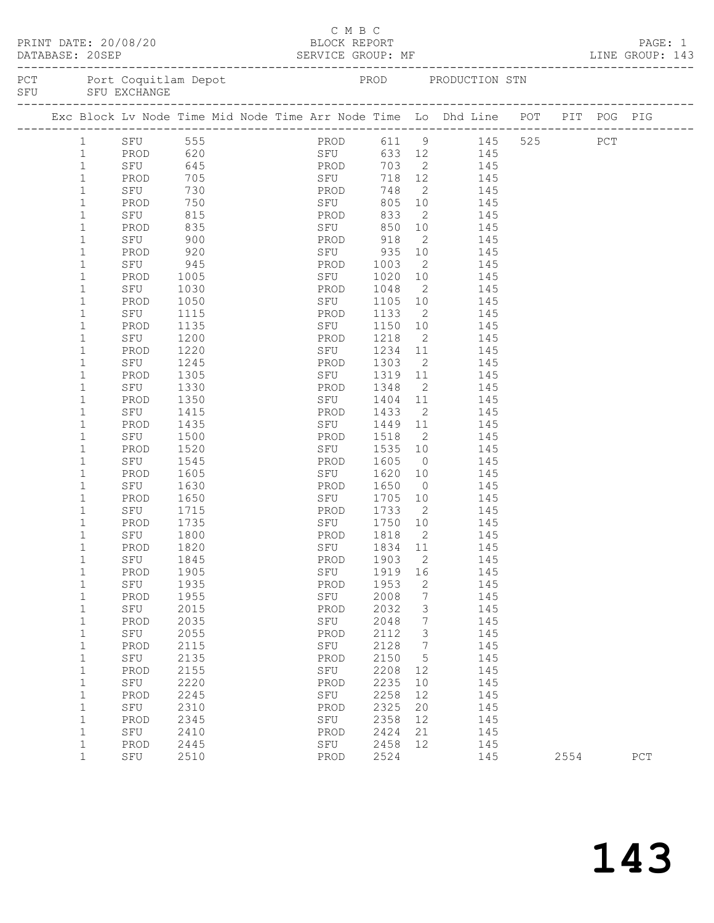|              | PRINT DATE: 20/08/20 |      | BLOCK REPORT | C M B C     |                     |                 |                                                                                    |      | PAGE: 1 |
|--------------|----------------------|------|--------------|-------------|---------------------|-----------------|------------------------------------------------------------------------------------|------|---------|
|              |                      |      |              |             |                     |                 | PCT Port Coquitlam Depot PROD PRODUCTION STN SFU SFU EXCHANGE                      |      |         |
|              |                      |      |              |             |                     |                 |                                                                                    |      |         |
|              | 1 SFU 555            |      |              |             |                     |                 | PROD 611 9 145 525 PCT                                                             |      |         |
| $\mathbf{1}$ |                      |      |              |             |                     |                 | PROD 620 SFU 633 12 145<br>SFU 645 PROD 703 2 145<br>PROD 705 SFU 718 12 145       |      |         |
| $\mathbf{1}$ |                      |      |              |             |                     |                 |                                                                                    |      |         |
| $\mathbf{1}$ |                      |      |              |             |                     |                 |                                                                                    |      |         |
| $\mathbf{1}$ | SFU                  | 730  | <b>PROD</b>  |             | 748                 |                 | 2 145                                                                              |      |         |
| $\mathbf{1}$ | PROD                 | 750  | <b>SEU</b>   |             |                     |                 | 805 10 145                                                                         |      |         |
| $\mathbf 1$  | SFU                  | 815  |              |             | 833                 |                 | $\begin{array}{ccc} 2 & \hspace{1.5cm} 145 \\ 10 & \hspace{1.5cm} 145 \end{array}$ |      |         |
| 1            | PROD                 | 835  |              | PROD<br>SFU | 850                 |                 |                                                                                    |      |         |
| $\mathbf 1$  | SFU                  | 900  | PROD 918     |             |                     | $\overline{2}$  | 145                                                                                |      |         |
| $\mathbf{1}$ | PROD                 | 920  |              | SFU 935     |                     | 10              | 145                                                                                |      |         |
| $\mathbf{1}$ | SFU                  | 945  |              | PROD        | 1003                |                 | $\begin{array}{c} 2 \\ 10 \end{array}$<br>145                                      |      |         |
| $\mathbf{1}$ | PROD                 | 1005 |              | SFU         | 1020                |                 | 145                                                                                |      |         |
| 1            | SFU                  | 1030 | PROD         |             | 1048                | $\overline{2}$  | 145                                                                                |      |         |
| $\mathbf{1}$ | PROD                 | 1050 | <b>SFU</b>   |             | 1105                | 10              | 145                                                                                |      |         |
| 1            | SFU                  | 1115 |              | PROD        |                     |                 | 145                                                                                |      |         |
| $\mathbf{1}$ | PROD                 | 1135 |              | SFU         | $1133$ 2<br>1150 10 |                 | 145                                                                                |      |         |
| 1            | SFU                  | 1200 | PROD         |             | 1218                | $\overline{2}$  | 145                                                                                |      |         |
| 1            | PROD                 | 1220 |              | <b>SFU</b>  | 1234 11             |                 | 145                                                                                |      |         |
| 1            | SFU                  | 1245 |              | PROD        | 1303                | $\overline{2}$  | 145                                                                                |      |         |
| 1            | PROD                 | 1305 |              | SFU         | 1319 11             |                 | 145                                                                                |      |         |
| 1            | SFU                  | 1330 | PROD         |             | 1348                |                 | 2 145                                                                              |      |         |
| $\mathbf 1$  | PROD                 | 1350 |              | SFU         | 1404 11             |                 | 145                                                                                |      |         |
| 1            | SFU                  | 1415 |              | PROD        | 1433                |                 | 2 145                                                                              |      |         |
| $\mathbf{1}$ | PROD                 | 1435 |              | SFU         | 1449 11             |                 | 145                                                                                |      |         |
| $\mathbf{1}$ | SFU                  | 1500 |              | PROD        | 1518                | $\overline{2}$  | $\frac{1}{145}$                                                                    |      |         |
| $\mathbf{1}$ | PROD                 | 1520 |              | SFU         | 1535                | 10              | 145                                                                                |      |         |
| 1            | SFU                  | 1545 |              | PROD        | 1605                | $\overline{0}$  | 145                                                                                |      |         |
| $\mathbf{1}$ | PROD                 | 1605 |              | SFU         | 1620                | 10              | 145                                                                                |      |         |
| 1            | SFU                  | 1630 |              | PROD        | 1650                |                 | $\overline{0}$<br>145                                                              |      |         |
| 1            | PROD                 | 1650 |              | SFU         | 1705                | 10              | 145                                                                                |      |         |
| $\mathbf 1$  | SFU                  | 1715 |              | PROD        | 1733                | $\overline{2}$  | 145                                                                                |      |         |
| 1            | PROD                 | 1735 |              | SFU         | 1750 10             |                 | $145$<br>$145$                                                                     |      |         |
| $\mathbf{1}$ | SFU                  | 1800 |              | PROD        | 1818                | $\overline{2}$  |                                                                                    |      |         |
| 1            | PROD 1820            |      |              |             |                     |                 | SFU 1834 11 145                                                                    |      |         |
| 1            | SFU                  | 1845 |              | PROD        | 1903                | 2               | 145                                                                                |      |         |
| $\mathbf{1}$ | PROD                 | 1905 |              | SFU         | 1919 16             |                 | 145                                                                                |      |         |
| $\mathbf 1$  | SFU                  | 1935 |              | PROD        | 1953                | 2               | 145                                                                                |      |         |
| $\mathbf{1}$ | PROD                 | 1955 |              | SFU         | 2008                | $7\phantom{.0}$ | 145                                                                                |      |         |
| $\mathbf{1}$ | SFU                  | 2015 |              | PROD        | 2032                | 3               | 145                                                                                |      |         |
| $\mathbf{1}$ | PROD                 | 2035 |              | SFU         | 2048                | $7\phantom{.0}$ | 145                                                                                |      |         |
| $\mathbf 1$  | SFU                  | 2055 |              | PROD        | 2112                | $\mathcal{S}$   | 145                                                                                |      |         |
| $\mathbf{1}$ | PROD                 | 2115 |              | SFU         | 2128                | 7               | 145                                                                                |      |         |
| $\mathbf 1$  | SFU                  | 2135 |              | PROD        | 2150                | $5^{\circ}$     | 145                                                                                |      |         |
| $\mathbf{1}$ | PROD                 | 2155 |              | SFU         | 2208                | 12              | 145                                                                                |      |         |
| $\mathbf 1$  | SFU                  | 2220 |              | PROD        | 2235                | 10              | 145                                                                                |      |         |
| $\mathbf{1}$ | PROD                 | 2245 |              | SFU         | 2258                | 12              | 145                                                                                |      |         |
| $\mathbf{1}$ | SFU                  | 2310 |              | PROD        | 2325                | 20              | 145                                                                                |      |         |
| $\mathbf{1}$ | PROD                 | 2345 |              | SFU         | 2358                | 12              | 145                                                                                |      |         |
| $\mathbf{1}$ | SFU                  | 2410 |              | PROD        | 2424                | 21              | 145                                                                                |      |         |
| $\mathbf{1}$ | PROD                 | 2445 |              | SFU         | 2458                | 12              | 145                                                                                |      |         |
| $\mathbf{1}$ | SFU                  | 2510 |              | PROD        | 2524                |                 | 145                                                                                | 2554 | PCT     |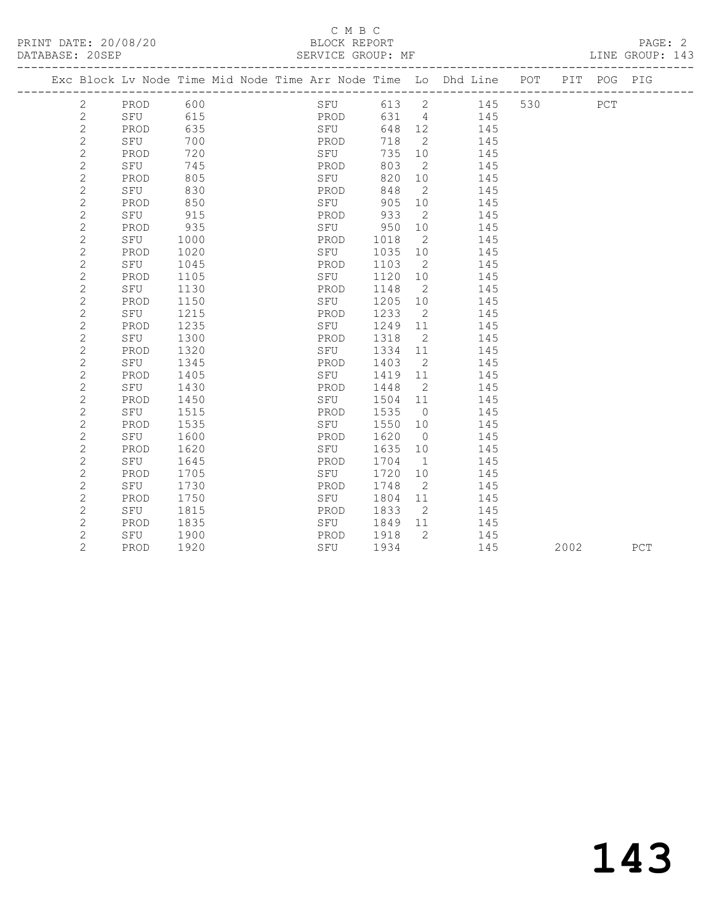#### C M B C<br>BLOCK REPORT SERVICE GROUP: MF

| Exc Block Lv Node Time Mid Node Time Arr Node Time Lo Dhd Line |      |      |  |      |       |                            |     | POT | PIT  | POG         | PIG |
|----------------------------------------------------------------|------|------|--|------|-------|----------------------------|-----|-----|------|-------------|-----|
| $\mathbf{2}$                                                   | PROD | 600  |  | SFU  | 613   | $\overline{2}$             | 145 | 530 |      | ${\tt PCT}$ |     |
| $\mathbf{2}$                                                   | SFU  | 615  |  | PROD | 631 4 |                            | 145 |     |      |             |     |
| $\mathbf{2}$                                                   | PROD | 635  |  | SFU  | 648   | 12                         | 145 |     |      |             |     |
| $\overline{c}$                                                 | SFU  | 700  |  | PROD | 718   | $\overline{\phantom{0}}$ 2 | 145 |     |      |             |     |
| $\mathbf{2}$                                                   | PROD | 720  |  | SFU  | 735   | 10                         | 145 |     |      |             |     |
| $\mathbf 2$                                                    | SFU  | 745  |  | PROD | 803   | $\overline{2}$             | 145 |     |      |             |     |
| $\mathbf{2}$                                                   | PROD | 805  |  | SFU  | 820   | 10                         | 145 |     |      |             |     |
| $\mathbf 2$                                                    | SFU  | 830  |  | PROD | 848   | 2                          | 145 |     |      |             |     |
| $\overline{c}$                                                 | PROD | 850  |  | SFU  | 905   | 10                         | 145 |     |      |             |     |
| $\mathbf{2}$                                                   | SFU  | 915  |  | PROD | 933   | 2                          | 145 |     |      |             |     |
| $\overline{c}$                                                 | PROD | 935  |  | SFU  | 950   | 10                         | 145 |     |      |             |     |
| $\mathbf 2$                                                    | SFU  | 1000 |  | PROD | 1018  | $\overline{2}$             | 145 |     |      |             |     |
| $\overline{c}$                                                 | PROD | 1020 |  | SFU  | 1035  | 10                         | 145 |     |      |             |     |
| $\mathbf{2}$                                                   | SFU  | 1045 |  | PROD | 1103  | $\overline{\phantom{a}}$   | 145 |     |      |             |     |
| $\mathbf{2}$                                                   | PROD | 1105 |  | SFU  | 1120  | 10                         | 145 |     |      |             |     |
| $\mathbf{2}$                                                   | SFU  | 1130 |  | PROD | 1148  | $\overline{2}$             | 145 |     |      |             |     |
| $\overline{c}$                                                 | PROD | 1150 |  | SFU  | 1205  | 10                         | 145 |     |      |             |     |
| $\overline{c}$                                                 | SFU  | 1215 |  | PROD | 1233  | $\overline{2}$             | 145 |     |      |             |     |
| $\overline{c}$                                                 | PROD | 1235 |  | SFU  | 1249  | 11                         | 145 |     |      |             |     |
| $\mathbf{2}$                                                   | SFU  | 1300 |  | PROD | 1318  | $\overline{2}$             | 145 |     |      |             |     |
| $\mathbf{2}$                                                   | PROD | 1320 |  | SFU  | 1334  | 11                         | 145 |     |      |             |     |
| $\mathbf{2}$                                                   | SFU  | 1345 |  | PROD | 1403  | $\overline{2}$             | 145 |     |      |             |     |
| $\mathbf 2$                                                    | PROD | 1405 |  | SFU  | 1419  | 11                         | 145 |     |      |             |     |
| $\overline{c}$                                                 | SFU  | 1430 |  | PROD | 1448  | $\overline{2}$             | 145 |     |      |             |     |
| $\overline{c}$                                                 | PROD | 1450 |  | SFU  | 1504  | 11                         | 145 |     |      |             |     |
| $\mathbf 2$                                                    | SFU  | 1515 |  | PROD | 1535  | $\overline{0}$             | 145 |     |      |             |     |
| $\mathbf 2$                                                    | PROD | 1535 |  | SFU  | 1550  | 10                         | 145 |     |      |             |     |
| $\mathbf{2}$                                                   | SFU  | 1600 |  | PROD | 1620  | $\overline{0}$             | 145 |     |      |             |     |
| $\mathbf 2$                                                    | PROD | 1620 |  | SFU  | 1635  | 10                         | 145 |     |      |             |     |
| $\mathbf{2}$                                                   | SFU  | 1645 |  | PROD | 1704  | $\overline{1}$             | 145 |     |      |             |     |
| $\mathbf{2}$                                                   | PROD | 1705 |  | SFU  | 1720  | 10                         | 145 |     |      |             |     |
| $\mathbf 2$                                                    | SFU  | 1730 |  | PROD | 1748  | $\overline{2}$             | 145 |     |      |             |     |
| $\overline{c}$                                                 | PROD | 1750 |  | SFU  | 1804  | 11                         | 145 |     |      |             |     |
| $\overline{c}$                                                 | SFU  | 1815 |  | PROD | 1833  | $\overline{2}$             | 145 |     |      |             |     |
| $\mathbf{2}$                                                   | PROD | 1835 |  | SFU  | 1849  | 11                         | 145 |     |      |             |     |
| $\mathbf{2}$                                                   | SFU  | 1900 |  | PROD | 1918  | $\overline{2}$             | 145 |     |      |             |     |
| $\overline{2}$                                                 | PROD | 1920 |  | SFU  | 1934  |                            | 145 |     | 2002 |             | PCT |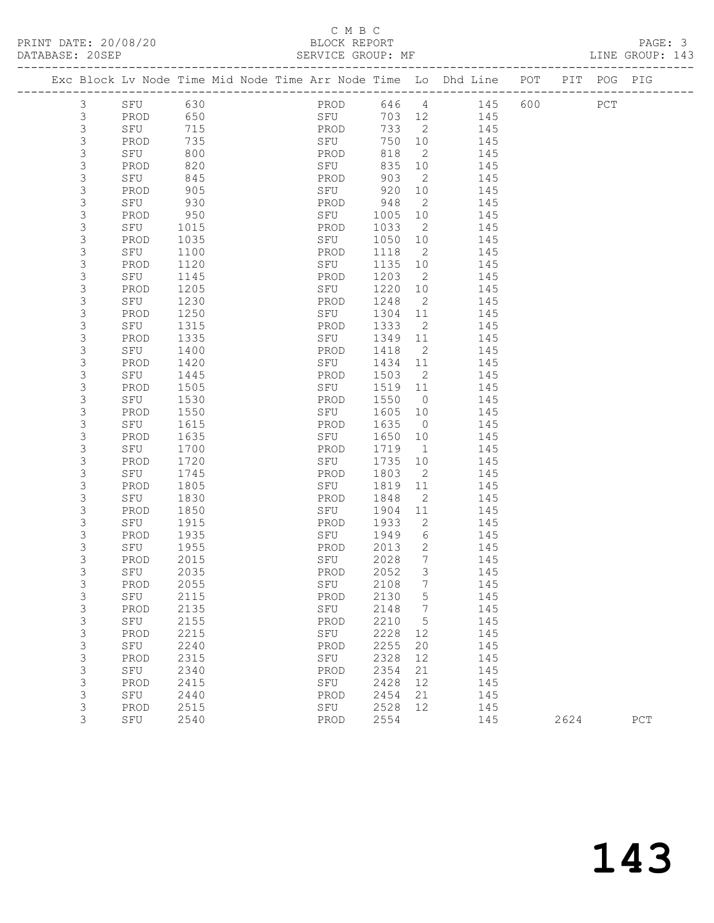# C M B C

|  | DATABASE: 20SEP |             |              |                                                                                | SERVICE GROUP: MF |              |                          |            |         |      | LINE GROUP: 143 |  |
|--|-----------------|-------------|--------------|--------------------------------------------------------------------------------|-------------------|--------------|--------------------------|------------|---------|------|-----------------|--|
|  |                 |             |              | Exc Block Lv Node Time Mid Node Time Arr Node Time Lo Dhd Line POT PIT POG PIG |                   |              |                          |            |         |      |                 |  |
|  | 3               | SFU 630     |              |                                                                                | PROD 646 4 145    |              |                          |            | 600 PCT |      |                 |  |
|  | 3               | PROD 650    |              |                                                                                | SFU               |              |                          | 703 12 145 |         |      |                 |  |
|  | 3               | SFU         | 715          |                                                                                | PROD              | 733 2        |                          | 145        |         |      |                 |  |
|  | $\mathsf S$     | PROD        | 735          |                                                                                | SFU               | 750 10       |                          | 145        |         |      |                 |  |
|  | $\mathsf S$     | SFU         | 800          |                                                                                | PROD              | 818          | $\overline{2}$           | 145        |         |      |                 |  |
|  | 3               | PROD        | 820          |                                                                                | SFU               | 835          | 10                       | 145        |         |      |                 |  |
|  | 3               | SFU         | 845          |                                                                                | PROD              | 903          | $\overline{2}$           | 145        |         |      |                 |  |
|  | $\mathsf S$     | PROD        | 905          |                                                                                | SFU               | 920          | 10                       | 145        |         |      |                 |  |
|  | $\mathsf 3$     | SFU         | 930          |                                                                                | PROD              | 948          | $\overline{2}$           | 145        |         |      |                 |  |
|  | 3               | PROD        | 950          |                                                                                | SFU               | 1005         | 10                       | 145        |         |      |                 |  |
|  | 3               | SFU         | 1015         |                                                                                | PROD              | 1033         | $\overline{2}$           | 145        |         |      |                 |  |
|  | 3               | PROD        | 1035         |                                                                                | SFU               | 1050         | 10                       | 145        |         |      |                 |  |
|  | $\mathsf 3$     | SFU         | 1100         |                                                                                | PROD              | 1118         | $\overline{2}$           | 145        |         |      |                 |  |
|  | 3               | PROD        | 1120         |                                                                                | SFU               | 1135         | 10                       | 145        |         |      |                 |  |
|  | 3               | SFU         | 1145         |                                                                                | PROD              | 1203         | $\overline{\phantom{a}}$ | 145        |         |      |                 |  |
|  | 3               | PROD        | 1205         |                                                                                | SFU               | 1220         | 10                       | 145        |         |      |                 |  |
|  | 3               | SFU         | 1230         |                                                                                | PROD              | 1248         | $\overline{2}$           | 145        |         |      |                 |  |
|  | 3               | PROD        | 1250         |                                                                                | SFU               | 1304         | 11                       | 145        |         |      |                 |  |
|  | 3<br>3          | SFU         | 1315         |                                                                                | PROD              | 1333         | $\overline{2}$           | 145<br>145 |         |      |                 |  |
|  |                 | PROD        | 1335         |                                                                                | SFU               | 1349         | 11                       |            |         |      |                 |  |
|  | 3<br>3          | SFU         | 1400         |                                                                                | PROD              | 1418         | $\overline{2}$<br>11     | 145        |         |      |                 |  |
|  | 3               | PROD<br>SFU | 1420<br>1445 |                                                                                | SFU<br>PROD       | 1434<br>1503 | $\overline{\phantom{a}}$ | 145<br>145 |         |      |                 |  |
|  | 3               | PROD        | 1505         |                                                                                | SFU               | 1519         | 11                       | 145        |         |      |                 |  |
|  | 3               | SFU         | 1530         |                                                                                | PROD              | 1550         | $\overline{0}$           | 145        |         |      |                 |  |
|  | 3               | PROD        | 1550         |                                                                                | SFU               | 1605         | 10                       | 145        |         |      |                 |  |
|  | 3               | SFU         | 1615         |                                                                                | PROD              | 1635         | $\overline{0}$           | 145        |         |      |                 |  |
|  | 3               | PROD        | 1635         |                                                                                | SFU               | 1650         | 10                       | 145        |         |      |                 |  |
|  | 3               | SFU         | 1700         |                                                                                | PROD              | 1719         | $\overline{1}$           | 145        |         |      |                 |  |
|  | 3               | PROD        | 1720         |                                                                                | SFU               | 1735         | 10                       | 145        |         |      |                 |  |
|  | 3               | SFU         | 1745         |                                                                                | PROD              | 1803         | $\overline{2}$           | 145        |         |      |                 |  |
|  | 3               | PROD        | 1805         |                                                                                | SFU               | 1819         | 11                       | 145        |         |      |                 |  |
|  | 3               | SFU         | 1830         |                                                                                | PROD              | 1848         | $\overline{2}$           | 145        |         |      |                 |  |
|  | 3               | PROD        | 1850         |                                                                                | SFU               | 1904         | 11                       | 145        |         |      |                 |  |
|  | 3               | SFU         | 1915         |                                                                                | PROD              | 1933         | $\overline{2}$           | 145        |         |      |                 |  |
|  | 3               | PROD        | 1935         |                                                                                | SFU               | 1949         | 6                        | - 145      |         |      |                 |  |
|  | 3               | SFU         | 1955         |                                                                                | PROD              | 2013         | $\overline{2}$           | 145        |         |      |                 |  |
|  | 3               | PROD        | 2015         |                                                                                | SFU               | 2028         | $7\phantom{.0}$          | 145        |         |      |                 |  |
|  | 3               | SFU         | 2035         |                                                                                | PROD 2052         |              | $\mathfrak{Z}$           | 145        |         |      |                 |  |
|  | 3               | PROD        | 2055         |                                                                                | SFU               | 2108         | $7\phantom{.0}$          | 145        |         |      |                 |  |
|  | 3               | SFU         | 2115         |                                                                                | PROD              | 2130         | 5                        | 145        |         |      |                 |  |
|  | 3               | PROD        | 2135         |                                                                                | SFU               | 2148         | $7\phantom{.0}$          | 145        |         |      |                 |  |
|  | $\mathsf 3$     | SFU         | 2155         |                                                                                | PROD              | 2210         | 5                        | 145        |         |      |                 |  |
|  | $\mathsf S$     | PROD        | 2215         |                                                                                | SFU               | 2228         | 12                       | 145        |         |      |                 |  |
|  | $\mathsf S$     | SFU         | 2240         |                                                                                | PROD              | 2255         | 20                       | 145        |         |      |                 |  |
|  | $\mathsf S$     | PROD        | 2315         |                                                                                | SFU               | 2328         | 12                       | 145        |         |      |                 |  |
|  | $\mathsf 3$     | SFU         | 2340         |                                                                                | PROD              | 2354         | 21                       | 145        |         |      |                 |  |
|  | $\mathsf 3$     | PROD        | 2415         |                                                                                | SFU               | 2428         | 12                       | 145        |         |      |                 |  |
|  | 3               | SFU         | 2440         |                                                                                | PROD              | 2454         | 21                       | 145        |         |      |                 |  |
|  | 3               | PROD        | 2515         |                                                                                | SFU               | 2528         | 12                       | 145        |         |      |                 |  |
|  | 3               | SFU         | 2540         |                                                                                | PROD              | 2554         |                          | 145        |         | 2624 | PCT             |  |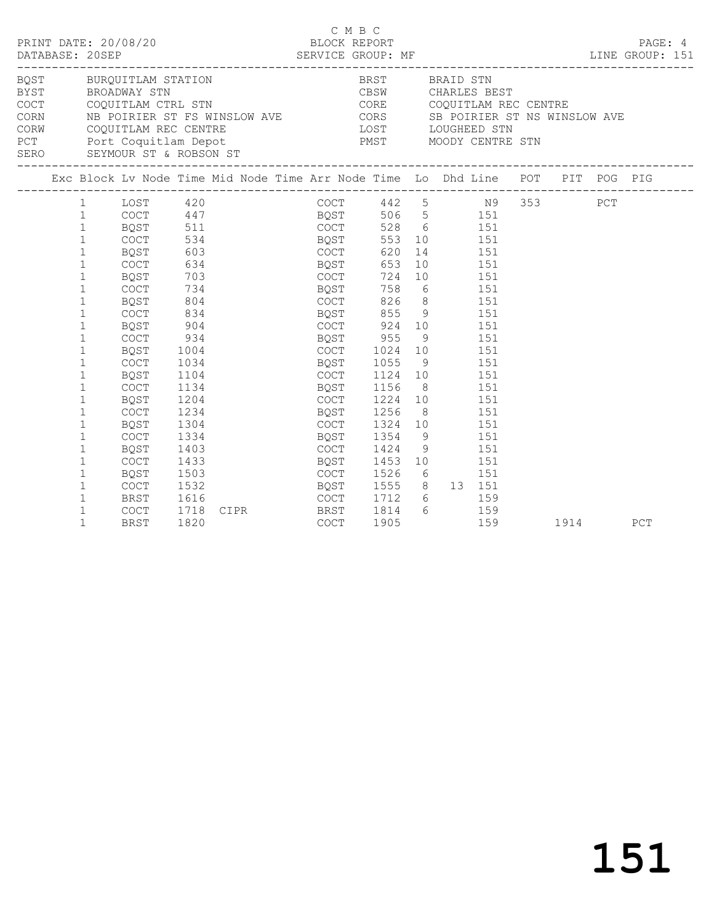| PRINT DATE: 20/08/20<br>DATABASE: 20SEP                                                                                                                                                               |                                                                                                                                                                                                                                                                                                                                                                  |                                                                                                                                                                                                                                                                        |                                                                                                                                               | BLOCK REPORT                                   |                                                                                                     | C M B C                                                                                                                         |                                                |   |                                                                                                                                     |                                     |      | PAGE: 4 |
|-------------------------------------------------------------------------------------------------------------------------------------------------------------------------------------------------------|------------------------------------------------------------------------------------------------------------------------------------------------------------------------------------------------------------------------------------------------------------------------------------------------------------------------------------------------------------------|------------------------------------------------------------------------------------------------------------------------------------------------------------------------------------------------------------------------------------------------------------------------|-----------------------------------------------------------------------------------------------------------------------------------------------|------------------------------------------------|-----------------------------------------------------------------------------------------------------|---------------------------------------------------------------------------------------------------------------------------------|------------------------------------------------|---|-------------------------------------------------------------------------------------------------------------------------------------|-------------------------------------|------|---------|
| <b>BYST</b><br>COCT COQUITLAM CTRL STN<br>CORN NB POIRIER ST FS WINSLOW AVE CORS SB POIRIER ST NS WINSLOW AVE<br>CORW COQUITLAM REC CENTRE<br>PCT Port Coquitlam Depot<br>SERO SEYMOUR ST & ROBSON ST |                                                                                                                                                                                                                                                                                                                                                                  |                                                                                                                                                                                                                                                                        |                                                                                                                                               | LOST LOUGHEED STN<br>PMST MOODY CENTRE STN     |                                                                                                     | CBSW<br>CORE COQUITLAM REC CENTRE                                                                                               |                                                |   |                                                                                                                                     | BRST BRAID STN<br>CBSW CHARLES BEST |      |         |
| Exc Block Lv Node Time Mid Node Time Arr Node Time Lo Dhd Line POT PIT POG PIG                                                                                                                        |                                                                                                                                                                                                                                                                                                                                                                  |                                                                                                                                                                                                                                                                        |                                                                                                                                               |                                                |                                                                                                     |                                                                                                                                 |                                                |   |                                                                                                                                     |                                     |      |         |
|                                                                                                                                                                                                       | 1<br>$\mathbf{1}$<br>$\mathbf{1}$<br>$\mathbf{1}$<br>$\mathbf{1}$<br>$\mathbf{1}$<br>$\mathbf{1}$<br>$\mathbf{1}$<br>$\mathbf{1}$<br>$\mathbf{1}$<br>$\mathbf{1}$<br>$\mathbf{1}$<br>$\mathbf{1}$<br>$\mathbf{1}$<br>$\mathbf{1}$<br>$\mathbf{1}$<br>$\mathbf{1}$<br>$\mathbf 1$<br>$\mathbf{1}$<br>$\mathbf{1}$<br>$\mathbf{1}$<br>$\mathbf{1}$<br>$\mathbf{1}$ | 1 LOST 420<br>COCT 447<br>BQST 511<br>COCT 534<br>BQST 553 10 151<br>BQST 603<br>COCT 620 14 151<br>COCT<br>BQST<br>COCT<br>BQST<br>COCT<br>BQST<br>COCT<br>BQST<br>COCT<br>BOST<br><b>COCT</b><br>BQST<br>COCT<br>BQST<br>COCT<br>BQST<br><b>COCT</b><br>BQST<br>COCT | 634<br>703<br>734<br>804<br>834<br>904<br>934<br>1004<br>1034<br>1104<br>1134<br>1204<br>1234<br>1304<br>1334<br>1403<br>1433<br>1503<br>1532 | <b>BQST</b><br>COCT<br>BQST 955<br><b>BQST</b> | COCT<br>BQST<br>COCT<br>BQST<br>COCT<br>BQST<br>COCT<br><b>BQST</b><br>BQST<br>COCT<br>BQST<br>COCT | COCT 442 5 N9 353 PCT<br>COCT 924 10 151<br>1024<br>COCT 1224 10 151<br>1256<br>1354<br>1424<br>BQST 1453 10<br>COCT 1526 6 151 | 653<br>724<br>758<br>1124 10<br>1156 8<br>1324 | 9 | 10 151<br>10   151<br>6 151<br>826 8 151<br>855 9 151<br>9 151<br>10   151<br>1055 9 151<br>8 151<br>10   151<br>9<br>1555 8 13 151 | 151<br>151<br>151<br>151<br>151     |      |         |
|                                                                                                                                                                                                       | $\mathbf{1}$<br>$\mathbf{1}$<br>$\mathbf{1}$                                                                                                                                                                                                                                                                                                                     | BRST<br>COCT<br><b>BRST</b>                                                                                                                                                                                                                                            | 1616<br>1718<br>1820                                                                                                                          | CIPR BRST                                      | COCT<br>COCT                                                                                        | 1905                                                                                                                            | 1814                                           |   | 1712 6 159<br>6 159                                                                                                                 | 159                                 | 1914 | PCT     |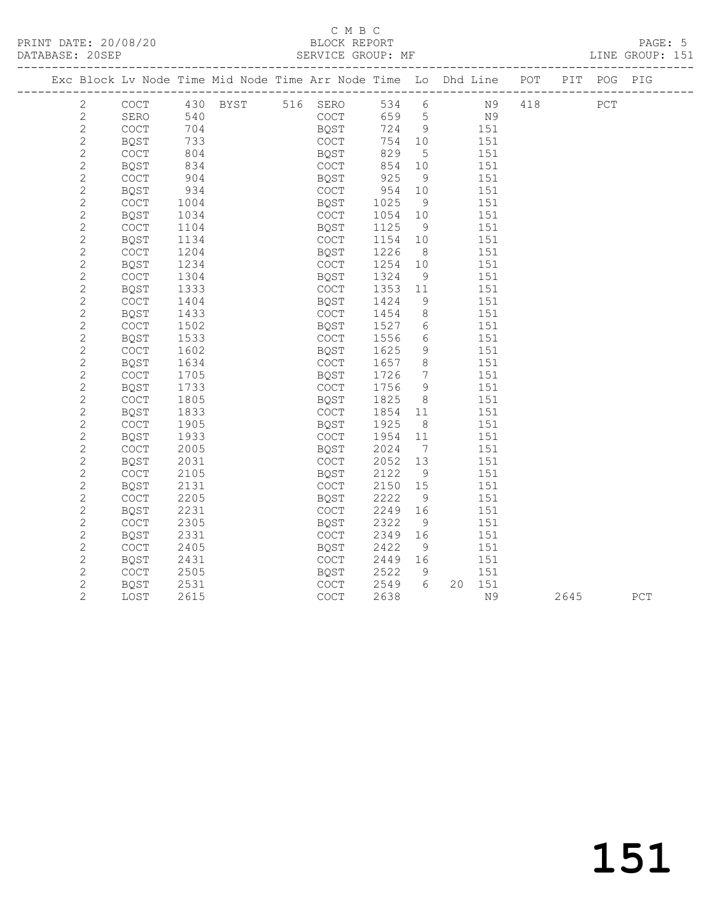#### C M B C<br>BLOCK REPORT SERVICE GROUP: MF

| Exc Block Lv Node Time Mid Node Time Arr Node Time Lo Dhd Line POT PIT POG PIG |                                            |      |                        |      |              |         |                              |                |     |      |     |
|--------------------------------------------------------------------------------|--------------------------------------------|------|------------------------|------|--------------|---------|------------------------------|----------------|-----|------|-----|
| $\mathbf{2}$                                                                   |                                            |      | COCT 430 BYST 516 SERO |      |              | 534 6   |                              | <b>N9</b>      | 418 | PCT  |     |
| 2                                                                              | SERO                                       | 540  |                        |      | COCT         | 659 5   |                              | N <sup>9</sup> |     |      |     |
| $\mathbf{2}$                                                                   | COCT                                       | 704  |                        |      | BQST<br>COCT | 724 9   |                              | 151            |     |      |     |
| $\mathbf{2}$                                                                   | BQST                                       | 733  |                        | COCT |              | 754 10  |                              | 151            |     |      |     |
| $\mathbf{2}$                                                                   | <b>COCT</b>                                | 804  |                        | BOST |              | 829     | $5^{\circ}$                  | 151            |     |      |     |
| $\overline{c}$                                                                 | <b>BOST</b>                                | 834  |                        | COCT |              | 854     | 10                           | 151            |     |      |     |
| $\overline{c}$                                                                 | COCT                                       | 904  |                        | BQST |              | 925     | 9                            | 151            |     |      |     |
| $\mathbf{2}$                                                                   | BQST                                       | 934  |                        | COCT |              | 954 10  |                              | 151            |     |      |     |
| $\mathbf{2}$                                                                   | COCT                                       | 1004 |                        | BQST |              | 1025    | - 9                          | 151            |     |      |     |
| $\mathbf{2}$                                                                   | BQST                                       | 1034 |                        | COCT |              | 1054    | 10                           | 151            |     |      |     |
| $\mathbf{2}$                                                                   | COCT                                       | 1104 |                        | BQST |              | 1125    | 9                            | 151            |     |      |     |
| $\mathbf{2}$                                                                   | BQST                                       | 1134 |                        | COCT |              | 1154    | 10                           | 151            |     |      |     |
| $\mathbf{2}$                                                                   | COCT                                       | 1204 |                        | BQST |              | 1226    | 8 <sup>8</sup>               | 151            |     |      |     |
| $\mathbf{2}$                                                                   | BQST                                       | 1234 |                        | COCT |              | 1254 10 |                              | 151            |     |      |     |
| $\mathbf{2}$                                                                   | <b>COCT</b>                                | 1304 |                        | BQST |              | 1324    | - 9                          | 151            |     |      |     |
| $\mathbf{2}$                                                                   | BQST                                       | 1333 |                        | COCT |              | 1353    | 11                           | 151            |     |      |     |
| $\mathbf{2}$                                                                   | $\mathtt{C}\mathtt{O}\mathtt{C}\mathtt{T}$ | 1404 |                        | BQST |              | 1424    | 9                            | 151            |     |      |     |
| $\mathbf{2}$                                                                   | BQST                                       | 1433 |                        | COCT |              | 1454    | 8 <sup>8</sup>               | 151            |     |      |     |
| $\mathbf{2}$                                                                   | COCT                                       | 1502 |                        | BQST |              | 1527    | 6                            | 151            |     |      |     |
| $\mathbf{2}$                                                                   | BQST                                       | 1533 |                        | COCT |              | 1556    | $6\overline{6}$              | 151            |     |      |     |
| $\overline{c}$                                                                 | $\mathtt{C}\mathtt{O}\mathtt{C}\mathtt{T}$ | 1602 |                        | BQST |              | 1625    | 9                            | 151            |     |      |     |
| $\mathbf{2}$                                                                   | BQST                                       | 1634 |                        | COCT |              | 1657    | 8                            | 151            |     |      |     |
| $\overline{c}$                                                                 | COCT                                       | 1705 |                        | BQST |              | 1726    | $7\phantom{.0}\phantom{.0}7$ | 151            |     |      |     |
| $\mathbf{2}$                                                                   | BQST                                       | 1733 |                        | COCT |              | 1756    | 9                            | 151            |     |      |     |
| $\mathbf{2}$                                                                   | $\mathtt{C}\mathtt{O}\mathtt{C}\mathtt{T}$ | 1805 |                        | BQST |              | 1825    | 8 <sup>8</sup>               | 151            |     |      |     |
| $\mathbf{2}$                                                                   | BQST                                       | 1833 |                        | COCT |              | 1854    | 11                           | 151            |     |      |     |
| $\mathbf{2}$                                                                   | $\mathtt{C}\mathtt{O}\mathtt{C}\mathtt{T}$ | 1905 |                        | BQST |              | 1925    | 8 <sup>8</sup>               | 151            |     |      |     |
| $\mathbf{2}$                                                                   | BQST                                       | 1933 |                        | COCT |              | 1954    | 11                           | 151            |     |      |     |
| $\mathbf{2}$                                                                   | COCT                                       | 2005 |                        | BQST |              | 2024    | $\overline{7}$               | 151            |     |      |     |
| $\mathbf{2}$                                                                   | <b>BQST</b>                                | 2031 |                        | COCT |              | 2052    | 13                           | 151            |     |      |     |
| $\mathbf{2}$                                                                   | $\mathtt{C}\mathtt{O}\mathtt{C}\mathtt{T}$ | 2105 |                        | BQST |              | 2122    | 9                            | 151            |     |      |     |
| $\mathbf{2}$                                                                   | BQST                                       | 2131 |                        | COCT |              | 2150    | 15                           | 151            |     |      |     |
| $\overline{c}$                                                                 | COCT                                       | 2205 |                        | BQST |              | 2222    | 9                            | 151            |     |      |     |
| $\mathbf{2}$                                                                   | BQST                                       | 2231 |                        | COCT |              | 2249    | 16                           | 151            |     |      |     |
| $\mathbf{2}$                                                                   | COCT                                       | 2305 |                        | BQST |              | 2322    | 9                            | 151            |     |      |     |
| $\overline{c}$                                                                 | BQST                                       | 2331 |                        | COCT |              | 2349    | 16                           | 151            |     |      |     |
| $\mathbf{2}$                                                                   | $\mathtt{C}\mathtt{O}\mathtt{C}\mathtt{T}$ | 2405 |                        | BQST |              | 2422    | 9                            | 151            |     |      |     |
| $\mathbf{2}$                                                                   | BQST                                       | 2431 |                        | COCT |              | 2449 16 |                              | 151            |     |      |     |
| $\mathbf{2}$                                                                   | COCT                                       | 2505 |                        | BQST |              | 2522    | 9                            | 151            |     |      |     |
| $\overline{c}$                                                                 | BQST                                       | 2531 |                        | COCT |              | 2549 6  |                              | 20 151         |     |      |     |
| $\overline{2}$                                                                 | LOST                                       | 2615 |                        | COCT |              | 2638    |                              | N9             |     | 2645 | PCT |
|                                                                                |                                            |      |                        |      |              |         |                              |                |     |      |     |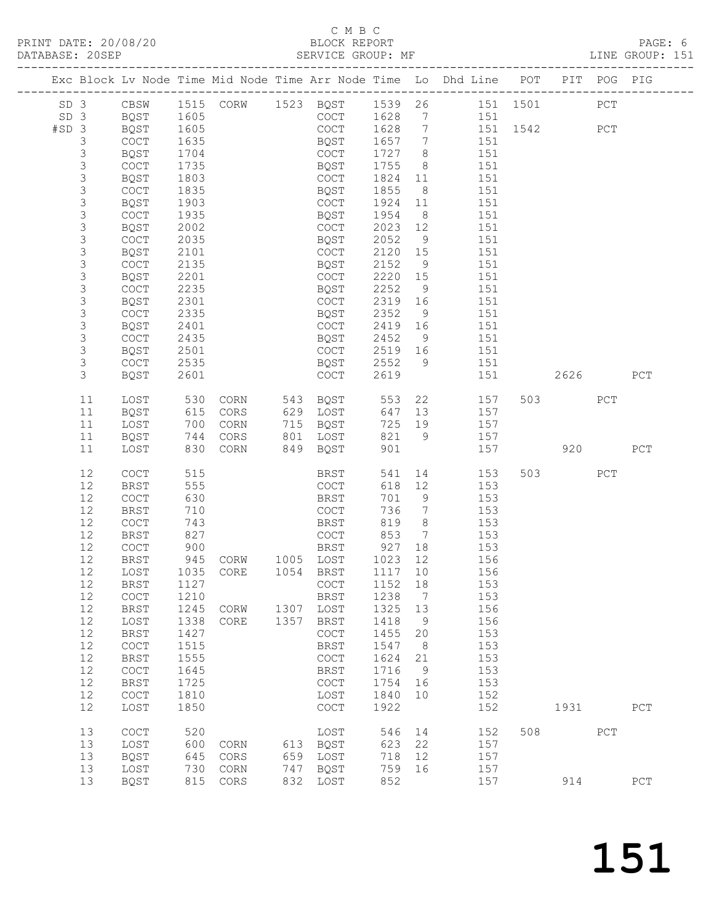# C M B C

| DATABASE: 20SEP |                |                     |              | PRINT DATE: 20/08/20<br>DATABASE: 20SEP |      |                     |                         |                 | BLOCK REPORT<br>SERVICE GROUP: MF                                                |         |         |     | LINE GROUP: 151 | PAGE: 6 |
|-----------------|----------------|---------------------|--------------|-----------------------------------------|------|---------------------|-------------------------|-----------------|----------------------------------------------------------------------------------|---------|---------|-----|-----------------|---------|
|                 |                |                     |              |                                         |      |                     |                         |                 | Exc Block Lv Node Time Mid Node Time Arr Node Time Lo Dhd Line POT PIT POG PIG   |         |         |     |                 |         |
|                 |                |                     |              |                                         |      |                     |                         |                 | SD 3 CBSW 1515 CORW 1523 BQST 1539 26 151 1501<br>SD 3 BQST 1605 COCT 1628 7 151 |         |         | PCT |                 |         |
|                 |                | SD 3 BQST 1605      |              |                                         |      |                     |                         |                 |                                                                                  |         |         |     |                 |         |
|                 | #SD 3 BQST     |                     |              | 1605 000                                |      |                     |                         |                 | COCT 1628 7 151 1542 PCT                                                         |         |         |     |                 |         |
|                 | $\mathcal{S}$  | COCT                |              |                                         |      | BQST                | 1657 7<br>1727 8        |                 | 151                                                                              |         |         |     |                 |         |
|                 | $\mathsf 3$    | BQST                |              |                                         |      | COCT                |                         |                 | 151                                                                              |         |         |     |                 |         |
|                 |                | COCT                |              | 1605<br>1635<br>1704<br>1735            |      | BQST                | 1755                    |                 | 8 151                                                                            |         |         |     |                 |         |
|                 | $\frac{3}{3}$  | BQST                |              |                                         |      | COCT                | 1824                    |                 | 11 151                                                                           |         |         |     |                 |         |
|                 | $\mathsf 3$    | COCT                |              |                                         |      | BQST                | 1855                    | 8 <sup>8</sup>  | 151                                                                              |         |         |     |                 |         |
|                 | $\mathsf 3$    | BQST                |              | $1835$<br>1903<br>1935<br>1935          |      | COCT                | 1924                    | 11              | 151                                                                              |         |         |     |                 |         |
|                 | $\mathsf S$    | COCT                |              |                                         |      | BQST                | 1954                    | 8 <sup>1</sup>  | 151                                                                              |         |         |     |                 |         |
|                 | $\mathfrak{Z}$ | BQST                |              |                                         |      | COCT                | 2023                    | 12              | 151                                                                              |         |         |     |                 |         |
|                 | $\mathsf S$    | <b>COCT</b>         |              |                                         |      | BQST                | 2052                    | 9               | 151                                                                              |         |         |     |                 |         |
|                 | $\mathsf 3$    | BQST                | 2101         |                                         |      | COCT                | 2120                    | 15              | 151                                                                              |         |         |     |                 |         |
|                 | $\mathsf S$    | COCT                | 2135         |                                         |      | BQST                | 2152                    | 9               | 151                                                                              |         |         |     |                 |         |
|                 | $\mathsf S$    | BQST                | 2201         |                                         |      | COCT                | 2220                    | 15              | 151                                                                              |         |         |     |                 |         |
|                 | $\mathsf S$    | COCT                | 2235         |                                         |      | BQST                | 2252                    | 9               | 151                                                                              |         |         |     |                 |         |
|                 | $\mathsf 3$    | BQST                |              |                                         |      | COCT                | 2319                    | 16              | 151                                                                              |         |         |     |                 |         |
|                 | $\mathsf S$    | COCT                |              |                                         |      | BQST                | 2352                    | 9               | 151                                                                              |         |         |     |                 |         |
|                 | $\mathsf S$    | BQST                |              | $-101$<br>2335<br>2401<br>435           |      | COCT                | 2419 16                 |                 | 151                                                                              |         |         |     |                 |         |
|                 | $\mathsf S$    | COCT                |              |                                         |      | BQST                | 2452                    | 9               | 151                                                                              |         |         |     |                 |         |
|                 | $\mathsf 3$    | BQST                | 2501         |                                         |      | COCT                | 2519 16<br>2519<br>2552 |                 | 151                                                                              |         |         |     |                 |         |
|                 | $\mathsf S$    | COCT                | 2535         |                                         |      | BQST                |                         | 9               | 151                                                                              |         |         |     |                 |         |
|                 | 3              | BQST                | 2601         |                                         |      | COCT                | 2619                    |                 | 151 2626                                                                         |         |         |     | PCT             |         |
|                 | 11             | LOST                |              |                                         |      |                     |                         |                 | 530 CORN 543 BQST 553 22 157<br>615 CORS 629 LOST 647 13 157                     |         | 503 PCT |     |                 |         |
|                 | 11             | BQST                |              |                                         |      |                     |                         |                 |                                                                                  |         |         |     |                 |         |
|                 | 11             | LOST                |              | 700 CORN 715 BQST                       |      |                     |                         |                 | 725 19 157                                                                       |         |         |     |                 |         |
|                 | 11             | BQST                |              | 744 CORS 801 LOST                       |      |                     |                         |                 | 821 9 157                                                                        |         |         |     |                 |         |
|                 | 11             | LOST                |              | 830 CORN 849 BQST                       |      |                     | 901                     |                 |                                                                                  | 157 920 |         |     | PCT             |         |
|                 | 12             | COCT                | 515          |                                         |      | BRST                | 541                     |                 | 14<br>153                                                                        |         | 503 000 | PCT |                 |         |
|                 | 12             | BRST                |              |                                         |      | COCT                |                         | 618 12          | 153                                                                              |         |         |     |                 |         |
|                 | 12             | COCT                |              |                                         |      | BRST                | 701                     | 9               | 153                                                                              |         |         |     |                 |         |
|                 | 12             | <b>BRST</b>         |              | 555<br>630<br>710<br>743<br>827         |      | COCT                | 736                     | $7\overline{ }$ | 153                                                                              |         |         |     |                 |         |
|                 | 12             | COCT                |              |                                         |      | <b>BRST</b>         |                         |                 | $819$ $8$ $153$                                                                  |         |         |     |                 |         |
|                 | 12             | BRST                |              |                                         |      | COCT                | 853                     |                 | 7 153                                                                            |         |         |     |                 |         |
|                 | 12             | COCT                |              |                                         |      | BRST                | 927 18                  |                 | 153                                                                              |         |         |     |                 |         |
|                 |                |                     |              | 12 BRST 945 CORW 1005 LOST 1023 12      |      |                     |                         |                 | 156                                                                              |         |         |     |                 |         |
|                 | 12             | LOST                | 1035         | CORE                                    | 1054 | BRST                | 1117                    | 10              | 156                                                                              |         |         |     |                 |         |
|                 | 12             | <b>BRST</b>         | 1127         |                                         |      | COCT                | 1152                    | 18              | 153                                                                              |         |         |     |                 |         |
|                 | 12<br>12       | <b>COCT</b>         | 1210         |                                         | 1307 | <b>BRST</b>         | 1238<br>1325            | 7               | 153                                                                              |         |         |     |                 |         |
|                 | 12             | <b>BRST</b><br>LOST | 1245<br>1338 | CORW                                    | 1357 | LOST<br><b>BRST</b> | 1418                    | 13              | 156<br>156                                                                       |         |         |     |                 |         |
|                 | 12             | <b>BRST</b>         | 1427         | CORE                                    |      | COCT                | 1455                    | 9<br>20         | 153                                                                              |         |         |     |                 |         |
|                 | 12             | COCT                | 1515         |                                         |      | BRST                | 1547                    | 8               | 153                                                                              |         |         |     |                 |         |
|                 | 12             | <b>BRST</b>         | 1555         |                                         |      | COCT                | 1624                    | 21              | 153                                                                              |         |         |     |                 |         |
|                 | 12             | COCT                | 1645         |                                         |      |                     | 1716                    | 9               | 153                                                                              |         |         |     |                 |         |
|                 | 12             | <b>BRST</b>         | 1725         |                                         |      | BRST<br>COCT        | 1754                    | 16              | 153                                                                              |         |         |     |                 |         |
|                 | 12             | COCT                | 1810         |                                         |      | LOST                | 1840                    | 10              | 152                                                                              |         |         |     |                 |         |
|                 | 12             | LOST                | 1850         |                                         |      | COCT                | 1922                    |                 | 152                                                                              |         | 1931    |     | PCT             |         |
|                 |                |                     |              |                                         |      |                     |                         |                 |                                                                                  |         |         |     |                 |         |
|                 | 13             | COCT                | 520          |                                         |      | LOST                | 546                     | 14              | 152                                                                              | 508     |         | PCT |                 |         |
|                 | 13             | LOST                | 600          | CORN                                    |      | 613 BQST            | 623                     | 22              | 157                                                                              |         |         |     |                 |         |
|                 | 13             | <b>BQST</b>         | 645          | CORS                                    |      | 659 LOST            | 718 12                  |                 | 157                                                                              |         |         |     |                 |         |

13 LOST 730 CORN 747 BQST 759 16 157

13 BQST 815 CORS 832 LOST 852 157 914 PCT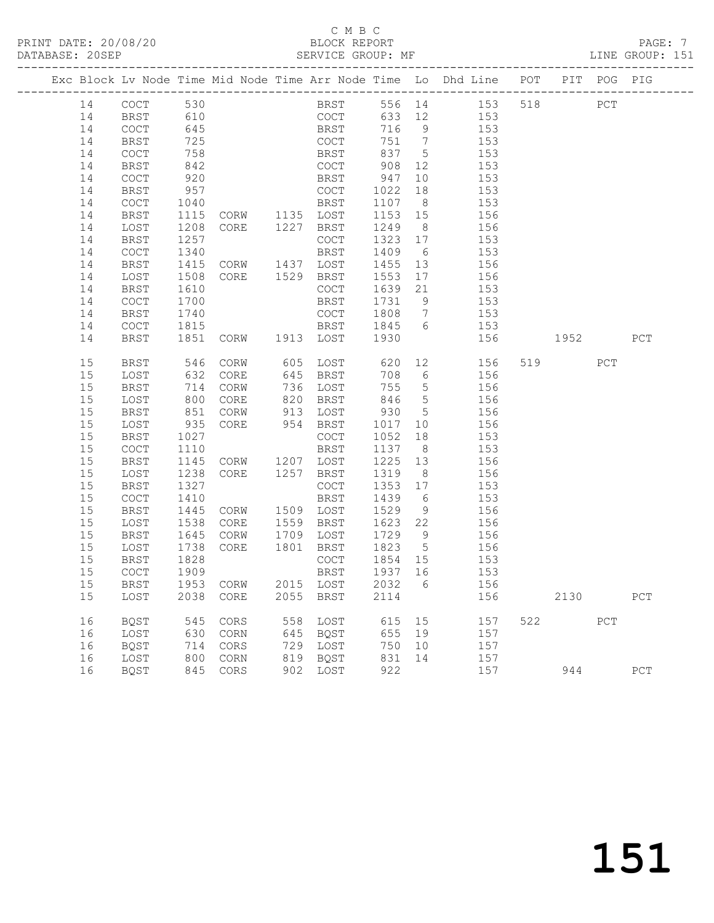# C M B C<br>BLOCK REPORT<br>SERVICE GROUP: MF

|  | DATABASE: 20SEP |              |                          | SERVICE GROUP: MF              |     |                                        |         |                 |                                                                                |      |      |     | LINE GROUP: 151 |  |
|--|-----------------|--------------|--------------------------|--------------------------------|-----|----------------------------------------|---------|-----------------|--------------------------------------------------------------------------------|------|------|-----|-----------------|--|
|  |                 |              |                          |                                |     |                                        |         |                 | Exc Block Lv Node Time Mid Node Time Arr Node Time Lo Dhd Line POT PIT POG PIG |      |      |     |                 |  |
|  | 14              | COCT 530     |                          |                                |     |                                        |         |                 | BRST 556 14 153 518 PCT                                                        |      |      |     |                 |  |
|  | 14              | BRST         | 610                      |                                |     | COCT                                   |         |                 | 633 12 153                                                                     |      |      |     |                 |  |
|  | 14              | COCT         | 645                      |                                |     |                                        |         |                 | 716 9 153                                                                      |      |      |     |                 |  |
|  | 14              | BRST         | 725                      |                                |     | BRST 716 9<br>COCT 751 7<br>BRST 837 5 |         |                 | 153                                                                            |      |      |     |                 |  |
|  | 14              | COCT         | 758                      |                                |     |                                        |         |                 | $\frac{1}{153}$                                                                |      |      |     |                 |  |
|  | 14              | BRST         | 842                      |                                |     |                                        |         |                 | COCT 908 12 153                                                                |      |      |     |                 |  |
|  | 14              | COCT         | 920                      |                                |     | BRST 947                               |         |                 | 10 153                                                                         |      |      |     |                 |  |
|  | 14              | BRST         | 957                      | COCT<br>BRST<br>CORW 1135 LOST |     | COCT                                   | 1022 18 |                 | 153                                                                            |      |      |     |                 |  |
|  | 14              | COCT         | 1040                     |                                |     |                                        | 1107 8  |                 | 153                                                                            |      |      |     |                 |  |
|  | 14              | BRST         | 1115                     |                                |     |                                        |         |                 | 1153 15 156                                                                    |      |      |     |                 |  |
|  | 14              | LOST         | 1208                     | CORE 1227 BRST                 |     |                                        | 1249    | 8 <sup>8</sup>  | 156                                                                            |      |      |     |                 |  |
|  | 14              | BRST         | 1257                     |                                |     | COCT                                   | 1323 17 |                 | 153                                                                            |      |      |     |                 |  |
|  | 14              | COCT         | 1340                     |                                |     | BRST                                   | 1409    | $6\overline{6}$ | 153                                                                            |      |      |     |                 |  |
|  | 14              | BRST         | 1415                     | CORW 1437 LOST                 |     |                                        |         |                 | 1455 13 156                                                                    |      |      |     |                 |  |
|  | 14              | LOST         | 1508                     | CORE 1529 BRST                 |     |                                        | 1553    |                 | 17 156                                                                         |      |      |     |                 |  |
|  | 14              | BRST         | 1610                     |                                |     | COCT                                   | 1639 21 |                 | 153                                                                            |      |      |     |                 |  |
|  | 14              | COCT         | 1700                     |                                |     | BRST                                   | 1731 9  |                 | 153                                                                            |      |      |     |                 |  |
|  | 14              | BRST         | 1740                     |                                |     | COCT                                   |         |                 | 1808 7 153                                                                     |      |      |     |                 |  |
|  | 14              | COCT         | 1815                     |                                |     | BRST                                   |         |                 | 1845 6 153                                                                     |      |      |     |                 |  |
|  | 14              | BRST         |                          | 1851 CORW 1913 LOST 1930       |     |                                        |         |                 | 156                                                                            | 1952 |      |     | PCT             |  |
|  | 15              | BRST         | 546                      | CORW                           |     | 605 LOST                               | 620     |                 | 12 156                                                                         |      | 519  | PCT |                 |  |
|  | 15              | LOST         | 632                      | CORE                           |     | 645 BRST                               |         |                 | 708 6 156                                                                      |      |      |     |                 |  |
|  | 15              | <b>BRST</b>  | 714<br>714<br>800<br>851 | CORW                           |     | 736 LOST                               | 755 5   |                 | 156                                                                            |      |      |     |                 |  |
|  | 15              | LOST         |                          | CORE                           |     | 820 BRST                               | 846 5   |                 | 156                                                                            |      |      |     |                 |  |
|  | 15              | BRST         |                          | CORW                           |     | 913 LOST                               | 930 5   |                 | 156                                                                            |      |      |     |                 |  |
|  | 15              | LOST         | 935                      | CORE 954 BRST                  |     |                                        |         |                 | 1017 10 156                                                                    |      |      |     |                 |  |
|  | 15              | BRST         | 1027                     |                                |     | COCT                                   | 1052    | 18              | 153                                                                            |      |      |     |                 |  |
|  | 15              | COCT         | 1110                     |                                |     | BRST                                   | 1137 8  |                 | 153                                                                            |      |      |     |                 |  |
|  | 15              | BRST         | 1145                     | CORW 1207 LOST                 |     |                                        |         |                 | $1225$ 13 $156$                                                                |      |      |     |                 |  |
|  | 15              | LOST         | 1238                     | CORE 1257 BRST                 |     |                                        | 1319    | 8 <sup>8</sup>  | 156                                                                            |      |      |     |                 |  |
|  | 15              | BRST         | 1327                     |                                |     | COCT                                   | 1353 17 |                 | 153                                                                            |      |      |     |                 |  |
|  | 15              | COCT         | 1410                     |                                |     | BRST                                   | 1439 6  |                 | 153                                                                            |      |      |     |                 |  |
|  | 15              | BRST         | 1445                     | CORW                           |     | 1509 LOST                              | 1529    | 9               | 156                                                                            |      |      |     |                 |  |
|  | 15              | LOST         | 1538                     | CORE                           |     | 1559 BRST                              |         |                 | 1623 22 156                                                                    |      |      |     |                 |  |
|  | 15              | BRST         | 1645                     | CORW                           |     | 1709 LOST                              | 1729 9  |                 | 156                                                                            |      |      |     |                 |  |
|  | 15              | LOST         | 1738<br>1828             | CORE 1801 BRST                 |     |                                        | 1823 5  |                 | 156                                                                            |      |      |     |                 |  |
|  | 15              | BRST         |                          |                                |     | COCT                                   | 1854 15 |                 | 153                                                                            |      |      |     |                 |  |
|  |                 | 15 COCT 1909 |                          |                                |     |                                        |         |                 | BRST 1937 16 153                                                               |      |      |     |                 |  |
|  | 15              | BRST         |                          | 1953 CORW                      |     | 2015 LOST                              | 2032    | 6               | 156                                                                            |      |      |     |                 |  |
|  | 15              | LOST         | 2038                     | CORE                           |     | 2055 BRST                              | 2114    |                 | 156                                                                            |      | 2130 |     | PCT             |  |
|  | 16              | BQST         | 545                      | CORS                           | 558 | LOST                                   | 615     | 15              | 157                                                                            |      | 522  | PCT |                 |  |
|  | 16              | LOST         | 630                      | CORN                           |     | 645 BQST                               | 655     | 19              | 157                                                                            |      |      |     |                 |  |
|  | 16              | BQST         | 714                      | CORS                           |     | 729 LOST                               | 750     | 10              | 157                                                                            |      |      |     |                 |  |
|  | 16              | LOST         | 800                      | CORN                           |     | 819 BQST                               | 831     | 14              | 157                                                                            |      |      |     |                 |  |
|  | 16              | BQST         | 845                      | CORS                           |     | 902 LOST                               | 922     |                 | 157                                                                            |      | 944  |     | ${\tt PCT}$     |  |
|  |                 |              |                          |                                |     |                                        |         |                 |                                                                                |      |      |     |                 |  |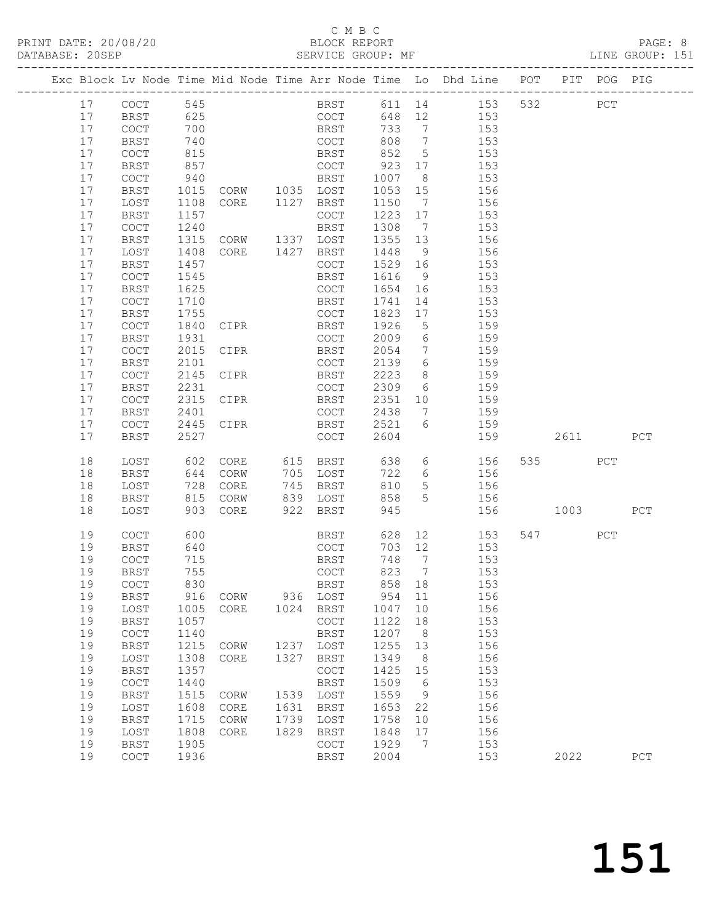#### C M B C<br>BLOCK REPORT SERVICE GROUP: MF

|  |          |                                            |              |                |      |                     |                 |                              | Exc Block Lv Node Time Mid Node Time Arr Node Time Lo Dhd Line POT |     |       |     | PIT POG PIG |
|--|----------|--------------------------------------------|--------------|----------------|------|---------------------|-----------------|------------------------------|--------------------------------------------------------------------|-----|-------|-----|-------------|
|  | 17       | COCT                                       | 545          |                |      |                     |                 |                              | BRST 611 14 153                                                    | 532 | PCT   |     |             |
|  | 17       | BRST                                       | 625          |                |      | COCT                |                 |                              | 648 12 153                                                         |     |       |     |             |
|  | 17       | COCT                                       | 700          |                |      | <b>BRST</b>         | 733 7           |                              | 153                                                                |     |       |     |             |
|  | 17       | BRST                                       | 740          |                |      | COCT                | 808 7           |                              | 153                                                                |     |       |     |             |
|  | 17       | $\mathtt{C}\mathtt{O}\mathtt{C}\mathtt{T}$ | 815          |                |      | BRST                | 852 5           |                              | 153                                                                |     |       |     |             |
|  | 17       | <b>BRST</b>                                | 857          |                |      | COCT 923 17         |                 |                              | 153                                                                |     |       |     |             |
|  | 17       | COCT                                       | 940          |                |      | BRST                | 1007            | 8 <sup>8</sup>               | 153                                                                |     |       |     |             |
|  | 17       | BRST                                       | 1015         | CORW 1035 LOST |      |                     | 1053 15         |                              | 156                                                                |     |       |     |             |
|  | 17       | LOST                                       | 1108         | CORE 1127 BRST |      |                     | 1150 7          |                              | 156                                                                |     |       |     |             |
|  | 17       | BRST                                       | 1157         |                |      | COCT                | 1223 17         |                              | 153                                                                |     |       |     |             |
|  | 17       | COCT                                       | 1240         |                |      | BRST                | 1308 7          |                              | 153                                                                |     |       |     |             |
|  | 17       | BRST                                       | 1315         | CORW 1337 LOST |      |                     | 1355 13         |                              | 156                                                                |     |       |     |             |
|  | 17       | LOST                                       | 1408         | CORE 1427 BRST |      |                     | 1448            | 9                            | 156                                                                |     |       |     |             |
|  | 17       | BRST                                       | 1457         |                |      | COCT                | 1529 16         |                              | 153                                                                |     |       |     |             |
|  | 17<br>17 | COCT                                       | 1545<br>1625 |                |      | BRST                | 1616<br>1654 16 | 9                            | 153                                                                |     |       |     |             |
|  | 17       | BRST<br>COCT                               | 1710         |                |      | COCT<br>BRST        | 1741            | 14                           | 153<br>153                                                         |     |       |     |             |
|  | 17       | BRST                                       | 1755         |                |      | COCT                | 1823 17         |                              | 153                                                                |     |       |     |             |
|  | 17       | COCT                                       | 1840         | CIPR           |      | BRST                | 1926            | $5\overline{)}$              | 159                                                                |     |       |     |             |
|  | 17       | BRST                                       | 1931         |                |      | COCT                | 2009 6          |                              | 159                                                                |     |       |     |             |
|  | 17       | $\mathtt{C}\mathtt{O}\mathtt{C}\mathtt{T}$ | 2015         | CIPR           |      | BRST                | 2054            | $7\overline{ }$              | 159                                                                |     |       |     |             |
|  | 17       | <b>BRST</b>                                | 2101         |                |      | COCT                | 2139            | $6\overline{6}$              | 159                                                                |     |       |     |             |
|  | 17       | COCT                                       | 2145         | CIPR           |      | BRST                | 2223            | 8 <sup>8</sup>               | 159                                                                |     |       |     |             |
|  | 17       | BRST                                       | 2231         |                |      | COCT                | 2309            | 6                            | 159                                                                |     |       |     |             |
|  | 17       | $\mathtt{C}\mathtt{O}\mathtt{C}\mathtt{T}$ | 2315         | CIPR           |      | BRST                | 2351 10         |                              | 159                                                                |     |       |     |             |
|  | 17       | BRST                                       | 2401         |                |      | COCT                | 2438 7          |                              | 159                                                                |     |       |     |             |
|  | 17       | COCT                                       |              | 2445 CIPR      |      | <b>BRST</b>         | 2521 6          |                              | 159                                                                |     |       |     |             |
|  | 17       | BRST                                       | 2527         |                |      | COCT                | 2604            |                              | 159                                                                |     | 2611  |     | PCT         |
|  | 18       | LOST                                       | 602          | CORE           |      | 615 BRST            | 638             |                              | 6 156                                                              |     | 535 7 | PCT |             |
|  | 18       | BRST                                       | 644          | CORW           |      | 705 LOST            | 722             | $6\overline{6}$              | 156                                                                |     |       |     |             |
|  | 18       | LOST                                       | 728          | CORE           |      | 745 BRST            | 810             | 5 <sup>5</sup>               | 156                                                                |     |       |     |             |
|  | 18       | BRST                                       | 815          | CORW           |      | 839 LOST            | 858             | 5                            | 156                                                                |     |       |     |             |
|  | 18       | LOST                                       | 903          | CORE           | 922  | BRST                | 945             |                              | 156                                                                |     | 1003  |     | PCT         |
|  | 19       | <b>COCT</b>                                | 600          |                |      | BRST                |                 |                              | 628 12 153                                                         |     | 547   | PCT |             |
|  | 19       | BRST                                       | 640          |                |      | COCT                |                 |                              | 703 12 153                                                         |     |       |     |             |
|  | 19       | COCT                                       | 715          |                |      | BRST                | 748 7           |                              | 153                                                                |     |       |     |             |
|  | 19       | <b>BRST</b>                                | 755          |                |      | COCT                | 823             | $7\phantom{.0}\phantom{.0}7$ | 153                                                                |     |       |     |             |
|  | 19       | COCT                                       | 830          |                |      | <b>BRST</b>         | 858 18          |                              | 153                                                                |     |       |     |             |
|  | 19       | BRST                                       | 916          | CORW           | 936  | LOST                | 954             | 11                           | 156                                                                |     |       |     |             |
|  | 19       | LOST                                       | 1005         | CORE           | 1024 | BRST                | 1047            | 10                           | 156                                                                |     |       |     |             |
|  | 19       | <b>BRST</b>                                | 1057         |                |      | COCT                | 1122            | 18                           | 153                                                                |     |       |     |             |
|  | 19       | $\operatorname{COT}$                       | 1140         |                |      | BRST                | 1207            | 8 <sup>8</sup>               | 153                                                                |     |       |     |             |
|  | 19       | <b>BRST</b>                                | 1215         | CORW           | 1237 | LOST                | 1255            | 13                           | 156                                                                |     |       |     |             |
|  | 19<br>19 | LOST                                       | 1308<br>1357 | CORE           | 1327 | BRST                | 1349<br>1425    | 8 <sup>8</sup>               | 156<br>153                                                         |     |       |     |             |
|  | 19       | <b>BRST</b><br>$\operatorname{COT}$        | 1440         |                |      | COCT<br><b>BRST</b> | 1509            | 15<br>6                      | 153                                                                |     |       |     |             |
|  | 19       | BRST                                       | 1515         | CORW           |      | 1539 LOST           | 1559            | 9                            | 156                                                                |     |       |     |             |
|  | 19       | LOST                                       | 1608         | CORE           | 1631 | <b>BRST</b>         | 1653            | 22                           | 156                                                                |     |       |     |             |
|  | 19       | <b>BRST</b>                                | 1715         | CORW           | 1739 | LOST                | 1758            | 10                           | 156                                                                |     |       |     |             |
|  | 19       | LOST                                       | 1808         | CORE           | 1829 | BRST                | 1848            | 17                           | 156                                                                |     |       |     |             |
|  | 19       | <b>BRST</b>                                | 1905         |                |      | COCT                | 1929            | $\overline{7}$               | 153                                                                |     |       |     |             |
|  | 19       | $\mathtt{C}\mathtt{O}\mathtt{C}\mathtt{T}$ | 1936         |                |      | <b>BRST</b>         | 2004            |                              | 153                                                                |     | 2022  |     | PCT         |
|  |          |                                            |              |                |      |                     |                 |                              |                                                                    |     |       |     |             |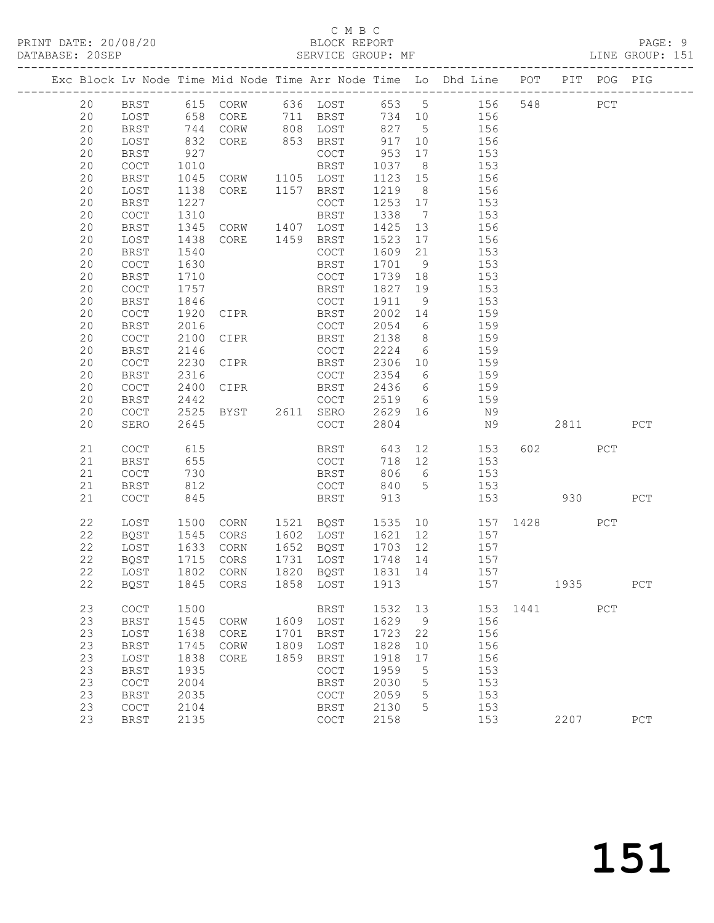#### C M B C<br>BLOCK REPORT SERVICE GROUP: MF

|  |    |                                            |              |                   |      |                                            |         |    | Exc Block Lv Node Time Mid Node Time Arr Node Time Lo Dhd Line POT PIT POG PIG |          |          |     |     |
|--|----|--------------------------------------------|--------------|-------------------|------|--------------------------------------------|---------|----|--------------------------------------------------------------------------------|----------|----------|-----|-----|
|  | 20 |                                            |              |                   |      |                                            |         |    | BRST 615 CORW 636 LOST 653 5 156                                               |          | 548 PCT  |     |     |
|  | 20 | LOST                                       |              |                   |      | 658 CORE 711 BRST                          |         |    | 734 10 156                                                                     |          |          |     |     |
|  | 20 | BRST                                       | 744          |                   |      | CORW 808 LOST                              | 827 5   |    | 156                                                                            |          |          |     |     |
|  | 20 | LOST                                       | 832          | CORE              |      | 853 BRST                                   | 917 10  |    | 156                                                                            |          |          |     |     |
|  | 20 | BRST                                       | 927          |                   |      | COCT                                       | 953     | 17 | 153                                                                            |          |          |     |     |
|  | 20 | $\mathtt{C}\mathtt{O}\mathtt{C}\mathtt{T}$ | 1010         |                   |      | BRST                                       | 1037 8  |    | 153                                                                            |          |          |     |     |
|  | 20 | BRST                                       | 1045         | CORW 1105 LOST    |      |                                            | 1123 15 |    | 156                                                                            |          |          |     |     |
|  | 20 | LOST                                       | 1138         | CORE 1157 BRST    |      |                                            | 1219 8  |    | 156                                                                            |          |          |     |     |
|  | 20 | BRST                                       | 1227         |                   |      | COCT                                       | 1253 17 |    | 153                                                                            |          |          |     |     |
|  | 20 | COCT                                       | 1310         |                   |      | BRST                                       | 1338 7  |    | 153                                                                            |          |          |     |     |
|  | 20 | BRST                                       | 1345         | CORW 1407 LOST    |      |                                            | 1425 13 |    | 156                                                                            |          |          |     |     |
|  | 20 | LOST                                       | 1438         | CORE 1459 BRST    |      |                                            | 1523    | 17 | 156                                                                            |          |          |     |     |
|  | 20 | BRST                                       | 1540         |                   |      | COCT                                       | 1609 21 |    | 153                                                                            |          |          |     |     |
|  | 20 | COCT                                       | 1630         |                   |      | BRST                                       | 1701 9  |    | 153                                                                            |          |          |     |     |
|  | 20 | BRST                                       | 1710         |                   |      | COCT                                       | 1739 18 |    | 153                                                                            |          |          |     |     |
|  | 20 | COCT                                       | 1757         |                   |      | BRST                                       | 1827    | 19 | 153                                                                            |          |          |     |     |
|  | 20 | BRST                                       | 1846         |                   |      | COCT                                       | 1911 9  |    | 153                                                                            |          |          |     |     |
|  | 20 | COCT                                       | 1920         | CIPR              |      | <b>BRST</b>                                | 2002 14 |    | 159                                                                            |          |          |     |     |
|  | 20 | BRST                                       | 2016         |                   |      | COCT                                       |         |    | 2054 6 159                                                                     |          |          |     |     |
|  | 20 | COCT                                       | 2100         | CIPR              |      | BRST                                       | 2138 8  |    | 159                                                                            |          |          |     |     |
|  | 20 | BRST                                       | 2146         |                   |      | COCT                                       | 2224 6  |    | 159                                                                            |          |          |     |     |
|  | 20 | $\mathtt{C}\mathtt{O}\mathtt{C}\mathtt{T}$ | 2230         | CIPR              |      | BRST                                       | 2306 10 |    | 159                                                                            |          |          |     |     |
|  | 20 | BRST                                       | 2316         |                   |      | COCT                                       | 2354 6  |    | 159                                                                            |          |          |     |     |
|  | 20 | COCT                                       | 2400         | CIPR <sub>2</sub> |      | BRST                                       |         |    | 2436 6 159                                                                     |          |          |     |     |
|  | 20 | <b>BRST</b>                                | 2442         |                   |      | COCT                                       | 2519 6  |    | 159                                                                            |          |          |     |     |
|  | 20 | COCT                                       | 2525         |                   |      |                                            | 2629 16 |    | N9                                                                             |          |          |     |     |
|  | 20 | SERO                                       | 2645         |                   |      | COCT                                       | 2804    |    | N9                                                                             |          | 2811 PCT |     |     |
|  | 21 | $\mathtt{C}\mathtt{O}\mathtt{C}\mathtt{T}$ | 615          |                   |      |                                            |         |    | BRST 643 12 153                                                                |          | 602 PCT  |     |     |
|  | 21 | BRST                                       | 655          |                   |      | COCT                                       | 718 12  |    | 153                                                                            |          |          |     |     |
|  | 21 | COCT                                       | 730          |                   |      | BRST                                       | 806 6   |    | 153                                                                            |          |          |     |     |
|  | 21 | <b>BRST</b>                                | 812          |                   |      | COCT                                       | 840 5   |    | 153                                                                            |          |          |     |     |
|  | 21 | COCT                                       | 845          |                   |      | BRST                                       | 913     |    |                                                                                | 153 930  |          |     | PCT |
|  |    |                                            |              |                   |      |                                            |         |    |                                                                                |          |          |     |     |
|  | 22 | LOST                                       | 1500         |                   |      |                                            |         |    | CORN 1521 BQST 1535 10 157 1428 PCT                                            |          |          |     |     |
|  | 22 | BQST                                       | 1545         | CORS              |      | 1602 LOST                                  | 1621 12 |    | 157                                                                            |          |          |     |     |
|  | 22 | LOST                                       | 1633         | CORN              |      | 1652 BQST                                  | 1703 12 |    | 157                                                                            |          |          |     |     |
|  | 22 | BQST                                       | 1715<br>1802 | CORS              |      | 1731 LOST                                  | 1748 14 |    | $\frac{157}{2}$                                                                |          |          |     |     |
|  | 22 | LOST                                       |              | CORN              |      | 1820 BQST                                  | 1831 14 |    | 157                                                                            |          |          |     |     |
|  |    |                                            |              |                   |      | 22 BQST 1845 CORS 1858 LOST 1913           |         |    | 157 1935                                                                       |          |          |     | PCT |
|  | 23 | COCT                                       | 1500         |                   |      | BRST                                       | 1532    | 13 |                                                                                | 153 1441 |          | PCT |     |
|  | 23 | <b>BRST</b>                                | 1545         | CORW              | 1609 | LOST                                       | 1629    | 9  | 156                                                                            |          |          |     |     |
|  | 23 | LOST                                       | 1638         | CORE              | 1701 | <b>BRST</b>                                | 1723    | 22 | 156                                                                            |          |          |     |     |
|  | 23 | <b>BRST</b>                                | 1745         | CORW              | 1809 | LOST                                       | 1828    | 10 | 156                                                                            |          |          |     |     |
|  | 23 | LOST                                       | 1838         | CORE              | 1859 | <b>BRST</b>                                | 1918    | 17 | 156                                                                            |          |          |     |     |
|  | 23 | <b>BRST</b>                                | 1935         |                   |      | COCT                                       | 1959    | 5  | 153                                                                            |          |          |     |     |
|  | 23 | COCT                                       | 2004         |                   |      | <b>BRST</b>                                | 2030    | 5  | 153                                                                            |          |          |     |     |
|  | 23 | <b>BRST</b>                                | 2035         |                   |      | COCT                                       | 2059    | 5  | 153                                                                            |          |          |     |     |
|  | 23 | COCT                                       | 2104         |                   |      | <b>BRST</b>                                | 2130    | 5  | 153                                                                            |          |          |     |     |
|  | 23 | <b>BRST</b>                                | 2135         |                   |      | $\mathtt{C}\mathtt{O}\mathtt{C}\mathtt{T}$ | 2158    |    | 153                                                                            |          | 2207     |     | PCT |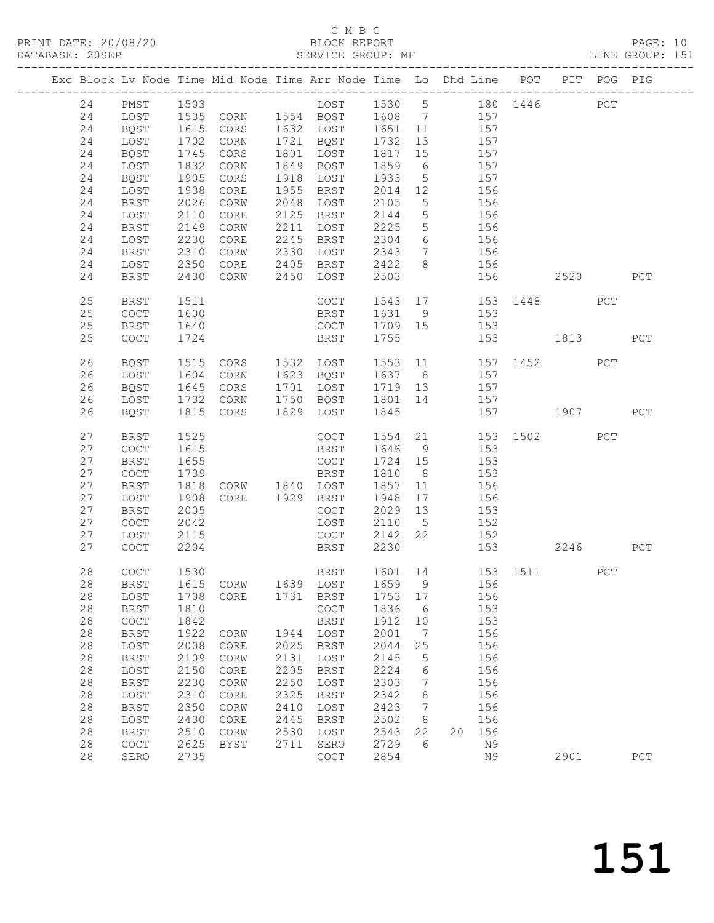# C M B C<br>BLOCK REPORT<br>SERVICE GROUP: MF

| DATABASE: 20SEP |          |                                     |                      | SERVICE GROUP: MF                                                              |              |                                                          |                            |                      |                                                     |            |                      |      |     | LINE GROUP: 151 |  |
|-----------------|----------|-------------------------------------|----------------------|--------------------------------------------------------------------------------|--------------|----------------------------------------------------------|----------------------------|----------------------|-----------------------------------------------------|------------|----------------------|------|-----|-----------------|--|
|                 |          |                                     |                      | Exc Block Lv Node Time Mid Node Time Arr Node Time Lo Dhd Line POT PIT POG PIG |              |                                                          |                            |                      |                                                     |            |                      |      |     |                 |  |
|                 | 24       |                                     |                      | PMST 1503 LOST 1530 5 180 1446 PCT<br>LOST 1535 CORN 1554 BQST 1608 7 157      |              |                                                          |                            |                      |                                                     |            |                      |      |     |                 |  |
|                 | 24       |                                     |                      |                                                                                |              |                                                          |                            |                      |                                                     |            |                      |      |     |                 |  |
|                 | 24       | BQST                                | 1615<br>1702<br>1745 |                                                                                |              |                                                          |                            |                      |                                                     |            |                      |      |     |                 |  |
|                 | 24       | LOST                                |                      |                                                                                |              | CORS 1632 LOST 1651 11 157<br>CORN 1721 BQST 1732 13 157 |                            |                      |                                                     |            |                      |      |     |                 |  |
|                 | 24       | BQST                                |                      | CORS                                                                           |              | 1801 LOST                                                | 1817                       |                      | 13 157<br>15 157                                    |            |                      |      |     |                 |  |
|                 | 24       | LOST                                | 1832                 | CORN                                                                           |              | 1849 BQST                                                | 1859                       |                      | 6 157                                               |            |                      |      |     |                 |  |
|                 | 24       | BQST                                | 1905                 | CORS                                                                           |              | 1918 LOST                                                | 1933                       | $5\overline{)}$      | 157                                                 |            |                      |      |     |                 |  |
|                 | 24       | LOST                                | 1938                 | CORE                                                                           |              | 1955 BRST                                                | 2014 12                    |                      |                                                     | 156        |                      |      |     |                 |  |
|                 | 24       | BRST                                | 2026                 | CORW                                                                           |              | 2048 LOST                                                | 2105                       | $5\overline{)}$      |                                                     | 156        |                      |      |     |                 |  |
|                 | 24       | LOST                                | 2110                 | CORE                                                                           |              | 2125 BRST                                                | 2144                       | $5\overline{)}$      | 156                                                 |            |                      |      |     |                 |  |
|                 | 24       | BRST                                | 2149                 | CORW                                                                           |              | 2211 LOST                                                | 2225                       |                      | 5 156                                               |            |                      |      |     |                 |  |
|                 | 24       | LOST                                | 2230                 | CORE                                                                           |              | 2245 BRST                                                | 2304                       |                      |                                                     |            |                      |      |     |                 |  |
|                 | 24       | BRST                                | 2310                 | CORW                                                                           |              | 2330 LOST                                                | 2343                       |                      | $\begin{array}{ccc} 6 & 156 \\ 7 & 156 \end{array}$ |            |                      |      |     |                 |  |
|                 | 24       | LOST                                | 2350                 | CORE                                                                           |              | 2405 BRST                                                | 2422                       |                      | 8 156                                               |            |                      |      |     |                 |  |
|                 | 24       | BRST                                | 2430                 | CORW                                                                           |              | 2450 LOST                                                | 2503                       |                      |                                                     |            | 156 150              | 2520 |     | PCT             |  |
|                 | 25       | BRST                                | 1511                 |                                                                                |              | COCT                                                     |                            |                      |                                                     |            | 1543 17 153 1448 PCT |      |     |                 |  |
|                 | 25       | COCT                                | 1600                 |                                                                                |              | <b>BRST</b>                                              | 1631 9 153                 |                      |                                                     |            |                      |      |     |                 |  |
|                 | 25       | BRST                                | 1640                 | COCT                                                                           |              |                                                          | 1709 15 153                |                      |                                                     |            |                      |      |     |                 |  |
|                 | 25       | COCT                                | 1724                 |                                                                                |              | BRST                                                     | 1755                       |                      |                                                     |            | 153 1813             |      |     | PCT             |  |
|                 |          |                                     |                      |                                                                                |              |                                                          |                            |                      |                                                     |            |                      |      |     |                 |  |
|                 | 26       | BQST                                | 1515                 | CORS 1532 LOST                                                                 |              |                                                          |                            |                      |                                                     |            | 1553 11 157 1452     |      | PCT |                 |  |
|                 | 26       | LOST                                | 1604                 | CORN                                                                           |              | 1623 BQST                                                | 1637 8 157                 |                      |                                                     |            |                      |      |     |                 |  |
|                 | 26       | BQST                                | 1645                 | CORS                                                                           |              | 1701 LOST                                                | 1719  13  157              |                      |                                                     |            |                      |      |     |                 |  |
|                 | 26       | LOST                                | 1732                 |                                                                                |              | CORN 1750 BQST                                           | 1801 14                    |                      |                                                     |            |                      |      |     |                 |  |
|                 | 26       | BQST                                | 1815                 | CORS                                                                           |              | 1829 LOST                                                | 1845                       |                      |                                                     |            |                      |      |     |                 |  |
|                 | 27       | <b>BRST</b>                         | 1525                 |                                                                                |              | COCT                                                     |                            |                      |                                                     |            | 1554 21 153 1502 PCT |      |     |                 |  |
|                 | 27       | COCT                                | 1615                 |                                                                                |              | BRST                                                     | 1646 9                     |                      |                                                     | 153        |                      |      |     |                 |  |
|                 | 27       | BRST                                | 1655                 |                                                                                |              | COCT                                                     | 1724 15                    |                      | $\frac{-}{153}$                                     |            |                      |      |     |                 |  |
|                 | 27       | COCT                                | 1739                 |                                                                                |              | BRST                                                     | 1810 8                     |                      | 153                                                 |            |                      |      |     |                 |  |
|                 | 27       | BRST                                | 1818                 | CORW 1840 LOST                                                                 |              |                                                          | 1857                       | 11                   | 156                                                 |            |                      |      |     |                 |  |
|                 | 27       | LOST                                | 1908                 | CORE 1929 BRST                                                                 |              |                                                          | 1948                       | 17                   |                                                     | 156        |                      |      |     |                 |  |
|                 | 27       | BRST                                | 2005                 |                                                                                |              | COCT                                                     | 1948 17 156<br>2029 13 153 |                      |                                                     |            |                      |      |     |                 |  |
|                 | 27       | COCT                                | 2042                 |                                                                                |              | LOST                                                     | 2110                       |                      | 5 152                                               |            |                      |      |     |                 |  |
|                 | 27       | LOST                                | 2115                 |                                                                                |              | COCT                                                     | 2142 22 152                |                      |                                                     |            |                      |      |     |                 |  |
|                 | 27       | COCT                                | 2204                 |                                                                                |              | <b>BRST</b>                                              | 2230                       |                      |                                                     |            | 153 2246             |      |     | PCT             |  |
|                 | 28       | COCT                                | 1530                 |                                                                                |              | BRST 1601 14 153 1511                                    |                            |                      |                                                     |            |                      |      |     |                 |  |
|                 |          |                                     |                      | CORW 1639 LOST                                                                 |              |                                                          |                            |                      |                                                     | 156        |                      |      | PCT |                 |  |
|                 | 28<br>28 | BRST                                | 1615                 |                                                                                | 1731         |                                                          | 1659<br>1753 17            | 9                    |                                                     | 156        |                      |      |     |                 |  |
|                 | 28       | LOST                                | 1708<br>1810         | CORE                                                                           |              | BRST                                                     | 1836                       |                      |                                                     | 153        |                      |      |     |                 |  |
|                 | 28       | BRST                                |                      |                                                                                |              | COCT                                                     |                            | $6\overline{6}$      |                                                     | 153        |                      |      |     |                 |  |
|                 | 28       | $\operatorname{COT}$<br><b>BRST</b> | 1842<br>1922         | CORW                                                                           | 1944         | BRST<br>LOST                                             | 1912<br>2001               | 10<br>$\overline{7}$ |                                                     | 156        |                      |      |     |                 |  |
|                 | 28       | LOST                                | 2008                 | CORE                                                                           | 2025         | <b>BRST</b>                                              | 2044                       | 25                   |                                                     | 156        |                      |      |     |                 |  |
|                 |          |                                     |                      |                                                                                |              |                                                          |                            |                      |                                                     |            |                      |      |     |                 |  |
|                 | 28<br>28 | <b>BRST</b>                         | 2109<br>2150         | CORW                                                                           | 2131<br>2205 | LOST                                                     | 2145<br>2224               | $5\phantom{.0}$      |                                                     | 156<br>156 |                      |      |     |                 |  |
|                 |          | LOST                                |                      | CORE                                                                           |              | BRST                                                     |                            | 6                    |                                                     |            |                      |      |     |                 |  |
|                 | 28       | BRST                                | 2230                 | CORW                                                                           | 2250         | LOST                                                     | 2303                       | 7                    |                                                     | 156        |                      |      |     |                 |  |
|                 | 28       | LOST                                | 2310                 | CORE                                                                           | 2325         | <b>BRST</b>                                              | 2342                       | 8                    |                                                     | 156        |                      |      |     |                 |  |
|                 | 28       | <b>BRST</b>                         | 2350                 | CORW                                                                           | 2410         | LOST                                                     | 2423                       | $7\phantom{.0}$      |                                                     | 156        |                      |      |     |                 |  |
|                 | 28       | LOST                                | 2430                 | CORE                                                                           | 2445         | <b>BRST</b>                                              | 2502                       | 8                    |                                                     | 156        |                      |      |     |                 |  |
|                 | 28       | BRST                                | 2510                 | CORW                                                                           | 2530         | LOST                                                     | 2543                       | 22                   |                                                     | 20 156     |                      |      |     |                 |  |
|                 | 28       | COCT                                | 2625                 | BYST                                                                           | 2711         | SERO                                                     | 2729                       | 6                    |                                                     | N9         |                      |      |     |                 |  |
|                 | 28       | SERO                                | 2735                 |                                                                                |              | COCT                                                     | 2854                       |                      |                                                     | N9         |                      | 2901 |     | PCT             |  |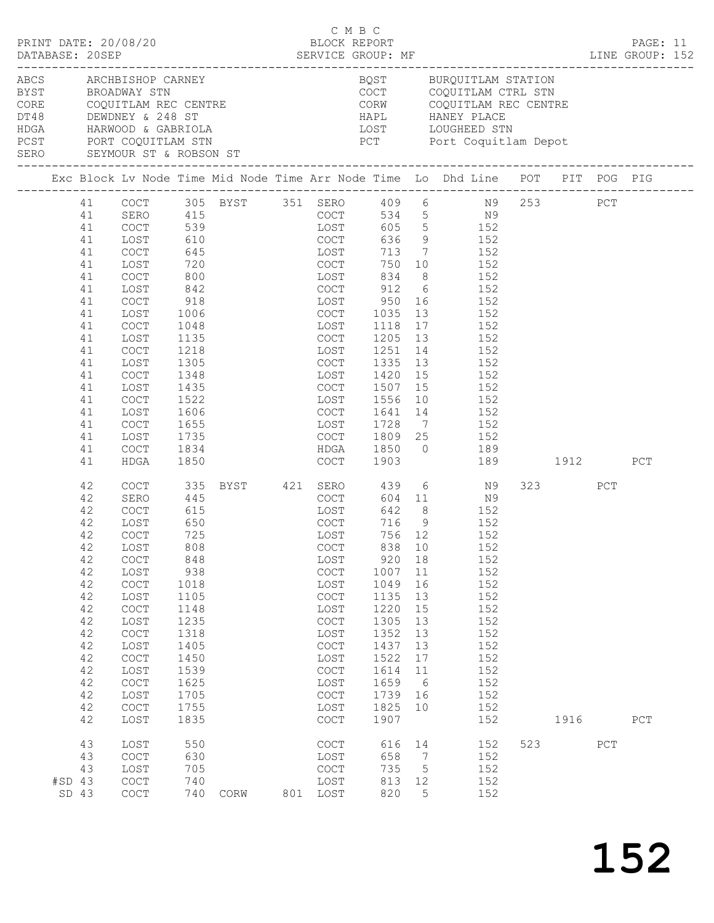| PRINT DATE: 20/08/20                                                                       |                                            |              |                                         | C M B C<br>BLOCK REPORT                    |         |                |                                                    |     |     |         |     | PAGE: 11 |  |
|--------------------------------------------------------------------------------------------|--------------------------------------------|--------------|-----------------------------------------|--------------------------------------------|---------|----------------|----------------------------------------------------|-----|-----|---------|-----|----------|--|
|                                                                                            |                                            |              |                                         |                                            |         |                |                                                    |     |     |         |     |          |  |
| ABCS ARCHBISHOP CARNEY<br>BYST BROADWAY STN                                                |                                            |              |                                         |                                            |         |                | BQST BURQUITLAM STATION<br>COCT COQUITLAM CTRL STN |     |     |         |     |          |  |
| PCST PORT COQUITLAM STN THE RESERVITY OF PORT COQUITLAM STN<br>SERO SEYMOUR ST & ROBSON ST |                                            |              |                                         |                                            |         |                |                                                    |     |     |         |     |          |  |
|                                                                                            |                                            |              |                                         |                                            |         |                |                                                    |     |     |         |     |          |  |
|                                                                                            |                                            |              |                                         |                                            |         |                |                                                    |     |     |         |     |          |  |
| 41                                                                                         |                                            |              | COCT 305 BYST 351 SERO 409 6 N9 253 PCT |                                            |         |                |                                                    |     |     |         |     |          |  |
| 41                                                                                         | SERO 415<br>COCT 539                       |              |                                         | COCT 534 5 N9<br>LOST 605 5 152            |         |                |                                                    |     |     |         |     |          |  |
| 41                                                                                         | COCT                                       |              |                                         |                                            |         |                |                                                    |     |     |         |     |          |  |
| 41                                                                                         | LOST                                       | 610          |                                         | COCT                                       |         |                | $636$ 9 152                                        |     |     |         |     |          |  |
| 41                                                                                         | COCT                                       | 645          |                                         | LOST                                       |         |                | 713 7 152<br>$\frac{132}{152}$                     |     |     |         |     |          |  |
| 41                                                                                         | LOST                                       | 720<br>800   |                                         | COCT 750 10<br>LOST 834 8                  | 750 10  |                |                                                    |     |     |         |     |          |  |
| 41<br>41                                                                                   | COCT                                       | 842          |                                         | COCT 912 6 152                             |         |                |                                                    | 152 |     |         |     |          |  |
| 41                                                                                         | LOST<br>COCT                               | 918          |                                         | LOST 950 16 152                            |         |                |                                                    |     |     |         |     |          |  |
| 41                                                                                         | LOST                                       |              |                                         | COCT                                       | 1035 13 |                |                                                    |     |     |         |     |          |  |
| 41                                                                                         | COCT                                       | 1006<br>1048 |                                         | LOST                                       | 1118 17 |                | 152                                                | 152 |     |         |     |          |  |
| 41                                                                                         | LOST                                       | 1135         |                                         | COCT                                       |         |                | 1205 13 152                                        |     |     |         |     |          |  |
| 41                                                                                         | COCT                                       | 1218         |                                         | LOST                                       | 1251    |                | 14 152                                             |     |     |         |     |          |  |
| 41                                                                                         | LOST                                       | 1305         |                                         | COCT                                       |         |                | 1335 13 152                                        |     |     |         |     |          |  |
| 41                                                                                         | COCT                                       | 1348         |                                         | LOST                                       | 1420 15 |                |                                                    | 152 |     |         |     |          |  |
| 41                                                                                         | LOST                                       | 1435         |                                         | COCT                                       |         |                | $1507$ $15$ $152$                                  |     |     |         |     |          |  |
| 41                                                                                         | COCT                                       | 1522         |                                         | LOST                                       |         |                | 1556 10 152                                        |     |     |         |     |          |  |
| 41                                                                                         | LOST                                       | 1606         |                                         | COCT                                       |         |                | 1641 14 152                                        |     |     |         |     |          |  |
| 41                                                                                         | COCT                                       | 1655         |                                         | LOST                                       |         |                |                                                    |     |     |         |     |          |  |
| 41                                                                                         | LOST                                       | 1735         |                                         | COCT                                       |         |                | 1728 7 152<br>1809 25 152                          |     |     |         |     |          |  |
| 41                                                                                         | COCT                                       | 1834         |                                         | HDGA 1850 0 189                            |         |                |                                                    |     |     |         |     |          |  |
| 41                                                                                         | HDGA                                       | 1850         |                                         | COCT                                       |         |                | 1903 189 1912                                      |     |     |         |     | PCT      |  |
| 42                                                                                         | COCT                                       | 335          | BYST 421 SERO 439 6 N9                  |                                            |         |                |                                                    |     |     | 323 PCT |     |          |  |
| 42                                                                                         | SERO                                       | 445          |                                         | COCT                                       |         |                | 604 11 N9                                          |     |     |         |     |          |  |
| 42                                                                                         | COCT                                       | 615          |                                         | LOST                                       |         |                | 642 8 152                                          |     |     |         |     |          |  |
| 42                                                                                         | LOST                                       | 650          |                                         | COCT<br>LOST                               | 716 9   |                | 152                                                |     |     |         |     |          |  |
| 42                                                                                         | COCT                                       | 725          |                                         | LOST                                       | 756 12  |                |                                                    | 152 |     |         |     |          |  |
|                                                                                            | 42 LOST                                    | 808          |                                         | <b>COCT</b>                                |         |                | 838 10 152                                         |     |     |         |     |          |  |
| 42                                                                                         | COCT                                       | 848          |                                         | LOST                                       | 920     | 18             |                                                    | 152 |     |         |     |          |  |
| 42                                                                                         | LOST                                       | 938          |                                         | COCT                                       | 1007    | 11             |                                                    | 152 |     |         |     |          |  |
| 42                                                                                         | $\mathtt{C}\mathtt{O}\mathtt{C}\mathtt{T}$ | 1018         |                                         | LOST                                       | 1049    | 16             |                                                    | 152 |     |         |     |          |  |
| 42                                                                                         | LOST                                       | 1105         |                                         | COCT                                       | 1135    | 13             |                                                    | 152 |     |         |     |          |  |
| 42                                                                                         | COCT                                       | 1148         |                                         | LOST                                       | 1220    | 15             |                                                    | 152 |     |         |     |          |  |
| 42                                                                                         | LOST                                       | 1235         |                                         | COCT                                       | 1305    | 13             |                                                    | 152 |     |         |     |          |  |
| 42                                                                                         | COCT                                       | 1318         |                                         | LOST                                       | 1352    | 13             |                                                    | 152 |     |         |     |          |  |
| 42                                                                                         | LOST                                       | 1405         |                                         | COCT                                       | 1437    | 13             |                                                    | 152 |     |         |     |          |  |
| 42                                                                                         | COCT                                       | 1450         |                                         | LOST                                       | 1522    | 17             |                                                    | 152 |     |         |     |          |  |
| 42                                                                                         | LOST                                       | 1539         |                                         | COCT                                       | 1614    | 11             |                                                    | 152 |     |         |     |          |  |
| 42                                                                                         | COCT                                       | 1625         |                                         | LOST                                       | 1659    | 6              |                                                    | 152 |     |         |     |          |  |
| 42                                                                                         | LOST                                       | 1705         |                                         | COCT                                       | 1739    | 16             |                                                    | 152 |     |         |     |          |  |
| 42                                                                                         | $\mathtt{C}\mathtt{O}\mathtt{C}\mathtt{T}$ | 1755         |                                         | LOST                                       | 1825    | 10             |                                                    | 152 |     |         |     |          |  |
| 42                                                                                         | LOST                                       | 1835         |                                         | COCT                                       | 1907    |                |                                                    | 152 |     | 1916    |     | PCT      |  |
| 43                                                                                         | LOST                                       | 550          |                                         | COCT                                       | 616     | 14             |                                                    | 152 | 523 |         | PCT |          |  |
| 43                                                                                         | COCT                                       | 630          |                                         | LOST                                       | 658     | $\overline{7}$ |                                                    | 152 |     |         |     |          |  |
| 43                                                                                         | LOST                                       | 705          |                                         | $\mathtt{C}\mathtt{O}\mathtt{C}\mathtt{T}$ | 735     | $5^{\circ}$    |                                                    | 152 |     |         |     |          |  |
| $#SD$ 43                                                                                   | COCT                                       | 740          |                                         | LOST                                       | 813     | 12             |                                                    | 152 |     |         |     |          |  |
| SD 43                                                                                      | $\mathtt{C}\mathtt{O}\mathtt{C}\mathtt{T}$ | 740          | CORW                                    | 801 LOST                                   | 820     | 5              |                                                    | 152 |     |         |     |          |  |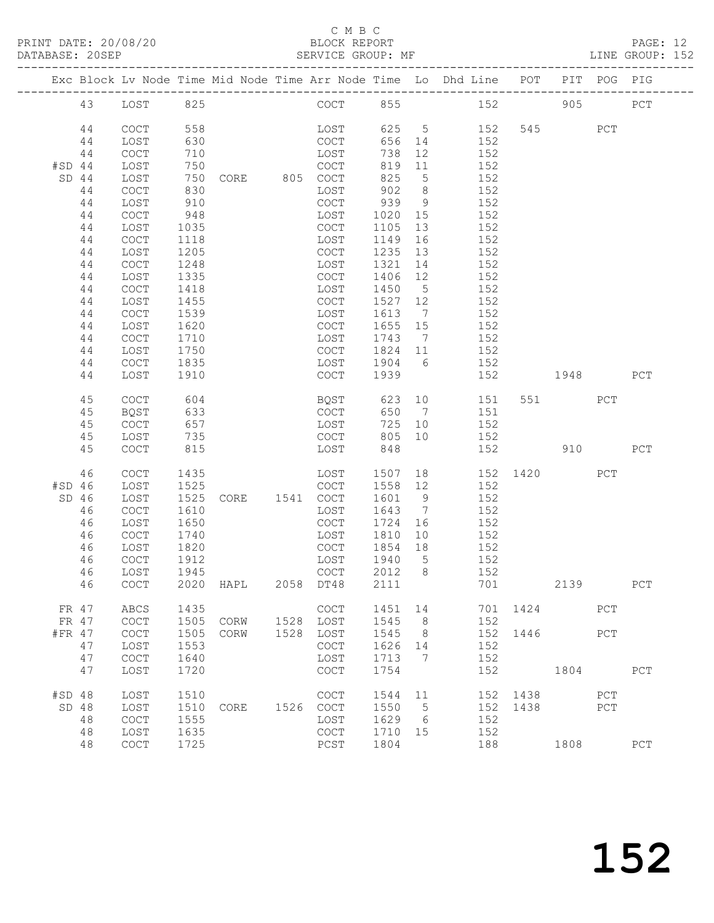### C M B C<br>BLOCK REPORT

PAGE: 12<br>LINE GROUP: 152

|          |         |             |      |                |      |                                            |         |                | Exc Block Lv Node Time Mid Node Time Arr Node Time Lo Dhd Line POT |          |          | PIT POG PIG |             |
|----------|---------|-------------|------|----------------|------|--------------------------------------------|---------|----------------|--------------------------------------------------------------------|----------|----------|-------------|-------------|
|          | 43      | LOST        | 825  |                |      | COCT                                       | 855     |                | 152                                                                |          | 905      |             | ${\tt PCT}$ |
|          | 44      | COCT        | 558  |                |      | LOST                                       |         |                | 625 5 152                                                          |          | 545      | PCT         |             |
|          | 44      | LOST        | 630  |                |      | COCT                                       | 656 14  |                | 152                                                                |          |          |             |             |
|          | 44      | COCT        | 710  |                |      | LOST                                       | 738     | 12             | 152                                                                |          |          |             |             |
| #SD 44   |         | LOST        | 750  |                |      | COCT                                       | 819     | 11             | 152                                                                |          |          |             |             |
|          | $SD$ 44 | LOST        | 750  | CORE 805 COCT  |      |                                            | 825     | $5^{\circ}$    | 152                                                                |          |          |             |             |
|          | 44      | COCT        | 830  |                |      | LOST                                       | 902     | 8 <sup>8</sup> | 152                                                                |          |          |             |             |
|          | 44      | LOST        | 910  |                |      | COCT                                       | 939     | 9              | 152                                                                |          |          |             |             |
|          | 44      | COCT        | 948  |                |      | LOST                                       | 1020 15 |                | 152                                                                |          |          |             |             |
|          | 44      | LOST        | 1035 |                |      | COCT                                       | 1105    | 13             | 152                                                                |          |          |             |             |
|          | 44      | COCT        | 1118 |                |      | LOST                                       | 1149    | 16             | 152                                                                |          |          |             |             |
|          | 44      | LOST        | 1205 |                |      | COCT                                       | 1235 13 |                | 152                                                                |          |          |             |             |
|          | 44      | COCT        | 1248 |                |      | LOST                                       | 1321    | 14             | 152                                                                |          |          |             |             |
|          | 44      | LOST        | 1335 |                |      | COCT                                       | 1406 12 |                | 152                                                                |          |          |             |             |
|          | 44      | COCT        | 1418 |                |      | LOST                                       | 1450    | $5^{\circ}$    | 152                                                                |          |          |             |             |
|          | 44      | LOST        | 1455 |                |      | COCT                                       | 1527 12 |                | 152                                                                |          |          |             |             |
|          | 44      | COCT        | 1539 |                |      | LOST                                       | 1613 7  |                | 152                                                                |          |          |             |             |
|          | 44      | LOST        | 1620 |                |      | COCT                                       | 1655 15 |                | 152                                                                |          |          |             |             |
|          | 44      | COCT        | 1710 |                |      | LOST                                       | 1743 7  |                | 152                                                                |          |          |             |             |
|          | 44      | LOST        | 1750 |                |      | COCT                                       | 1824 11 |                | 152                                                                |          |          |             |             |
|          | 44      | COCT        | 1835 |                |      | LOST                                       | 1904 6  |                | 152                                                                |          |          |             |             |
|          | 44      | LOST        | 1910 |                |      | COCT                                       | 1939    |                | 152                                                                |          | 1948     |             | PCT         |
|          | 45      | COCT        | 604  |                |      | BQST 623                                   |         | 10             | 151                                                                |          | 551 35   | PCT         |             |
|          | 45      | BQST        | 633  |                |      | COCT                                       | 650 7   |                | 151                                                                |          |          |             |             |
|          | 45      | COCT        | 657  |                |      | LOST                                       | 725     | 10             | 152                                                                |          |          |             |             |
|          | 45      | LOST        | 735  |                |      | COCT                                       | 805     | 10             | 152                                                                |          |          |             |             |
|          | 45      | <b>COCT</b> | 815  |                |      | LOST                                       | 848     |                | 152                                                                |          | 910      |             | PCT         |
|          | 46      | COCT        | 1435 |                |      | LOST                                       | 1507    |                |                                                                    |          | 152 1420 | PCT         |             |
| $#SD$ 46 |         | LOST        | 1525 |                |      | COCT                                       | 1558 12 |                | 152                                                                |          |          |             |             |
|          | $SD$ 46 | LOST        | 1525 | CORE 1541 COCT |      |                                            | 1601    | $\overline{9}$ | 152                                                                |          |          |             |             |
|          | 46      | COCT        | 1610 |                |      | LOST                                       | 1643    | $\overline{7}$ | 152                                                                |          |          |             |             |
|          | 46      | LOST        | 1650 |                |      | COCT                                       | 1724    | 16             | 152                                                                |          |          |             |             |
|          | 46      | COCT        | 1740 |                |      | LOST                                       | 1810    | 10             | 152                                                                |          |          |             |             |
|          | 46      | LOST        | 1820 |                |      | COCT                                       | 1854    | 18             | 152                                                                |          |          |             |             |
|          | 46      | COCT        | 1912 |                |      | LOST                                       | 1940 5  |                | 152                                                                |          |          |             |             |
|          | 46      | LOST        | 1945 |                |      | COCT                                       | 2012 8  |                | 152                                                                |          |          |             |             |
|          | 46      |             |      | COCT 2020 HAPL |      | 2058 DT48 2111                             |         |                | 701                                                                |          | 2139     |             | PCT         |
|          | FR 47   | ABCS        | 1435 |                |      | <b>COCT</b>                                | 1451    | 14             |                                                                    | 701 1424 |          | PCT         |             |
|          | FR 47   | COCT        | 1505 | CORW           | 1528 | LOST                                       | 1545    | 8              | 152                                                                |          |          |             |             |
| #FR 47   |         | COCT        | 1505 | CORW           | 1528 | LOST                                       | 1545    | - 8            | 152                                                                | 1446     |          | PCT         |             |
|          | 47      | LOST        | 1553 |                |      | COCT                                       | 1626    | 14             | 152                                                                |          |          |             |             |
|          | 47      | COCT        | 1640 |                |      | LOST                                       | 1713    | 7              | 152                                                                |          |          |             |             |
|          | 47      | LOST        | 1720 |                |      | COCT                                       | 1754    |                | 152                                                                |          | 1804     |             | PCT         |
| #SD 48   |         | LOST        | 1510 |                |      | COCT                                       | 1544    | 11             |                                                                    | 152 1438 |          | PCT         |             |
|          | SD 48   | LOST        | 1510 | CORE           | 1526 | $\mathtt{C}\mathtt{O}\mathtt{C}\mathtt{T}$ | 1550    | 5              | 152                                                                | 1438     |          | PCT         |             |
|          | 48      | COCT        | 1555 |                |      | LOST                                       | 1629    | 6              | 152                                                                |          |          |             |             |
|          | 48      | LOST        | 1635 |                |      | $\mathtt{C}\mathtt{O}\mathtt{C}\mathtt{T}$ | 1710    | 15             | 152                                                                |          |          |             |             |
|          | 48      | COCT        | 1725 |                |      | PCST                                       | 1804    |                | 188                                                                |          | 1808     |             | ${\tt PCT}$ |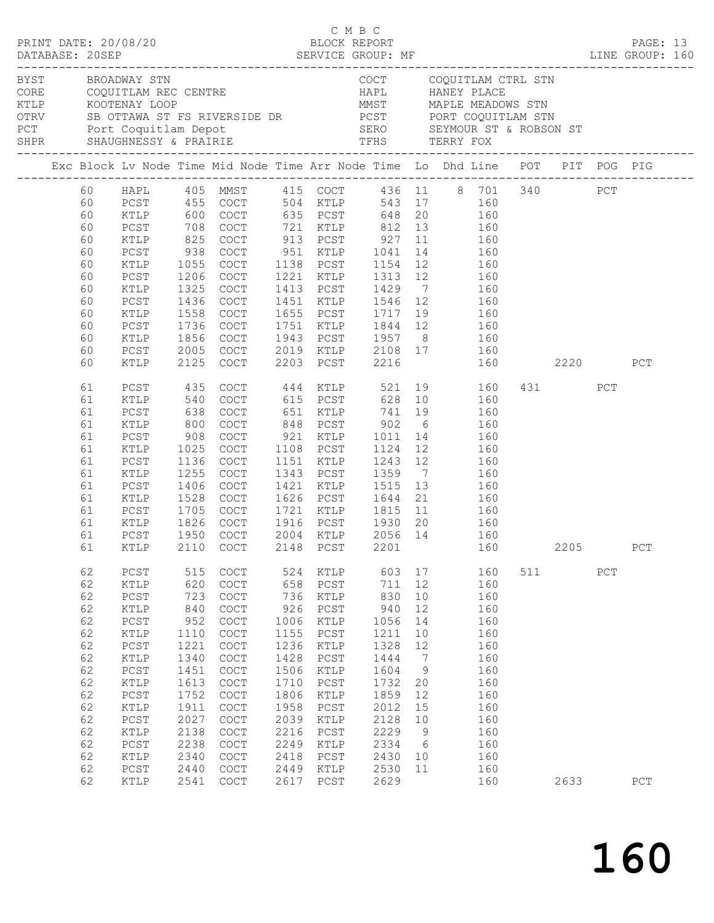|                   |                                                                                                          |                                                                                                                                                                                 |                                                                                                                                         | $\begin{array}{cccc}\n\texttt{CRINT} & \texttt{DATE:} & 20/08/20 & \texttt{C} & \texttt{M} & \texttt{B} & \texttt{C}\n\end{array}$                                                                  |                                                                                                                                          |                                                                                                                                                                               |                                                                                                                                          |                                                                                                  |                                                                                                                                                                                                                                                                                                                                                                                                       |     |         |     | PAGE: 13    |  |
|-------------------|----------------------------------------------------------------------------------------------------------|---------------------------------------------------------------------------------------------------------------------------------------------------------------------------------|-----------------------------------------------------------------------------------------------------------------------------------------|-----------------------------------------------------------------------------------------------------------------------------------------------------------------------------------------------------|------------------------------------------------------------------------------------------------------------------------------------------|-------------------------------------------------------------------------------------------------------------------------------------------------------------------------------|------------------------------------------------------------------------------------------------------------------------------------------|--------------------------------------------------------------------------------------------------|-------------------------------------------------------------------------------------------------------------------------------------------------------------------------------------------------------------------------------------------------------------------------------------------------------------------------------------------------------------------------------------------------------|-----|---------|-----|-------------|--|
| BYST BROADWAY STN |                                                                                                          |                                                                                                                                                                                 |                                                                                                                                         |                                                                                                                                                                                                     |                                                                                                                                          |                                                                                                                                                                               |                                                                                                                                          |                                                                                                  | COCT COQUITLAM CTRL STN<br>CORE COQUITLAM REC CENTRE<br>CORE COQUITLAM REC CENTRE HAPL HANEY PLACE<br>TILP KOOTENAY LOOP MMST MAPLE MEADOWS STN<br>OTRV SBOTTAWA ST FS RIVERSIDE DR PCST PORT COQUITLAM STN<br>PCT PORT COQUITLAM STN<br>PCT PORT COQUITLAM STN<br>SH                                                                                                                                 |     |         |     |             |  |
|                   |                                                                                                          |                                                                                                                                                                                 |                                                                                                                                         |                                                                                                                                                                                                     |                                                                                                                                          |                                                                                                                                                                               |                                                                                                                                          |                                                                                                  |                                                                                                                                                                                                                                                                                                                                                                                                       |     |         |     |             |  |
|                   | 60<br>60<br>60<br>60<br>60<br>60<br>60<br>60<br>60<br>60<br>60                                           | PCST<br>KTLP<br>PCST<br>KTLP<br>PCST<br>KTLP<br>PCST                                                                                                                            | 938<br>1055<br>1206<br>1325<br>1436                                                                                                     | COCT<br>COCT<br>1558 COCT<br>1736 COCT<br>COCT                                                                                                                                                      |                                                                                                                                          |                                                                                                                                                                               |                                                                                                                                          |                                                                                                  | 60 HAPL 405 MMST 415 COCT 436 11 8 701 340 PCT<br>PCST 455 COCT 504 KTLP 543 17 160<br>KTLP 600 COCT 635 PCST 648 20 160<br>PCST 708 COCT 721 KTLP 812 13 160<br>KTLP 825 COCT 913 PCST 927 11 160<br>160<br>COCT 951 KTLP 1041 14 160<br>COCT 1138 PCST 1154 12 160<br>COCT 1221 KTLP 1313 12 160<br>1413 PCST 1429 7 160<br>1451 KTLP 1546 12 160<br>1655 PCST 1717 19 160<br>1751 KTLP 1844 12 160 |     |         |     |             |  |
|                   | 60<br>60<br>60                                                                                           | KTLP<br>PCST<br>KTLP                                                                                                                                                            | 2125                                                                                                                                    | 1856 COCT<br>2005 COCT<br>COCT                                                                                                                                                                      |                                                                                                                                          | 2203 PCST                                                                                                                                                                     | 2216                                                                                                                                     |                                                                                                  | 1943 PCST 1957 8 160<br>2019 KTLP 2108 17 160<br>160 2220                                                                                                                                                                                                                                                                                                                                             |     |         |     | PCT         |  |
|                   | 61<br>61<br>61<br>61<br>61<br>61<br>61<br>61<br>61<br>61<br>61<br>61<br>61<br>61                         | PCST<br>KTLP<br>PCST<br>KTLP<br>PCST<br>KTLP<br>PCST<br>KTLP<br>PCST<br>KTLP<br>PCST<br>KTLP<br>PCST                                                                            | 435<br>540<br>638<br>800<br>908<br>1025<br>1136<br>1255<br>1406<br>1528<br>1705                                                         | COCT 444 KTLP<br>COCT<br>COCT<br>COCT<br>COCT<br>COCT<br>COCT<br>COCT<br>COCT<br>COCT<br>COCT<br>1826 COCT<br>1950 COCT<br>COCT                                                                     |                                                                                                                                          | 1108 PCST                                                                                                                                                                     | 615 PCST 628 10<br>1151 KTLP 1243 12<br>1343 PCST 1359 7<br>1421 KTLP 1515 13                                                            |                                                                                                  | 521 19 160<br>160<br>651 KTLP 741 19 160<br>848 PCST 902 6 160<br>921 KTLP 1011 14 160<br>1124 12 160<br>160<br>160<br>$\frac{1}{160}$<br>1626 PCST 1644 21 160<br>1721 KTLP 1815 11 160<br>KTLP 2110 COCT 2148 PCST 2201 160 2205                                                                                                                                                                    |     | 431 PCT |     | ${\tt PCT}$ |  |
|                   | 62<br>62<br>62<br>62<br>62<br>62<br>62<br>62<br>62<br>62<br>62<br>62<br>62<br>62<br>62<br>62<br>62<br>62 | PCST<br>KTLP<br>$PCST$<br>KTLP<br>$PCST$<br>$\verb KTLP $<br>$PCST$<br>KTLP<br>${\tt PCST}$<br>KTLP<br>${\tt PCST}$<br>KTLP<br>PCST<br>KTLP<br>$PCST$<br>KTLP<br>$PCST$<br>KTLP | 515<br>620<br>723<br>840<br>952<br>1110<br>1221<br>1340<br>1451<br>1613<br>1752<br>1911<br>2027<br>2138<br>2238<br>2340<br>2440<br>2541 | COCT<br>COCT<br>COCT<br>COCT<br>COCT<br>COCT<br>$\operatorname{COCT}$<br>$\mathtt{C}\mathtt{O}\mathtt{C}\mathtt{T}$<br>COCT<br>COCT<br>COCT<br>COCT<br>COCT<br>COCT<br>COCT<br>COCT<br>COCT<br>COCT | 524<br>658<br>736<br>926<br>1006<br>1155<br>1236<br>1428<br>1506<br>1710<br>1806<br>1958<br>2039<br>2216<br>2249<br>2418<br>2449<br>2617 | KTLP<br>${\tt PCST}$<br>KTLP<br>${\tt PCST}$<br>KTLP<br>${\tt PCST}$<br>KTLP<br>PCST<br>KTLP<br>PCST<br>KTLP<br>PCST<br>KTLP<br>PCST<br>KTLP<br>PCST<br>$\verb KTLP $<br>PCST | 603<br>711<br>830<br>940<br>1056<br>1211<br>1328<br>1444<br>1604<br>1732<br>1859<br>2012<br>2128<br>2229<br>2334<br>2430<br>2530<br>2629 | 17<br>12<br>10<br>12<br>14<br>10<br>12<br>7<br>9<br>20<br>12<br>15<br>10<br>9<br>- 6<br>10<br>11 | 160<br>160<br>160<br>160<br>160<br>160<br>160<br>160<br>160<br>160<br>160<br>160<br>160<br>160<br>160<br>160<br>160<br>160                                                                                                                                                                                                                                                                            | 511 | 2633    | PCT | PCT         |  |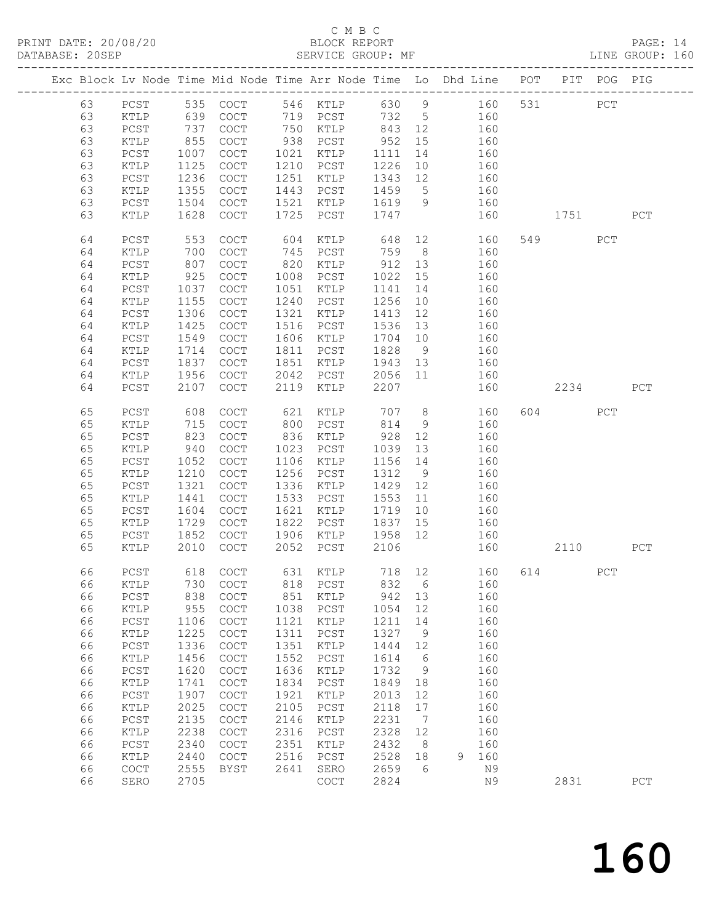# C M B C<br>BLOCK REPORT

PAGE: 14<br>LINE GROUP: 160

|  |          |              |            | Exc Block Lv Node Time Mid Node Time Arr Node Time Lo Dhd Line POT PIT POG PIG |             |                                            |             |                 |            |     |        |     |             |
|--|----------|--------------|------------|--------------------------------------------------------------------------------|-------------|--------------------------------------------|-------------|-----------------|------------|-----|--------|-----|-------------|
|  | 63       | PCST         |            | 535 COCT                                                                       |             | 546 KTLP                                   |             |                 | 630 9 160  |     | 531 7  | PCT |             |
|  | 63       | KTLP         |            | COCT                                                                           |             | 719 PCST                                   | 732 5       |                 | 160        |     |        |     |             |
|  | 63       | PCST         | 639<br>737 | COCT                                                                           |             | 750 KTLP                                   | 843 12      |                 | 160        |     |        |     |             |
|  | 63       | KTLP         | 855        | COCT                                                                           | 938         | PCST                                       | 952         | 15              | 160        |     |        |     |             |
|  | 63       | PCST         | 1007       | COCT                                                                           | 1021        | KTLP                                       | 1111        | 14              | 160        |     |        |     |             |
|  | 63       | KTLP         | 1125       | COCT                                                                           | 1210        | PCST                                       | 1226        | 10              | 160        |     |        |     |             |
|  | 63       | PCST         | 1236       | COCT                                                                           | 1251        | KTLP                                       | 1343        | 12              | 160        |     |        |     |             |
|  | 63       | KTLP         | 1355       | COCT                                                                           | 1443        | PCST                                       | 1459        | $5\overline{)}$ | 160        |     |        |     |             |
|  | 63       | PCST         | 1504       | COCT                                                                           | 1521        | KTLP                                       | 1619        | 9               | 160        |     |        |     |             |
|  | 63       | KTLP         | 1628       | COCT                                                                           | 1725        | PCST                                       | 1747        |                 | 160        |     | 1751   |     | PCT         |
|  |          |              |            |                                                                                |             |                                            |             |                 |            |     |        |     |             |
|  | 64       | $PCST$       | 553        | COCT                                                                           | 604         | KTLP                                       | 648         |                 | 12         | 160 | 549    | PCT |             |
|  | 64       | KTLP         | 700        | $\operatorname{COT}$                                                           | 745         | PCST                                       | 759         | 8 <sup>8</sup>  | 160        |     |        |     |             |
|  | 64       | $PCST$       | 807        | $\operatorname{COT}$                                                           | 820         | KTLP                                       | 912         | 13              | 160        |     |        |     |             |
|  | 64       | KTLP         | 925        | $\operatorname{COT}$                                                           | 1008        | PCST                                       | 1022        | 15              | 160        |     |        |     |             |
|  | 64       | PCST         | 1037       | $\operatorname{COT}$                                                           | 1051        | KTLP                                       | 1141        | 14              | 160        |     |        |     |             |
|  | 64       | KTLP         | 1155       | $\operatorname{COT}$                                                           | 1240        | PCST                                       | 1256        | 10              | 160        |     |        |     |             |
|  | 64       | PCST         | 1306       | $\operatorname{COT}$                                                           | 1321        | KTLP                                       | 1413        | 12              | 160        |     |        |     |             |
|  | 64       | KTLP         | 1425       | COCT                                                                           | 1516        | PCST                                       | 1536        | 13              | 160        |     |        |     |             |
|  | 64       | PCST         | 1549       | COCT                                                                           | 1606        | KTLP                                       | 1704 10     |                 | 160        |     |        |     |             |
|  | 64       | KTLP         | 1714       | COCT                                                                           | 1811        | PCST                                       | 1828        | 9               | 160        |     |        |     |             |
|  | 64       | PCST         | 1837       | $\operatorname{COT}$                                                           | 1851        | KTLP                                       | 1943        | 13              | 160        |     |        |     |             |
|  | 64       | KTLP         | 1956       | $\operatorname{COT}$                                                           | 2042        | PCST                                       | 2056 11     |                 | 160        |     |        |     |             |
|  | 64       | PCST         | 2107       | COCT                                                                           | 2119        | KTLP                                       | 2207        |                 | 160        |     | 2234   |     | PCT         |
|  | 65       | PCST         | 608        | COCT                                                                           | 621         | KTLP                                       | 707         | 8 <sup>8</sup>  | 160        |     | 604 60 | PCT |             |
|  | 65       | KTLP         | 715        | $\operatorname{COT}$                                                           | 800         | PCST                                       | 814         | 9               | 160        |     |        |     |             |
|  | 65       | PCST         | 823        | $\operatorname{COT}$                                                           | 836         | KTLP                                       | 928         | 12              | 160        |     |        |     |             |
|  | 65       | KTLP         | 940        | COCT                                                                           | 1023        | PCST                                       | 1039        | 13              | 160        |     |        |     |             |
|  | 65       | PCST         | 1052       | COCT                                                                           | 1106        | KTLP                                       | 1156        | 14              | 160        |     |        |     |             |
|  | 65       | KTLP         | 1210       | $\mathtt{C}\mathtt{O}\mathtt{C}\mathtt{T}$                                     | 1256        | PCST                                       | 1312        | 9               | 160        |     |        |     |             |
|  | 65       | PCST         | 1321       | COCT                                                                           | 1336        | KTLP                                       | 1429        | 12              | 160        |     |        |     |             |
|  | 65       | KTLP         | 1441       | COCT                                                                           | 1533        | PCST                                       | 1553        | 11              | 160        |     |        |     |             |
|  | 65       | PCST         | 1604       | $\operatorname{COT}$                                                           | 1621        | KTLP                                       | 1719        | 10              | 160        |     |        |     |             |
|  | 65       | KTLP         | 1729       | $\operatorname{COT}$                                                           | 1822        | PCST                                       | 1837 15     |                 | 160        |     |        |     |             |
|  | 65       | PCST         | 1852       | COCT                                                                           | 1906        | KTLP                                       | 1958        | 12              | 160        |     |        |     |             |
|  | 65       | KTLP         | 2010       | $\operatorname{COT}$                                                           | 2052        | PCST                                       | 2106        |                 | 160        |     | 2110   |     | PCT         |
|  |          |              |            |                                                                                |             |                                            |             |                 |            |     |        |     |             |
|  | 66       | PCST         |            | 618 COCT                                                                       |             | 631 KTLP                                   | 718 12      |                 |            | 160 | 614    | PCT |             |
|  |          |              |            | 66 KTLP 730 COCT 818 PCST 832 6                                                |             |                                            |             |                 |            | 160 |        |     |             |
|  | 66       | PCST         | 838<br>955 | COCT<br>$\mathtt{C}\mathtt{O}\mathtt{C}\mathtt{T}$                             | 851<br>1038 | $\verb KTLP $<br>PCST                      | 942<br>1054 | 13              | 160<br>160 |     |        |     |             |
|  | 66<br>66 | KTLP<br>PCST | 1106       | COCT                                                                           | 1121        | $\verb KTLP $                              | 1211        | 12<br>14        | 160        |     |        |     |             |
|  | 66       | KTLP         | 1225       | COCT                                                                           | 1311        | PCST                                       | 1327        | 9               | 160        |     |        |     |             |
|  | 66       | $PCST$       | 1336       | COCT                                                                           | 1351        | <b>KTLP</b>                                | 1444        | 12              | 160        |     |        |     |             |
|  | 66       | KTLP         | 1456       | $\mathtt{C}\mathtt{O}\mathtt{C}\mathtt{T}$                                     | 1552        | $_{\mathrm{PCST}}$                         | 1614        | 6               | 160        |     |        |     |             |
|  | 66       | PCST         | 1620       | $\mathtt{C}\mathtt{O}\mathtt{C}\mathtt{T}$                                     | 1636        | KTLP                                       | 1732        | 9               | 160        |     |        |     |             |
|  | 66       | KTLP         | 1741       | COCT                                                                           | 1834        | ${\tt PCST}$                               | 1849        | 18              | 160        |     |        |     |             |
|  | 66       | PCST         | 1907       | $\mathtt{C}\mathtt{O}\mathtt{C}\mathtt{T}$                                     | 1921        | KTLP                                       | 2013        | 12              | 160        |     |        |     |             |
|  | 66       | KTLP         | 2025       | $\mathtt{C}\mathtt{O}\mathtt{C}\mathtt{T}$                                     | 2105        | PCST                                       | 2118        | 17              | 160        |     |        |     |             |
|  | 66       | PCST         | 2135       | COCT                                                                           | 2146        | KTLP                                       | 2231        | 7               | 160        |     |        |     |             |
|  | 66       | KTLP         | 2238       | $\mathtt{C}\mathtt{O}\mathtt{C}\mathtt{T}$                                     | 2316        | $_{\rm PCST}$                              | 2328        | 12              | 160        |     |        |     |             |
|  | 66       | PCST         | 2340       | $\mathtt{C}\mathtt{O}\mathtt{C}\mathtt{T}$                                     | 2351        | KTLP                                       | 2432        | 8               | 160        |     |        |     |             |
|  | 66       | KTLP         | 2440       | $\mathtt{C}\mathtt{O}\mathtt{C}\mathtt{T}$                                     | 2516        | $_{\rm PCST}$                              | 2528        | 18              | 9<br>160   |     |        |     |             |
|  | 66       | COCT         | 2555       | <b>BYST</b>                                                                    | 2641        | SERO                                       | 2659        | 6               |            | N9  |        |     |             |
|  | 66       | SERO         | 2705       |                                                                                |             | $\mathtt{C}\mathtt{O}\mathtt{C}\mathtt{T}$ | 2824        |                 |            | N9  | 2831   |     | ${\tt PCT}$ |
|  |          |              |            |                                                                                |             |                                            |             |                 |            |     |        |     |             |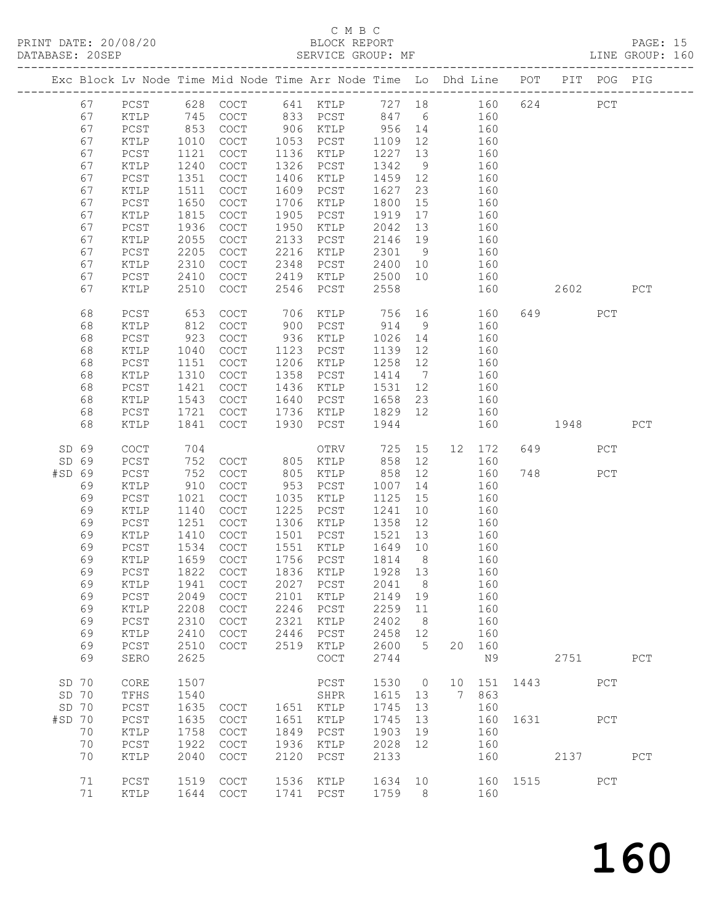# C M B C<br>BLOCK REPORT

PAGE: 15<br>LINE GROUP: 160

|        |          |                 |              | Exc Block Lv Node Time Mid Node Time Arr Node Time Lo Dhd Line POT PIT POG PIG |              |                            |                 |                 |    |            |      |      |             |             |
|--------|----------|-----------------|--------------|--------------------------------------------------------------------------------|--------------|----------------------------|-----------------|-----------------|----|------------|------|------|-------------|-------------|
|        | 67       | $PCST$          | 628          | $\mathtt{C}\mathtt{O}\mathtt{C}\mathtt{T}$                                     |              | 641 KTLP                   | 727 18          |                 |    | 160        | 624  |      | ${\tt PCT}$ |             |
|        | 67       | KTLP            | 745          | COCT                                                                           | 833          | PCST                       | 847             | 6               |    | 160        |      |      |             |             |
|        | 67       | $PCST$          | 853          | $\operatorname{COT}$                                                           |              | 906 KTLP                   | 956             | 14              |    | 160        |      |      |             |             |
|        | 67       | KTLP            | 1010         | COCT                                                                           | 1053         | PCST                       | 1109            | 12              |    | 160        |      |      |             |             |
|        | 67       | PCST            | 1121         | COCT                                                                           | 1136         | KTLP                       | 1227            | 13              |    | 160        |      |      |             |             |
|        | 67       | KTLP            | 1240         | COCT                                                                           | 1326         | ${\tt PCST}$               | 1342            | 9               |    | 160        |      |      |             |             |
|        | 67       | PCST            | 1351         | COCT                                                                           | 1406         | KTLP                       | 1459            | 12              |    | 160        |      |      |             |             |
|        | 67       | $\verb KTLP $   | 1511         | COCT                                                                           | 1609         | PCST                       | 1627            | 23              |    | 160        |      |      |             |             |
|        | 67       | PCST            | 1650         | COCT                                                                           | 1706         | KTLP                       | 1800            | 15              |    | 160        |      |      |             |             |
|        | 67<br>67 | KTLP<br>PCST    | 1815<br>1936 | COCT<br>$\mathtt{C}\mathtt{O}\mathtt{C}\mathtt{T}$                             | 1905<br>1950 | PCST<br>KTLP               | 1919<br>2042    | 17<br>13        |    | 160<br>160 |      |      |             |             |
|        | 67       | KTLP            | 2055         | COCT                                                                           | 2133         | PCST                       | 2146            | 19              |    | 160        |      |      |             |             |
|        | 67       | PCST            | 2205         | COCT                                                                           | 2216         | KTLP                       | 2301            | 9               |    | 160        |      |      |             |             |
|        | 67       | KTLP            | 2310         | COCT                                                                           | 2348         | PCST                       | 2400            | 10              |    | 160        |      |      |             |             |
|        | 67       | PCST            | 2410         | $\mathtt{C}\mathtt{O}\mathtt{C}\mathtt{T}$                                     | 2419         | KTLP                       | 2500            | 10              |    | 160        |      |      |             |             |
|        | 67       | KTLP            | 2510         | COCT                                                                           | 2546         | PCST                       | 2558            |                 |    | 160        |      | 2602 |             | PCT         |
|        |          |                 |              |                                                                                |              |                            |                 |                 |    |            |      |      |             |             |
|        | 68       | PCST            | 653          | $\mathtt{C}\mathtt{O}\mathtt{C}\mathtt{T}$                                     | 706          | KTLP                       | 756             | 16              |    | 160        | 649  |      | PCT         |             |
|        | 68       | KTLP            | 812          | COCT                                                                           | 900          | PCST                       | 914             | 9               |    | 160        |      |      |             |             |
|        | 68       | PCST            | 923          | COCT                                                                           | 936          | KTLP                       | 1026            | 14              |    | 160        |      |      |             |             |
|        | 68       | KTLP            | 1040         | COCT                                                                           | 1123         | PCST                       | 1139            | 12              |    | 160        |      |      |             |             |
|        | 68       | PCST            | 1151         | $\mathtt{C}\mathtt{O}\mathtt{C}\mathtt{T}$                                     | 1206         | KTLP                       | 1258            | 12              |    | 160        |      |      |             |             |
|        | 68       | KTLP            | 1310         | $\mathtt{C}\mathtt{O}\mathtt{C}\mathtt{T}$                                     | 1358         | ${\tt PCST}$               | 1414            | $7\overline{ }$ |    | 160        |      |      |             |             |
|        | 68       | PCST            | 1421         | COCT                                                                           | 1436         | KTLP                       | 1531            | 12              |    | 160        |      |      |             |             |
|        | 68       | KTLP            | 1543         | COCT                                                                           | 1640         | PCST                       | 1658            | 23              |    | 160        |      |      |             |             |
|        | 68<br>68 | PCST<br>KTLP    | 1721<br>1841 | COCT<br><b>COCT</b>                                                            | 1736<br>1930 | KTLP<br>PCST               | 1829<br>1944    | 12              |    | 160<br>160 |      |      |             | PCT         |
|        |          |                 |              |                                                                                |              |                            |                 |                 |    |            |      |      |             |             |
| SD 69  |          | COCT            | 704          |                                                                                |              | OTRV                       | 725             | 15              | 12 | 172        | 649  |      | PCT         |             |
| SD 69  |          | PCST            | 752          | <b>COCT</b>                                                                    | 805          | KTLP                       | 858             | 12              |    | 160        |      |      |             |             |
| #SD 69 |          | PCST            | 752          | COCT                                                                           | 805          | KTLP                       | 858             | 12              |    | 160        | 748  |      | PCT         |             |
|        | 69       | KTLP            | 910          | COCT                                                                           | 953          | PCST                       | 1007            | 14              |    | 160        |      |      |             |             |
|        | 69       | PCST            | 1021         | COCT                                                                           | 1035         | KTLP                       | 1125            | 15              |    | 160        |      |      |             |             |
|        | 69       | KTLP            | 1140         | COCT                                                                           | 1225         | PCST                       | 1241            | 10              |    | 160        |      |      |             |             |
|        | 69       | PCST            | 1251         | COCT                                                                           | 1306         | KTLP                       | 1358            | 12              |    | 160        |      |      |             |             |
|        | 69       | KTLP            | 1410         | COCT                                                                           | 1501         | PCST                       | 1521            | 13              |    | 160        |      |      |             |             |
|        | 69       | $PCST$          | 1534         | COCT                                                                           | 1551         | KTLP                       | 1649            | 10              |    | 160        |      |      |             |             |
|        | 69<br>69 | KTLP<br>PCST    | 1659<br>1822 | <b>COCT</b><br>COCT                                                            | 1756         | PCST<br>1836 KTLP          | 1814<br>1928 13 | 8 <sup>8</sup>  |    | 160<br>160 |      |      |             |             |
|        | 69       | KTLP            |              | 1941 COCT                                                                      |              | 2027 PCST 2041 8           |                 |                 |    | 160        |      |      |             |             |
|        | 69       | PCST            | 2049         | COCT                                                                           | 2101         | KTLP                       | 2149            | 19              |    | 160        |      |      |             |             |
|        | 69       | KTLP            | 2208         | $\mathtt{C}\mathtt{O}\mathtt{C}\mathtt{T}$                                     | 2246         | PCST                       | 2259            | 11              |    | 160        |      |      |             |             |
|        | 69       | $PCST$          | 2310         | COCT                                                                           | 2321         | KTLP                       | 2402            | 8               |    | 160        |      |      |             |             |
|        | 69       | KTLP            | 2410         | COCT                                                                           | 2446         | PCST                       | 2458            | 12              |    | 160        |      |      |             |             |
|        | 69       | $PCST$          | 2510         | COCT                                                                           | 2519         | KTLP                       | 2600            | 5               | 20 | 160        |      |      |             |             |
|        | 69       | SERO            | 2625         |                                                                                |              | COCT                       | 2744            |                 |    | N9         |      | 2751 |             | ${\tt PCT}$ |
|        |          |                 |              |                                                                                |              |                            |                 |                 |    |            |      |      |             |             |
| SD 70  |          | $\mathtt{CORE}$ | 1507         |                                                                                |              | PCST                       | 1530            | $\circ$         | 10 | 151        | 1443 |      | PCT         |             |
| SD 70  |          | TFHS            | 1540         |                                                                                |              | SHPR                       | 1615            | 13              | 7  | 863        |      |      |             |             |
| SD 70  |          | $PCST$          | 1635         | COCT                                                                           | 1651         | KTLP                       | 1745            | 13              |    | 160        |      |      |             |             |
| #SD 70 |          | PCST            | 1635         | COCT                                                                           | 1651         | KTLP                       | 1745            | 13              |    | 160        | 1631 |      | PCT         |             |
|        | 70<br>70 | KTLP<br>$PCST$  | 1758<br>1922 | $\mathtt{C}\mathtt{O}\mathtt{C}\mathtt{T}$<br>COCT                             | 1849<br>1936 | $_{\mathrm{PCST}}$<br>KTLP | 1903<br>2028    | 19<br>12        |    | 160<br>160 |      |      |             |             |
|        | 70       | KTLP            | 2040         | COCT                                                                           | 2120         | PCST                       | 2133            |                 |    | 160        |      | 2137 |             | ${\tt PCT}$ |
|        |          |                 |              |                                                                                |              |                            |                 |                 |    |            |      |      |             |             |
|        | 71       | PCST            | 1519         | $\mathtt{C}\mathtt{O}\mathtt{C}\mathtt{T}$                                     | 1536         | KTLP                       | 1634            | 10              |    | 160        | 1515 |      | ${\tt PCT}$ |             |
|        | 71       | KTLP            | 1644         | COCT                                                                           | 1741         | PCST                       | 1759            | 8               |    | 160        |      |      |             |             |
|        |          |                 |              |                                                                                |              |                            |                 |                 |    |            |      |      |             |             |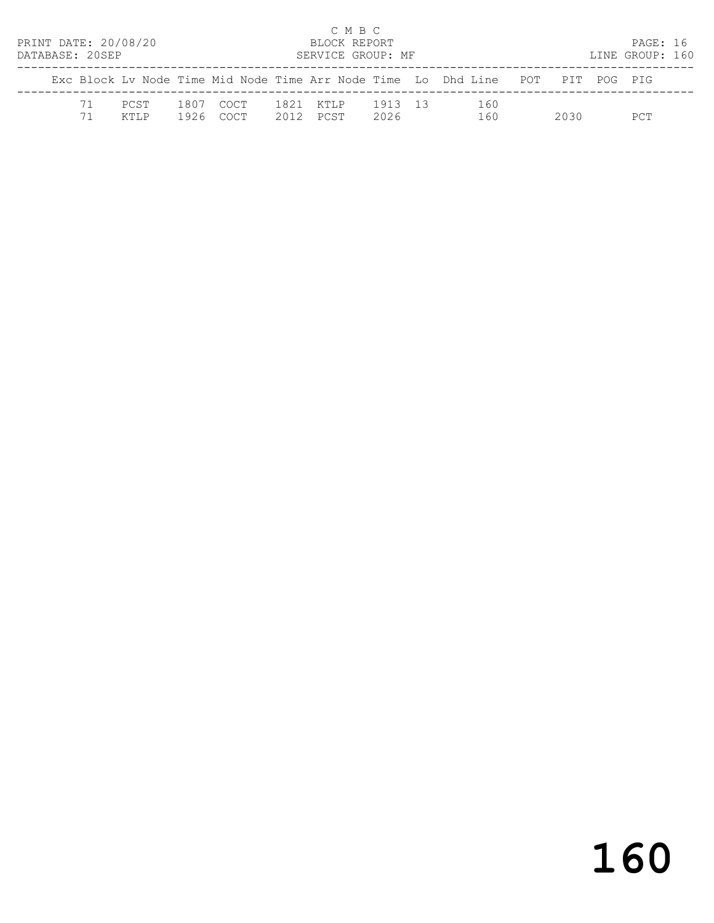|  | DATABASE: 20SEP | PRINT DATE: 20/08/20 |      |                    |      | C M B C<br>BLOCK REPORT<br>SERVICE GROUP: MF |                 |                                                                                |       | PAGE: 16<br>LINE GROUP: 160 |  |
|--|-----------------|----------------------|------|--------------------|------|----------------------------------------------|-----------------|--------------------------------------------------------------------------------|-------|-----------------------------|--|
|  |                 |                      |      |                    |      |                                              |                 | Exc Block Ly Node Time Mid Node Time Arr Node Time Lo Dhd Line POT PIT POG PIG |       |                             |  |
|  | 71              | PCST<br>KTI.P        | 1926 | 1807 COCT<br>COCT. | 2012 | 1821 KTLP<br>PCST                            | 1913 13<br>2026 | 160<br>160                                                                     | 2030. | PCT                         |  |

# 160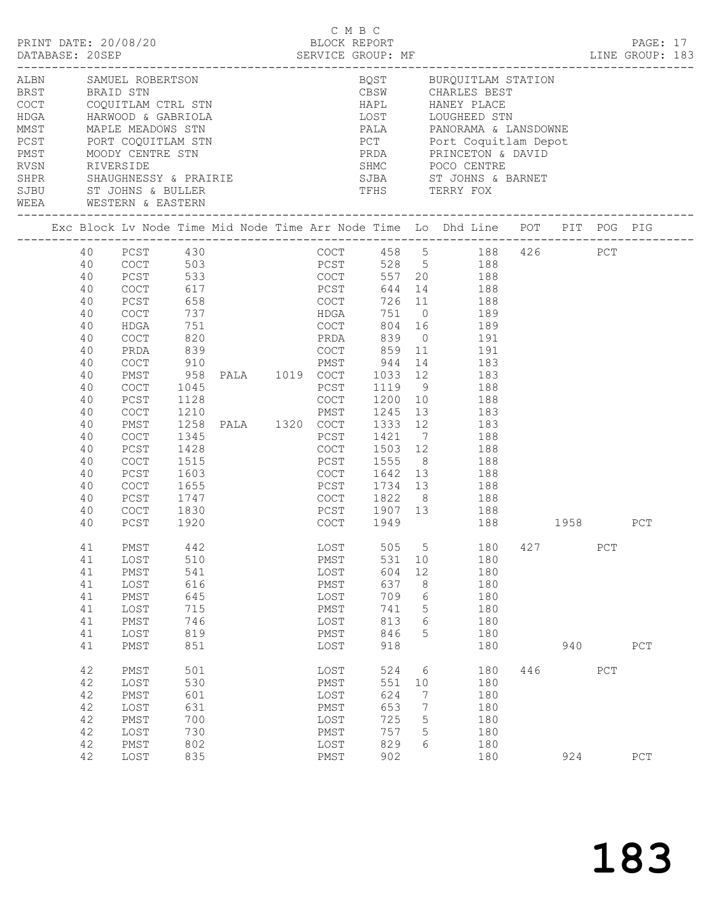|              | DATABASE: 20SEP                                                                                                                  | PRINT DATE: 20/08/20                                                                                                                                                                                   |                                                                                                                  |                                                                                                                       |                                                                                                                                                        | C M B C                                                                                               |                                                                       | 9 M D U<br>BLOCK REPORT BLOCK REPORT PAGE: 17<br>SERVICE GROUP: MF LINE GROUP: 183                                                                                                                                                                                                                                                                                                                                                                           |     |     |            |             |  |
|--------------|----------------------------------------------------------------------------------------------------------------------------------|--------------------------------------------------------------------------------------------------------------------------------------------------------------------------------------------------------|------------------------------------------------------------------------------------------------------------------|-----------------------------------------------------------------------------------------------------------------------|--------------------------------------------------------------------------------------------------------------------------------------------------------|-------------------------------------------------------------------------------------------------------|-----------------------------------------------------------------------|--------------------------------------------------------------------------------------------------------------------------------------------------------------------------------------------------------------------------------------------------------------------------------------------------------------------------------------------------------------------------------------------------------------------------------------------------------------|-----|-----|------------|-------------|--|
| SJBU<br>WEEA | RVSN RIVERSIDE                                                                                                                   | ST JOHNS & BULLER<br>WESTERN & EASTERN                                                                                                                                                                 |                                                                                                                  | ALBN SAMUEL ROBERTSON<br>MMST MAPLE MEADOWS STN<br>PCST PORT COQUITLAM STN<br>PMST MOODY CENTRE STN<br>RVSN RIVERSIDE |                                                                                                                                                        | CBSW                                                                                                  |                                                                       | BQST BURQUITLAM STATION<br>CBSW         CHARLES BEST<br>HAPL          HANEY PLACE<br>LOST LOUGHEED STN<br>PALA PANORAMA & LANSDOWNE<br>PCT Port Coquitlam Depot<br>PRDA PRINCETON & DAVID<br>SHMC POCO CENTRE<br>TFHS TERRY FOX                                                                                                                                                                                                                              |     |     |            |             |  |
|              |                                                                                                                                  |                                                                                                                                                                                                        |                                                                                                                  |                                                                                                                       |                                                                                                                                                        |                                                                                                       |                                                                       | Exc Block Lv Node Time Mid Node Time Arr Node Time Lo Dhd Line POT PIT POG PIG                                                                                                                                                                                                                                                                                                                                                                               |     |     |            |             |  |
|              | 40<br>40<br>40<br>40<br>40<br>40<br>40<br>40<br>40<br>40<br>40<br>40<br>40<br>40<br>40<br>40<br>40<br>40<br>40<br>40<br>40<br>40 | 40 PCST 430<br>COCT 503<br>PCST<br>COCT<br>PCST<br>COCT<br>HDGA<br>COCT<br>PRDA<br>COCT<br>PMST<br>COCT<br>PCST<br>COCT<br>PMST<br><b>COCT</b><br>PCST<br>COCT<br>PCST<br>COCT<br>PCST<br>COCT<br>PCST | 751<br>820<br>839<br>910<br>1045<br>1128<br>1210<br>1345<br>1428<br>1515<br>1603<br>1655<br>1747<br>1830<br>1920 | 617<br>658<br>737                                                                                                     | PCST<br>COCT<br>PCST<br>PCST                                                                                                                           | PCST 644 14<br>COCT 726 11<br>HDGA 751 0<br>COCT 1200 10<br>COCT 1949                                 |                                                                       | COCT 458 5 188 426 PCT<br>$528$ 5 188<br>533 COCT 557 20 188<br>644 14 188<br>188<br>$751$ 0 189<br>804 16 189<br>PRDA 839 0 191<br>COCT 859 11 191<br>PMST 944 14 183<br>958 PALA 1019 COCT 1033 12 183<br>1119 9 188<br>188<br>COCT 1200 10 188<br>PMST 1245 13 183<br>1258 PALA 1320 COCT 1333 12 183<br>1421 7 188<br>COCT 1503 12 188<br>PCST 1555 8 188<br>COCT 1642 13 188<br>PCST 1734 13 188<br>COCT 1822 8 188<br>PCST 1907 13 188<br>188 1958 PCT |     |     |            |             |  |
|              | 41<br>41<br>41<br>41<br>41<br>41<br>41<br>41<br>41<br>42<br>42<br>42<br>42<br>42<br>42<br>42                                     | PMST<br>LOST<br>${\tt PMST}$<br>LOST<br>PMST<br>LOST<br>PMST<br>LOST<br>PMST<br>PMST<br>LOST<br>PMST<br>LOST<br>PMST<br>LOST<br>PMST                                                                   | 442<br>510<br>541<br>616<br>645<br>715<br>746<br>819<br>851<br>501<br>530<br>601<br>631<br>700<br>730<br>802     |                                                                                                                       | LOST<br>${\tt PMST}$<br>$_{\rm LOST}$<br>PMST<br>LOST<br>PMST<br>LOST<br>PMST<br>LOST<br>$_{\rm LOST}$<br>PMST<br>LOST<br>PMST<br>LOST<br>PMST<br>LOST | 531<br>604<br>637<br>709<br>741<br>813<br>846<br>918<br>524<br>551<br>624<br>653<br>725<br>757<br>829 | 10<br>12<br>8<br>6<br>5<br>6<br>5<br>6<br>10<br>7<br>7<br>5<br>5<br>6 | 505 5 180 427<br>180<br>180<br>180<br>180<br>180<br>180<br>180<br>180<br>180<br>180<br>180<br>180<br>180<br>180<br>180                                                                                                                                                                                                                                                                                                                                       | 446 | 940 | PCT<br>PCT | ${\tt PCT}$ |  |
|              | 42                                                                                                                               | LOST                                                                                                                                                                                                   | 835                                                                                                              |                                                                                                                       | PMST                                                                                                                                                   | 902                                                                                                   |                                                                       | 180                                                                                                                                                                                                                                                                                                                                                                                                                                                          |     | 924 |            | PCT         |  |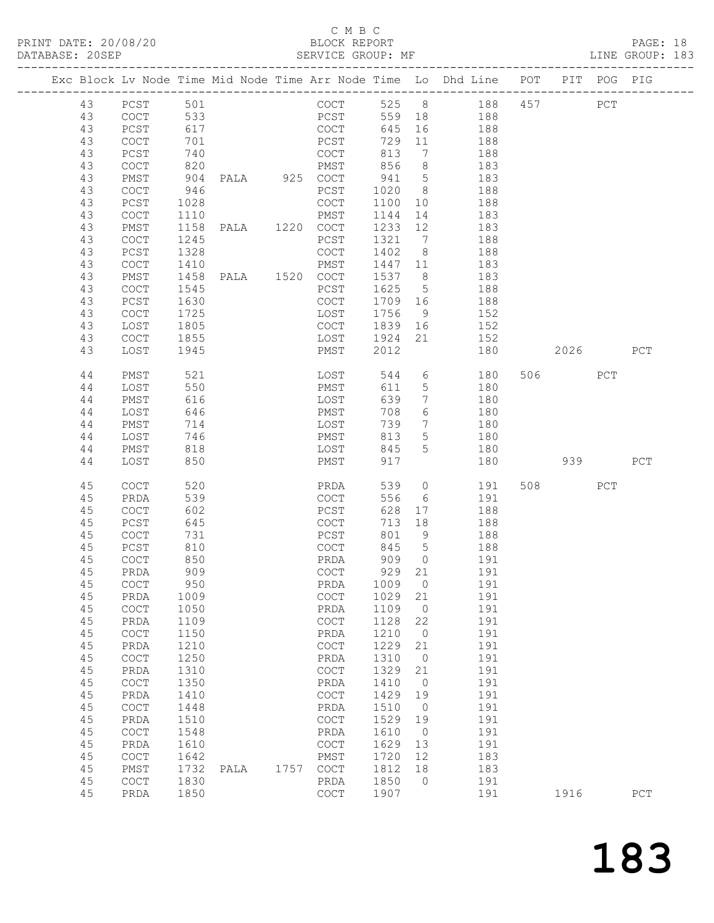### C M B C<br>BLOCK REPORT

PAGE: 18<br>LINE GROUP: 183

|  |          |                                            |              |                |      |                                                    |              |                      | Exc Block Lv Node Time Mid Node Time Arr Node Time Lo Dhd Line POT PIT POG PIG |         |     |     |
|--|----------|--------------------------------------------|--------------|----------------|------|----------------------------------------------------|--------------|----------------------|--------------------------------------------------------------------------------|---------|-----|-----|
|  | 43       | PCST                                       | 501          |                |      | COCT                                               |              |                      | 525 8 188                                                                      | 457     | PCT |     |
|  | 43       | COCT                                       |              |                |      |                                                    | 559 18       |                      | 188                                                                            |         |     |     |
|  | 43       | PCST                                       | 533<br>617   |                |      | PCST<br>COCT                                       | 645          | 16                   | 188                                                                            |         |     |     |
|  | 43       | COCT                                       | 701          |                |      | PCST                                               | 729          | 11                   | 188                                                                            |         |     |     |
|  | 43       | PCST                                       | 740          |                |      | COCT                                               | 813          | $\overline{7}$       | 188                                                                            |         |     |     |
|  | 43       | COCT                                       | 820          |                |      | PMST                                               | 856          | 8 <sup>8</sup>       | 183                                                                            |         |     |     |
|  | 43       | PMST                                       | 904          | PALA 925 COCT  |      |                                                    | 941          | $5\overline{)}$      | 183                                                                            |         |     |     |
|  | 43       | COCT                                       | 946          |                |      | PCST                                               | 1020         | 8 <sup>8</sup>       | 188                                                                            |         |     |     |
|  | 43       | PCST                                       | 1028         |                |      | COCT                                               | 1100         | 10                   | 188                                                                            |         |     |     |
|  | 43       | COCT                                       | 1110         |                |      | PMST                                               | 1144         | 14                   | 183                                                                            |         |     |     |
|  | 43       | PMST                                       | 1158         |                |      |                                                    | 1233 12      |                      | 183                                                                            |         |     |     |
|  | 43       | COCT                                       | 1245         |                |      | PCST                                               | 1321         | 7                    | 188                                                                            |         |     |     |
|  | 43       | PCST                                       | 1328         |                |      | COCT                                               | 1402         | 8 <sup>1</sup>       | 188                                                                            |         |     |     |
|  | 43       | COCT                                       | 1410         |                |      | PMST                                               | 1447 11      |                      | 183                                                                            |         |     |     |
|  | 43       | PMST                                       | 1458         | PALA 1520 COCT |      |                                                    | 1537 8       |                      | 183                                                                            |         |     |     |
|  | 43       | COCT                                       | 1545         |                |      | PCST                                               | 1625         | $5\overline{)}$      | 188                                                                            |         |     |     |
|  | 43       | PCST                                       | 1630         |                |      | COCT                                               | 1709 16      |                      | 188                                                                            |         |     |     |
|  | 43       | COCT                                       | 1725         |                |      | LOST                                               | 1756         | - 9                  | 152                                                                            |         |     |     |
|  | 43       | LOST                                       | 1805         |                |      | COCT                                               | 1839 16      |                      | 152                                                                            |         |     |     |
|  | 43       | COCT                                       | 1855         |                |      | LOST                                               | 1924         | 21                   | 152                                                                            |         |     |     |
|  | 43       | LOST                                       | 1945         |                |      | PMST                                               | 2012         |                      | 180                                                                            | 2026 70 |     | PCT |
|  |          |                                            |              |                |      |                                                    |              |                      |                                                                                |         |     |     |
|  | 44       | PMST                                       | 521          |                |      | LOST                                               | 544          | 6                    | 180                                                                            | 506 700 | PCT |     |
|  | 44       | LOST                                       | 550          |                |      | PMST                                               | 611          | 5 <sup>5</sup>       | 180                                                                            |         |     |     |
|  | 44       | PMST                                       | 616          |                |      | LOST                                               | 639          | $7\phantom{.0}$      | 180                                                                            |         |     |     |
|  | 44       | LOST                                       | 646          |                |      | PMST                                               | 708          | 6                    | 180                                                                            |         |     |     |
|  | 44       | PMST                                       | 714          |                |      | LOST                                               | 739          | $7\phantom{.0}$      | 180                                                                            |         |     |     |
|  | 44       | LOST                                       | 746          |                |      | PMST                                               | 813          | 5 <sup>5</sup>       | 180                                                                            |         |     |     |
|  | 44       | PMST                                       | 818          |                |      | LOST                                               | 845          | $5\overline{)}$      | 180                                                                            |         |     |     |
|  | 44       | LOST                                       | 850          |                |      | PMST                                               | 917          |                      | 180                                                                            | 939     |     | PCT |
|  | 45       | COCT                                       | 520          |                |      | PRDA                                               | 539          | $\overline{0}$       | 191                                                                            | 508 30  | PCT |     |
|  | 45       | PRDA                                       | 539          |                |      | COCT                                               | 556          | 6                    | 191                                                                            |         |     |     |
|  | 45       | <b>COCT</b>                                | 602          |                |      | PCST                                               | 628          | 17                   | 188                                                                            |         |     |     |
|  | 45       | PCST                                       | 645          |                |      | COCT                                               | 713          | 18                   | 188                                                                            |         |     |     |
|  | 45       | COCT                                       | 731          |                |      | PCST                                               | 801 9        |                      | 188                                                                            |         |     |     |
|  | 45       | PCST                                       | 810          |                |      | COCT                                               | 845          | $5^{\circ}$          | 188                                                                            |         |     |     |
|  | 45       | COCT                                       | 850          |                |      | PRDA                                               | 909 0        |                      | 191                                                                            |         |     |     |
|  | 45       | PRDA                                       | 909          |                |      | COCT                                               | 929 21       |                      | 191                                                                            |         |     |     |
|  |          | 45 COCT                                    | 950          |                |      | PRDA                                               | 1009 0       |                      | 191                                                                            |         |     |     |
|  | 45       | PRDA                                       | 1009         |                |      | $\mathtt{C}\mathtt{O}\mathtt{C}\mathtt{T}$         | 1029         | 21                   | 191                                                                            |         |     |     |
|  | 45       | $\mathtt{C}\mathtt{O}\mathtt{C}\mathtt{T}$ | 1050         |                |      | PRDA                                               | 1109         | $\overline{0}$       | 191                                                                            |         |     |     |
|  | 45       | PRDA                                       | 1109         |                |      | $\mathtt{C}\mathtt{O}\mathtt{C}\mathtt{T}$         | 1128         | 22                   | 191                                                                            |         |     |     |
|  | 45       | $\mathtt{C}\mathtt{O}\mathtt{C}\mathtt{T}$ | 1150         |                |      | PRDA                                               | 1210         | $\circ$              | 191                                                                            |         |     |     |
|  | 45       | PRDA                                       | 1210         |                |      | $\mathtt{C}\mathtt{O}\mathtt{C}\mathtt{T}$         | 1229         | 21                   | 191                                                                            |         |     |     |
|  | 45       | COCT                                       | 1250         |                |      | PRDA                                               | 1310         | $\overline{0}$       | 191                                                                            |         |     |     |
|  | 45       | PRDA                                       | 1310         |                |      | $\mathtt{C}\mathtt{O}\mathtt{C}\mathtt{T}$         | 1329         | 21                   | 191                                                                            |         |     |     |
|  | 45       | COCT                                       | 1350         |                |      | PRDA                                               | 1410         | $\overline{0}$       | 191                                                                            |         |     |     |
|  | 45       | PRDA                                       | 1410         |                |      | $\mathtt{C}\mathtt{O}\mathtt{C}\mathtt{T}$         | 1429         | 19                   | 191                                                                            |         |     |     |
|  | 45       | COCT                                       | 1448         |                |      | PRDA                                               | 1510         | $\overline{0}$       | 191                                                                            |         |     |     |
|  | 45       | PRDA                                       | 1510         |                |      | COCT                                               | 1529         | 19                   | 191                                                                            |         |     |     |
|  | 45       | $\mathtt{C}\mathtt{O}\mathtt{C}\mathtt{T}$ | 1548         |                |      | PRDA                                               | 1610         | $\overline{0}$       | 191                                                                            |         |     |     |
|  | 45       | PRDA                                       | 1610         |                |      | $\mathtt{C}\mathtt{O}\mathtt{C}\mathtt{T}$         | 1629         | 13                   | 191                                                                            |         |     |     |
|  | 45       | COCT                                       | 1642         |                |      | PMST                                               | 1720         | 12                   | 183                                                                            |         |     |     |
|  | 45<br>45 | PMST                                       | 1732         | PALA           | 1757 | COCT                                               | 1812<br>1850 | 18<br>$\overline{0}$ | 183                                                                            |         |     |     |
|  | 45       | COCT<br>PRDA                               | 1830<br>1850 |                |      | PRDA<br>$\mathtt{C}\mathtt{O}\mathtt{C}\mathtt{T}$ | 1907         |                      | 191<br>191                                                                     | 1916    |     | PCT |
|  |          |                                            |              |                |      |                                                    |              |                      |                                                                                |         |     |     |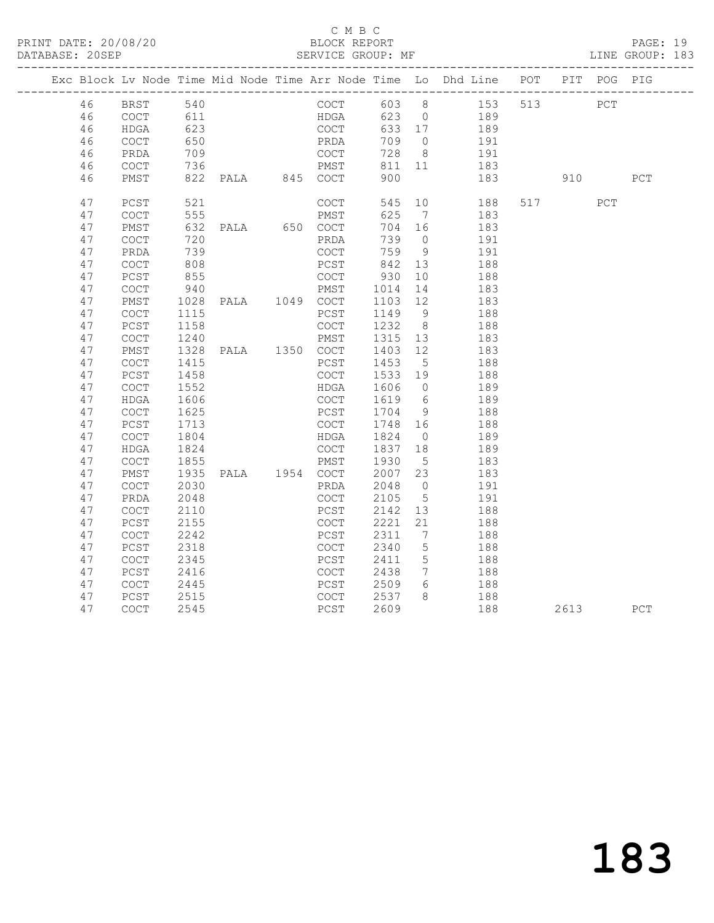#### C M B C<br>BLOCK REPORT

PAGE: 19<br>LINE GROUP: 183

|  |          | Exc Block Lv Node Time Mid Node Time Arr Node Time Lo Dhd Line POT PIT POG PIG |                               |  |      |              |                              |                                |     |                                           |      |     |     |
|--|----------|--------------------------------------------------------------------------------|-------------------------------|--|------|--------------|------------------------------|--------------------------------|-----|-------------------------------------------|------|-----|-----|
|  | 46       | BRST 540                                                                       |                               |  |      |              |                              |                                |     | COCT 603 8 153 513 PCT                    |      |     |     |
|  | 46       | COCT                                                                           |                               |  |      | HDGA         |                              |                                |     | 623 0 189                                 |      |     |     |
|  | 46       | HDGA                                                                           | 611<br>623                    |  |      | COCT         | 633 17                       |                                |     | 189                                       |      |     |     |
|  | 46       | COCT                                                                           | 650                           |  |      | PRDA         | 709 0                        |                                | 191 |                                           |      |     |     |
|  | 46       | PRDA                                                                           | 709                           |  |      | COCT<br>PMST | 728 8                        |                                |     | $191$                                     |      |     |     |
|  | 46       | COCT                                                                           | 709<br>736                    |  |      |              | 811 11                       |                                |     | 183                                       |      |     |     |
|  | 46       | PMST                                                                           | 822 PALA 845 COCT             |  |      |              | 900                          |                                |     | 183 910                                   |      |     | PCT |
|  | 47       | PCST                                                                           | 521                           |  |      | COCT         |                              |                                |     | 545 10 188                                | 517  | PCT |     |
|  | 47       | COCT                                                                           | 555                           |  |      | PMST         | 625 7                        |                                |     | 183                                       |      |     |     |
|  | 47       | PMST                                                                           |                               |  |      |              | 704 16                       |                                |     | 183                                       |      |     |     |
|  | 47       | COCT                                                                           | 632 PALA 650 COCT<br>720 PRDA |  |      | PROA         | 739 0                        |                                |     | 191                                       |      |     |     |
|  | 47       | PRDA                                                                           | 739                           |  |      | COCT         | 759 9                        |                                |     | 191                                       |      |     |     |
|  | 47       | COCT                                                                           | 808                           |  |      |              | PCST 842 13<br>COCT 930 10   |                                |     | $\begin{array}{c} 188 \\ 188 \end{array}$ |      |     |     |
|  | 47       | PCST                                                                           | 855                           |  |      |              |                              |                                |     |                                           |      |     |     |
|  | 47       | COCT                                                                           | 940                           |  |      |              | PMST 1014 14                 |                                |     | 183                                       |      |     |     |
|  | 47       | PMST                                                                           |                               |  |      |              |                              |                                |     | 183                                       |      |     |     |
|  | 47       | COCT                                                                           |                               |  |      |              |                              |                                |     | 188                                       |      |     |     |
|  | 47       | PCST                                                                           | 1158                          |  | COCT |              | 1232 8                       |                                |     | 188                                       |      |     |     |
|  | 47       | COCT                                                                           |                               |  |      |              |                              |                                |     | 183                                       |      |     |     |
|  | 47       | PMST                                                                           |                               |  |      |              |                              |                                |     | 183                                       |      |     |     |
|  | 47       | COCT                                                                           | 1415                          |  |      |              | PCST 1453 5<br>COCT 1533 19  |                                |     | 188                                       |      |     |     |
|  | 47       | PCST                                                                           | 1458                          |  |      |              |                              |                                |     | 188                                       |      |     |     |
|  | 47       | COCT                                                                           | 1552                          |  |      |              | HDGA 1606 0                  |                                |     | 189                                       |      |     |     |
|  | 47       | HDGA                                                                           | 1606                          |  |      |              | COCT 1619 6<br>PCST 1704 9   |                                |     | 189                                       |      |     |     |
|  | 47       | COCT                                                                           | 1625                          |  |      |              |                              |                                |     | 188                                       |      |     |     |
|  | 47       | PCST                                                                           | 1713                          |  |      |              | COCT 1748 16                 |                                |     | 188                                       |      |     |     |
|  | 47       | COCT                                                                           | 1804                          |  |      |              | HDGA 1824 0<br>COCT 1837 18  |                                |     | 189                                       |      |     |     |
|  | 47       | HDGA                                                                           | 1824                          |  |      |              |                              |                                |     | 189                                       |      |     |     |
|  | 47       | COCT                                                                           | 1855                          |  |      |              | PMST 1930 5                  |                                |     | 183                                       |      |     |     |
|  | 47       | PMST                                                                           |                               |  |      |              |                              |                                |     | 183                                       |      |     |     |
|  | 47       | COCT                                                                           |                               |  |      |              |                              |                                |     | 191                                       |      |     |     |
|  | 47       | PRDA                                                                           | 2048                          |  |      |              | $COCT$ 2105                  | $5\overline{)}$                |     | 191                                       |      |     |     |
|  | 47       | COCT                                                                           | 2110                          |  |      |              | PCST 2142 13<br>COCT 2221 21 |                                |     | 188                                       |      |     |     |
|  | 47       | PCST                                                                           | 2155                          |  |      |              |                              |                                |     | 188                                       |      |     |     |
|  | 47       | COCT                                                                           | 2242                          |  |      | PCST         | 2311                         | $\overline{7}$                 |     | 188                                       |      |     |     |
|  | 47<br>47 | PCST                                                                           | 2318                          |  |      |              | COCT 2340<br>PCST 2411       | $5\overline{)}$<br>$5^{\circ}$ |     | 188<br>188                                |      |     |     |
|  | 47       | COCT<br>PCST                                                                   | 2345<br>2416                  |  |      |              | $COCT$ 2438                  | $7\overline{ }$                | 188 |                                           |      |     |     |
|  | 47       | COCT                                                                           |                               |  |      |              |                              | 6 <sup>6</sup>                 |     |                                           |      |     |     |
|  | 47       | PCST                                                                           | 2445<br>2515                  |  |      |              | PCST 2509 6<br>COCT 2537 8   |                                |     | 188<br>188                                |      |     |     |
|  | 47       | COCT                                                                           | 2545                          |  |      |              | PCST 2609                    |                                |     | 188                                       | 2613 |     | PCT |
|  |          |                                                                                |                               |  |      |              |                              |                                |     |                                           |      |     |     |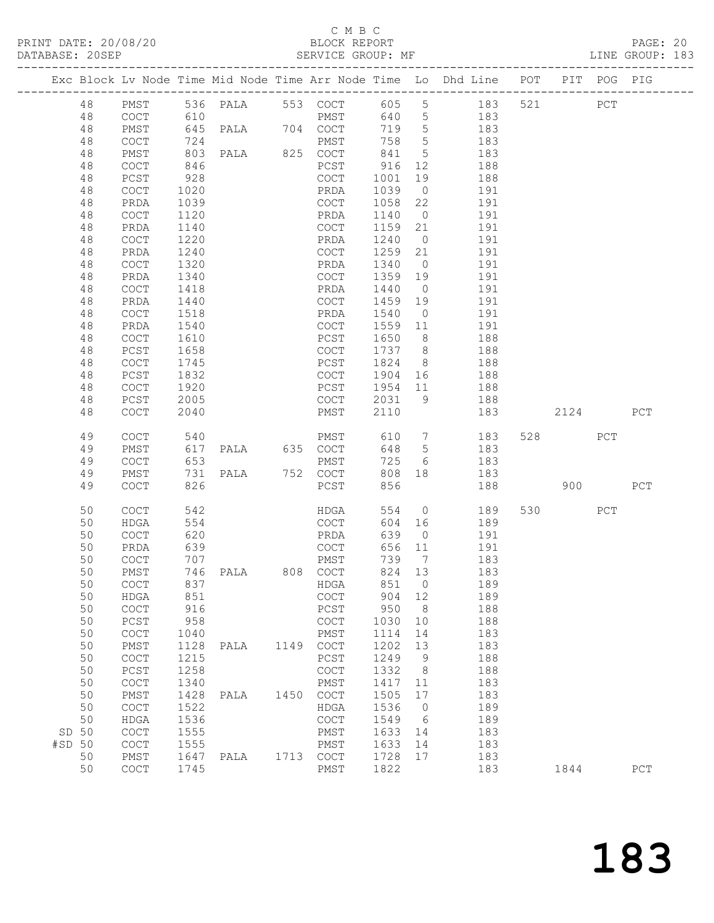PRINT DATE: 20/08/20 BLOCK REPORT<br>
DATABASE: 20SEP<br>
SERVICE GROUP: MF

# C M B C<br>BLOCK REPORT

PAGE: 20<br>LINE GROUP: 183

|        |          |                                            |              |                   |      |                                            |                 |                 | Exc Block Lv Node Time Mid Node Time Arr Node Time Lo Dhd Line POT |         | PIT POG PIG |             |
|--------|----------|--------------------------------------------|--------------|-------------------|------|--------------------------------------------|-----------------|-----------------|--------------------------------------------------------------------|---------|-------------|-------------|
|        | 48       | PMST                                       |              |                   |      |                                            |                 |                 | 536 PALA 553 COCT 605 5 183 521                                    |         | PCT         |             |
|        | 48       | COCT                                       |              |                   |      |                                            | 640 5           |                 |                                                                    |         |             |             |
|        | 48       | PMST                                       |              |                   |      |                                            | 719 5           |                 | 183<br>183                                                         |         |             |             |
|        | 48       | COCT                                       | 724          |                   |      | PMST                                       | 758             | $5\overline{)}$ | 183                                                                |         |             |             |
|        | 48       | PMST                                       | 803          | PALA 825 COCT     |      |                                            | 841             | 5 <sup>5</sup>  | 183                                                                |         |             |             |
|        | 48       | COCT                                       | 846          |                   |      | PCST                                       | 916             | 12              | 188                                                                |         |             |             |
|        | 48       | PCST                                       | 928          |                   |      | COCT                                       | 1001            | 19              | 188                                                                |         |             |             |
|        | 48       | COCT                                       | 1020         |                   |      | PRDA                                       | 1039            | $\overline{0}$  | 191                                                                |         |             |             |
|        | 48       | PRDA                                       | 1039         |                   |      | COCT                                       | 1058            | 22              | 191                                                                |         |             |             |
|        | 48       | COCT                                       | 1120         |                   |      | PRDA                                       | 1140            | $\overline{0}$  | 191                                                                |         |             |             |
|        | 48       | PRDA                                       | 1140         |                   |      | COCT                                       | 1159 21         |                 | 191                                                                |         |             |             |
|        | 48       | COCT                                       | 1220         |                   |      | PRDA                                       | 1240            | $\overline{0}$  | 191                                                                |         |             |             |
|        | 48       | PRDA                                       | 1240         |                   |      | COCT                                       | 1259            | 21              | 191                                                                |         |             |             |
|        | 48       | COCT                                       | 1320         |                   |      | PRDA                                       | 1340            | $\overline{0}$  | 191                                                                |         |             |             |
|        | 48       | PRDA                                       | 1340         |                   |      | COCT                                       | 1359 19<br>1440 | $\overline{0}$  | 191<br>191                                                         |         |             |             |
|        | 48       | COCT                                       | 1418         |                   |      | PRDA<br>COCT                               |                 |                 | 191                                                                |         |             |             |
|        | 48<br>48 | PRDA<br>COCT                               | 1440<br>1518 |                   |      | PRDA                                       | 1459 19<br>1540 | $\overline{0}$  | 191                                                                |         |             |             |
|        | 48       | PRDA                                       | 1540         |                   |      | COCT                                       | 1559 11         |                 | 191                                                                |         |             |             |
|        | 48       | COCT                                       | 1610         |                   |      | PCST                                       | 1650            |                 | 8 188                                                              |         |             |             |
|        | 48       | PCST                                       | 1658         |                   |      | COCT                                       | 1737 8          |                 | 188                                                                |         |             |             |
|        | 48       | $\mathtt{C}\mathtt{O}\mathtt{C}\mathtt{T}$ | 1745         |                   |      | PCST                                       | 1824            | 8 <sup>8</sup>  | 188                                                                |         |             |             |
|        | 48       | $PCST$                                     | 1832         |                   |      | COCT                                       | 1904 16         |                 | 188                                                                |         |             |             |
|        | 48       | $\mathtt{C}\mathtt{O}\mathtt{C}\mathtt{T}$ | 1920         |                   |      | PCST                                       | 1954 11         |                 | 188                                                                |         |             |             |
|        | 48       | PCST                                       | 2005         |                   |      | COCT 2031 9                                |                 |                 | 188                                                                |         |             |             |
|        | 48       | $\mathtt{C}\mathtt{O}\mathtt{C}\mathtt{T}$ | 2040         |                   |      | PMST                                       | 2110            |                 | 183                                                                | 2124    |             | PCT         |
|        | 49       | $\mathtt{C}\mathtt{O}\mathtt{C}\mathtt{T}$ | 540          |                   |      | PMST 610 7                                 |                 |                 | 183                                                                | 528 32  | PCT         |             |
|        | 49       | PMST                                       |              | 617 PALA 635 COCT |      |                                            | 648             | $5\overline{)}$ | 183                                                                |         |             |             |
|        | 49       | COCT                                       | 653          |                   |      | PMST                                       | 725             | 6               | 183                                                                |         |             |             |
|        | 49       | PMST                                       | 731          | PALA 752 COCT     |      |                                            | 808 18          |                 | 183                                                                |         |             |             |
|        | 49       | COCT                                       | 826          |                   |      | PCST                                       | 856             |                 | 188                                                                | 900     |             | PCT         |
|        | 50       | <b>COCT</b>                                | 542          |                   |      | HDGA                                       | 554             | $\overline{0}$  | 189                                                                | 530 000 | PCT         |             |
|        | 50       | HDGA                                       | 554          |                   |      | COCT                                       | 604 16          |                 | 189                                                                |         |             |             |
|        | 50       | COCT                                       | 620          |                   |      | PRDA                                       | 639             | $\overline{0}$  | 191                                                                |         |             |             |
|        | 50       | PRDA                                       | 639          |                   |      | COCT                                       | 656 11          |                 | 191                                                                |         |             |             |
|        | 50       | COCT                                       |              |                   |      |                                            | 739 7           |                 | 183                                                                |         |             |             |
|        | 50       | PMST                                       |              |                   |      |                                            | 824 13          |                 | 183                                                                |         |             |             |
|        | 50       | COCT                                       |              | 837               |      | HDGA 851 0                                 |                 |                 | 189                                                                |         |             |             |
|        | 50       | HDGA                                       | 851          |                   |      | COCT                                       | 904             | 12              | 189                                                                |         |             |             |
|        | 50       | $\operatorname{COT}$                       | 916          |                   |      | PCST                                       | 950             | 8               | 188                                                                |         |             |             |
|        | 50<br>50 | ${\tt PCST}$<br>$\operatorname{COT}$       | 958<br>1040  |                   |      | COCT<br>PMST                               | 1030<br>1114    | 10<br>14        | 188<br>183                                                         |         |             |             |
|        | 50       | PMST                                       | 1128         | PALA              | 1149 | $_{\mathrm{COT}}$                          | 1202            | 13              | 183                                                                |         |             |             |
|        | 50       | $\mathtt{C}\mathtt{O}\mathtt{C}\mathtt{T}$ | 1215         |                   |      | PCST                                       | 1249            | $\overline{9}$  | 188                                                                |         |             |             |
|        | 50       | ${\tt PCST}$                               | 1258         |                   |      | $\mathtt{C}\mathtt{O}\mathtt{C}\mathtt{T}$ | 1332            | 8 <sup>8</sup>  | 188                                                                |         |             |             |
|        | 50       | $\mathtt{C}\mathtt{O}\mathtt{C}\mathtt{T}$ | 1340         |                   |      | ${\tt PMST}$                               | 1417            | 11              | 183                                                                |         |             |             |
|        | 50       | PMST                                       | 1428         | PALA              | 1450 | $_{\mathrm{COT}}$                          | 1505            | 17              | 183                                                                |         |             |             |
|        | 50       | COCT                                       | 1522         |                   |      | HDGA                                       | 1536            | $\overline{0}$  | 189                                                                |         |             |             |
|        | 50       | HDGA                                       | 1536         |                   |      | COCT                                       | 1549            | 6               | 189                                                                |         |             |             |
|        | SD 50    | $\mathtt{C}\mathtt{O}\mathtt{C}\mathtt{T}$ | 1555         |                   |      | PMST                                       | 1633            | 14              | 183                                                                |         |             |             |
| #SD 50 |          | $\mathtt{C}\mathtt{O}\mathtt{C}\mathtt{T}$ | 1555         |                   |      | PMST                                       | 1633            | 14              | 183                                                                |         |             |             |
|        | 50       | PMST                                       | 1647         | PALA              |      | 1713 COCT                                  | 1728            | 17              | 183                                                                |         |             |             |
|        | 50       | COCT                                       | 1745         |                   |      | PMST                                       | 1822            |                 | 183                                                                | 1844    |             | ${\tt PCT}$ |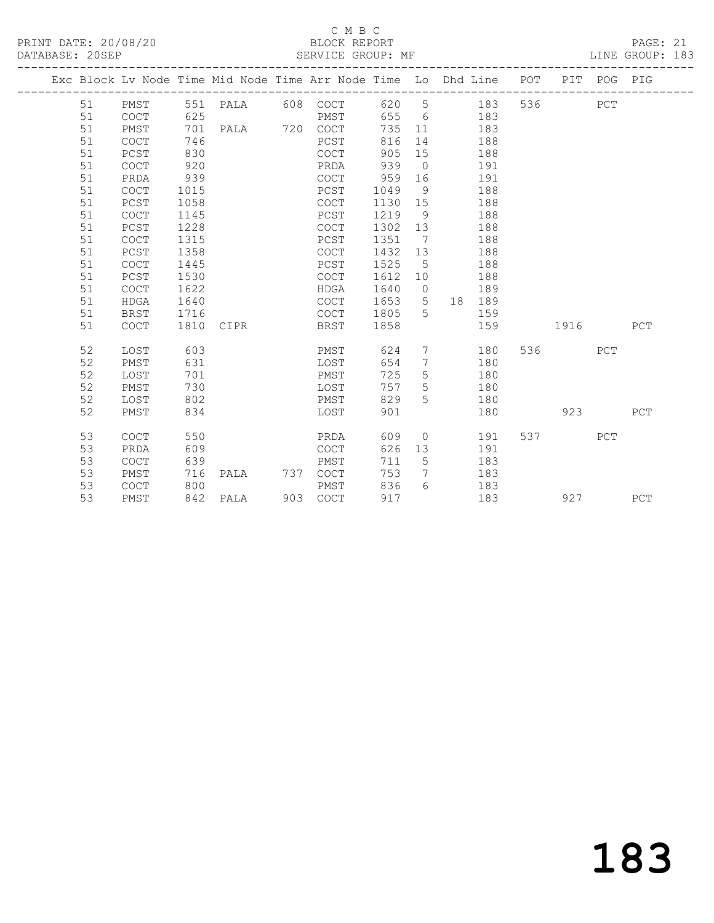# C M B C<br>BLOCK REPORT

PAGE: 21<br>LINE GROUP: 183

|  |    |                                            |      | Exc Block Lv Node Time Mid Node Time Arr Node Time Lo Dhd Line POT |     |          |      |                 |                |        |     |      | PIT POG PIG |     |
|--|----|--------------------------------------------|------|--------------------------------------------------------------------|-----|----------|------|-----------------|----------------|--------|-----|------|-------------|-----|
|  | 51 | PMST                                       |      | 551 PALA                                                           |     | 608 COCT |      |                 | 620 5          | 183    | 536 |      | PCT         |     |
|  | 51 | COCT                                       | 625  |                                                                    |     | PMST     |      |                 | 655 6          | 183    |     |      |             |     |
|  | 51 | PMST                                       | 701  | PALA 720 COCT                                                      |     |          | 735  | 11              |                | 183    |     |      |             |     |
|  | 51 | COCT                                       | 746  |                                                                    |     | PCST     | 816  | 14              |                | 188    |     |      |             |     |
|  | 51 | PCST                                       | 830  |                                                                    |     | COCT     | 905  | 15              |                | 188    |     |      |             |     |
|  | 51 | COCT                                       | 920  |                                                                    |     | PRDA     | 939  | $\overline{0}$  |                | 191    |     |      |             |     |
|  | 51 | PRDA                                       | 939  |                                                                    |     | COCT     | 959  | 16              |                | 191    |     |      |             |     |
|  | 51 | COCT                                       | 1015 |                                                                    |     | PCST     | 1049 | 9               |                | 188    |     |      |             |     |
|  | 51 | PCST                                       | 1058 |                                                                    |     | COCT     | 1130 | 15              |                | 188    |     |      |             |     |
|  | 51 | <b>COCT</b>                                | 1145 |                                                                    |     | PCST     | 1219 | 9               |                | 188    |     |      |             |     |
|  | 51 | PCST                                       | 1228 |                                                                    |     | COCT     | 1302 | 13              |                | 188    |     |      |             |     |
|  | 51 | $\mathtt{C}\mathtt{O}\mathtt{C}\mathtt{T}$ | 1315 |                                                                    |     | PCST     | 1351 | 7               |                | 188    |     |      |             |     |
|  | 51 | PCST                                       | 1358 |                                                                    |     | COCT     | 1432 | 13              |                | 188    |     |      |             |     |
|  | 51 | COCT                                       | 1445 |                                                                    |     | PCST     | 1525 | $-5$            |                | 188    |     |      |             |     |
|  | 51 | PCST                                       | 1530 |                                                                    |     | COCT     | 1612 | 10              |                | 188    |     |      |             |     |
|  | 51 | COCT                                       | 1622 |                                                                    |     | HDGA     | 1640 | $\overline{0}$  |                | 189    |     |      |             |     |
|  | 51 | <b>HDGA</b>                                | 1640 |                                                                    |     | COCT     | 1653 | 5 <sup>5</sup>  |                | 18 189 |     |      |             |     |
|  | 51 | BRST                                       | 1716 |                                                                    |     | COCT     | 1805 | 5               |                | 159    |     |      |             |     |
|  | 51 | <b>COCT</b>                                | 1810 | CIPR                                                               |     | BRST     | 1858 |                 |                | 159    |     | 1916 |             | PCT |
|  | 52 | LOST                                       | 603  |                                                                    |     | PMST     | 624  | $7\phantom{.0}$ |                | 180    | 536 |      | PCT         |     |
|  | 52 | PMST                                       | 631  |                                                                    |     | LOST     | 654  | 7               |                | 180    |     |      |             |     |
|  | 52 | LOST                                       | 701  |                                                                    |     | PMST     | 725  | 5               |                | 180    |     |      |             |     |
|  | 52 | PMST                                       | 730  |                                                                    |     | LOST     | 757  | 5               |                | 180    |     |      |             |     |
|  | 52 | LOST                                       | 802  |                                                                    |     | PMST     | 829  | $5^{\circ}$     |                | 180    |     |      |             |     |
|  | 52 | PMST                                       | 834  |                                                                    |     | LOST     | 901  |                 |                | 180    |     | 923  |             | PCT |
|  | 53 | <b>COCT</b>                                | 550  |                                                                    |     | PRDA     | 609  |                 | $\overline{0}$ | 191    | 537 |      | PCT         |     |
|  | 53 | PRDA                                       | 609  |                                                                    |     | COCT     | 626  | 13              |                | 191    |     |      |             |     |
|  | 53 | COCT                                       | 639  |                                                                    |     | PMST     | 711  | $5\overline{)}$ |                | 183    |     |      |             |     |
|  | 53 | PMST                                       | 716  | PALA                                                               | 737 | COCT     | 753  | 7               |                | 183    |     |      |             |     |
|  | 53 | COCT                                       | 800  |                                                                    |     | PMST     | 836  | $6^{6}$         |                | 183    |     |      |             |     |
|  | 53 | PMST                                       | 842  | PALA                                                               |     | 903 COCT | 917  |                 |                | 183    |     | 927  |             | PCT |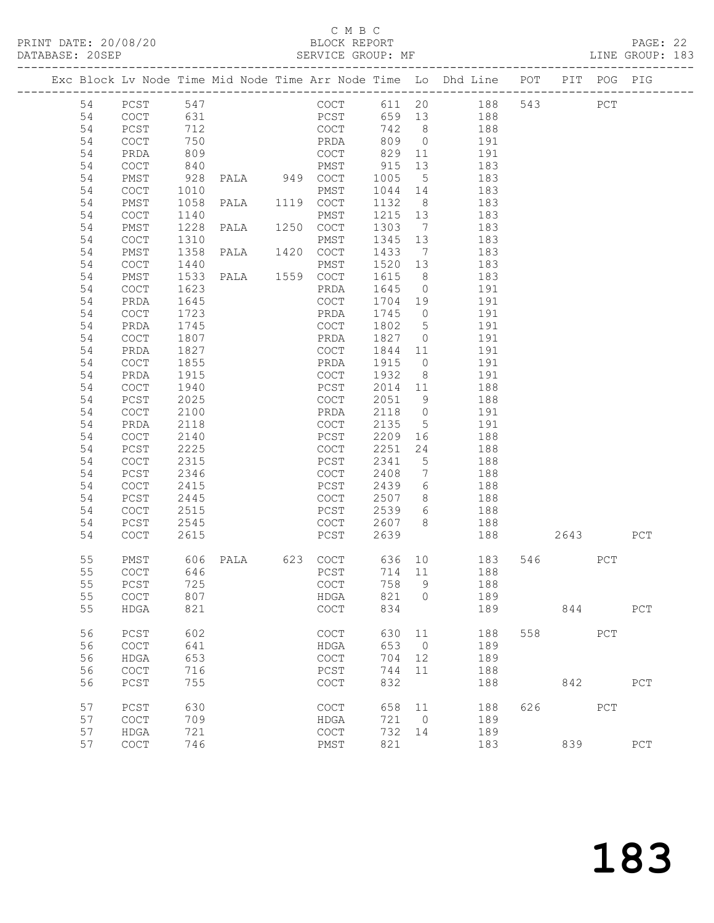#### C M B C<br>BLOCK REPORT

|    |              |                     | PRINT DATE: 20/08/20<br>DATABASE: 20SEP      |                                            |                   |                 | BLOCK REPORT<br>SERVICE GROUP: MF                                              |     |     |     | PAGE: 22<br>LINE GROUP: 183 |  |
|----|--------------|---------------------|----------------------------------------------|--------------------------------------------|-------------------|-----------------|--------------------------------------------------------------------------------|-----|-----|-----|-----------------------------|--|
|    |              |                     |                                              |                                            |                   |                 | Exc Block Lv Node Time Mid Node Time Arr Node Time Lo Dhd Line POT PIT POG PIG |     |     |     |                             |  |
|    | 54 PCST 547  |                     |                                              |                                            |                   |                 | COCT 611 20 188 543 PCT                                                        |     |     |     |                             |  |
| 54 |              |                     |                                              |                                            |                   |                 | PCST 659 13 188                                                                |     |     |     |                             |  |
| 54 |              |                     | COCT 631<br>PCST 712<br>COCT 750<br>PRDA 809 |                                            |                   |                 | COCT 742 8 188<br>PRDA 809 0 191<br>COCT 829 11 191                            |     |     |     |                             |  |
| 54 |              |                     |                                              |                                            |                   |                 |                                                                                |     |     |     |                             |  |
| 54 |              |                     |                                              |                                            |                   |                 |                                                                                |     |     |     |                             |  |
| 54 | COCT         |                     | 840 PMST                                     |                                            | 915               | 13              | 183                                                                            |     |     |     |                             |  |
| 54 | PMST         |                     | 928 PALA 949 COCT                            |                                            | 1005              | $5\overline{)}$ | 183                                                                            |     |     |     |                             |  |
| 54 | COCT         | 1010                |                                              | PMST                                       |                   |                 | 183                                                                            |     |     |     |                             |  |
| 54 | PMST         |                     | 1010<br>1058 PALA 1119 COCT                  |                                            | 1044 14<br>1132 8 | 8 <sup>8</sup>  | 183                                                                            |     |     |     |                             |  |
| 54 | COCT         | 1140                |                                              | PMST                                       | 1215 13           |                 | 183                                                                            |     |     |     |                             |  |
| 54 | PMST         | 1228                | PALA 1250 COCT                               |                                            | 1303              | $7\overline{)}$ | 183                                                                            |     |     |     |                             |  |
| 54 | COCT         | 1310                |                                              | PMST                                       |                   | 13              | 183                                                                            |     |     |     |                             |  |
| 54 | PMST         | 1358                | PALA 1420 COCT                               |                                            | 1345<br>1433      | $7\overline{ }$ | 183                                                                            |     |     |     |                             |  |
| 54 | COCT         | 1440                |                                              | PMST                                       | 1520              | 13              | 183                                                                            |     |     |     |                             |  |
| 54 | PMST         | 1533                | PALA 1559 COCT                               |                                            | 1615              | 8 <sup>8</sup>  | 183                                                                            |     |     |     |                             |  |
| 54 | COCT         | 1623                |                                              | PRDA                                       |                   |                 | 191                                                                            |     |     |     |                             |  |
| 54 | PRDA         |                     |                                              | COCT                                       | 1645 0<br>1704 19 |                 | 191                                                                            |     |     |     |                             |  |
| 54 | COCT         |                     |                                              | PRDA                                       | 1745              | $\overline{0}$  | 191                                                                            |     |     |     |                             |  |
| 54 | PRDA         | $\frac{1723}{1745}$ |                                              | COCT                                       | 1802              | $5\overline{)}$ | 191                                                                            |     |     |     |                             |  |
| 54 | COCT         | 1807                |                                              | PRDA                                       | 1827              | $\overline{0}$  | 191                                                                            |     |     |     |                             |  |
| 54 | PRDA         | 1827                |                                              | COCT                                       | 1844              | 11              | 191                                                                            |     |     |     |                             |  |
| 54 | COCT         | 1855                |                                              | PRDA                                       | 1915              | $\overline{O}$  | 191                                                                            |     |     |     |                             |  |
| 54 | PRDA         | 1915                |                                              | COCT                                       | 1932              | 8 <sup>8</sup>  | 191                                                                            |     |     |     |                             |  |
| 54 | COCT         | 1940                |                                              | PCST                                       | 2014              | 11              | 188                                                                            |     |     |     |                             |  |
| 54 | PCST         | 2025                |                                              | COCT                                       | 2051              | 9               | 188                                                                            |     |     |     |                             |  |
| 54 | COCT         | 2100                |                                              | PRDA                                       | 2118              |                 | $0$ 191                                                                        |     |     |     |                             |  |
| 54 | PRDA         | 2118                |                                              | COCT                                       | 2135              |                 | 5 191                                                                          |     |     |     |                             |  |
| 54 | COCT         | 2140                |                                              | PCST                                       | 2209              |                 | 188                                                                            |     |     |     |                             |  |
| 54 | PCST         | 2225                |                                              | COCT                                       | 2251              | 24              | 188                                                                            |     |     |     |                             |  |
| 54 | COCT         | 2315                |                                              | PCST                                       | 2341              | $5\overline{)}$ | 188                                                                            |     |     |     |                             |  |
| 54 | PCST         | 2346                |                                              | COCT                                       | 2408              | $\overline{7}$  | 188                                                                            |     |     |     |                             |  |
| 54 | COCT         | 2415                |                                              | PCST                                       | 2439              | 6               | 188                                                                            |     |     |     |                             |  |
| 54 | PCST         | 2445                |                                              | COCT                                       |                   | 8 <sup>1</sup>  | 188                                                                            |     |     |     |                             |  |
| 54 | COCT         | 2515                |                                              | PCST                                       | 2507<br>2539      | $6\overline{6}$ | 188                                                                            |     |     |     |                             |  |
| 54 | PCST         | 2545                |                                              |                                            |                   |                 | COCT 2607 8 188                                                                |     |     |     |                             |  |
| 54 | COCT         | 2615                |                                              | PCST                                       | 2639              |                 | 188 2643 PCT                                                                   |     |     |     |                             |  |
|    |              |                     |                                              |                                            |                   |                 | 55 PMST 606 PALA 623 COCT 636 10 183 546 PCT                                   |     |     |     |                             |  |
| 55 | COCT         | 646                 |                                              | PCST                                       | 714               | 11              | 188                                                                            |     |     |     |                             |  |
| 55 | PCST         | 725                 |                                              | $\mathtt{C}\mathtt{O}\mathtt{C}\mathtt{T}$ | 758               | 9               | 188                                                                            |     |     |     |                             |  |
| 55 | COCT         | 807                 |                                              | HDGA                                       | 821               | $\Omega$        | 189                                                                            |     |     |     |                             |  |
| 55 | ${\tt HDGA}$ | 821                 |                                              | COCT                                       | 834               |                 | 189                                                                            |     | 844 |     | PCT                         |  |
| 56 | PCST         | 602                 |                                              | COCT                                       | 630               | 11              | 188                                                                            | 558 |     | PCT |                             |  |
| 56 | COCT         | 641                 |                                              | HDGA                                       | 653               | $\overline{0}$  | 189                                                                            |     |     |     |                             |  |
| 56 | <b>HDGA</b>  | 653                 |                                              | COCT                                       | 704               | 12              | 189                                                                            |     |     |     |                             |  |
| 56 | COCT         | 716                 |                                              | PCST                                       | 744               | 11              | 188                                                                            |     |     |     |                             |  |
| 56 | PCST         | 755                 |                                              | COCT                                       | 832               |                 | 188                                                                            |     | 842 |     | PCT                         |  |
| 57 | PCST         | 630                 |                                              | COCT                                       | 658               | 11              | 188                                                                            | 626 |     | PCT |                             |  |
| 57 | COCT         | 709                 |                                              | HDGA                                       | 721               | $\overline{0}$  | 189                                                                            |     |     |     |                             |  |
| 57 | <b>HDGA</b>  | 721                 |                                              | COCT                                       | 732               | 14              | 189                                                                            |     |     |     |                             |  |
| 57 | COCT         | 746                 |                                              | PMST                                       | 821               |                 | 183                                                                            |     | 839 |     | ${\tt PCT}$                 |  |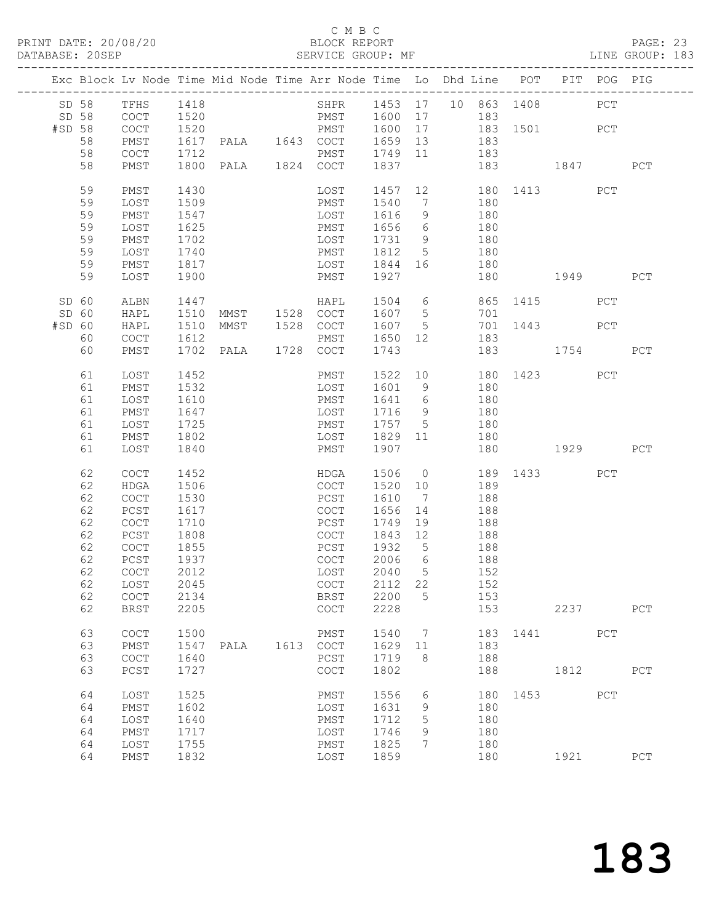# C M B C<br>BLOCK REPORT

PAGE: 23<br>LINE GROUP: 183

|        |                                            |      |                     |                                      |                  |                | Exc Block Lv Node Time Mid Node Time Arr Node Time Lo Dhd Line POT PIT POG PIG |                        |      |     |     |
|--------|--------------------------------------------|------|---------------------|--------------------------------------|------------------|----------------|--------------------------------------------------------------------------------|------------------------|------|-----|-----|
| SD 58  | TFHS 1418                                  |      |                     |                                      |                  |                | SHPR 1453 17 10 863 1408                                                       |                        |      | PCT |     |
| SD 58  | COCT                                       | 1520 |                     |                                      |                  |                | PMST 1600 17 183                                                               |                        |      |     |     |
| #SD 58 | COCT                                       | 1520 |                     | PMST 1600 17                         |                  |                | 183 1501 PCT                                                                   |                        |      |     |     |
| 58     | PMST                                       |      | 1617 PALA 1643 COCT |                                      | 1659 13          |                |                                                                                |                        |      |     |     |
|        |                                            |      |                     |                                      |                  |                | 183                                                                            |                        |      |     |     |
| 58     | $\mathtt{C}\mathtt{O}\mathtt{C}\mathtt{T}$ | 1712 |                     | PMST 1749 11                         |                  |                | 183                                                                            |                        |      |     |     |
| 58     | PMST                                       |      | 1800 PALA 1824 COCT |                                      | 1837             |                |                                                                                | 183 1847               |      |     | PCT |
| 59     | PMST                                       | 1430 |                     |                                      |                  |                | LOST 1457 12 180 1413 PCT                                                      |                        |      |     |     |
| 59     | LOST                                       | 1509 |                     | PMST 1540 7                          |                  |                | 180                                                                            |                        |      |     |     |
| 59     | PMST                                       | 1547 |                     | LOST                                 | <sup>1</sup> 616 | 9              | 180                                                                            |                        |      |     |     |
| 59     | LOST                                       | 1625 |                     | PMST 1656 6                          |                  |                | 180                                                                            |                        |      |     |     |
| 59     | PMST                                       | 1702 |                     | LOST                                 | 1731 9           |                | 180                                                                            |                        |      |     |     |
| 59     | LOST                                       | 1740 |                     | PMST                                 | 1812 5           |                | 180                                                                            |                        |      |     |     |
| 59     | PMST                                       | 1817 |                     | LOST 1844 16                         |                  |                | 180                                                                            |                        |      |     |     |
| 59     | LOST                                       | 1900 |                     | PMST                                 | 1927             |                | 180                                                                            |                        | 1949 |     | PCT |
|        |                                            |      |                     |                                      |                  |                |                                                                                |                        |      |     |     |
| SD 60  | ALBN                                       | 1447 |                     | HAPL 1504 6<br>MMST 1528 COCT 1607 5 |                  |                |                                                                                | 865 1415               |      | PCT |     |
| SD 60  | HAPL                                       | 1510 |                     |                                      |                  |                | 701                                                                            |                        |      |     |     |
| #SD 60 | HAPL                                       | 1510 |                     | MMST 1528 COCT 1607 5                |                  |                | 701 1443 PCT                                                                   |                        |      |     |     |
| 60     | COCT                                       | 1612 |                     | PMST                                 | 1650 12          |                | 183                                                                            |                        |      |     |     |
| 60     | PMST                                       |      | 1702 PALA 1728 COCT |                                      | 1743             |                |                                                                                | 183 1754               |      |     | PCT |
| 61     | LOST                                       | 1452 |                     | PMST                                 |                  |                | 1522 10                                                                        | 180 1423               |      | PCT |     |
| 61     | PMST                                       | 1532 |                     | LOST                                 | 1601 9           |                | 180                                                                            |                        |      |     |     |
| 61     | LOST                                       | 1610 |                     | PMST                                 | 1641 6           |                | 180                                                                            |                        |      |     |     |
| 61     | PMST                                       | 1647 |                     | LOST                                 | 1716 9           |                | 180                                                                            |                        |      |     |     |
| 61     | LOST                                       | 1725 |                     | PMST 1757 5                          |                  |                | 180                                                                            |                        |      |     |     |
| 61     | PMST                                       | 1802 |                     | LOST 1829 11                         |                  |                |                                                                                |                        |      |     |     |
|        |                                            |      |                     |                                      |                  |                | 180                                                                            |                        |      |     |     |
| 61     | LOST                                       | 1840 |                     | PMST                                 | 1907             |                |                                                                                | 180 1929               |      |     | PCT |
| 62     | COCT                                       | 1452 |                     | HDGA                                 | 1506 0           |                |                                                                                | 189 1433               |      | PCT |     |
| 62     | HDGA                                       | 1506 |                     | COCT                                 | 1520 10          |                | 189                                                                            |                        |      |     |     |
| 62     | COCT                                       | 1530 |                     | PCST                                 | 1610 7           |                | 188                                                                            |                        |      |     |     |
| 62     | PCST                                       | 1617 |                     | COCT                                 | 1656 14          |                | 188                                                                            |                        |      |     |     |
| 62     | COCT                                       | 1710 |                     | PCST                                 | 1749 19          |                | 188                                                                            |                        |      |     |     |
| 62     | PCST                                       | 1808 |                     | COCT                                 | 1843 12          |                | 188                                                                            |                        |      |     |     |
|        |                                            |      |                     |                                      |                  |                |                                                                                |                        |      |     |     |
| 62     | COCT                                       | 1855 |                     | PCST                                 | 1932 5           |                | 188                                                                            |                        |      |     |     |
| 62     | PCST                                       | 1937 |                     | COCT                                 | 2006 6           |                | 188                                                                            |                        |      |     |     |
| 62     | COCT                                       | 2012 |                     | LOST                                 | 2040             | $5^{\circ}$    | 152                                                                            |                        |      |     |     |
|        | 62 LOST                                    | 2045 |                     | COCT 2112 22                         |                  |                | 152                                                                            |                        |      |     |     |
| 62     | COCT                                       | 2134 |                     | BRST                                 | 2200             | 5              | 153                                                                            |                        |      |     |     |
| 62     | BRST                                       | 2205 |                     | COCT                                 | 2228             |                |                                                                                | 153 and $\overline{a}$ | 2237 |     | PCT |
| 63     | COCT                                       | 1500 |                     | PMST                                 | 1540             | $\overline{7}$ |                                                                                | 183 1441               |      | PCT |     |
| 63     | PMST                                       | 1547 | PALA 1613 COCT      |                                      | 1629 11          |                | 183                                                                            |                        |      |     |     |
| 63     | $\mathtt{C}\mathtt{O}\mathtt{C}\mathtt{T}$ | 1640 |                     | PCST                                 | 1719             | 8 <sup>8</sup> | 188                                                                            |                        |      |     |     |
| 63     | PCST                                       | 1727 |                     | COCT                                 | 1802             |                | 188                                                                            |                        | 1812 |     | PCT |
|        |                                            |      |                     |                                      |                  |                |                                                                                |                        |      |     |     |
| 64     | LOST                                       | 1525 |                     | PMST                                 | 1556             | 6              |                                                                                | 180 1453 PCT           |      |     |     |
| 64     | PMST                                       | 1602 |                     | LOST                                 | 1631             | 9              | 180                                                                            |                        |      |     |     |
| 64     | LOST                                       | 1640 |                     | PMST                                 | 1712             | 5              | 180                                                                            |                        |      |     |     |
| 64     | PMST                                       | 1717 |                     | LOST                                 | 1746             | 9              | 180                                                                            |                        |      |     |     |
| 64     | LOST                                       | 1755 |                     | PMST                                 | 1825             | 7              | 180                                                                            |                        |      |     |     |
| 64     | PMST                                       | 1832 |                     | LOST                                 | 1859             |                | 180                                                                            |                        | 1921 |     | PCT |
|        |                                            |      |                     |                                      |                  |                |                                                                                |                        |      |     |     |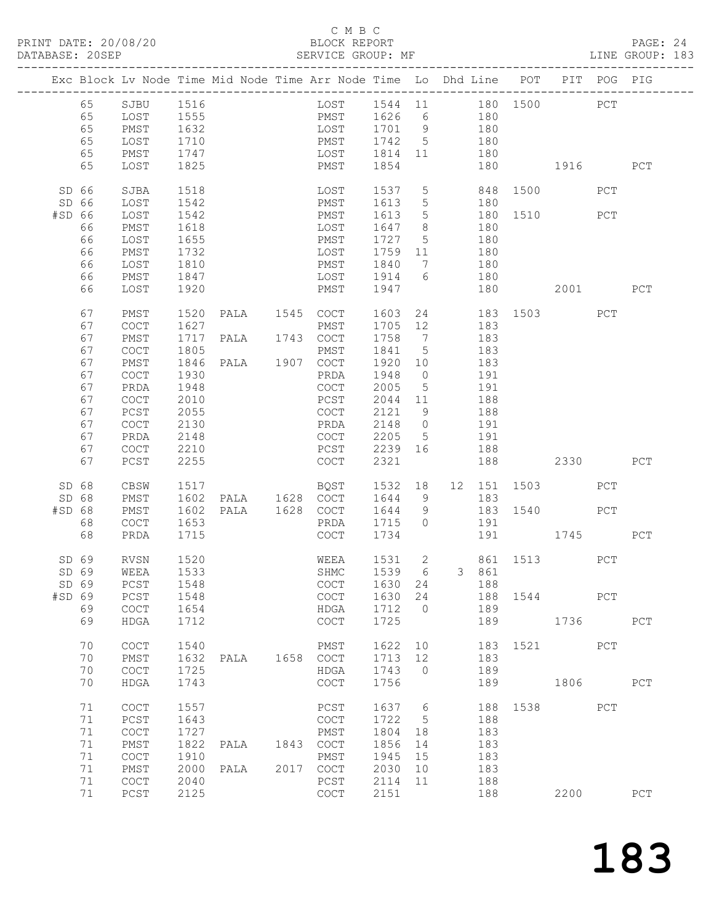#### C M B C BLOCK REPORT<br>SERVICE GROUP: MF

| PRINT DATE: 20/08/20<br>DATABASE: 20SEP |          |                                            |              |      |      | BLOCK REPORT<br>SERVICE GROUP:<br>BLOCK REPORT<br>SERVICE GROUP: MF            |                                                                        |          |       |                                                 |      |           | PAGE: 24<br>LINE GROUP: 183 |  |
|-----------------------------------------|----------|--------------------------------------------|--------------|------|------|--------------------------------------------------------------------------------|------------------------------------------------------------------------|----------|-------|-------------------------------------------------|------|-----------|-----------------------------|--|
|                                         |          |                                            |              |      |      | Exc Block Lv Node Time Mid Node Time Arr Node Time Lo Dhd Line POT PIT POG PIG |                                                                        |          |       |                                                 |      |           |                             |  |
|                                         | 65       | SJBU 1516                                  |              |      |      | LOST 1544 11 180 1500 PCT<br>PMST 1626 6 180<br>LOST 1701 9 180                |                                                                        |          |       |                                                 |      |           |                             |  |
|                                         | 65       | LOST 1555<br>PMST 1632                     |              |      |      |                                                                                |                                                                        |          |       |                                                 |      |           |                             |  |
|                                         | 65       |                                            |              |      |      |                                                                                |                                                                        |          |       |                                                 |      |           |                             |  |
|                                         | 65       | LOST                                       | 1710         |      |      | PMST 1742 5 180                                                                |                                                                        |          |       |                                                 |      |           |                             |  |
|                                         | 65       | PMST                                       | 1747         |      |      | LOST 1814 11 180                                                               |                                                                        |          |       |                                                 |      |           |                             |  |
|                                         | 65       | LOST                                       | 1825         |      |      | PMST 1854                                                                      |                                                                        |          | 180   | 1916 PCT                                        |      |           |                             |  |
| SD 66                                   |          | SJBA                                       | 1518         |      |      | LOST 1537 5 848 1500 PCT                                                       |                                                                        |          |       |                                                 |      |           |                             |  |
| SD 66                                   |          | LOST                                       | 1542         |      |      | PMST 1613                                                                      |                                                                        |          |       | 1613 5 180<br>1613 5 180 1510 PCT<br>1647 8 180 |      |           |                             |  |
| #SD 66                                  |          | LOST                                       |              |      |      | PMST                                                                           |                                                                        |          |       |                                                 |      |           |                             |  |
|                                         | 66       | PMST                                       | 1542<br>1618 |      |      | LOST                                                                           |                                                                        |          |       |                                                 |      |           |                             |  |
|                                         | 66       | LOST                                       | 1655         |      |      | PMST 1727 5 180                                                                |                                                                        |          |       |                                                 |      |           |                             |  |
|                                         | 66       | PMST                                       | 1732         |      |      | LOST                                                                           | 1759 11 180                                                            |          |       |                                                 |      |           |                             |  |
|                                         | 66       | LOST                                       |              |      |      |                                                                                |                                                                        |          |       |                                                 |      |           |                             |  |
|                                         | 66       | PMST                                       | 1810<br>1847 |      |      | PMST 1840 7 180<br>LOST 1914 6 180                                             |                                                                        |          |       |                                                 |      |           |                             |  |
|                                         | 66       | LOST                                       | 1920         |      |      | PMST                                                                           | 1947                                                                   |          | 180   | 2001 PCT                                        |      |           |                             |  |
|                                         |          |                                            |              |      |      |                                                                                |                                                                        |          |       |                                                 |      |           |                             |  |
|                                         | 67       | PMST                                       | 1520         |      |      | PALA 1545 COCT                                                                 |                                                                        |          |       | 1603  24  183  1503  PCT<br>1705  12  183       |      |           |                             |  |
|                                         | 67       | COCT                                       | 1627         |      |      | PMST<br>1717 PALA 1743 COCT                                                    |                                                                        |          |       |                                                 |      |           |                             |  |
|                                         | 67       | PMST                                       |              |      |      |                                                                                | 1758 7 183                                                             |          |       |                                                 |      |           |                             |  |
|                                         | 67       | COCT                                       | 1805         |      |      | PMST                                                                           | 1841 5 183                                                             |          |       |                                                 |      |           |                             |  |
|                                         | 67       | PMST                                       | 1846         |      |      | PALA 1907 COCT                                                                 | 1920 10 183<br>1948 0 191                                              |          |       |                                                 |      |           |                             |  |
|                                         | 67       | COCT                                       | 1930         |      |      | PRDA                                                                           |                                                                        |          |       |                                                 |      |           |                             |  |
|                                         | 67       | PRDA                                       | 1948         |      |      | COCT                                                                           | $2005$ 5 191                                                           |          |       |                                                 |      |           |                             |  |
|                                         | 67       | COCT                                       | 2010         |      |      | PCST                                                                           | 2044 11 188                                                            |          |       |                                                 |      |           |                             |  |
|                                         | 67       | PCST                                       | 2055         |      |      | COCT                                                                           | $\begin{array}{cccc} 2121 & 9 & & 188 \\ 2148 & 0 & & 191 \end{array}$ |          |       |                                                 |      |           |                             |  |
|                                         | 67       | COCT                                       | 2130         |      |      | PRDA                                                                           | $2205$ 5 191                                                           |          |       |                                                 |      |           |                             |  |
|                                         | 67       | PRDA                                       | 2148         |      |      | COCT                                                                           |                                                                        |          |       |                                                 |      |           |                             |  |
|                                         | 67<br>67 | COCT<br>PCST                               | 2210<br>2255 |      |      | PCST<br>COCT                                                                   | 2239 16 188<br>2321                                                    |          | 188   | 2330 PCT                                        |      |           |                             |  |
|                                         |          |                                            |              |      |      |                                                                                |                                                                        |          |       |                                                 |      |           |                             |  |
| SD 68                                   |          | CBSW                                       | 1517         |      |      | BQST 1532 18 12 151 1503                                                       |                                                                        |          |       |                                                 |      | PCT       |                             |  |
| SD 68                                   |          | PMST                                       |              |      |      | 1602 PALA 1628 COCT 1644 9 183                                                 |                                                                        |          |       |                                                 |      |           |                             |  |
| $#SD$ 68                                |          | PMST                                       | 1602         |      |      | PALA 1628 COCT 1644 9 183 1540 PCT                                             |                                                                        |          |       |                                                 |      |           |                             |  |
|                                         | 68       | COCT                                       | 1653<br>1715 |      |      | PRDA 1715 0 191                                                                | 1734                                                                   |          |       | 191 1745                                        |      |           |                             |  |
|                                         | 68       | PRDA                                       | 1715         |      |      | COCT                                                                           |                                                                        |          |       |                                                 |      |           | PCT                         |  |
|                                         | SD 69    | <b>RVSN</b>                                | 1520         |      |      | WEEA                                                                           |                                                                        |          |       | 1531  2  861  1513                              |      | PCT       |                             |  |
|                                         | SD 69    | WEEA                                       | 1533         |      |      | SHMC                                                                           | 1539                                                                   | 6        | 3 861 |                                                 |      |           |                             |  |
|                                         | SD 69    | PCST                                       | 1548         |      |      | COCT                                                                           | 1630                                                                   | 24       | 188   |                                                 |      |           |                             |  |
| #SD 69                                  |          | PCST                                       | 1548         |      |      | <b>COCT</b>                                                                    | 1630                                                                   | 24       | 188   | 1544                                            |      | PCT       |                             |  |
|                                         | 69       | $\mathtt{C}\mathtt{O}\mathtt{C}\mathtt{T}$ | 1654         |      |      | HDGA                                                                           | 1712                                                                   | $\Omega$ | 189   |                                                 |      |           |                             |  |
|                                         | 69       | HDGA                                       | 1712         |      |      | COCT                                                                           | 1725                                                                   |          | 189   |                                                 |      | 1736 1790 | PCT                         |  |
|                                         | 70       | COCT                                       | 1540         |      |      | PMST                                                                           | 1622                                                                   | 10       | 183   | 1521                                            |      | PCT       |                             |  |
|                                         | 70       | PMST                                       | 1632         | PALA | 1658 | COCT                                                                           | 1713                                                                   | 12       | 183   |                                                 |      |           |                             |  |
|                                         | 70       | COCT                                       | 1725         |      |      | HDGA                                                                           | 1743                                                                   | $\circ$  | 189   |                                                 |      |           |                             |  |
|                                         | 70       | <b>HDGA</b>                                | 1743         |      |      | COCT                                                                           | 1756                                                                   |          | 189   |                                                 | 1806 |           | PCT                         |  |
|                                         | 71       | COCT                                       | 1557         |      |      | PCST                                                                           | 1637                                                                   | 6        | 188   | 1538                                            |      | PCT       |                             |  |
|                                         | 71       | PCST                                       | 1643         |      |      | $\mathtt{C}\mathtt{O}\mathtt{C}\mathtt{T}$                                     | 1722                                                                   | 5        | 188   |                                                 |      |           |                             |  |
|                                         | 71       | $\mathtt{C}\mathtt{O}\mathtt{C}\mathtt{T}$ | 1727         |      |      | PMST                                                                           | 1804                                                                   | 18       | 183   |                                                 |      |           |                             |  |
|                                         | 71       | PMST                                       | 1822         | PALA | 1843 | COCT                                                                           | 1856                                                                   | 14       | 183   |                                                 |      |           |                             |  |
|                                         | 71       | COCT                                       | 1910         |      |      | PMST                                                                           | 1945                                                                   | 15       | 183   |                                                 |      |           |                             |  |
|                                         | 71       | PMST                                       | 2000         | PALA | 2017 | COCT                                                                           | 2030                                                                   | 10       | 183   |                                                 |      |           |                             |  |
|                                         | 71       | COCT                                       | 2040         |      |      | PCST                                                                           | 2114                                                                   | 11       | 188   |                                                 |      |           |                             |  |
|                                         | 71       | $PCST$                                     | 2125         |      |      | COCT                                                                           | 2151                                                                   |          | 188   |                                                 | 2200 |           | PCT                         |  |
|                                         |          |                                            |              |      |      |                                                                                |                                                                        |          |       |                                                 |      |           |                             |  |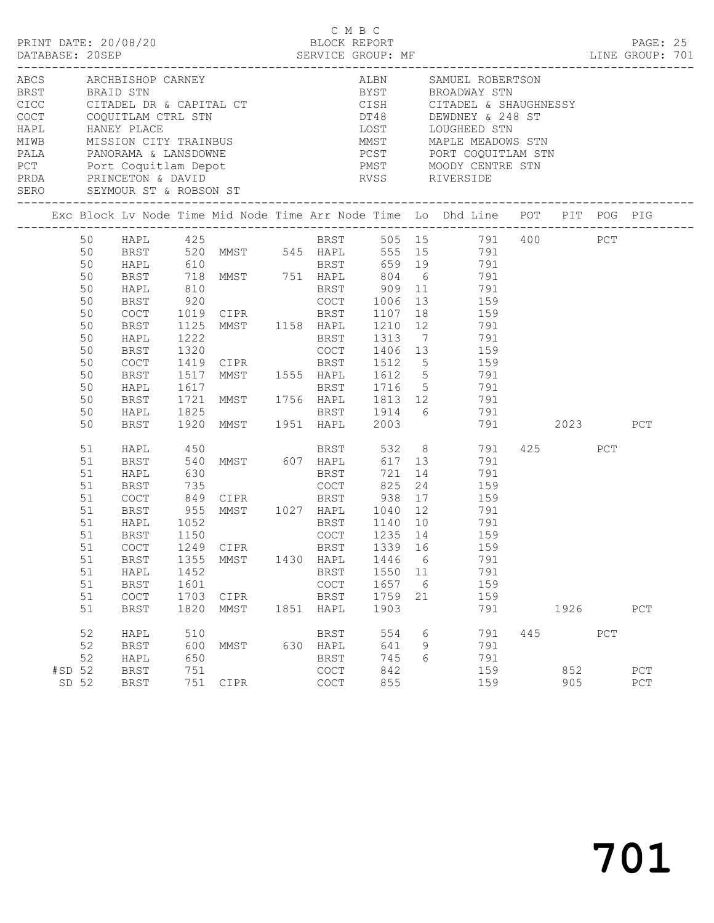|                                                                                | PRINT DATE: 20/08/20                                                                                                                                                                                           |                                              |                                                              |              | C M B C                                                                                   |                                                        |                    |                                                                                                                                                                                                                                                                                                                                                  |     |            |     |                    |  |
|--------------------------------------------------------------------------------|----------------------------------------------------------------------------------------------------------------------------------------------------------------------------------------------------------------|----------------------------------------------|--------------------------------------------------------------|--------------|-------------------------------------------------------------------------------------------|--------------------------------------------------------|--------------------|--------------------------------------------------------------------------------------------------------------------------------------------------------------------------------------------------------------------------------------------------------------------------------------------------------------------------------------------------|-----|------------|-----|--------------------|--|
|                                                                                | ABCS ARCHBISHOP CARNEY<br>COCT COQUITLAM CTRL STN<br>PRDA PRINCETON & DAVID<br>SERO SEYMOUR ST & ROBSON ST<br>__________________________________                                                               |                                              |                                                              |              |                                                                                           |                                                        |                    | ALBN SAMUEL ROBERTSON<br>BYST BROADWAY STN<br>CISH CITADEL & SHAUGHNESSY<br>DT48 DEWDNEY & 248 ST<br>HAPL HANEY PLACE<br>MIWB MISSION CITY TRAINBUS<br>PALA PANORAMA & LANSDOWNE<br>PCST PORT COQUITLAM STN<br>PCT PORT PORT COQUITLAM STN<br>PCT PORT MOODY CENTRE STN<br>RVSS RIVERSIDE                                                        |     |            |     |                    |  |
|                                                                                |                                                                                                                                                                                                                |                                              |                                                              |              |                                                                                           |                                                        |                    | Exc Block Lv Node Time Mid Node Time Arr Node Time Lo Dhd Line POT PIT POG PIG                                                                                                                                                                                                                                                                   |     |            |     |                    |  |
| 50<br>50<br>50<br>50<br>50<br>50<br>50<br>50<br>50<br>50<br>50<br>50<br>50     | BRST<br>HAPL<br><b>BRST</b><br>COCT 1019 CIPR BRST 1107<br>BRST<br>HAPL<br><b>BRST</b><br>BRST                                                                                                                 | 1222                                         | 1320<br>COCT 1419 CIPR BRST<br>BRST 1920 MMST 1951 HAPL 2003 |              | BRST<br>COCT                                                                              | 1313                                                   |                    | 50 HAPL 425 BRST 505 15 791 400 PCT<br>50 BRST 520 MMST 545 HAPL 555 15 791<br>50 HAPL 610 BRST 659 19 791<br>718 MMST 751 HAPL 804 6 791<br>810 BRST 909 11 791<br>920 COCT 1006 13 159<br>18 159<br>1125 MMST 1158 HAPL 1210 12 791<br>7 791<br>1406 13 159<br>1512 5 159<br>1517 MMST 1555 HAPL 1612 5 791<br>BRST 1716 5 791<br>791 2023 PCT |     |            |     |                    |  |
| 51<br>51<br>51<br>51<br>51<br>51<br>51<br>51<br>51<br>$51\,$<br>51<br>51<br>51 | HAPL<br>BRST<br>COCT 849 CIPR BRST 938<br>BRST 955 MMST 1027 HAPL 1040<br>WART 1050 MMST 1027 HAPL 1040<br>HAPL 1052<br>BRST<br>51 COCT 1249 CIPR<br><b>BRST</b><br>HAPL<br><b>BRST</b><br>COCT<br><b>BRST</b> | 1150<br>1355<br>1452<br>1601<br>1703<br>1820 | 630<br>735 COCT 825<br>MMST<br>CIPR<br>MMST                  | 1430<br>1851 | <b>BRST</b><br>COCT<br>BRST 1339 16<br>HAPL<br><b>BRST</b><br>COCT<br><b>BRST</b><br>HAPL | 721<br>1235 14<br>1446<br>1550<br>1657<br>1759<br>1903 | 6<br>11<br>6<br>21 | HAPL 450 BRST 532 8 791 425 PCT BRST 540 MMST 607 HAPL 617 13 791<br>14<br>791<br>24<br>159<br>$\begin{array}{cc} 17 & \hspace{1.5cm} 159 \\ 12 & \hspace{1.5cm} 791 \end{array}$<br>BRST 1140 10 791<br>159<br>159<br>791<br>791<br>159<br>159<br>791                                                                                           |     | 1926       |     | PCT                |  |
| 52<br>52<br>52<br>#SD 52<br>SD 52                                              | HAPL<br><b>BRST</b><br>HAPL<br><b>BRST</b><br><b>BRST</b>                                                                                                                                                      | 510<br>600<br>650<br>751<br>751              | MMST<br>CIPR                                                 | 630          | <b>BRST</b><br>HAPL<br><b>BRST</b><br>COCT<br>COCT                                        | 554<br>641<br>745<br>842<br>855                        | 6<br>9<br>6        | 791<br>791<br>791<br>159<br>159                                                                                                                                                                                                                                                                                                                  | 445 | 852<br>905 | PCT | PCT<br>${\tt PCT}$ |  |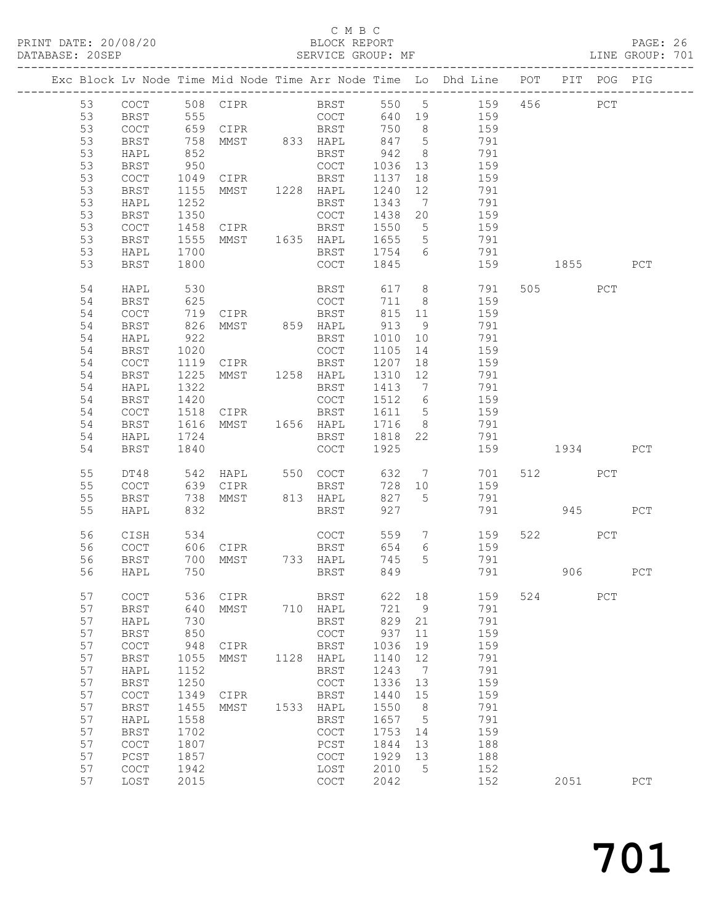# C M B C<br>BLOCK REPORT

PAGE: 26<br>LINE GROUP: 701

701

|          |                                            |              |                      |      |                                                    |              |                 | Exc Block Lv Node Time Mid Node Time Arr Node Time Lo Dhd Line POT |     |          | PIT POG PIG |     |
|----------|--------------------------------------------|--------------|----------------------|------|----------------------------------------------------|--------------|-----------------|--------------------------------------------------------------------|-----|----------|-------------|-----|
| 53       | $\mathtt{C}\mathtt{O}\mathtt{C}\mathtt{T}$ |              |                      |      |                                                    |              |                 | 508 CIPR BRST 550 5 159                                            |     | 456      | PCT         |     |
| 53       | BRST                                       |              |                      |      | COCT                                               | 640 19       |                 | 159                                                                |     |          |             |     |
| 53       | COCT                                       |              |                      |      |                                                    | 750          | 8 <sup>8</sup>  | 159                                                                |     |          |             |     |
| 53       | BRST                                       | 758          | MMST 833 HAPL        |      |                                                    | 847          | $5\overline{)}$ | 791                                                                |     |          |             |     |
| 53       | HAPL                                       | 852          |                      |      | BRST                                               | 942          | 8 <sup>8</sup>  | 791                                                                |     |          |             |     |
| 53       | BRST                                       | 950          |                      |      | COCT                                               | 1036         | 13              | 159                                                                |     |          |             |     |
| 53       | COCT                                       | 1049         | CIPR                 |      | BRST                                               | 1137         | 18              | 159                                                                |     |          |             |     |
| 53       | BRST                                       | 1155         | MMST 1228 HAPL       |      |                                                    | 1240         | 12              | 791                                                                |     |          |             |     |
| 53       | HAPL                                       | 1252         |                      |      | BRST                                               | 1343         | $\overline{7}$  | 791                                                                |     |          |             |     |
| 53       | BRST                                       | 1350         |                      |      | COCT                                               | 1438 20      |                 | 159                                                                |     |          |             |     |
| 53       | COCT                                       |              | 1458 CIPR            |      | BRST                                               | 1550         | $5\overline{)}$ | 159                                                                |     |          |             |     |
| 53       | BRST                                       | 1555         | MMST 1635 HAPL       |      |                                                    | 1655         | $5\overline{)}$ | 791                                                                |     |          |             |     |
| 53       | HAPL                                       | 1700         |                      |      | BRST                                               | 1754         | $6\overline{6}$ | 791                                                                |     |          |             |     |
| 53       | BRST                                       | 1800         |                      |      | COCT                                               | 1845         |                 | 159                                                                |     | 1855     |             | PCT |
| 54       | HAPL                                       | 530          |                      |      | BRST                                               | 617          |                 | 8 <sup>1</sup><br>791                                              |     | 505      | PCT         |     |
| 54       | BRST                                       | 625          |                      |      | COCT                                               | 711          | 8 <sup>8</sup>  | 159                                                                |     |          |             |     |
| 54       | COCT                                       |              | 719 CIPR<br>826 MMST |      | BRST                                               | 815          | 11              | 159                                                                |     |          |             |     |
| 54       | BRST                                       |              |                      |      |                                                    | 913          | 9               | 791                                                                |     |          |             |     |
| 54       | HAPL                                       | 922          |                      |      | BRST                                               | 1010         | 10              | 791                                                                |     |          |             |     |
| 54       | BRST                                       | 1020         |                      |      | COCT                                               | 1105         | 14              | 159                                                                |     |          |             |     |
| 54       | $\mathtt{C}\mathtt{O}\mathtt{C}\mathtt{T}$ |              | 1119 CIPR            |      | BRST                                               | 1207         | 18              | 159                                                                |     |          |             |     |
| 54       | <b>BRST</b>                                | 1225         | MMST 1258 HAPL       |      |                                                    | 1310         | 12              | 791                                                                |     |          |             |     |
| 54       | HAPL                                       | 1322         |                      |      | BRST                                               | 1413         | $\overline{7}$  | 791                                                                |     |          |             |     |
| 54       | BRST                                       | 1420         |                      |      | COCT                                               | 1512         | $6\overline{6}$ | 159                                                                |     |          |             |     |
| 54       | COCT                                       | 1518         | CIPR                 |      | BRST                                               | 1611         | $5\overline{)}$ | 159                                                                |     |          |             |     |
| 54       | BRST                                       | 1616         | MMST 1656 HAPL       |      |                                                    | 1716         | 8 <sup>8</sup>  | 791                                                                |     |          |             |     |
| 54       | HAPL                                       | 1724         |                      |      | BRST                                               | 1818 22      |                 | 791                                                                |     |          |             |     |
| 54       | BRST                                       | 1840         |                      |      | COCT                                               | 1925         |                 |                                                                    |     | 159 1934 |             | PCT |
| 55       | DT48                                       | 542          |                      |      |                                                    | 632          | $7\overline{ }$ | 701                                                                |     | 512      | PCT         |     |
| 55       | COCT                                       | 639          | CIPR                 |      | BRST                                               | 728 10       |                 | 159                                                                |     |          |             |     |
| 55       | BRST                                       | 738          | MMST                 |      | 813 HAPL                                           | 827          | $5^{\circ}$     | 791                                                                |     |          |             |     |
| 55       | HAPL                                       | 832          |                      |      | BRST                                               | 927          |                 |                                                                    |     | 791 945  |             | PCT |
| 56       | CISH                                       | 534          |                      |      | COCT                                               | 559          |                 | $7\overline{ }$<br>159                                             |     | 522 PCT  |             |     |
| 56       | COCT                                       | 606          | CIPR                 |      | <b>BRST</b>                                        | 654          | $6\overline{6}$ | 159                                                                |     |          |             |     |
| 56       | BRST                                       | 700          | MMST 733 HAPL        |      |                                                    | 745          | 5 <sup>5</sup>  | 791                                                                |     |          |             |     |
| 56       | HAPL                                       | 750          |                      |      | BRST                                               | 849          |                 | 791                                                                |     |          | 906 — 100   | PCT |
| 57       | COCT                                       | 536          | CIPR                 |      | BRST                                               | 622          | 18              | 159                                                                | 524 |          | PCT         |     |
| 57       | <b>BRST</b>                                | 640          | MMST                 | 710  | HAPL                                               | 721          | 9               | 791                                                                |     |          |             |     |
| 57       | HAPL                                       | 730          |                      |      | <b>BRST</b>                                        | 829          | 21              | 791                                                                |     |          |             |     |
| 57       | <b>BRST</b>                                | 850          |                      |      | $\mathtt{C}\mathtt{O}\mathtt{C}\mathtt{T}$         | 937          | 11              | 159                                                                |     |          |             |     |
| 57       | COCT                                       | 948          | CIPR                 |      | <b>BRST</b>                                        | 1036         | 19              | 159                                                                |     |          |             |     |
| 57       | <b>BRST</b>                                | 1055         | MMST                 | 1128 | HAPL                                               | 1140         | 12              | 791                                                                |     |          |             |     |
| 57       | HAPL                                       | 1152         |                      |      | <b>BRST</b>                                        | 1243         | 7               | 791                                                                |     |          |             |     |
| 57       | <b>BRST</b>                                | 1250         |                      |      | $\mathtt{C}\mathtt{O}\mathtt{C}\mathtt{T}$         | 1336         | 13              | 159                                                                |     |          |             |     |
| 57       | COCT                                       | 1349         | CIPR                 |      | <b>BRST</b>                                        | 1440         | 15              | 159                                                                |     |          |             |     |
| 57       | <b>BRST</b>                                | 1455         | MMST                 | 1533 | HAPL                                               | 1550         | 8               | 791                                                                |     |          |             |     |
| 57       | HAPL                                       | 1558         |                      |      | <b>BRST</b>                                        | 1657         | 5               | 791                                                                |     |          |             |     |
| 57       | <b>BRST</b>                                | 1702         |                      |      | COCT                                               | 1753         | 14              | 159                                                                |     |          |             |     |
| 57       | COCT                                       | 1807         |                      |      | $_{\mathrm{PCST}}$                                 | 1844         | 13              | 188                                                                |     |          |             |     |
| 57<br>57 | PCST                                       | 1857         |                      |      | $\mathtt{C}\mathtt{O}\mathtt{C}\mathtt{T}$         | 1929<br>2010 | 13              | 188                                                                |     |          |             |     |
| 57       | COCT<br>LOST                               | 1942<br>2015 |                      |      | LOST<br>$\mathtt{C}\mathtt{O}\mathtt{C}\mathtt{T}$ | 2042         | 5               | 152<br>152                                                         |     | 2051     |             | PCT |
|          |                                            |              |                      |      |                                                    |              |                 |                                                                    |     |          |             |     |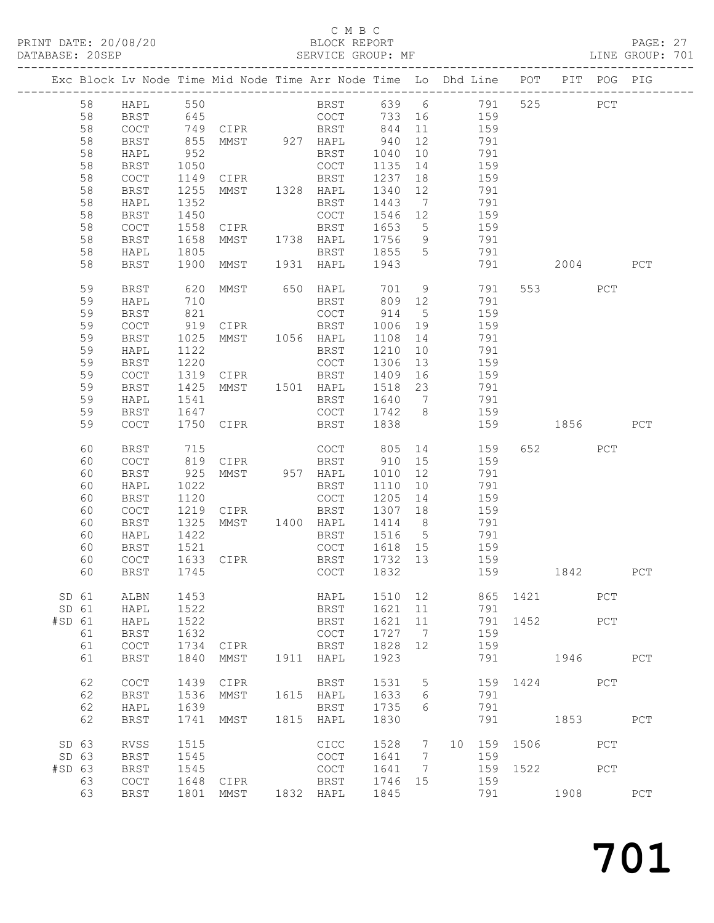# C M B C<br>BLOCK REPORT

PAGE: 27<br>LINE GROUP: 701

|        |       |                      |      | Exc Block Lv Node Time Mid Node Time Arr Node Time Lo Dhd Line POT PIT POG PIG |      |                                            |         |                 |            |     |          |         |     |             |
|--------|-------|----------------------|------|--------------------------------------------------------------------------------|------|--------------------------------------------|---------|-----------------|------------|-----|----------|---------|-----|-------------|
|        | 58    | HAPL                 | 550  |                                                                                |      | BRST 639 6 791                             |         |                 |            |     |          | 525     | PCT |             |
|        | 58    | <b>BRST</b>          |      |                                                                                |      |                                            |         |                 |            |     |          |         |     |             |
|        | 58    | COCT                 |      |                                                                                |      | COCT<br>BRST                               | 844     | 11              | 733 16 159 | 159 |          |         |     |             |
|        |       |                      |      | 645<br>749 CIPR<br>855 MMST                                                    |      |                                            |         |                 |            |     |          |         |     |             |
|        | 58    | BRST                 |      |                                                                                |      |                                            | 940     | 12              |            | 791 |          |         |     |             |
|        | 58    | HAPL                 | 952  |                                                                                |      | BRST                                       | 1040    | 10              | 791        |     |          |         |     |             |
|        | 58    | BRST                 | 1050 |                                                                                |      | COCT                                       | 1135    | 14              |            | 159 |          |         |     |             |
|        | 58    | COCT                 | 1149 | CIPR                                                                           |      | BRST                                       | 1237    | 18              |            | 159 |          |         |     |             |
|        | 58    | <b>BRST</b>          | 1255 | MMST 1328 HAPL                                                                 |      |                                            | 1340    | 12              |            | 791 |          |         |     |             |
|        | 58    | HAPL                 | 1352 |                                                                                |      | BRST                                       | 1443    | $\overline{7}$  |            | 791 |          |         |     |             |
|        | 58    | BRST                 | 1450 |                                                                                |      | COCT                                       | 1546    | 12              |            | 159 |          |         |     |             |
|        | 58    | COCT                 | 1558 | CIPR                                                                           |      | BRST                                       | 1653    | $5^{\circ}$     |            | 159 |          |         |     |             |
|        | 58    | BRST                 | 1658 | MMST 1738 HAPL                                                                 |      |                                            | 1756    | 9               |            | 791 |          |         |     |             |
|        | 58    |                      | 1805 |                                                                                |      | BRST 1855                                  |         | $5\overline{)}$ |            | 791 |          |         |     |             |
|        |       | HAPL                 |      |                                                                                |      |                                            |         |                 |            |     |          |         |     |             |
|        | 58    | <b>BRST</b>          | 1900 |                                                                                |      | MMST 1931 HAPL 1943                        |         |                 |            | 791 |          | 2004    |     | PCT         |
|        | 59    | <b>BRST</b>          | 620  | MMST 650 HAPL                                                                  |      |                                            | 701     |                 | 9          | 791 |          | 553 75  | PCT |             |
|        | 59    | HAPL                 | 710  |                                                                                |      | BRST                                       | 809     | 12              |            | 791 |          |         |     |             |
|        | 59    | <b>BRST</b>          | 821  |                                                                                |      | COCT                                       | 914     | $5^{\circ}$     |            | 159 |          |         |     |             |
|        | 59    | COCT                 | 919  |                                                                                |      |                                            | 1006    | 19              |            | 159 |          |         |     |             |
|        | 59    | <b>BRST</b>          | 1025 |                                                                                |      |                                            | 1108    | 14              |            | 791 |          |         |     |             |
|        | 59    | HAPL                 | 1122 |                                                                                |      | BRST                                       | 1210    | 10              |            | 791 |          |         |     |             |
|        | 59    | BRST                 | 1220 |                                                                                |      | COCT                                       | 1306    | 13              |            | 159 |          |         |     |             |
|        | 59    | COCT                 | 1319 | CIPR                                                                           |      | BRST                                       | 1409    | 16              |            | 159 |          |         |     |             |
|        | 59    |                      | 1425 | MMST 1501 HAPL                                                                 |      |                                            | 1518    | 23              |            |     |          |         |     |             |
|        |       | BRST                 |      |                                                                                |      |                                            |         |                 | 791        | 791 |          |         |     |             |
|        | 59    | HAPL                 | 1541 |                                                                                |      | BRST                                       | 1640    | $7\phantom{0}$  |            |     |          |         |     |             |
|        | 59    | BRST                 | 1647 |                                                                                |      | COCT                                       | 1742 8  |                 | 159        |     |          |         |     |             |
|        | 59    | COCT                 | 1750 | CIPR                                                                           |      | BRST                                       | 1838    |                 |            | 159 |          | 1856 18 |     | PCT         |
|        | 60    | <b>BRST</b>          | 715  |                                                                                |      | COCT                                       | 805     |                 | 14         | 159 |          | 652 200 | PCT |             |
|        | 60    | COCT                 | 819  | <b>CIPR</b>                                                                    |      | BRST                                       | 910     | 15              |            | 159 |          |         |     |             |
|        | 60    | <b>BRST</b>          | 925  | MMST 957 HAPL                                                                  |      |                                            | 1010    | 12              |            | 791 |          |         |     |             |
|        | 60    | HAPL                 | 1022 |                                                                                |      | BRST                                       | 1110    | 10              |            | 791 |          |         |     |             |
|        | 60    | BRST                 | 1120 |                                                                                |      | COCT                                       | 1205    | 14              |            | 159 |          |         |     |             |
|        |       |                      |      |                                                                                |      |                                            |         |                 |            |     |          |         |     |             |
|        | 60    | COCT                 | 1219 | CIPR                                                                           |      | BRST                                       | 1307    | 18              |            | 159 |          |         |     |             |
|        | 60    | <b>BRST</b>          | 1325 | MMST 1400 HAPL                                                                 |      |                                            | 1414    | 8 <sup>8</sup>  |            | 791 |          |         |     |             |
|        | 60    | HAPL                 | 1422 |                                                                                |      | BRST                                       | 1516    | $5\overline{)}$ |            | 791 |          |         |     |             |
|        | 60    | BRST                 | 1521 |                                                                                |      | COCT                                       | 1618 15 |                 |            | 159 |          |         |     |             |
|        | 60    | COCT                 | 1633 |                                                                                |      | CIPR BRST                                  | 1732 13 |                 |            | 159 |          |         |     |             |
|        | 60    | BRST                 | 1745 |                                                                                |      | COCT                                       | 1832    |                 |            | 159 |          | 1842    |     | PCT         |
|        |       |                      |      |                                                                                |      |                                            |         |                 |            |     |          |         |     |             |
|        | SD 61 | ALBN                 | 1453 |                                                                                |      | HAPL                                       | 1510    | 12              |            |     | 865 1421 |         | PCT |             |
|        | SD 61 | HAPL                 | 1522 |                                                                                |      | <b>BRST</b>                                | 1621    | 11              |            | 791 |          |         |     |             |
| #SD 61 |       | HAPL                 | 1522 |                                                                                |      | <b>BRST</b>                                | 1621    | 11              |            | 791 | 1452     |         | PCT |             |
|        | 61    | <b>BRST</b>          | 1632 |                                                                                |      | COCT                                       | 1727    | $\overline{7}$  |            | 159 |          |         |     |             |
|        | 61    | $\operatorname{COT}$ | 1734 | CIPR                                                                           |      | BRST                                       | 1828    | 12              |            | 159 |          |         |     |             |
|        | 61    | <b>BRST</b>          | 1840 | MMST                                                                           | 1911 | HAPL                                       | 1923    |                 |            | 791 |          | 1946    |     | ${\tt PCT}$ |
|        |       |                      |      |                                                                                |      |                                            |         |                 |            |     |          |         |     |             |
|        | 62    | COCT                 | 1439 | CIPR                                                                           |      | BRST                                       | 1531    | 5               |            | 159 | 1424     |         | PCT |             |
|        | 62    | <b>BRST</b>          | 1536 | MMST                                                                           |      | 1615 HAPL                                  | 1633    | 6               |            | 791 |          |         |     |             |
|        | 62    | HAPL                 | 1639 |                                                                                |      | BRST                                       | 1735    | 6               |            | 791 |          |         |     |             |
|        | 62    | <b>BRST</b>          | 1741 | MMST                                                                           | 1815 | HAPL                                       | 1830    |                 |            | 791 |          | 1853    |     | PCT         |
|        |       |                      |      |                                                                                |      |                                            |         |                 |            |     |          |         |     |             |
|        | SD 63 | <b>RVSS</b>          | 1515 |                                                                                |      | CICC                                       | 1528    | $7\phantom{.0}$ | 10         | 159 | 1506     |         | PCT |             |
|        | SD 63 | <b>BRST</b>          | 1545 |                                                                                |      | $\mathtt{C}\mathtt{O}\mathtt{C}\mathtt{T}$ | 1641    | 7               |            | 159 |          |         |     |             |
| #SD 63 |       | BRST                 | 1545 |                                                                                |      | COCT                                       | 1641    | 7               |            | 159 | 1522     |         | PCT |             |
|        | 63    | COCT                 | 1648 | CIPR                                                                           |      | <b>BRST</b>                                | 1746    | 15              |            | 159 |          |         |     |             |
|        | 63    | <b>BRST</b>          | 1801 | MMST                                                                           |      | 1832 HAPL                                  | 1845    |                 |            | 791 |          | 1908    |     | PCT         |
|        |       |                      |      |                                                                                |      |                                            |         |                 |            |     |          |         |     |             |

701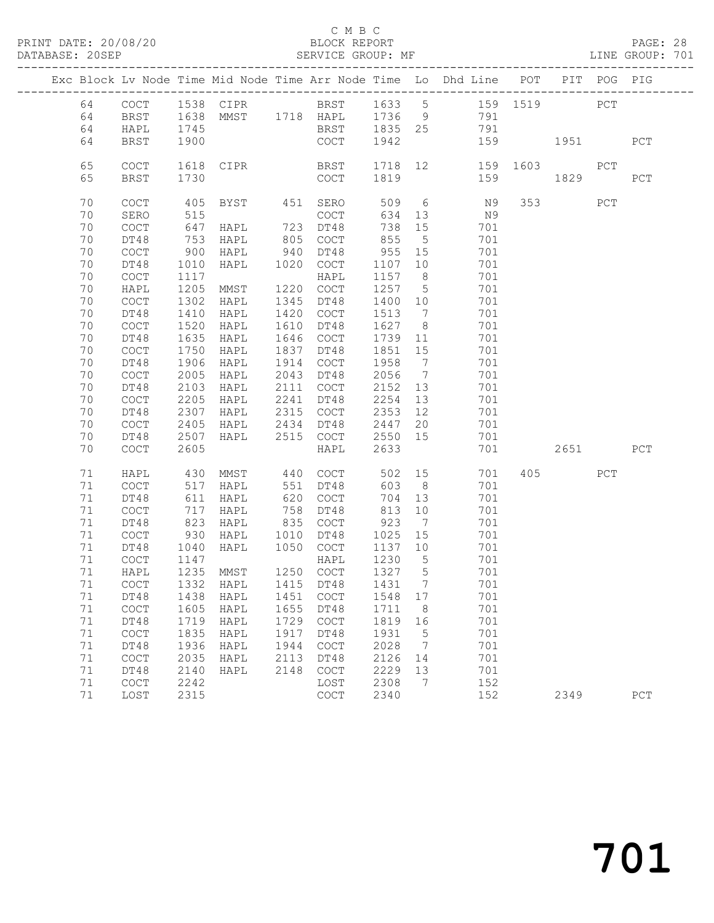#### C M B C<br>BLOCK REPORT

PAGE: 28<br>LINE GROUP: 701

|  |    |                                            |                 |                                    |      |              |         |                              | Exc Block Lv Node Time Mid Node Time Arr Node Time Lo Dhd Line POT PIT POG PIG |          |       |     |             |
|--|----|--------------------------------------------|-----------------|------------------------------------|------|--------------|---------|------------------------------|--------------------------------------------------------------------------------|----------|-------|-----|-------------|
|  | 64 | COCT                                       |                 | 1538 CIPR BRST 1633 5              |      |              |         |                              | 159 1519                                                                       |          | PCT   |     |             |
|  | 64 | BRST                                       |                 | 1638 MMST 1718 HAPL 1736 9         |      |              |         |                              | 791                                                                            |          |       |     |             |
|  | 64 | HAPL                                       | 1745            |                                    |      | BRST 1835 25 |         |                              | 791                                                                            |          |       |     |             |
|  | 64 | BRST                                       | 1900            |                                    |      | COCT         | 1942    |                              |                                                                                | 159      | 1951  |     | PCT         |
|  | 65 | COCT                                       | 1618            | CIPR                               |      | BRST         |         |                              | 1718 12                                                                        | 159 1603 |       | PCT |             |
|  | 65 | BRST                                       | 1730            |                                    |      | COCT         | 1819    |                              | 159                                                                            |          | 1829  |     | PCT         |
|  |    |                                            |                 |                                    |      |              |         |                              |                                                                                |          |       |     |             |
|  | 70 | COCT                                       | 405             | BYST                               |      | 451 SERO     | 509 6   |                              | N 9                                                                            |          | 353 3 | PCT |             |
|  | 70 | SERO                                       | 515             |                                    |      | COCT         | 634 13  |                              | N9                                                                             |          |       |     |             |
|  | 70 | COCT                                       | 647             | HAPL                               |      | 723 DT48     | 738 15  |                              | 701                                                                            |          |       |     |             |
|  | 70 | DT48                                       | 753             | HAPL                               | 805  | COCT         | 855     | $5^{\circ}$                  | 701                                                                            |          |       |     |             |
|  | 70 | $\mathtt{C}\mathtt{O}\mathtt{C}\mathtt{T}$ | 900             | HAPL                               | 940  | DT48         | 955 15  |                              | 701                                                                            |          |       |     |             |
|  | 70 | DT48                                       | 1010            | HAPL                               |      | 1020 COCT    | 1107 10 |                              | 701                                                                            |          |       |     |             |
|  | 70 | $\mathtt{C}\mathtt{O}\mathtt{C}\mathtt{T}$ | 1117            |                                    |      | HAPL         | 1157    | 8 <sup>8</sup>               | 701                                                                            |          |       |     |             |
|  | 70 | HAPL                                       | 1205            | MMST                               |      | 1220 COCT    | 1257    | $5^{\circ}$                  | 701                                                                            |          |       |     |             |
|  | 70 | $\mathtt{C}\mathtt{O}\mathtt{C}\mathtt{T}$ | 1302            | HAPL                               | 1345 | DT48         | 1400 10 |                              | 701                                                                            |          |       |     |             |
|  | 70 | DT48                                       | 1410            | HAPL                               | 1420 | COCT         | 1513    | $\overline{7}$               | 701                                                                            |          |       |     |             |
|  | 70 | COCT                                       | 1520            | HAPL                               | 1610 | DT48         | 1627    | 8 <sup>8</sup>               | 701                                                                            |          |       |     |             |
|  | 70 | DT48                                       | 1635            | HAPL                               | 1646 | COCT         | 1739    | 11                           | 701                                                                            |          |       |     |             |
|  | 70 | $\mathtt{C}\mathtt{O}\mathtt{C}\mathtt{T}$ | 1750            | HAPL                               | 1837 | DT48         | 1851 15 |                              | 701                                                                            |          |       |     |             |
|  | 70 | DT48                                       | 1906            | HAPL                               |      | 1914 COCT    | 1958    | $7\phantom{.0}\phantom{.0}7$ | 701                                                                            |          |       |     |             |
|  | 70 | $\mathtt{C}\mathtt{O}\mathtt{C}\mathtt{T}$ | 2005            | HAPL                               | 2043 | DT48         | 2056    | $7\overline{ }$              | 701                                                                            |          |       |     |             |
|  | 70 | DT48                                       | 2103            | HAPL                               |      | 2111 COCT    | 2152 13 |                              | 701                                                                            |          |       |     |             |
|  | 70 | $\mathtt{C}\mathtt{O}\mathtt{C}\mathtt{T}$ | 2205            | HAPL                               | 2241 | DT48         | 2254    | 13                           | 701                                                                            |          |       |     |             |
|  | 70 | DT48                                       | 2307            | HAPL                               |      | 2315 COCT    | 2353 12 |                              | 701                                                                            |          |       |     |             |
|  | 70 | COCT                                       | 2405            | HAPL                               | 2434 | DT48         | 2447    | 20                           | 701                                                                            |          |       |     |             |
|  | 70 | DT48                                       | 2507            | HAPL                               |      | 2515 COCT    | 2550 15 |                              | 701                                                                            |          |       |     |             |
|  | 70 | <b>COCT</b>                                | 2605            |                                    |      | HAPL         | 2633    |                              | 701                                                                            |          | 2651  |     | PCT         |
|  | 71 | HAPL                                       | 430             | MMST                               | 440  | COCT         | 502 15  |                              | 701                                                                            |          | 405   | PCT |             |
|  | 71 | COCT                                       | 517             | HAPL                               | 551  | DT48         | 603     | 8 <sup>8</sup>               | 701                                                                            |          |       |     |             |
|  | 71 | DT48                                       | 611             | HAPL                               | 620  | COCT         | 704     | 13                           | 701                                                                            |          |       |     |             |
|  | 71 | <b>COCT</b>                                | 717             | HAPL                               | 758  | DT48         | 813     | 10                           | 701                                                                            |          |       |     |             |
|  | 71 | DT48                                       | $\frac{1}{823}$ | HAPL                               | 835  | COCT         | 923     | $\overline{7}$               | 701                                                                            |          |       |     |             |
|  | 71 | COCT                                       | 930             | HAPL                               | 1010 | DT48         | 1025 15 |                              | 701                                                                            |          |       |     |             |
|  | 71 | DT48                                       | 1040            | HAPL                               |      | 1050 COCT    | 1137 10 |                              | 701                                                                            |          |       |     |             |
|  | 71 | COCT                                       | 1147            |                                    |      | HAPL         | 1230    | $5^{\circ}$                  | 701                                                                            |          |       |     |             |
|  | 71 | HAPL                                       |                 | 1235 MMST                          |      | 1250 COCT    | 1327    | $5\overline{)}$              | 701                                                                            |          |       |     |             |
|  |    |                                            |                 | 71 COCT 1332 HAPL 1415 DT48 1431 7 |      |              |         |                              | 701                                                                            |          |       |     |             |
|  | 71 | DT48                                       | 1438            | HAPL                               |      | 1451 COCT    | 1548 17 |                              | 701                                                                            |          |       |     |             |
|  | 71 | COCT                                       | 1605            | HAPL                               | 1655 | DT48         | 1711    | 8                            | 701                                                                            |          |       |     |             |
|  | 71 | DT48                                       | 1719            | HAPL                               | 1729 | COCT         | 1819    | 16                           | 701                                                                            |          |       |     |             |
|  | 71 | COCT                                       | 1835            | HAPL                               | 1917 | DT48         | 1931    | $5\phantom{.0}$              | 701                                                                            |          |       |     |             |
|  | 71 | DT48                                       | 1936            | HAPL                               | 1944 | COCT         | 2028    | $\overline{7}$               | 701                                                                            |          |       |     |             |
|  | 71 | COCT                                       | 2035            | HAPL                               | 2113 | DT48         | 2126    | 14                           | 701                                                                            |          |       |     |             |
|  | 71 | DT48                                       | 2140            | HAPL                               | 2148 | COCT         | 2229    | 13                           | 701                                                                            |          |       |     |             |
|  | 71 | COCT                                       | 2242            |                                    |      | LOST         | 2308    | $7\phantom{.0}\phantom{.0}7$ | 152                                                                            |          |       |     |             |
|  | 71 | LOST                                       | 2315            |                                    |      | COCT         | 2340    |                              | 152                                                                            |          | 2349  |     | ${\tt PCT}$ |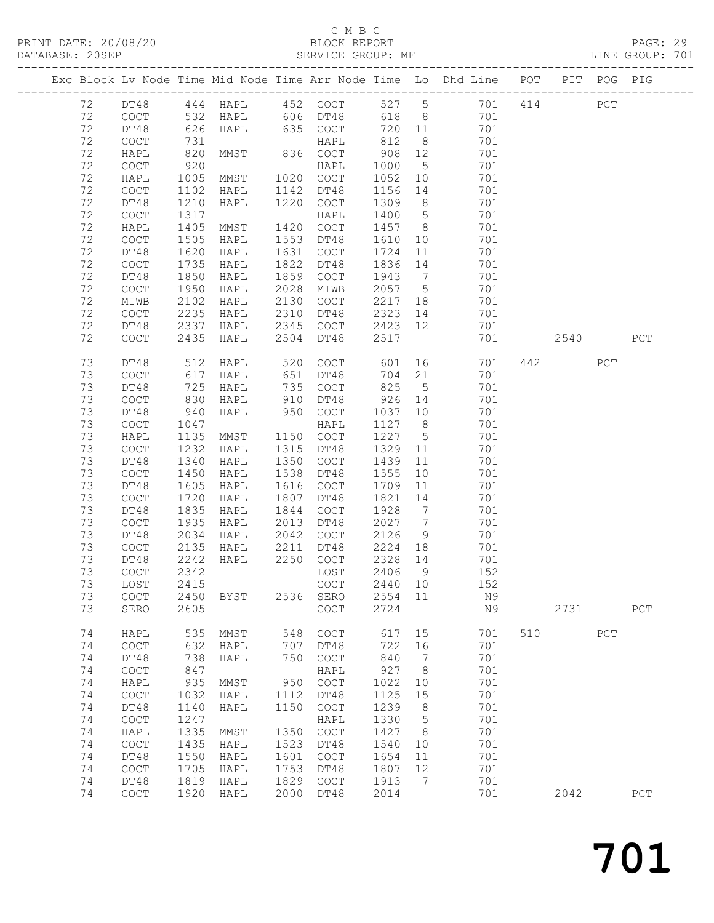# C M B C<br>BLOCK REPORT<br>SERVICE GROUP: MF

| DATABASE: 20SEP |          |                                            |                      | SERVICE GROUP: MF |      |                                            |                 |                              |                                                                                |      |     | LINE GROUP: 701 |
|-----------------|----------|--------------------------------------------|----------------------|-------------------|------|--------------------------------------------|-----------------|------------------------------|--------------------------------------------------------------------------------|------|-----|-----------------|
|                 |          |                                            |                      |                   |      |                                            |                 |                              | Exc Block Lv Node Time Mid Node Time Arr Node Time Lo Dhd Line POT PIT POG PIG |      |     |                 |
|                 | 72       |                                            |                      |                   |      |                                            |                 |                              | DT48 444 HAPL 452 COCT 527 5 701 414 PCT                                       |      |     |                 |
|                 | 72       | COCT                                       | 532                  |                   |      |                                            |                 |                              | 618 8<br>701                                                                   |      |     |                 |
|                 | 72       | DT48                                       | 626                  |                   |      | HAPL 635 COCT                              |                 |                              | 720 11<br>701                                                                  |      |     |                 |
|                 | 72       | COCT                                       |                      |                   |      | HAPL                                       | 812             | 8 <sup>8</sup>               | 701                                                                            |      |     |                 |
|                 | 72       | HAPL                                       | 731<br>820           | MMST              |      | 836 COCT                                   | 908             | 12                           | 701                                                                            |      |     |                 |
|                 | 72       | $\mathtt{C}\mathtt{O}\mathtt{C}\mathtt{T}$ | 920                  |                   |      | HAPL                                       | 1000            | $5\overline{)}$              | 701                                                                            |      |     |                 |
|                 | 72       | HAPL                                       | 1005                 | MMST              |      | 1020 COCT                                  | 1052            | 10                           | 701                                                                            |      |     |                 |
|                 | 72       | COCT                                       | 1102                 | HAPL              |      | 1142 DT48                                  | 1156            | 14                           | 701                                                                            |      |     |                 |
|                 | 72       | DT48                                       | 1210                 | HAPL              |      | 1220 COCT                                  | 1309            | 8 <sup>8</sup>               | 701                                                                            |      |     |                 |
|                 | 72       | COCT                                       | 1317                 |                   |      | HAPL                                       | 1400            | $5\overline{)}$              | 701                                                                            |      |     |                 |
|                 | 72       | HAPL                                       | 1405                 | MMST              | 1420 | COCT                                       | 1457            | 8 <sup>1</sup>               | 701                                                                            |      |     |                 |
|                 | 72       | $\mathtt{C}\mathtt{O}\mathtt{C}\mathtt{T}$ | 1505                 | HAPL              | 1553 | DT48                                       | 1610            | 10                           | 701                                                                            |      |     |                 |
|                 | 72       | DT48                                       | 1620                 | HAPL              |      | 1631 COCT                                  | 1724            | 11                           | 701                                                                            |      |     |                 |
|                 | 72       | COCT                                       | 1735                 | HAPL              | 1822 | DT48                                       | 1836            | 14                           | 701                                                                            |      |     |                 |
|                 | 72       |                                            | 1850                 |                   |      | 1859 COCT                                  | 1943            | $7\overline{ }$              | 701                                                                            |      |     |                 |
|                 | 72       | DT48                                       |                      | HAPL              | 2028 |                                            | 2057 5          |                              | 701                                                                            |      |     |                 |
|                 | 72       | COCT                                       | 1950<br>2102         | HAPL              |      | MIWB<br>2130 COCT                          | 2217 18         |                              | 701                                                                            |      |     |                 |
|                 | 72       | MIWB                                       |                      | HAPL              |      |                                            |                 |                              |                                                                                |      |     |                 |
|                 | 72       | COCT                                       | 2235<br>2337         | HAPL              | 2310 | DT48<br>2345 COCT                          | 2323 14         |                              | 701<br>701                                                                     |      |     |                 |
|                 | 72       | DT48<br>COCT                               | 2435                 | HAPL<br>HAPL      |      | 2504 DT48                                  | 2423 12<br>2517 |                              | 701                                                                            | 2540 |     | PCT             |
|                 | 73       | DT48                                       | 512                  | HAPL              | 520  | COCT                                       | 601             |                              | 701                                                                            | 442  | PCT |                 |
|                 | 73       | COCT                                       | 617                  | HAPL              |      | 651 DT48                                   | 704             | 21                           | 701                                                                            |      |     |                 |
|                 | 73       | DT48                                       |                      | HAPL              |      | 735 COCT                                   | 825             | 5 <sup>5</sup>               | 701                                                                            |      |     |                 |
|                 | 73       | COCT                                       | $\frac{1}{830}$      | HAPL              |      | 910 DT48                                   | 926             | 14                           | 701                                                                            |      |     |                 |
|                 | 73       | DT48                                       | 940                  | HAPL              | 950  | COCT                                       | 1037 10         |                              | 701                                                                            |      |     |                 |
|                 | 73       | <b>COCT</b>                                | 1047                 |                   |      | HAPL                                       | 1127 8          |                              | 701                                                                            |      |     |                 |
|                 | 73       | HAPL                                       | 1135                 | MMST              |      | 1150 COCT                                  | 1227            | $5\overline{)}$              | 701                                                                            |      |     |                 |
|                 | 73       | $\mathtt{C}\mathtt{O}\mathtt{C}\mathtt{T}$ | 1232                 | HAPL              |      | 1315 DT48                                  | 1329            | 11                           | 701                                                                            |      |     |                 |
|                 | 73       | DT48                                       | 1340                 | HAPL              |      | 1350 COCT                                  | 1439            | 11                           | 701                                                                            |      |     |                 |
|                 | 73       | COCT                                       | 1450                 | HAPL              | 1538 | DT48                                       | 1555            | 10                           | 701                                                                            |      |     |                 |
|                 | 73       | DT48                                       | 1605                 | HAPL              |      | 1616 COCT                                  | 1709            | 11                           | 701                                                                            |      |     |                 |
|                 | 73       | $\mathtt{C}\mathtt{O}\mathtt{C}\mathtt{T}$ | 1720                 | HAPL              | 1807 | DT48                                       | 1821            | 14                           | 701                                                                            |      |     |                 |
|                 | 73       | DT48                                       | 1835                 |                   | 1844 |                                            | 1928            | $7\overline{ }$              | 701                                                                            |      |     |                 |
|                 | 73       | COCT                                       | 1935                 | HAPL<br>HAPL      | 2013 | COCT<br>DT48                               | 2027            | $\overline{7}$               | 701                                                                            |      |     |                 |
|                 |          |                                            |                      |                   |      |                                            |                 |                              |                                                                                |      |     |                 |
|                 | 73       | DT48                                       | 2034                 | HAPL              |      | 2042 COCT                                  | 2126            | 9                            | 701                                                                            |      |     |                 |
|                 | 73<br>73 | COCT                                       |                      | HAPL              | 2211 | DT48<br>2250 COCT                          | 2224 18         |                              | 701                                                                            |      |     |                 |
|                 |          | DT48                                       | $21$<br>2242<br>2242 | HAPL              |      |                                            | 2328 14         |                              | 701                                                                            |      |     |                 |
|                 | 73       |                                            |                      |                   |      | COCT 2342 LOST 2406 9                      |                 |                              | 152                                                                            |      |     |                 |
|                 | 73       | LOST                                       | 2415                 |                   |      | COCT                                       | 2440 10         |                              | 152                                                                            |      |     |                 |
|                 | 73<br>73 | COCT<br>SERO                               | 2450<br>2605         | BYST              |      | 2536 SERO<br>COCT                          | 2554 11<br>2724 |                              | N9<br>N9                                                                       | 2731 |     | PCT             |
|                 | 74       | HAPL                                       | 535                  | MMST              | 548  | COCT                                       | 617             | 15                           | 701                                                                            | 510  | PCT |                 |
|                 | 74       | COCT                                       | 632                  | HAPL              | 707  | DT48                                       | 722             | 16                           | 701                                                                            |      |     |                 |
|                 | 74       | DT48                                       | 738                  | HAPL              | 750  | COCT                                       | 840             | $7\phantom{.0}\phantom{.0}7$ | 701                                                                            |      |     |                 |
|                 | 74       | $\operatorname{COT}$                       | 847                  |                   |      | HAPL                                       | 927             | 8                            | 701                                                                            |      |     |                 |
|                 | 74       | HAPL                                       | 935                  | MMST              |      | 950 COCT                                   | 1022            | 10                           | 701                                                                            |      |     |                 |
|                 | 74       | $\mathtt{C}\mathtt{O}\mathtt{C}\mathtt{T}$ | 1032                 | HAPL              | 1112 | DT48                                       | 1125            | 15                           | 701                                                                            |      |     |                 |
|                 | 74       |                                            | 1140                 |                   | 1150 |                                            | 1239            | 8                            | 701                                                                            |      |     |                 |
|                 | 74       | DT48<br>$\operatorname{COT}$               | 1247                 | HAPL              |      | COCT<br>HAPL                               | 1330            | $5^{\circ}$                  | 701                                                                            |      |     |                 |
|                 |          |                                            |                      |                   | 1350 |                                            |                 |                              |                                                                                |      |     |                 |
|                 | 74       | HAPL                                       | 1335                 | MMST              |      | $\mathtt{C}\mathtt{O}\mathtt{C}\mathtt{T}$ | 1427            | 8 <sup>8</sup>               | 701                                                                            |      |     |                 |
|                 | 74       | $\mathtt{C}\mathtt{O}\mathtt{C}\mathtt{T}$ | 1435                 | HAPL              | 1523 | DT48                                       | 1540            | 10                           | 701                                                                            |      |     |                 |
|                 | 74       | DT48                                       | 1550                 | HAPL              | 1601 | COCT                                       | 1654            | 11                           | 701                                                                            |      |     |                 |
|                 | 74       | COCT                                       | 1705                 | HAPL              | 1753 | DT48                                       | 1807            | 12                           | 701                                                                            |      |     |                 |
|                 | 74       | DT48                                       | 1819                 | HAPL              | 1829 | COCT                                       | 1913            | $\overline{7}$               | 701                                                                            |      |     |                 |
|                 | 74       | $\mathtt{C}\mathtt{O}\mathtt{C}\mathtt{T}$ | 1920                 | HAPL              | 2000 | DT48                                       | 2014            |                              | 701                                                                            | 2042 |     | PCT             |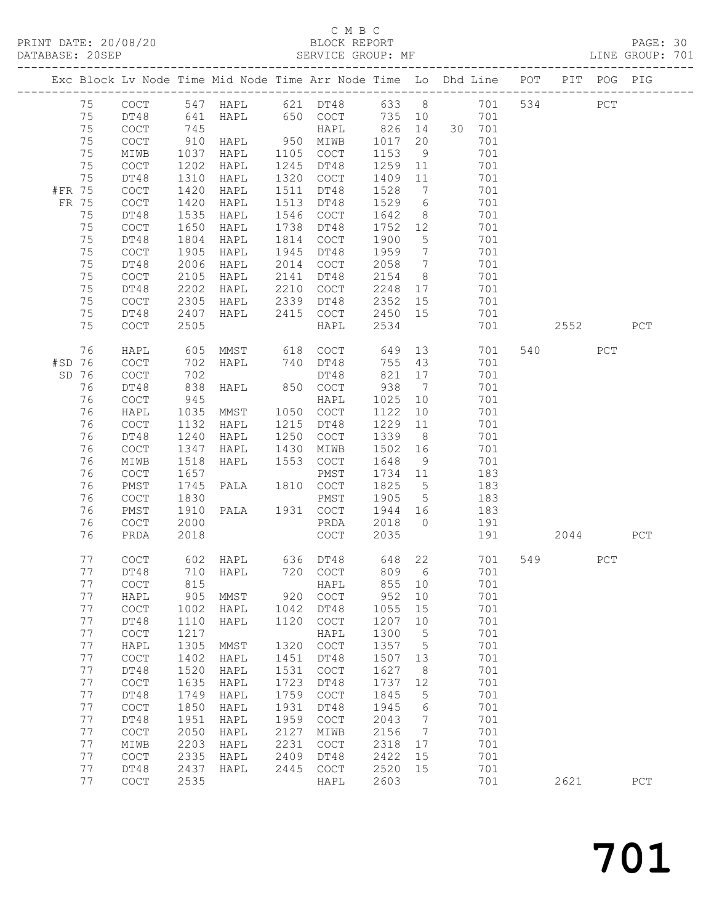# C M B C<br>BLOCK REPORT<br>SERVICE GROUP: MF

| DATABASE: 20SEP |          |                                                    |              | SERVICE GROUP: MF            |              |                                            |                    |                 |                                                                                |                |     | LINE GROUP: 701 |
|-----------------|----------|----------------------------------------------------|--------------|------------------------------|--------------|--------------------------------------------|--------------------|-----------------|--------------------------------------------------------------------------------|----------------|-----|-----------------|
|                 |          |                                                    |              |                              |              |                                            |                    |                 | Exc Block Lv Node Time Mid Node Time Arr Node Time Lo Dhd Line POT PIT POG PIG |                |     |                 |
|                 | 75       |                                                    |              |                              |              |                                            |                    |                 | COCT 547 HAPL 621 DT48 633 8 701 534 PCT                                       |                |     |                 |
|                 | 75       | DT48                                               | 641          |                              |              | HAPL 650 COCT 735 10                       |                    |                 | 701                                                                            |                |     |                 |
|                 | 75       | COCT                                               | 745<br>910   |                              |              | HAPL                                       |                    |                 | 826 14 30 701                                                                  |                |     |                 |
|                 | 75       | COCT                                               |              |                              |              |                                            | 1017               | 20              | 701                                                                            |                |     |                 |
|                 | 75       | MIWB                                               | 1037         | HAPL                         |              | 1105 COCT                                  | 1153               | 9               | 701                                                                            |                |     |                 |
|                 | 75       | COCT                                               | 1202         | HAPL                         |              | 1245 DT48                                  | 1259               | 11              | 701                                                                            |                |     |                 |
|                 | 75       | DT48                                               | 1310         | HAPL                         |              | 1320 COCT                                  | 1409               | 11              | 701                                                                            |                |     |                 |
| #FR 75          |          | COCT                                               | 1420         | HAPL                         |              | 1511 DT48                                  | 1528               | $7\overline{ }$ | 701                                                                            |                |     |                 |
| FR 75           |          | COCT                                               | 1420         | HAPL                         |              | 1513 DT48                                  | 1529               | $6\overline{6}$ | 701                                                                            |                |     |                 |
|                 | 75       | DT48                                               | 1535         | HAPL                         |              | 1546 COCT                                  | 1642               | 8 <sup>8</sup>  | 701                                                                            |                |     |                 |
|                 | 75       | COCT                                               | 1650         | HAPL                         |              | 1738 DT48                                  | 1752               | 12              | 701                                                                            |                |     |                 |
|                 | 75       | DT48                                               | 1804         | HAPL                         |              | 1814 COCT                                  | 1900               | $5\overline{)}$ | 701                                                                            |                |     |                 |
|                 | 75       | COCT                                               | 1905         | HAPL                         |              | 1945 DT48                                  | 1959               | $\overline{7}$  | 701                                                                            |                |     |                 |
|                 | 75       | DT48                                               | 2006         | HAPL                         |              | 2014 COCT                                  | 2058               | $\overline{7}$  | 701                                                                            |                |     |                 |
|                 | 75       | COCT                                               | 2105         | HAPL                         |              | 2141 DT48                                  | 2154               | 8 <sup>8</sup>  | 701                                                                            |                |     |                 |
|                 | 75<br>75 | DT48                                               | 2202<br>2305 | HAPL                         |              | 2210 COCT<br>2339 DT48                     | 2248 17<br>2352 15 |                 | 701<br>701                                                                     |                |     |                 |
|                 | 75       | COCT<br>DT48                                       | 2407         | HAPL<br>HAPL                 |              | 2415 COCT 2450 15                          |                    |                 | 701                                                                            |                |     |                 |
|                 | 75       | <b>COCT</b>                                        | 2505         |                              |              | HAPL                                       | 2534               |                 | 701                                                                            | 2552           |     | PCT             |
|                 |          |                                                    |              |                              |              |                                            |                    |                 |                                                                                |                |     |                 |
|                 | 76       | HAPL                                               | 605          |                              |              | MMST 618 COCT                              | 649                |                 | 13<br>701                                                                      | 540 540        | PCT |                 |
| #SD 76          |          | COCT                                               | 702          | HAPL                         |              | 740 DT48                                   | 755 43             |                 | 701                                                                            |                |     |                 |
| SD 76           |          | COCT                                               | 702          |                              |              | DT48                                       | 821                | 17              | 701                                                                            |                |     |                 |
|                 | 76       | DT48                                               | 838          | HAPL                         |              | 850 COCT                                   | 938 7              |                 | 701                                                                            |                |     |                 |
|                 | 76<br>76 | COCT<br>HAPL                                       | 945<br>1035  | MMST                         |              | HAPL<br>1050 COCT                          | 1025<br>1122       | 10<br>10        | 701<br>701                                                                     |                |     |                 |
|                 | 76       | COCT                                               | 1132         | HAPL                         |              | 1215 DT48                                  | 1229               | 11              | 701                                                                            |                |     |                 |
|                 | 76       | DT48                                               | 1240         | HAPL                         |              | 1250 COCT                                  | 1339               | 8 <sup>8</sup>  | 701                                                                            |                |     |                 |
|                 | 76       | COCT                                               | 1347         | HAPL                         |              | 1430 MIWB                                  | 1502 16            |                 | 701                                                                            |                |     |                 |
|                 | 76       | MIWB                                               | 1518         | HAPL                         |              | 1553 COCT                                  | 1648               | 9               | 701                                                                            |                |     |                 |
|                 | 76       | COCT                                               | 1657         |                              |              | PMST                                       | 1734 11            |                 | 183                                                                            |                |     |                 |
|                 | 76       | PMST                                               | 1745         | PALA                         |              | 1810 COCT                                  | 1825               | $5\overline{)}$ | 183                                                                            |                |     |                 |
|                 | 76       | COCT                                               | 1830         |                              |              | PMST                                       | 1905 5             |                 | 183                                                                            |                |     |                 |
|                 | 76       | PMST                                               | 1910         | PALA 1931 COCT               |              |                                            | 1944 16            |                 | 183                                                                            |                |     |                 |
|                 | 76       | COCT                                               | 2000         |                              |              | PRDA                                       | 2018 0             |                 | 191                                                                            |                |     |                 |
|                 | 76       | PRDA                                               | 2018         |                              |              | COCT                                       | 2035               |                 | 191                                                                            | 2044           |     | PCT             |
|                 | 77       | <b>COCT</b>                                        |              | 602 HAPL 636 DT48 648 22     |              |                                            |                    |                 | 701                                                                            | 549 and $\sim$ | PCT |                 |
|                 | 77       |                                                    |              | DT48 710 HAPL 720 COCT 809 6 |              |                                            |                    |                 | 701                                                                            |                |     |                 |
|                 | 77       | COCT                                               | 815          |                              |              | HAPL                                       | 855                | 10              | 701                                                                            |                |     |                 |
|                 | 77       | HAPL                                               | 905          | MMST                         | 920          | COCT                                       | 952                | 10              | 701                                                                            |                |     |                 |
|                 | 77       | $\operatorname{COT}$                               | 1002         | HAPL                         | 1042         | DT48                                       | 1055               | 15              | 701                                                                            |                |     |                 |
|                 | 77       | DT48                                               | 1110         | HAPL                         | 1120         | $\mathtt{C}\mathtt{O}\mathtt{C}\mathtt{T}$ | 1207               | 10              | 701                                                                            |                |     |                 |
|                 | 77       | $\operatorname{COT}$                               | 1217         |                              |              | HAPL                                       | 1300               | 5               | 701                                                                            |                |     |                 |
|                 | 77       | HAPL                                               | 1305         | MMST                         | 1320         | $\mathtt{C}\mathtt{O}\mathtt{C}\mathtt{T}$ | 1357               | $5\phantom{.0}$ | 701                                                                            |                |     |                 |
|                 | 77       | $\mathtt{C}\mathtt{O}\mathtt{C}\mathtt{T}$         | 1402         | HAPL                         | 1451         | DT48                                       | 1507               | 13              | 701                                                                            |                |     |                 |
|                 | 77       | DT48                                               | 1520         | ${\tt HAPI}$                 | 1531         | $\mathtt{C}\mathtt{O}\mathtt{C}\mathtt{T}$ | 1627               | 8               | 701                                                                            |                |     |                 |
|                 | 77       | COCT                                               | 1635         | HAPL                         | 1723         | DT48                                       | 1737               | 12              | 701                                                                            |                |     |                 |
|                 | 77       | DT48                                               | 1749         | HAPL                         | 1759         | COCT                                       | 1845               | 5               | 701                                                                            |                |     |                 |
|                 | 77       | $\mathtt{C}\mathtt{O}\mathtt{C}\mathtt{T}$         | 1850         | HAPL                         | 1931         | DT48                                       | 1945               | 6               | 701                                                                            |                |     |                 |
|                 | 77       | DT48                                               | 1951         | HAPL                         | 1959         | COCT                                       | 2043               | $\overline{7}$  | 701                                                                            |                |     |                 |
|                 | 77       | $\mathtt{C}\mathtt{O}\mathtt{C}\mathtt{T}$         | 2050         | HAPL                         | 2127         | MIWB                                       | 2156               | $\overline{7}$  | 701                                                                            |                |     |                 |
|                 | 77<br>77 | MIWB<br>$\mathtt{C}\mathtt{O}\mathtt{C}\mathtt{T}$ | 2203         | HAPL                         | 2231<br>2409 | COCT                                       | 2318<br>2422       | 17              | 701<br>701                                                                     |                |     |                 |
|                 | 77       | DT48                                               | 2335<br>2437 | HAPL<br>HAPL                 | 2445         | DT48<br>COCT                               | 2520               | 15<br>15        | 701                                                                            |                |     |                 |
|                 | 77       | COCT                                               | 2535         |                              |              | HAPL                                       | 2603               |                 | 701                                                                            | 2621           |     | PCT             |
|                 |          |                                                    |              |                              |              |                                            |                    |                 |                                                                                |                |     |                 |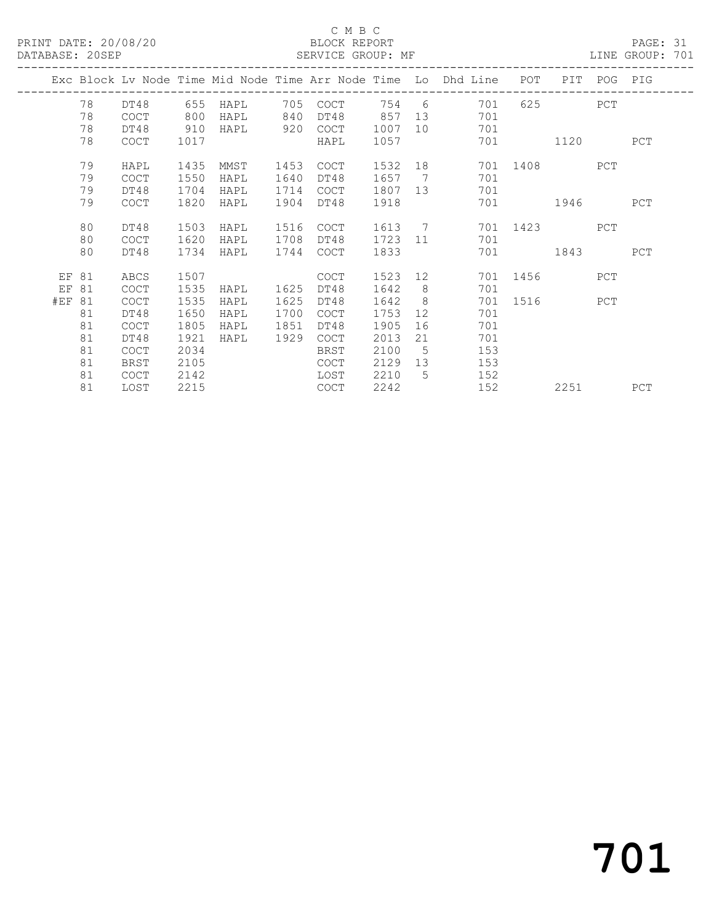### C M B C<br>BLOCK REPORT

PAGE: 31<br>LINE GROUP: 701

|        |    |             |      |      |      |             |        |                 | Exc Block Lv Node Time Mid Node Time Arr Node Time Lo Dhd Line | POT                      |         | PIT POG PIG |     |
|--------|----|-------------|------|------|------|-------------|--------|-----------------|----------------------------------------------------------------|--------------------------|---------|-------------|-----|
|        | 78 | DT48        | 655  | HAPL | 705  | COCT        | 754 6  |                 | 701                                                            |                          | 625 PCT |             |     |
|        | 78 | <b>COCT</b> | 800  | HAPL | 840  | DT48        | 857    | 13 <sup>°</sup> | 701                                                            |                          |         |             |     |
|        | 78 | DT48        | 910  | HAPL | 920  | COCT        | 1007   | 10 <sup>°</sup> | 701                                                            |                          |         |             |     |
|        | 78 | <b>COCT</b> | 1017 |      |      | HAPL        | 1057   |                 | 701                                                            |                          | 1120    |             | PCT |
|        | 79 | HAPL        | 1435 | MMST | 1453 | COCT        | 1532   |                 | 701                                                            | 1408 PCT                 |         |             |     |
|        | 79 | <b>COCT</b> | 1550 | HAPL | 1640 | DT48        | 1657   | 7               | 701                                                            |                          |         |             |     |
|        | 79 | DT48        | 1704 | HAPL | 1714 | COCT        | 1807   | 13              | 701                                                            |                          |         |             |     |
|        | 79 | <b>COCT</b> | 1820 | HAPL | 1904 | DT48        | 1918   |                 | 701                                                            |                          | 1946    |             | PCT |
|        | 80 | DT48        | 1503 | HAPL | 1516 | COCT        | 1613 7 |                 | 701                                                            | 1423                     |         | PCT         |     |
|        | 80 | <b>COCT</b> | 1620 | HAPL | 1708 | DT48        | 1723   | 11              | 701                                                            |                          |         |             |     |
|        | 80 | DT48        | 1734 | HAPL | 1744 | COCT        | 1833   |                 | 701                                                            |                          | 1843    |             | PCT |
| EF     | 81 | ABCS        | 1507 |      |      | <b>COCT</b> | 1523   | 12              | 701                                                            | 1456 148                 |         | PCT         |     |
| EF     | 81 | <b>COCT</b> | 1535 | HAPL | 1625 | DT48        | 1642   | 8               | 701                                                            |                          |         |             |     |
| #EF 81 |    | COCT        | 1535 | HAPL | 1625 | DT48        | 1642   | 8 <sup>8</sup>  | 701                                                            | 1516 — 1516 — 1517 — 162 |         | PCT         |     |
|        | 81 | DT48        | 1650 | HAPL | 1700 | COCT        | 1753   | 12              | 701                                                            |                          |         |             |     |
|        | 81 | <b>COCT</b> | 1805 | HAPL | 1851 | DT48        | 1905   | 16              | 701                                                            |                          |         |             |     |
|        | 81 | DT48        | 1921 | HAPL | 1929 | COCT        | 2013   | 21              | 701                                                            |                          |         |             |     |
|        | 81 | <b>COCT</b> | 2034 |      |      | BRST        | 2100   | 5               | 153                                                            |                          |         |             |     |
|        | 81 | BRST        | 2105 |      |      | COCT        | 2129   | 13              | 153                                                            |                          |         |             |     |
|        | 81 | COCT        | 2142 |      |      | LOST        | 2210   | 5               | 152                                                            |                          |         |             |     |
|        | 81 | LOST        | 2215 |      |      | COCT        | 2242   |                 | 152                                                            |                          | 2251    |             | PCT |

# 701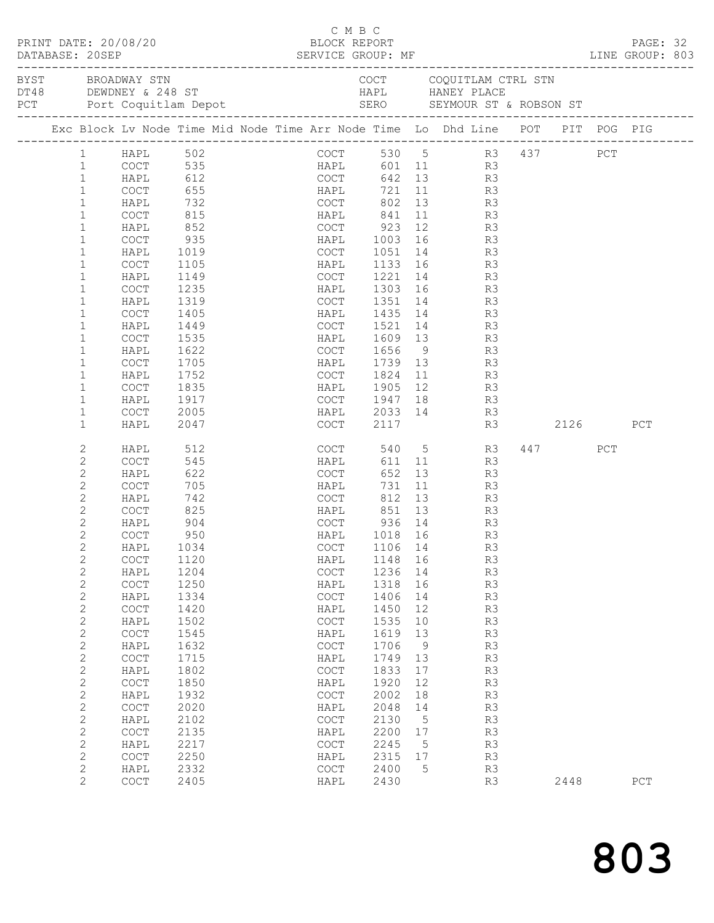|                                | PRINT DATE: 20/08/20                                                                                                                    |                              |  | C M B C<br>BLOCK REPORT                    |                   |                 |                                         |          |         |     | PAGE: 32 |  |
|--------------------------------|-----------------------------------------------------------------------------------------------------------------------------------------|------------------------------|--|--------------------------------------------|-------------------|-----------------|-----------------------------------------|----------|---------|-----|----------|--|
| DATABASE: 20SEP                | DATABASE: 20SEP<br>CREP SERVICE GROUP: MF EXERICE SERVICE SERVICE SERVICE SERVICE SERVICE SERVICE SERME EXERT EST.<br>BYST BROADWAY STN |                              |  |                                            |                   |                 | COCT COQUITLAM CTRL STN                 |          |         |     |          |  |
|                                |                                                                                                                                         |                              |  |                                            |                   |                 |                                         |          |         |     |          |  |
|                                |                                                                                                                                         |                              |  |                                            |                   |                 |                                         |          |         |     |          |  |
|                                | Exc Block Lv Node Time Mid Node Time Arr Node Time Lo Dhd Line POT PIT POG PIG                                                          |                              |  |                                            |                   |                 |                                         |          |         |     |          |  |
| 1                              | HAPL 502                                                                                                                                |                              |  | COCT 530 5 R3 437 PCT                      |                   |                 |                                         |          |         |     |          |  |
| $\mathbf{1}$                   | COCT 535<br>HAPL 612 COCT<br>COCT 655 HAPL                                                                                              |                              |  | HAPL 601 11 R3<br>COCT 642 13 R3           |                   |                 |                                         |          |         |     |          |  |
| $\mathbf{1}$                   |                                                                                                                                         |                              |  |                                            |                   |                 |                                         |          |         |     |          |  |
| $\mathbf{1}$                   |                                                                                                                                         |                              |  |                                            |                   |                 | 721 11                                  | R3       |         |     |          |  |
| $\mathbf{1}$                   | HAPL                                                                                                                                    |                              |  |                                            |                   |                 | 802 13                                  | R3       |         |     |          |  |
| $\mathbf{1}$                   | COCT                                                                                                                                    |                              |  | HAPL            841<br>COCT            923 |                   |                 | $\begin{array}{c} 11 \\ 12 \end{array}$ | R3       |         |     |          |  |
| $\mathbf{1}$                   | HAPL                                                                                                                                    |                              |  |                                            |                   |                 |                                         | R3       |         |     |          |  |
| $\mathbf 1$                    | COCT                                                                                                                                    |                              |  |                                            | 1003              |                 |                                         | R3       |         |     |          |  |
| $\mathbf 1$<br>$\mathbf{1}$    | HAPL                                                                                                                                    | 1019                         |  | COCT                                       |                   |                 | 1051 14                                 | R3       |         |     |          |  |
| $\mathbf{1}$                   | COCT                                                                                                                                    | 1105<br>1149                 |  | HAPL                                       |                   |                 | 1133 16<br>1221 14                      | R3<br>R3 |         |     |          |  |
| $\mathbf 1$                    | HAPL<br>COCT                                                                                                                            | 1235                         |  | COCT<br>HAPL                               |                   |                 | 1303 16                                 | R3       |         |     |          |  |
| $\mathbf 1$                    | HAPL                                                                                                                                    | 1319                         |  | COCT 1351 14                               |                   |                 |                                         | R3       |         |     |          |  |
| $\mathbf{1}$                   | COCT                                                                                                                                    | 1405                         |  | HAPL                                       |                   |                 |                                         | R3       |         |     |          |  |
| $\mathbf{1}$                   | HAPL                                                                                                                                    | 1449                         |  | COCT                                       |                   |                 | 1435 14<br>1521 14                      | R3       |         |     |          |  |
| $\mathbf 1$                    | COCT                                                                                                                                    | 1535                         |  | HAPL                                       | 1609              |                 | 13                                      | R3       |         |     |          |  |
| $\mathbf{1}$                   | HAPL                                                                                                                                    | 1622                         |  | COCT 1656                                  |                   |                 | 9                                       | R3       |         |     |          |  |
| $\mathbf{1}$                   | COCT                                                                                                                                    | 1705                         |  | HAPL                                       |                   |                 | 1739 13                                 | R3       |         |     |          |  |
| $\mathbf{1}$                   | HAPL                                                                                                                                    | 1752                         |  | COCT                                       | 1824 11           |                 |                                         | R3       |         |     |          |  |
| $\mathbf 1$                    | COCT                                                                                                                                    |                              |  | HAPL                                       | 1905              |                 | $\frac{12}{12}$ R3                      |          |         |     |          |  |
| $\mathbf 1$                    | HAPL                                                                                                                                    | , J2<br>1835<br>1917<br>1917 |  | COCT 1947                                  |                   |                 | 18 18                                   | R3       |         |     |          |  |
| $\mathbf 1$                    | COCT                                                                                                                                    | 2005                         |  | HAPL                                       |                   |                 | 2033 14                                 | R3       |         |     |          |  |
| $\mathbf{1}$                   | HAPL                                                                                                                                    | 2047                         |  | COCT                                       | 2117              |                 |                                         |          | R3 2126 |     | PCT      |  |
| 2                              | HAPL                                                                                                                                    | 512                          |  | COCT                                       |                   |                 | 540 5                                   | R3       | 447     | PCT |          |  |
| $\mathbf{2}$                   | <b>COCT</b>                                                                                                                             | 545<br>545<br>622<br>705     |  | HAPL                                       | 611               |                 | 11                                      | R3       |         |     |          |  |
| $\mathbf{2}$                   | HAPL                                                                                                                                    |                              |  | COCT                                       | 652               |                 | $\begin{array}{c} 13 \\ 11 \end{array}$ | R3       |         |     |          |  |
| $\mathbf{2}$                   | COCT                                                                                                                                    | 705                          |  | HAPL                                       | 731               |                 |                                         | R3       |         |     |          |  |
| $\mathbf{2}$                   | HAPL                                                                                                                                    | 742                          |  | COCT                                       | 812               |                 | 13                                      | R3       |         |     |          |  |
| $\mathbf{2}$                   | COCT                                                                                                                                    | 825                          |  | HAPL                                       | 851               |                 | 13                                      | R3       |         |     |          |  |
| $\mathbf{2}$<br>$\overline{c}$ | HAPL<br><b>COCT</b>                                                                                                                     | 904<br>950                   |  | COCT<br>HAPL                               | 936 14<br>1018 16 |                 |                                         | R3<br>R3 |         |     |          |  |
| $\mathbf{2}$                   | HAPL 1034                                                                                                                               |                              |  | COCT 1106 14                               |                   |                 |                                         | R3       |         |     |          |  |
| $\mathbf{2}$                   | COCT                                                                                                                                    | 1120                         |  | HAPL                                       | 1148              | 16              |                                         | R3       |         |     |          |  |
| $\mathbf{2}$                   | HAPL                                                                                                                                    | 1204                         |  | COCT                                       | 1236              | 14              |                                         | R3       |         |     |          |  |
| $\mathbf{2}$                   | COCT                                                                                                                                    | 1250                         |  | HAPL                                       | 1318              | 16              |                                         | R3       |         |     |          |  |
| $\mathbf{2}$                   | HAPL                                                                                                                                    | 1334                         |  | $_{\mathrm{COT}}$                          | 1406              | 14              |                                         | R3       |         |     |          |  |
| $\mathbf{2}$                   | COCT                                                                                                                                    | 1420                         |  | HAPL                                       | 1450              | 12              |                                         | R3       |         |     |          |  |
| $\mathbf{2}$                   | HAPL                                                                                                                                    | 1502                         |  | $_{\mathrm{COT}}$                          | 1535              | 10              |                                         | R3       |         |     |          |  |
| $\mathbf{2}$                   | COCT                                                                                                                                    | 1545                         |  | HAPL                                       | 1619              | 13              |                                         | R3       |         |     |          |  |
| $\mathbf{2}$                   | HAPL                                                                                                                                    | 1632                         |  | $_{\mathrm{COT}}$                          | 1706              | 9               |                                         | R3       |         |     |          |  |
| $\mathbf{2}$                   | COCT                                                                                                                                    | 1715                         |  | HAPL                                       | 1749              | 13              |                                         | R3       |         |     |          |  |
| $\mathbf{2}$                   | HAPL                                                                                                                                    | 1802                         |  | COCT                                       | 1833              | 17              |                                         | R3       |         |     |          |  |
| $\sqrt{2}$                     | COCT                                                                                                                                    | 1850                         |  | HAPL                                       | 1920              | 12              |                                         | R3       |         |     |          |  |
| $\mathbf{2}$                   | HAPL                                                                                                                                    | 1932                         |  | COCT                                       | 2002              | 18              |                                         | R3       |         |     |          |  |
| $\mathbf{2}$                   | COCT                                                                                                                                    | 2020                         |  | HAPL                                       | 2048              | 14              |                                         | R3       |         |     |          |  |
| $\mathbf{2}$                   | HAPL                                                                                                                                    | 2102                         |  | $\mathtt{C}\mathtt{O}\mathtt{C}\mathtt{T}$ | 2130              | $5^{\circ}$     |                                         | R3       |         |     |          |  |
| $\sqrt{2}$                     | COCT                                                                                                                                    | 2135                         |  | HAPL                                       | 2200              | 17              |                                         | R3       |         |     |          |  |
| $\mathbf{2}$                   | HAPL                                                                                                                                    | 2217                         |  | COCT                                       | 2245              | $5\phantom{.0}$ |                                         | R3       |         |     |          |  |
| $\mathbf{2}$                   | COCT                                                                                                                                    | 2250                         |  | HAPL                                       | 2315              | 17              |                                         | R3       |         |     |          |  |
| $\mathbf{2}$                   | HAPL                                                                                                                                    | 2332                         |  | COCT                                       | 2400              | 5               |                                         | R3       |         |     |          |  |
| $\overline{2}$                 | COCT                                                                                                                                    | 2405                         |  | HAPL                                       | 2430              |                 |                                         | R3       | 2448    |     | PCT      |  |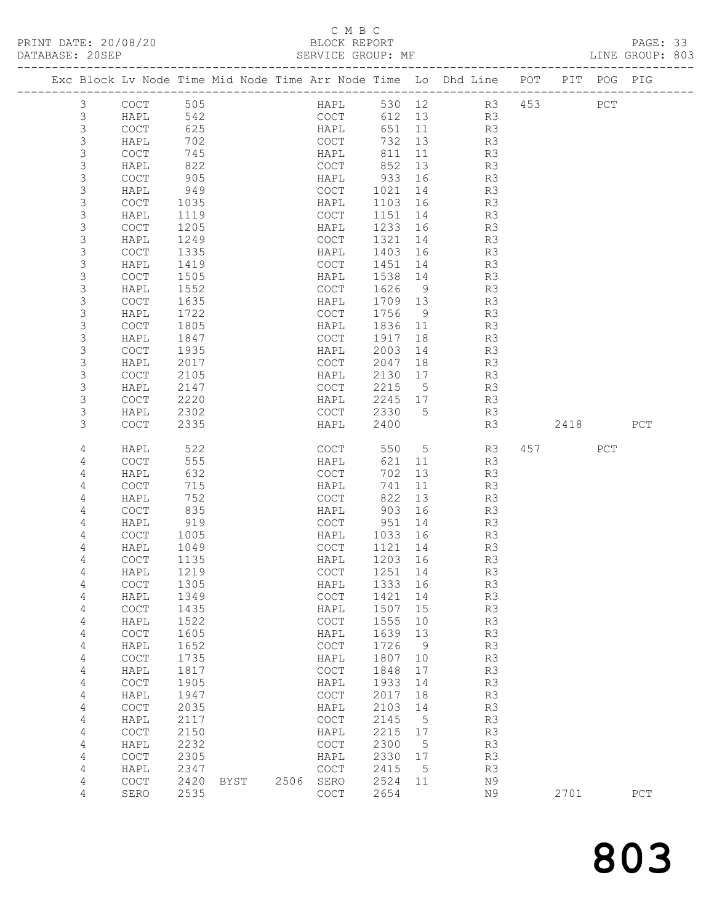# C M B C<br>BLOCK REPORT

PAGE: 33<br>LINE GROUP: 803

|  |                | Exc Block Lv Node Time Mid Node Time Arr Node Time Lo Dhd Line POT |                 |      |      |                                            |      |              |             |           |                |     |                        | PIT POG PIG |     |
|--|----------------|--------------------------------------------------------------------|-----------------|------|------|--------------------------------------------|------|--------------|-------------|-----------|----------------|-----|------------------------|-------------|-----|
|  | $\mathcal{S}$  | COCT                                                               | 505             |      |      |                                            | HAPL |              |             | 530 12 R3 |                | 453 |                        | ${\tt PCT}$ |     |
|  | 3              | HAPL                                                               | 542             |      |      | COCT                                       |      | 612 13       |             |           | R <sub>3</sub> |     |                        |             |     |
|  | 3              | COCT                                                               | $\frac{1}{625}$ |      |      | HAPL                                       |      | 651 11       |             |           | R3             |     |                        |             |     |
|  | 3              | HAPL                                                               | 702             |      |      |                                            | COCT | 732 13       |             |           | R3             |     |                        |             |     |
|  | $\mathfrak{Z}$ | COCT                                                               | 745             |      |      | HAPL                                       |      | 811          | 11          |           | R3             |     |                        |             |     |
|  | 3              | HAPL                                                               | 822             |      |      | COCT                                       |      | 852          | 13          |           | R3             |     |                        |             |     |
|  | 3              | COCT                                                               | 905<br>949      |      |      | HAPL                                       |      | 933          | 16<br>14    |           | R3             |     |                        |             |     |
|  | 3<br>3         | HAPL                                                               |                 |      |      | COCT<br>HAPL                               |      | 1021         | 16          |           | R3             |     |                        |             |     |
|  | 3              | COCT<br>HAPL                                                       | 1035<br>1119    |      |      | COCT                                       |      | 1103<br>1151 | 14          |           | R3<br>R3       |     |                        |             |     |
|  | 3              | COCT                                                               | 1205            |      |      | HAPL                                       |      | 1233 16      |             |           | R3             |     |                        |             |     |
|  | 3              | HAPL                                                               | 1249            |      |      | COCT                                       |      | 1321         | 14          |           | R3             |     |                        |             |     |
|  | 3              | COCT                                                               | 1335            |      |      | HAPL                                       |      | 1403         | 16          |           | R3             |     |                        |             |     |
|  | 3              | HAPL                                                               | 1419            |      |      | COCT                                       |      | 1451         | 14          |           | R3             |     |                        |             |     |
|  | $\mathsf 3$    | COCT                                                               | 1505            |      |      | HAPL                                       |      | 1538         | 14          |           | R3             |     |                        |             |     |
|  | 3              | HAPL                                                               | 1552            |      |      | COCT                                       |      | 1626         | 9           |           | R3             |     |                        |             |     |
|  | 3              | COCT                                                               | 1635            |      |      | HAPL                                       |      | 1709 13      |             |           | R3             |     |                        |             |     |
|  | 3              | HAPL                                                               | 1722            |      |      | COCT                                       |      | 1756         | 9           |           | R3             |     |                        |             |     |
|  | 3              | COCT                                                               | 1805            |      |      | HAPL                                       |      | 1836 11      |             |           | R3             |     |                        |             |     |
|  | 3              | HAPL                                                               | 1847            |      |      | COCT                                       |      | 1917         | 18          |           | R3             |     |                        |             |     |
|  | 3              | <b>COCT</b>                                                        | 1935            |      |      | HAPL                                       |      | 2003         | 14          |           | R3             |     |                        |             |     |
|  | 3              | HAPL                                                               | 2017            |      |      | COCT                                       |      | 2047         | 18          |           | R3             |     |                        |             |     |
|  | 3              | COCT                                                               | 2105            |      |      | HAPL                                       |      | 2130         | 17          |           | R3             |     |                        |             |     |
|  | 3              | HAPL                                                               | 2147            |      |      | COCT                                       |      | 2215         | $5^{\circ}$ |           | R3             |     |                        |             |     |
|  | 3              | COCT                                                               | 2220            |      |      | HAPL                                       |      | 2245 17      |             |           | R3             |     |                        |             |     |
|  | 3              | HAPL                                                               | 2302            |      |      | COCT                                       |      | 2330         | 5           |           | R3             |     |                        |             |     |
|  | 3              | COCT                                                               | 2335            |      |      | HAPL                                       |      | 2400         |             |           | R3             |     | 2418                   |             | PCT |
|  | 4              | HAPL                                                               | 522             |      |      |                                            | COCT |              | 550 5       |           | R3             |     | 457 and $\overline{a}$ | PCT         |     |
|  | 4              | <b>COCT</b>                                                        | 555             |      |      | HAPL                                       |      | 621          | 11          |           | R3             |     |                        |             |     |
|  | 4              | HAPL                                                               | 632             |      |      | COCT                                       |      | 702          | 13          |           | R3             |     |                        |             |     |
|  | 4<br>4         | COCT<br>HAPL                                                       | 715<br>752      |      |      | HAPL<br>COCT                               |      | 741<br>822   | 11<br>13    |           | R3<br>R3       |     |                        |             |     |
|  | 4              | COCT                                                               | 835             |      |      | HAPL                                       |      | 903          | 16          |           | R3             |     |                        |             |     |
|  | 4              | HAPL                                                               | 919             |      |      | COCT                                       |      | 951          | 14          |           | R3             |     |                        |             |     |
|  | 4              | COCT                                                               | 1005            |      |      | HAPL                                       |      | 1033 16      |             |           | R3             |     |                        |             |     |
|  | 4              | HAPL                                                               | 1049            |      |      | COCT                                       |      | 1121 14      |             |           | R3             |     |                        |             |     |
|  | 4              | COCT                                                               | 1135            |      |      | HAPL                                       |      | 1203 16      |             |           | R3             |     |                        |             |     |
|  | 4              | HAPL                                                               | 1219            |      |      | COCT                                       |      | 1251 14      |             |           | R3             |     |                        |             |     |
|  | 4              | $\mathtt{C}\mathtt{O}\mathtt{C}\mathtt{T}$                         | 1305            |      |      |                                            |      | HAPL 1333 16 |             |           | R3             |     |                        |             |     |
|  | 4              | HAPL                                                               | 1349            |      |      | $\mathtt{C}\mathtt{O}\mathtt{C}\mathtt{T}$ |      | 1421         | 14          |           | R3             |     |                        |             |     |
|  | 4              | COCT                                                               | 1435            |      |      | HAPL                                       |      | 1507         | 15          |           | R3             |     |                        |             |     |
|  | 4              | HAPL                                                               | 1522            |      |      | $\mathtt{C}\mathtt{O}\mathtt{C}\mathtt{T}$ |      | 1555         | 10          |           | R3             |     |                        |             |     |
|  | 4              | COCT                                                               | 1605            |      |      | HAPL                                       |      | 1639         | 13          |           | R3             |     |                        |             |     |
|  | 4              | HAPL                                                               | 1652            |      |      | COCT                                       |      | 1726         | 9           |           | R3             |     |                        |             |     |
|  | 4              | COCT                                                               | 1735            |      |      | HAPL                                       |      | 1807         | 10          |           | R3             |     |                        |             |     |
|  | 4              | HAPL                                                               | 1817            |      |      | $\mathtt{C}\mathtt{O}\mathtt{C}\mathtt{T}$ |      | 1848         | 17          |           | R3             |     |                        |             |     |
|  | 4              | COCT                                                               | 1905            |      |      | HAPL                                       |      | 1933         | 14          |           | R3             |     |                        |             |     |
|  | 4              | HAPL                                                               | 1947            |      |      | $\mathtt{C}\mathtt{O}\mathtt{C}\mathtt{T}$ |      | 2017         | 18          |           | R3             |     |                        |             |     |
|  | 4              | COCT                                                               | 2035            |      |      | HAPL                                       |      | 2103         | 14          |           | R3             |     |                        |             |     |
|  | 4              | HAPL                                                               | 2117            |      |      | COCT                                       |      | 2145         | 5           |           | R3             |     |                        |             |     |
|  | 4              | COCT                                                               | 2150            |      |      | HAPL                                       |      | 2215         | 17          |           | R3             |     |                        |             |     |
|  | 4              | HAPL                                                               | 2232            |      |      | COCT                                       |      | 2300         | 5           |           | R3             |     |                        |             |     |
|  | 4              | COCT                                                               | 2305            |      |      | HAPL                                       |      | 2330         | 17          |           | R3             |     |                        |             |     |
|  | 4              | HAPL                                                               | 2347            |      |      | COCT                                       |      | 2415         | 5           |           | R3             |     |                        |             |     |
|  | 4              | COCT                                                               | 2420            | BYST | 2506 | SERO                                       |      | 2524         | 11          |           | N9             |     |                        |             |     |
|  | 4              | SERO                                                               | 2535            |      |      | COCT                                       |      | 2654         |             |           | N9             |     | 2701                   |             | PCT |

803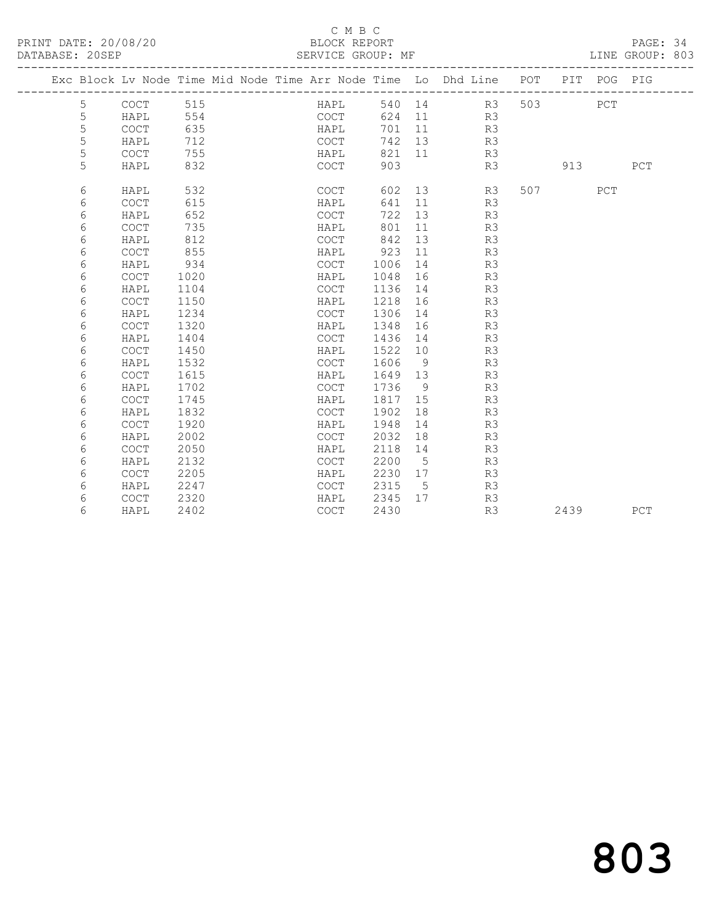### C M B C<br>BLOCK REPORT

## PAGE: 34<br>LINE GROUP: 803

|  |   | Exc Block Lv Node Time Mid Node Time Arr Node Time Lo Dhd Line POT |      |  |      |        |             |        |    |     |      | PIT POG PIG |             |
|--|---|--------------------------------------------------------------------|------|--|------|--------|-------------|--------|----|-----|------|-------------|-------------|
|  | 5 | <b>COCT</b>                                                        | 515  |  | HAPL | 540 14 |             |        | R3 | 503 |      | PCT         |             |
|  | 5 | HAPL                                                               | 554  |  | COCT | 624    |             | 11 — 1 | R3 |     |      |             |             |
|  | 5 | COCT                                                               | 635  |  | HAPL | 701    | 11          |        | R3 |     |      |             |             |
|  | 5 | HAPL                                                               | 712  |  | COCT | 742    | 13          |        | R3 |     |      |             |             |
|  | 5 | <b>COCT</b>                                                        | 755  |  | HAPL | 821    | 11          |        | R3 |     |      |             |             |
|  | 5 | HAPL                                                               | 832  |  | COCT | 903    |             |        | R3 |     | 913  |             | PCT         |
|  | 6 | HAPL                                                               | 532  |  | COCT | 602    | 13          |        | R3 | 507 |      | PCT         |             |
|  | 6 | <b>COCT</b>                                                        | 615  |  | HAPL | 641    | 11          |        | R3 |     |      |             |             |
|  | 6 | HAPL                                                               | 652  |  | COCT | 722    | 13          |        | R3 |     |      |             |             |
|  | 6 | <b>COCT</b>                                                        | 735  |  | HAPL | 801    | 11          |        | R3 |     |      |             |             |
|  | 6 | HAPL                                                               | 812  |  | COCT | 842    | 13          |        | R3 |     |      |             |             |
|  | 6 | <b>COCT</b>                                                        | 855  |  | HAPL | 923    | 11          |        | R3 |     |      |             |             |
|  | 6 | HAPL                                                               | 934  |  | COCT | 1006   | 14          |        | R3 |     |      |             |             |
|  | 6 | <b>COCT</b>                                                        | 1020 |  | HAPL | 1048   | 16          |        | R3 |     |      |             |             |
|  | 6 | HAPL                                                               | 1104 |  | COCT | 1136   | 14          |        | R3 |     |      |             |             |
|  | 6 | <b>COCT</b>                                                        | 1150 |  | HAPL | 1218   | 16          |        | R3 |     |      |             |             |
|  | 6 | HAPL                                                               | 1234 |  | COCT | 1306   | 14          |        | R3 |     |      |             |             |
|  | 6 | <b>COCT</b>                                                        | 1320 |  | HAPL | 1348   | 16          |        | R3 |     |      |             |             |
|  | 6 | HAPL                                                               | 1404 |  | COCT | 1436   | 14          |        | R3 |     |      |             |             |
|  | 6 | COCT                                                               | 1450 |  | HAPL | 1522   | 10          |        | R3 |     |      |             |             |
|  | 6 | HAPL                                                               | 1532 |  | COCT | 1606   | - 9         |        | R3 |     |      |             |             |
|  | 6 | COCT                                                               | 1615 |  | HAPL | 1649   | 13          |        | R3 |     |      |             |             |
|  | 6 | HAPL                                                               | 1702 |  | COCT | 1736   | - 9         |        | R3 |     |      |             |             |
|  | 6 | COCT                                                               | 1745 |  | HAPL | 1817   | 15          |        | R3 |     |      |             |             |
|  | 6 | HAPL                                                               | 1832 |  | COCT | 1902   | 18          |        | R3 |     |      |             |             |
|  | 6 | COCT                                                               | 1920 |  | HAPL | 1948   | 14          |        | R3 |     |      |             |             |
|  | 6 | HAPL                                                               | 2002 |  | COCT | 2032   | 18          |        | R3 |     |      |             |             |
|  | 6 | COCT                                                               | 2050 |  | HAPL | 2118   | 14          |        | R3 |     |      |             |             |
|  | 6 | HAPL                                                               | 2132 |  | COCT | 2200   | 5           |        | R3 |     |      |             |             |
|  | 6 | COCT                                                               | 2205 |  | HAPL | 2230   | 17          |        | R3 |     |      |             |             |
|  | 6 | HAPL                                                               | 2247 |  | COCT | 2315   | $5^{\circ}$ |        | R3 |     |      |             |             |
|  | 6 | COCT                                                               | 2320 |  | HAPL | 2345   | 17          |        | R3 |     |      |             |             |
|  | 6 | HAPL                                                               | 2402 |  | COCT | 2430   |             |        | R3 |     | 2439 |             | ${\tt PCT}$ |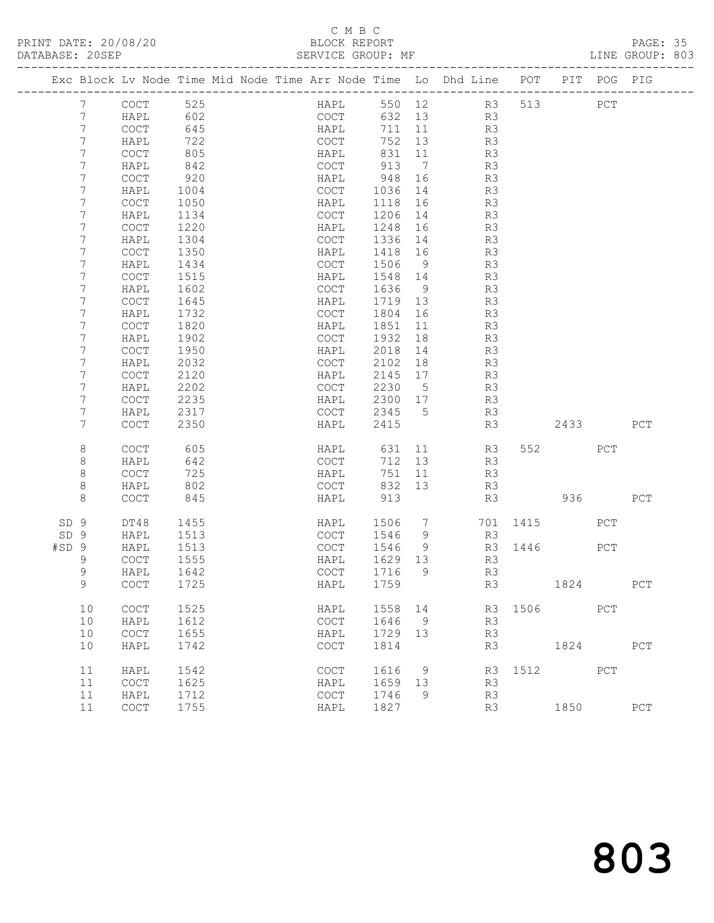# C M B C<br>BLOCK REPORT

PAGE: 35<br>LINE GROUP: 803

| Exc Block Lv Node Time Mid Node Time Arr Node Time Lo Dhd Line POT PIT POG PIG |                                            |      |  |                                            |      |         |                 |              |          |         |             |             |
|--------------------------------------------------------------------------------|--------------------------------------------|------|--|--------------------------------------------|------|---------|-----------------|--------------|----------|---------|-------------|-------------|
| $7\phantom{.0}$                                                                | COCT                                       | 525  |  |                                            | HAPL |         |                 | 550 12 R3    |          | 513     | ${\tt PCT}$ |             |
| $7\phantom{.0}$                                                                | HAPL                                       | 602  |  |                                            | COCT | 632 13  |                 | R3           |          |         |             |             |
| 7                                                                              | $\mathtt{C}\mathtt{O}\mathtt{C}\mathtt{T}$ | 645  |  | HAPL                                       |      | 711 11  |                 | R3           |          |         |             |             |
| 7                                                                              | HAPL                                       | 722  |  | COCT                                       |      | 752     | 13              | R3           |          |         |             |             |
| 7                                                                              | COCT                                       | 805  |  | HAPL                                       |      | 831 11  |                 | R3           |          |         |             |             |
| 7                                                                              | HAPL                                       | 842  |  | COCT                                       |      | 913     | $\overline{7}$  | R3           |          |         |             |             |
| 7                                                                              | COCT                                       | 920  |  | HAPL                                       |      | 948     | 16              | R3           |          |         |             |             |
| 7                                                                              | HAPL                                       | 1004 |  | COCT                                       |      | 1036    | 14              | R3           |          |         |             |             |
| 7                                                                              | COCT                                       | 1050 |  | HAPL                                       |      | 1118    | 16              | R3           |          |         |             |             |
| 7                                                                              | HAPL                                       | 1134 |  | COCT                                       |      | 1206    | 14              | R3           |          |         |             |             |
| 7                                                                              | COCT                                       | 1220 |  | HAPL                                       |      | 1248    | 16              | R3           |          |         |             |             |
| 7                                                                              | HAPL                                       | 1304 |  | COCT                                       |      | 1336 14 |                 | R3           |          |         |             |             |
| 7                                                                              | COCT                                       | 1350 |  | HAPL                                       |      | 1418 16 |                 | R3           |          |         |             |             |
| 7                                                                              | HAPL                                       | 1434 |  | COCT                                       |      | 1506    | 9               | R3           |          |         |             |             |
| 7                                                                              | COCT                                       | 1515 |  | HAPL                                       |      | 1548 14 |                 | R3           |          |         |             |             |
| 7                                                                              | HAPL                                       | 1602 |  | COCT                                       |      | 1636    | 9               | R3           |          |         |             |             |
| 7                                                                              | COCT                                       | 1645 |  | HAPL                                       |      | 1719 13 |                 | R3           |          |         |             |             |
| 7                                                                              | HAPL                                       | 1732 |  | COCT                                       |      | 1804    | 16              | R3           |          |         |             |             |
| 7                                                                              | COCT                                       | 1820 |  | HAPL                                       |      | 1851    | 11              | R3           |          |         |             |             |
| 7                                                                              | HAPL                                       | 1902 |  | COCT                                       |      | 1932    | 18              | R3           |          |         |             |             |
| 7                                                                              | COCT                                       | 1950 |  | HAPL                                       |      | 2018    | 14              | R3           |          |         |             |             |
| 7                                                                              | HAPL                                       | 2032 |  | COCT                                       |      | 2102    | 18              | R3           |          |         |             |             |
| 7                                                                              | COCT                                       | 2120 |  | HAPL                                       |      | 2145    | 17              | R3           |          |         |             |             |
| 7                                                                              | HAPL                                       | 2202 |  | COCT                                       |      | 2230    | $5^{\circ}$     | R3           |          |         |             |             |
| 7                                                                              | COCT                                       | 2235 |  | HAPL                                       |      | 2300 17 |                 | R3           |          |         |             |             |
| 7                                                                              | HAPL                                       | 2317 |  |                                            | COCT | 2345 5  |                 | R3           |          |         |             |             |
| 7                                                                              | <b>COCT</b>                                | 2350 |  | HAPL                                       |      | 2415    |                 | R3           |          | 2433    |             | PCT         |
| 8                                                                              | COCT                                       | 605  |  |                                            | HAPL | 631     |                 | 11 — 1<br>R3 |          | 552 PCT |             |             |
| 8                                                                              | HAPL                                       | 642  |  | COCT                                       |      | 712 13  |                 | R3           |          |         |             |             |
| 8                                                                              | COCT                                       | 725  |  | HAPL                                       |      | 751     | 11              | R3           |          |         |             |             |
| 8                                                                              | HAPL                                       | 802  |  | COCT                                       |      | 832 13  |                 | R3           |          |         |             |             |
| 8                                                                              | COCT                                       | 845  |  | HAPL                                       |      | 913     |                 | R3           |          | 936     |             | PCT         |
|                                                                                |                                            |      |  |                                            |      |         |                 |              |          |         |             |             |
| SD <sub>9</sub>                                                                | DT48                                       | 1455 |  | HAPL                                       |      | 1506    | $7\phantom{.0}$ |              | 701 1415 |         | PCT         |             |
| SD 9                                                                           | HAPL                                       | 1513 |  | COCT                                       |      | 1546    | 9               | R3           |          |         |             |             |
| #SD <sub>9</sub>                                                               | HAPL                                       | 1513 |  | COCT                                       |      | 1546    | 9               |              | R3 1446  |         | PCT         |             |
| 9                                                                              | COCT                                       | 1555 |  | HAPL                                       |      | 1629 13 |                 | R3           |          |         |             |             |
| 9                                                                              | HAPL                                       | 1642 |  | COCT                                       |      | 1716    | 9               | R3           |          |         |             |             |
| $\mathsf 9$                                                                    | COCT                                       | 1725 |  | HAPL                                       |      | 1759    |                 | R3           |          | 1824    |             | $PCT$       |
| 10                                                                             | $\mathtt{C}\mathtt{O}\mathtt{C}\mathtt{T}$ | 1525 |  | HAPL                                       |      | 1558    | 14              | R3           | 1506     |         | PCT         |             |
| 10                                                                             | HAPL                                       | 1612 |  | <b>COCT</b>                                |      | 1646    | 9               | R3           |          |         |             |             |
| 10                                                                             | $\mathtt{C}\mathtt{O}\mathtt{C}\mathtt{T}$ | 1655 |  | HAPL                                       |      | 1729    | 13              | R3           |          |         |             |             |
| 10                                                                             | HAPL                                       | 1742 |  | $\mathtt{C}\mathtt{O}\mathtt{C}\mathtt{T}$ |      | 1814    |                 | R3           |          | 1824    |             | PCT         |
|                                                                                |                                            |      |  |                                            |      |         |                 |              |          |         |             |             |
| 11                                                                             | HAPL                                       | 1542 |  | COCT                                       |      | 1616    | 9               | R3           | 1512     |         | PCT         |             |
| 11                                                                             | COCT                                       | 1625 |  | HAPL                                       |      | 1659    | 13              | R3           |          |         |             |             |
| 11                                                                             | HAPL                                       | 1712 |  | $\mathtt{C}\mathtt{O}\mathtt{C}\mathtt{T}$ |      | 1746    | 9               | R3           |          |         |             |             |
| 11                                                                             | COCT                                       | 1755 |  | HAPL                                       |      | 1827    |                 | R3           |          | 1850    |             | ${\tt PCT}$ |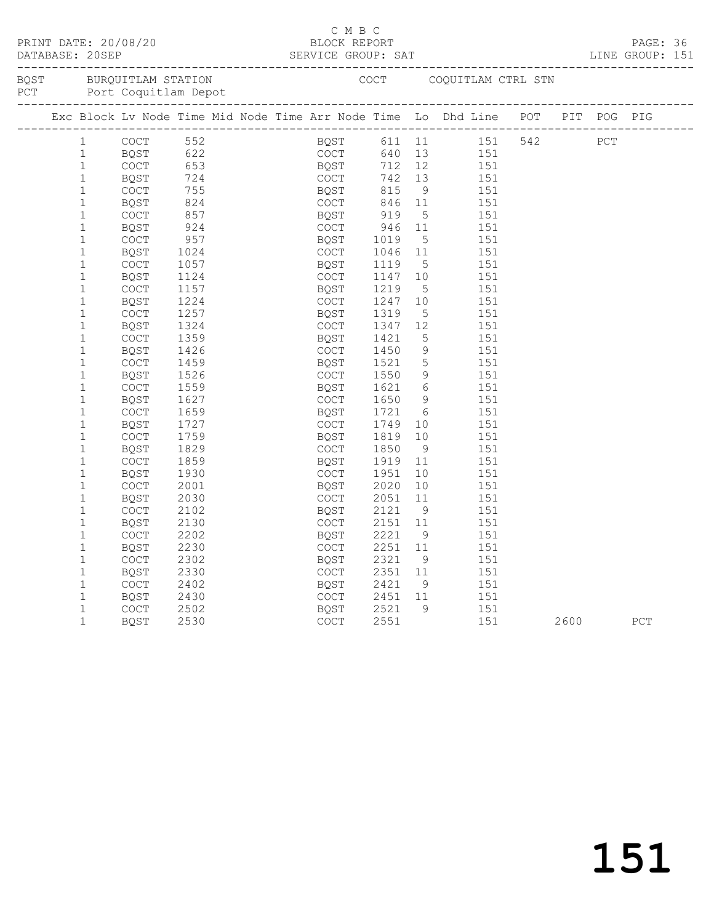|  |              |                         |      |  |      |             | C M B C |      |                 |     |                                                                                |      |     | LINE GROUP: 151 |  |
|--|--------------|-------------------------|------|--|------|-------------|---------|------|-----------------|-----|--------------------------------------------------------------------------------|------|-----|-----------------|--|
|  |              | BQST BURQUITLAM STATION |      |  |      |             |         |      |                 |     | COCT COQUITLAM CTRL STN                                                        |      |     |                 |  |
|  |              |                         |      |  |      |             |         |      |                 |     | Exc Block Lv Node Time Mid Node Time Arr Node Time Lo Dhd Line POT PIT POG PIG |      |     |                 |  |
|  | 1            | COCT                    |      |  |      |             |         |      |                 |     |                                                                                |      | PCT |                 |  |
|  | 1            | BQST                    |      |  |      |             |         |      |                 |     |                                                                                |      |     |                 |  |
|  | $\mathbf{1}$ | <b>COCT</b>             |      |  |      |             |         |      |                 |     |                                                                                |      |     |                 |  |
|  | $\mathbf{1}$ | BQST                    |      |  |      |             |         |      |                 |     |                                                                                |      |     |                 |  |
|  | $\mathbf 1$  | COCT                    | 755  |  | BQST |             |         | 815  | 9               | 151 |                                                                                |      |     |                 |  |
|  | $\mathbf{1}$ | BQST                    | 824  |  |      |             | COCT    | 846  | 11              | 151 |                                                                                |      |     |                 |  |
|  | $\mathbf{1}$ | <b>COCT</b>             | 857  |  |      | BOST        |         | 919  | 5               | 151 |                                                                                |      |     |                 |  |
|  | $\mathbf{1}$ | <b>BQST</b>             | 924  |  |      | COCT        |         | 946  | 11              | 151 |                                                                                |      |     |                 |  |
|  | $\mathbf{1}$ | COCT                    | 957  |  |      | BQST        |         | 1019 | 5               | 151 |                                                                                |      |     |                 |  |
|  | $\mathbf 1$  | <b>BOST</b>             | 1024 |  |      | COCT        |         | 1046 | 11              | 151 |                                                                                |      |     |                 |  |
|  | $\mathbf{1}$ | COCT                    | 1057 |  |      | BQST        |         | 1119 | 5               | 151 |                                                                                |      |     |                 |  |
|  | $\mathbf{1}$ | <b>BQST</b>             | 1124 |  |      | COCT        |         | 1147 | 10              | 151 |                                                                                |      |     |                 |  |
|  | $\mathbf{1}$ | COCT                    | 1157 |  |      | BQST        |         | 1219 | 5               | 151 |                                                                                |      |     |                 |  |
|  | $\mathbf{1}$ | BQST                    | 1224 |  |      | COCT        |         | 1247 | 10              | 151 |                                                                                |      |     |                 |  |
|  | $\mathbf{1}$ | COCT                    | 1257 |  |      | BQST        |         | 1319 | $5\overline{)}$ | 151 |                                                                                |      |     |                 |  |
|  | $\mathbf{1}$ | BQST                    | 1324 |  |      | COCT        |         | 1347 | 12 <sup>°</sup> | 151 |                                                                                |      |     |                 |  |
|  | $\mathbf{1}$ | COCT                    | 1359 |  |      | BQST        |         | 1421 | $5\overline{)}$ | 151 |                                                                                |      |     |                 |  |
|  | $\mathbf{1}$ | <b>BOST</b>             | 1426 |  |      | COCT        |         | 1450 | $\overline{9}$  | 151 |                                                                                |      |     |                 |  |
|  | $\mathbf{1}$ | <b>COCT</b>             | 1459 |  |      | BQST        |         | 1521 | $5\overline{)}$ | 151 |                                                                                |      |     |                 |  |
|  | $\mathbf 1$  | BQST                    | 1526 |  |      | COCT        |         | 1550 | 9               | 151 |                                                                                |      |     |                 |  |
|  | $\mathbf{1}$ | COCT                    | 1559 |  |      | BQST        |         | 1621 | $6\overline{6}$ | 151 |                                                                                |      |     |                 |  |
|  | $\mathbf{1}$ | BQST                    | 1627 |  |      | COCT        |         | 1650 | 9               | 151 |                                                                                |      |     |                 |  |
|  | $\mathbf{1}$ | COCT                    | 1659 |  |      | BQST        |         | 1721 | 6               | 151 |                                                                                |      |     |                 |  |
|  | $\mathbf{1}$ | BQST                    | 1727 |  |      | COCT        |         | 1749 | 10              | 151 |                                                                                |      |     |                 |  |
|  | $\mathbf{1}$ | COCT                    | 1759 |  |      | BQST        |         | 1819 | 10              | 151 |                                                                                |      |     |                 |  |
|  | $\mathbf{1}$ | BQST                    | 1829 |  |      | COCT        |         | 1850 | - 9             | 151 |                                                                                |      |     |                 |  |
|  | $\mathbf{1}$ | COCT                    | 1859 |  |      | BQST        |         | 1919 | 11              | 151 |                                                                                |      |     |                 |  |
|  | $\mathbf{1}$ | <b>BOST</b>             | 1930 |  |      | COCT        |         | 1951 | 10              | 151 |                                                                                |      |     |                 |  |
|  | $\mathbf{1}$ | COCT                    | 2001 |  |      | BQST        |         | 2020 | 10              | 151 |                                                                                |      |     |                 |  |
|  | $\mathbf 1$  | BQST                    | 2030 |  |      | COCT        |         | 2051 | 11              | 151 |                                                                                |      |     |                 |  |
|  | $\mathbf 1$  | <b>COCT</b>             | 2102 |  |      | BQST        |         | 2121 | 9               | 151 |                                                                                |      |     |                 |  |
|  | $\mathbf{1}$ | BQST                    | 2130 |  |      | COCT        |         | 2151 | 11              | 151 |                                                                                |      |     |                 |  |
|  | $\mathbf{1}$ | COCT                    | 2202 |  |      | BQST        |         | 2221 | 9               | 151 |                                                                                |      |     |                 |  |
|  | $\mathbf{1}$ | BQST                    | 2230 |  |      | COCT        |         | 2251 | 11              | 151 |                                                                                |      |     |                 |  |
|  | $\mathbf{1}$ | COCT                    | 2302 |  |      | BQST        |         | 2321 | 9 <sup>°</sup>  | 151 |                                                                                |      |     |                 |  |
|  | $\mathbf{1}$ | BQST                    | 2330 |  |      | COCT        |         | 2351 | 11              | 151 |                                                                                |      |     |                 |  |
|  | $\mathbf{1}$ | COCT                    | 2402 |  |      | BOST        |         | 2421 | 9               | 151 |                                                                                |      |     |                 |  |
|  | $\mathbf 1$  | BQST                    | 2430 |  |      | <b>COCT</b> |         | 2451 | 11              | 151 |                                                                                |      |     |                 |  |
|  | $\mathbf{1}$ | <b>COCT</b>             | 2502 |  |      | <b>BOST</b> |         | 2521 | 9               | 151 |                                                                                |      |     |                 |  |
|  | $\mathbf{1}$ | BQST                    | 2530 |  |      | <b>COCT</b> |         | 2551 |                 | 151 |                                                                                | 2600 |     | PCT             |  |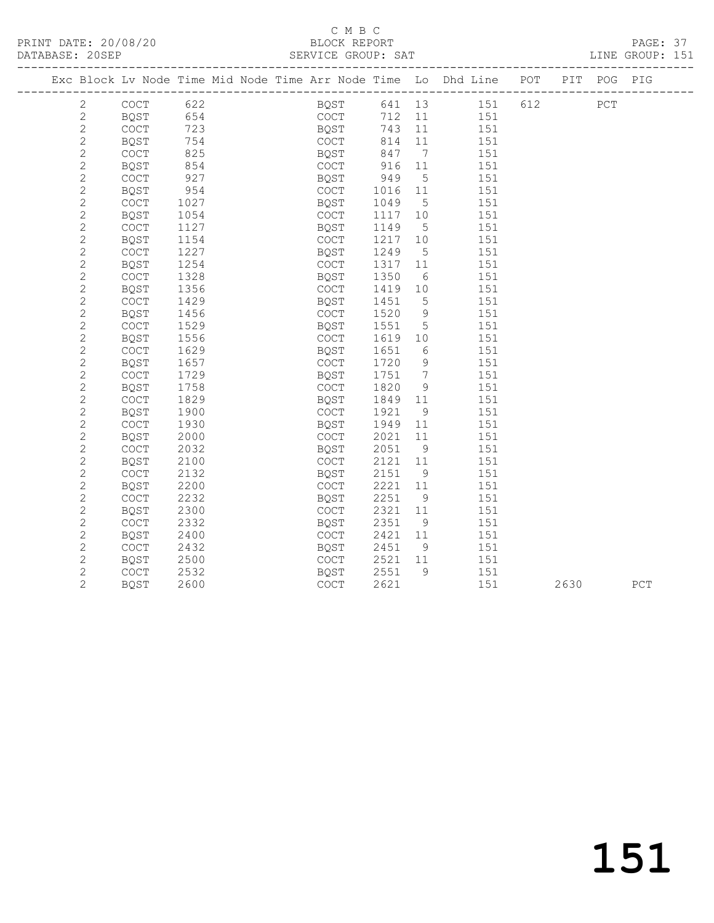## C M B C<br>BLOCK REPORT

PAGE: 37<br>LINE GROUP: 151

|                |             |      |  |              |      |                              | Exc Block Lv Node Time Mid Node Time Arr Node Time Lo Dhd Line POT PIT POG PIG |      |             |     |
|----------------|-------------|------|--|--------------|------|------------------------------|--------------------------------------------------------------------------------|------|-------------|-----|
| $\mathbf{2}$   | COCT        | 622  |  | BQST         |      |                              | 641 13 151 612                                                                 |      | ${\tt PCT}$ |     |
| $\mathbf{2}$   | BQST        | 654  |  | COCT         | 712  | 11                           | 151                                                                            |      |             |     |
| $\mathbf{2}$   | COCT        | 723  |  | BQST<br>Coct | 743  | 11                           | 151                                                                            |      |             |     |
| $\overline{c}$ | <b>BQST</b> | 754  |  | COCT         | 814  | 11                           | 151                                                                            |      |             |     |
| $\mathbf{2}$   | COCT        | 825  |  | BQST         | 847  | $7\phantom{.0}\phantom{.0}7$ | 151                                                                            |      |             |     |
| $\overline{c}$ | <b>BQST</b> | 854  |  | COCT         | 916  | 11                           | 151                                                                            |      |             |     |
| $\mathbf{2}$   | COCT        | 927  |  | BQST         | 949  | 5                            | 151                                                                            |      |             |     |
| $\mathbf{2}$   | BQST        | 954  |  | COCT         | 1016 | 11                           | 151                                                                            |      |             |     |
| $\overline{c}$ | COCT        | 1027 |  | BQST         | 1049 | $5^{\circ}$                  | 151                                                                            |      |             |     |
| $\overline{c}$ | BQST        | 1054 |  | COCT         | 1117 | 10                           | 151                                                                            |      |             |     |
| $\mathbf{2}$   | COCT        | 1127 |  | BQST         | 1149 | $5\overline{)}$              | 151                                                                            |      |             |     |
| $\overline{c}$ | BQST        | 1154 |  | COCT         | 1217 | 10                           | 151                                                                            |      |             |     |
| $\mathbf{2}$   | COCT        | 1227 |  | BQST         | 1249 | $5\overline{)}$              | 151                                                                            |      |             |     |
| $\overline{c}$ | BQST        | 1254 |  | COCT         | 1317 | 11                           | 151                                                                            |      |             |     |
| $\mathbf{2}$   | COCT        | 1328 |  | BQST         | 1350 | 6                            | 151                                                                            |      |             |     |
| $\mathbf{2}$   | <b>BOST</b> | 1356 |  | COCT         | 1419 | 10                           | 151                                                                            |      |             |     |
| $\overline{c}$ | COCT        | 1429 |  | BQST         | 1451 | 5                            | 151                                                                            |      |             |     |
| $\overline{c}$ | BQST        | 1456 |  | COCT         | 1520 | 9                            | 151                                                                            |      |             |     |
| $\mathbf{2}$   | COCT        | 1529 |  | BQST         | 1551 | $5\overline{)}$              | 151                                                                            |      |             |     |
| $\mathbf{2}$   | BQST        | 1556 |  | COCT         | 1619 | 10                           | 151                                                                            |      |             |     |
| $\overline{c}$ | COCT        | 1629 |  | BQST         | 1651 | 6                            | 151                                                                            |      |             |     |
| $\mathbf{2}$   | <b>BQST</b> | 1657 |  | COCT         | 1720 | 9                            | 151                                                                            |      |             |     |
| $\overline{c}$ | COCT        | 1729 |  | BQST         | 1751 | 7                            | 151                                                                            |      |             |     |
| $\overline{c}$ | BQST        | 1758 |  | COCT         | 1820 | 9                            | 151                                                                            |      |             |     |
| $\mathbf{2}$   | COCT        | 1829 |  | BQST         | 1849 | 11                           | 151                                                                            |      |             |     |
| $\overline{c}$ | BQST        | 1900 |  | COCT         | 1921 | 9                            | 151                                                                            |      |             |     |
| $\mathbf{2}$   | COCT        | 1930 |  | BQST         | 1949 | 11                           | 151                                                                            |      |             |     |
| $\overline{c}$ | <b>BQST</b> | 2000 |  | COCT         | 2021 | 11                           | 151                                                                            |      |             |     |
| $\overline{c}$ | COCT        | 2032 |  | BQST         | 2051 | 9                            | 151                                                                            |      |             |     |
| $\overline{c}$ | BQST        | 2100 |  | COCT         | 2121 | 11                           | 151                                                                            |      |             |     |
| $\overline{c}$ | COCT        | 2132 |  | BQST         | 2151 | 9                            | 151                                                                            |      |             |     |
| $\mathbf{2}$   | BQST        | 2200 |  | COCT         | 2221 | 11                           | 151                                                                            |      |             |     |
| $\mathbf{2}$   | COCT        | 2232 |  | BQST         | 2251 | 9                            | 151                                                                            |      |             |     |
| $\overline{c}$ | BQST        | 2300 |  | COCT         | 2321 | 11                           | 151                                                                            |      |             |     |
| $\overline{c}$ | COCT        | 2332 |  | BQST         | 2351 | 9                            | 151                                                                            |      |             |     |
| $\mathbf{2}$   | BQST        | 2400 |  | COCT         | 2421 | 11                           | 151                                                                            |      |             |     |
| $\mathbf{2}$   | COCT        | 2432 |  | BQST         | 2451 | - 9                          | 151                                                                            |      |             |     |
| $\mathbf{2}$   | <b>BOST</b> | 2500 |  | COCT         | 2521 | 11                           | 151                                                                            |      |             |     |
| $\mathbf{2}$   | COCT        | 2532 |  | BQST         | 2551 | 9                            | 151                                                                            |      |             |     |
| $\overline{2}$ | <b>BQST</b> | 2600 |  | COCT         | 2621 |                              | 151                                                                            | 2630 |             | PCT |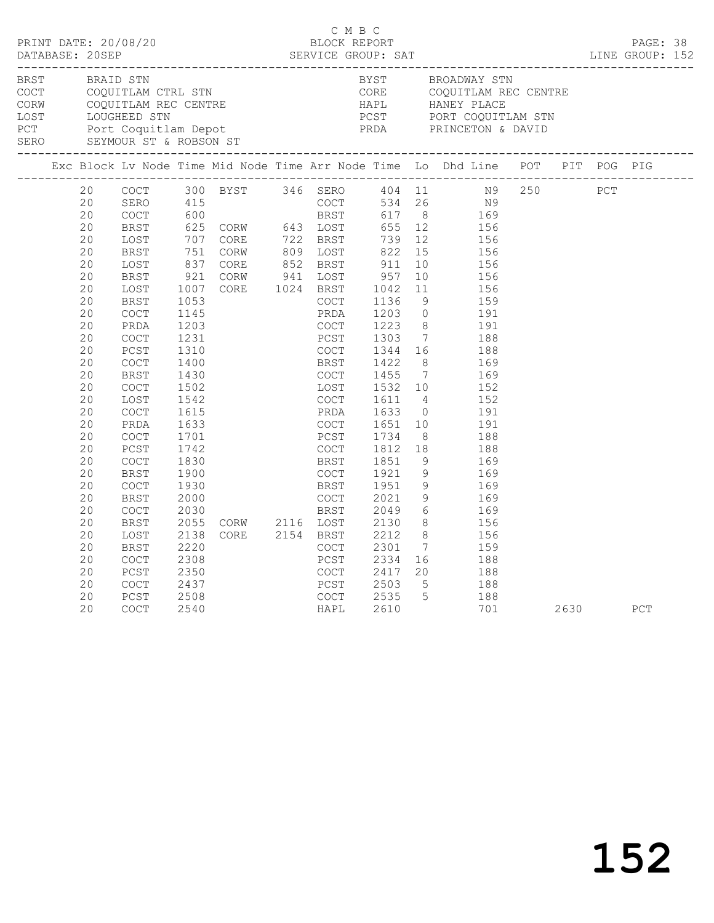| BRST | BRAID STN                                                                                                                                                                                                |                                                                                                                                                                                                                                                                                                                                  |                                                                                                                                                                                                                                                                  |                                                                                  |                                                                                                                                                                                                                                                                                                                                                                        | BYST                                                                                                                                                                                   |                                                                                                                                                                         | BROADWAY STN<br>COCT COQUITLAM CTRL STN CORE COQUITLAM REC CENTR<br>CORN COQUITLAM REC CENTRE HAPL HANEY PLACE<br>LOST LOUGHEED STN PCST PORT COQUITLAM STN<br>PCT PORT COQUITLAM STN<br>SEYMOUR ST & ROBSON ST<br>CORE COQUITLAM REC CENTRE<br>HAPL       HANEY PLACE                                                                                                                    |            |      |     |  |
|------|----------------------------------------------------------------------------------------------------------------------------------------------------------------------------------------------------------|----------------------------------------------------------------------------------------------------------------------------------------------------------------------------------------------------------------------------------------------------------------------------------------------------------------------------------|------------------------------------------------------------------------------------------------------------------------------------------------------------------------------------------------------------------------------------------------------------------|----------------------------------------------------------------------------------|------------------------------------------------------------------------------------------------------------------------------------------------------------------------------------------------------------------------------------------------------------------------------------------------------------------------------------------------------------------------|----------------------------------------------------------------------------------------------------------------------------------------------------------------------------------------|-------------------------------------------------------------------------------------------------------------------------------------------------------------------------|-------------------------------------------------------------------------------------------------------------------------------------------------------------------------------------------------------------------------------------------------------------------------------------------------------------------------------------------------------------------------------------------|------------|------|-----|--|
|      |                                                                                                                                                                                                          |                                                                                                                                                                                                                                                                                                                                  |                                                                                                                                                                                                                                                                  |                                                                                  |                                                                                                                                                                                                                                                                                                                                                                        |                                                                                                                                                                                        |                                                                                                                                                                         | Exc Block Lv Node Time Mid Node Time Arr Node Time Lo Dhd Line POT PIT POG PIG                                                                                                                                                                                                                                                                                                            |            |      |     |  |
|      | 20<br>20<br>20<br>20<br>20<br>20<br>20<br>20<br>20<br>20<br>20<br>20<br>20<br>20<br>20<br>20<br>20<br>20<br>20<br>20<br>20<br>20<br>20<br>20<br>20<br>20<br>20<br>20<br>20<br>20<br>20<br>20<br>20<br>20 | COCT<br>SERO<br>COCT<br>BRST<br>LOST<br>BRST<br>LOST<br>BRST<br>LOST<br>BRST<br>COCT<br>PRDA<br>COCT<br>PCST<br>COCT<br>BRST<br><b>COCT</b><br>LOST<br>COCT<br>PRDA<br>COCT<br>PCST<br><b>COCT</b><br>BRST<br>COCT<br>BRST<br>COCT<br>BRST<br>LOST<br>BRST<br>COCT<br>PCST<br>$\mathtt{C}\mathtt{O}\mathtt{C}\mathtt{T}$<br>PCST | 415<br>600<br>$751$<br>837<br>921<br>$\frac{1007}{1053}$<br>1053<br>1145<br>1203<br>1231<br>1310<br>1400<br>1430<br>1502<br>1542<br>1615<br>1633<br>1701<br>1742<br>1830<br>1900<br>1930<br>2000<br>2030<br>2055<br>2138<br>2220<br>2308<br>2350<br>2437<br>2508 | 300 BYST<br>625 CORW 643 LOST 655 12<br>707 CORE 722 BRST 739 12<br>CORW<br>CORE | 346 SERO 404 11<br>COCT 534 26<br>BRST 617 8<br>CORE 722 BRS1 739 12<br>CORE 852 BRST 911 10<br>CORW 941 LOST 957 10<br>PRDA<br>COCT<br>PCST<br>COCT<br><b>BRST</b><br>COCT<br>LOST<br>COCT<br>PRDA<br>COCT<br>PCST<br>COCT<br>BRST<br>COCT<br>BRST<br>COCT<br>BRST<br>CORW 2116 LOST 2130<br>CORE 2154 BRST 2212<br>COCT 2301<br>COCT<br>PCST<br>COCT<br>PCST<br>COCT | 1203 0<br>1223 8<br>1303<br>1344 16<br>1422<br>1455<br>1532 10<br>1611<br>1633<br>1651<br>1734<br>1812<br>1851<br>1921<br>1951<br>2021<br>2049<br>2301<br>2334<br>2417<br>2503<br>2535 | 11<br>9<br>8 <sup>8</sup><br>$7\overline{ }$<br>$\overline{4}$<br>8 <sup>8</sup><br>18<br>9<br>9<br>9<br>9<br>$6\overline{6}$<br>8 <sup>8</sup><br>$5\overline{)}$<br>5 | N9<br>169<br>156<br>156<br>156<br>156<br>156<br>156<br>159<br>191<br>191<br>$7\overline{ }$<br>188<br>188<br>169<br>169<br>152<br>152<br>$\overline{0}$<br>191<br>10<br>191<br>188<br>188<br>169<br>169<br>169<br>169<br>169<br>8 <sup>1</sup><br>156<br>156<br>$\overline{7}$<br>159<br>$\begin{array}{cc} 16 & \hspace{1.5cm} 188 \\ 20 & \hspace{1.5cm} 188 \end{array}$<br>188<br>188 | N9 250 PCT |      |     |  |
|      | 20                                                                                                                                                                                                       | <b>COCT</b>                                                                                                                                                                                                                                                                                                                      | 2540                                                                                                                                                                                                                                                             |                                                                                  | HAPL                                                                                                                                                                                                                                                                                                                                                                   | 2610                                                                                                                                                                                   |                                                                                                                                                                         | 701                                                                                                                                                                                                                                                                                                                                                                                       |            | 2630 | PCT |  |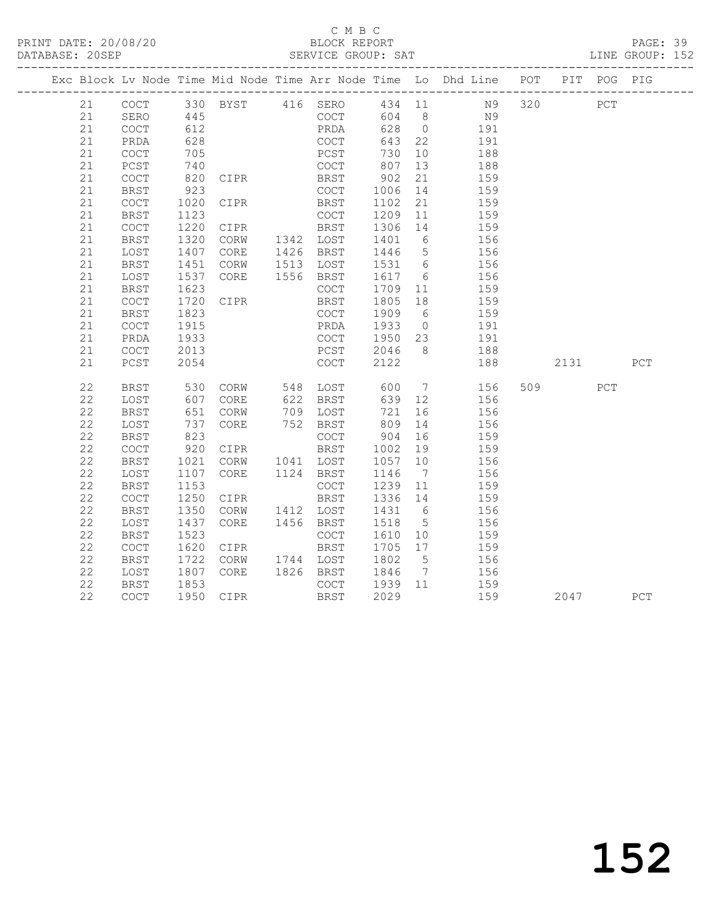#### C M B C<br>BLOCK REPORT

PAGE: 39<br>LINE GROUP: 152

|    |                                            |                 |                                |           |                      |                 | Exc Block Lv Node Time Mid Node Time Arr Node Time Lo Dhd Line POT PIT POG PIG |      |     |     |
|----|--------------------------------------------|-----------------|--------------------------------|-----------|----------------------|-----------------|--------------------------------------------------------------------------------|------|-----|-----|
| 21 | COCT                                       |                 |                                |           |                      |                 |                                                                                |      | PCT |     |
| 21 | SERO                                       |                 |                                |           |                      |                 |                                                                                |      |     |     |
| 21 | COCT                                       | 612             |                                |           |                      |                 | PRDA 628 0 191                                                                 |      |     |     |
| 21 | PRDA                                       | 628             |                                | COCT      |                      |                 | 643  22  191                                                                   |      |     |     |
| 21 | COCT                                       | 705             |                                | PCST      | 730<br>807<br>730 10 |                 | 188                                                                            |      |     |     |
| 21 | PCST                                       | 740             |                                | COCT      |                      | 13              | $\frac{1}{188}$                                                                |      |     |     |
| 21 | COCT                                       | 820             | CIPR BRST                      |           | 902                  | 21              | 159                                                                            |      |     |     |
| 21 | BRST                                       | 923             | CIPR                           | COCT      | 1006                 | 14              | 159                                                                            |      |     |     |
| 21 | $\mathtt{C}\mathtt{O}\mathtt{C}\mathtt{T}$ | 1020            |                                | BRST      | 1102                 | $\frac{21}{1}$  | 159                                                                            |      |     |     |
| 21 | BRST                                       | 1123            |                                | COCT      | 1209                 |                 | 11 159                                                                         |      |     |     |
| 21 | $\mathtt{C}\mathtt{O}\mathtt{C}\mathtt{T}$ | 1220            | CIPR BRST                      |           | 1306                 |                 | $\frac{14}{6}$ $\frac{159}{156}$                                               |      |     |     |
| 21 | <b>BRST</b>                                | 1320            | CORW                           | 1342 LOST | 1401                 | $6\overline{6}$ | 156                                                                            |      |     |     |
| 21 | LOST                                       | 1407            | CORE                           | 1426 BRST |                      |                 | 1446 5 156                                                                     |      |     |     |
| 21 | <b>BRST</b>                                | 1451            | CORW                           | 1513 LOST |                      |                 | 1531 6 156                                                                     |      |     |     |
| 21 | LOST                                       | 1537            | CORE 1556 BRST                 |           | 1617 6               |                 | 156                                                                            |      |     |     |
| 21 | <b>BRST</b>                                | 1623            |                                | COCT      | 1709 11              |                 | 159                                                                            |      |     |     |
| 21 | <b>COCT</b>                                | 1720            | CIPR                           | BRST      | 1805                 | 18              | 159                                                                            |      |     |     |
| 21 | <b>BRST</b>                                | 1823            |                                | COCT      | 1909                 | 6 <sup>6</sup>  | 159                                                                            |      |     |     |
| 21 | COCT                                       | 1915            |                                | PRDA      | 1933                 | $\overline{0}$  | 191                                                                            |      |     |     |
| 21 | PRDA                                       | 1933            |                                | COCT      |                      |                 | 1950 23 191                                                                    |      |     |     |
| 21 | COCT                                       | 2013            |                                | PCST      |                      |                 | $2046 \qquad 8 \qquad \qquad 188$                                              |      |     |     |
| 21 | PCST                                       | 2054            |                                | COCT      | 2122                 |                 | 188                                                                            | 2131 |     | PCT |
| 22 | <b>BRST</b>                                | 530<br>607      | CORW 548 LOST<br>CORE 622 BRST |           | 600<br>639           |                 | $\begin{array}{ccc}\n7 & 156 \\ \hline\n\end{array}$                           | 509  | PCT |     |
| 22 | LOST                                       |                 |                                |           | 639 12               |                 | 156                                                                            |      |     |     |
| 22 | BRST                                       | 651             | CORW                           | 709 LOST  | 721                  |                 | 16 156                                                                         |      |     |     |
| 22 | LOST                                       | $\frac{1}{823}$ | CORE                           | 752 BRST  | 809                  | 14              | 156                                                                            |      |     |     |
| 22 | <b>BRST</b>                                |                 |                                | COCT      | 904                  | 16              | 159                                                                            |      |     |     |
| 22 | COCT                                       | 920             | CIPR                           | BRST      | 1002                 | 19              | 159                                                                            |      |     |     |
| 22 | <b>BRST</b>                                | 1021            | CORW                           | 1041 LOST | 1057                 | 10              | 156                                                                            |      |     |     |
| 22 | LOST                                       | 1107            | CORE                           | 1124 BRST | 1146                 | $7\overline{ }$ | 156                                                                            |      |     |     |
| 22 | <b>BRST</b>                                | 1153            |                                | COCT      | 1239 11              |                 | 159                                                                            |      |     |     |
| 22 | COCT                                       | 1250            | CIPR                           | BRST      | 1336 14              |                 | 159                                                                            |      |     |     |
| 22 | <b>BRST</b>                                | 1350            | CORW                           | 1412 LOST | 1431 6               |                 | 156                                                                            |      |     |     |
| 22 | LOST                                       | 1437            | CORE                           | 1456 BRST | 1518 5               |                 | 156                                                                            |      |     |     |
| 22 | BRST                                       | 1523            |                                | COCT      | 1610 10              |                 | 159                                                                            |      |     |     |
| 22 | COCT                                       | 1620            | CIPR                           | BRST      | 1705                 | 17              | 159                                                                            |      |     |     |
| 22 | <b>BRST</b>                                | 1722            | CORW                           | 1744 LOST | 1802                 | 5 <sup>5</sup>  | 156                                                                            |      |     |     |
| 22 | LOST                                       | 1807            | CORE                           | 1826 BRST | 1846                 |                 | 7 156                                                                          |      |     |     |
| 22 | <b>BRST</b>                                | 1853            |                                | COCT      | 1939                 |                 | 11 159                                                                         |      |     |     |
| 22 | COCT                                       | 1950            | CIPR                           | BRST      | 2029                 |                 | 159                                                                            | 2047 |     | PCT |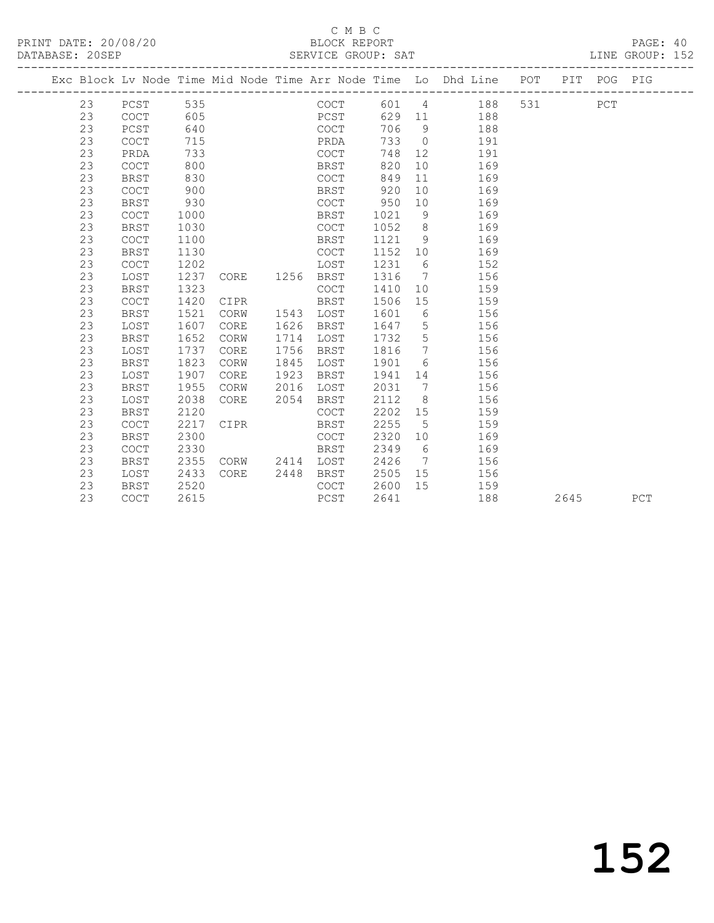## C M B C<br>BLOCK REPORT

PAGE: 40<br>LINE GROUP: 152

|  |    |                                            |      |             |           |                |      |                              | Exc Block Lv Node Time Mid Node Time Arr Node Time Lo Dhd Line POT PIT POG PIG |       |      |     |     |
|--|----|--------------------------------------------|------|-------------|-----------|----------------|------|------------------------------|--------------------------------------------------------------------------------|-------|------|-----|-----|
|  | 23 | PCST                                       | 535  |             |           | COCT           |      |                              | 601 4<br>188                                                                   | 531 6 |      | PCT |     |
|  | 23 | COCT                                       | 605  |             |           | PCST           |      |                              | 629 11<br>188                                                                  |       |      |     |     |
|  | 23 | PCST                                       | 640  |             |           | COCT           | 706  | 9                            | 188                                                                            |       |      |     |     |
|  | 23 | COCT                                       | 715  |             |           | PRDA           | 733  | $\overline{0}$               | 191                                                                            |       |      |     |     |
|  | 23 | PRDA                                       | 733  |             |           | COCT           | 748  | 12                           | 191                                                                            |       |      |     |     |
|  | 23 | COCT                                       | 800  |             |           | BRST           | 820  | 10                           | 169                                                                            |       |      |     |     |
|  | 23 | <b>BRST</b>                                | 830  |             |           | COCT           | 849  | 11                           | 169                                                                            |       |      |     |     |
|  | 23 | <b>COCT</b>                                | 900  |             |           | BRST           | 920  | 10                           | 169                                                                            |       |      |     |     |
|  | 23 | <b>BRST</b>                                | 930  |             |           | COCT           | 950  | 10                           | 169                                                                            |       |      |     |     |
|  | 23 | <b>COCT</b>                                | 1000 |             |           | BRST           | 1021 | - 9                          | 169                                                                            |       |      |     |     |
|  | 23 | <b>BRST</b>                                | 1030 |             |           | COCT           | 1052 | 8                            | 169                                                                            |       |      |     |     |
|  | 23 | COCT                                       | 1100 |             |           | BRST           | 1121 | 9                            | 169                                                                            |       |      |     |     |
|  | 23 | <b>BRST</b>                                | 1130 |             |           | COCT           | 1152 | 10                           | 169                                                                            |       |      |     |     |
|  | 23 | $\mathtt{C}\mathtt{O}\mathtt{C}\mathtt{T}$ | 1202 |             |           | LOST           | 1231 |                              | $6\degree$<br>152                                                              |       |      |     |     |
|  | 23 | LOST                                       | 1237 |             |           | CORE 1256 BRST | 1316 | $\overline{7}$               | 156                                                                            |       |      |     |     |
|  | 23 | <b>BRST</b>                                | 1323 |             |           | COCT           | 1410 | 10                           | 159                                                                            |       |      |     |     |
|  | 23 | $\mathtt{C}\mathtt{O}\mathtt{C}\mathtt{T}$ | 1420 | CIPR        |           | BRST           | 1506 | 15                           | 159                                                                            |       |      |     |     |
|  | 23 | BRST                                       | 1521 | CORW        | 1543      | LOST           | 1601 | 6                            | 156                                                                            |       |      |     |     |
|  | 23 | LOST                                       | 1607 | CORE        | 1626      | BRST           | 1647 | $5\overline{)}$              | 156                                                                            |       |      |     |     |
|  | 23 | <b>BRST</b>                                | 1652 | CORW        | 1714      | LOST           | 1732 | $5\overline{)}$              | 156                                                                            |       |      |     |     |
|  | 23 | LOST                                       | 1737 | CORE        | 1756      | BRST           | 1816 | $7\phantom{.0}\phantom{.0}7$ | 156                                                                            |       |      |     |     |
|  | 23 | <b>BRST</b>                                | 1823 | CORW        | 1845      | LOST           | 1901 | $6\overline{6}$              | 156                                                                            |       |      |     |     |
|  | 23 | LOST                                       | 1907 | CORE        | 1923      | BRST           | 1941 | 14                           | 156                                                                            |       |      |     |     |
|  | 23 | BRST                                       | 1955 | CORW        | 2016      | LOST           | 2031 | $7\phantom{.0}\phantom{.0}7$ | 156                                                                            |       |      |     |     |
|  | 23 | LOST                                       | 2038 | <b>CORE</b> | 2054      | BRST           | 2112 | 8                            | 156                                                                            |       |      |     |     |
|  | 23 | <b>BRST</b>                                | 2120 |             |           | COCT           | 2202 | 15                           | 159                                                                            |       |      |     |     |
|  | 23 | COCT                                       | 2217 | CIPR        |           | BRST           | 2255 | 5                            | 159                                                                            |       |      |     |     |
|  | 23 | <b>BRST</b>                                | 2300 |             |           | COCT           | 2320 | 10                           | 169                                                                            |       |      |     |     |
|  | 23 | COCT                                       | 2330 |             |           | BRST           | 2349 | 6                            | 169                                                                            |       |      |     |     |
|  | 23 | <b>BRST</b>                                | 2355 |             | CORW 2414 | LOST           | 2426 |                              | 7<br>156                                                                       |       |      |     |     |
|  | 23 | LOST                                       | 2433 | CORE        | 2448      | BRST           | 2505 |                              | 15<br>156                                                                      |       |      |     |     |
|  | 23 | BRST                                       | 2520 |             |           | COCT           | 2600 | 15                           | 159                                                                            |       |      |     |     |
|  | 23 | COCT                                       | 2615 |             |           | PCST           | 2641 |                              | 188                                                                            |       | 2645 |     | PCT |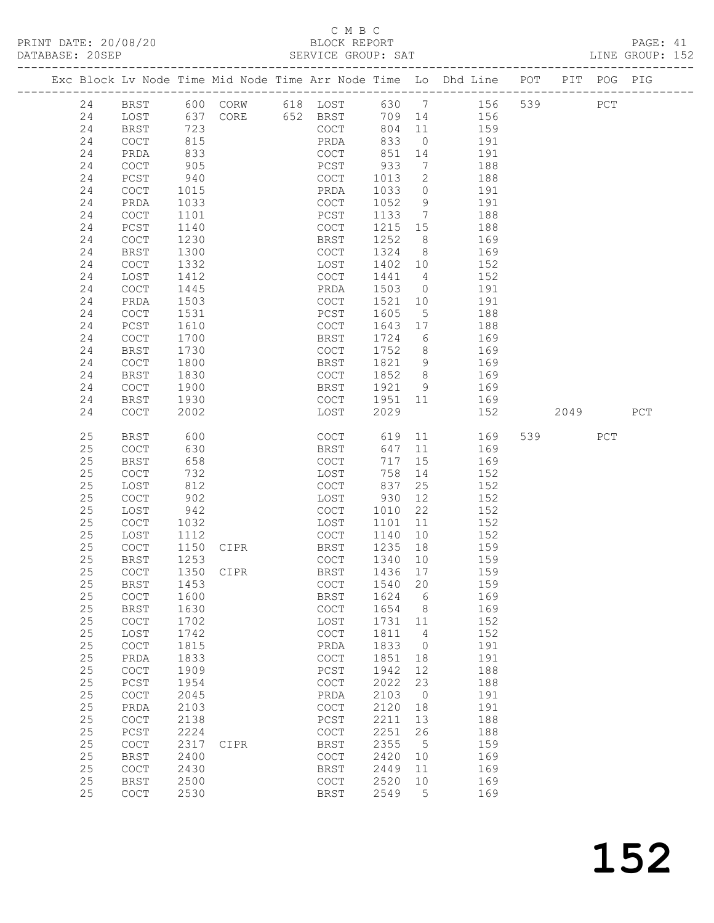# C M B C<br>BLOCK REPORT<br>SERVICE GROUP: SAT

|            |                     |              |                         | C M B C                                                   |              |                 | PRINT DATE: 20/08/20<br>BLOCK REPORT BLOCK PERENT DATABASE: 20SEP SERVICE GROUP: SAT LINE GROUP: 152 |     |      |     |  |
|------------|---------------------|--------------|-------------------------|-----------------------------------------------------------|--------------|-----------------|------------------------------------------------------------------------------------------------------|-----|------|-----|--|
|            |                     |              |                         |                                                           |              |                 | Exc Block Lv Node Time Mid Node Time Arr Node Time Lo Dhd Line POT PIT POG PIG                       |     |      |     |  |
| 24 BRST    |                     |              | 600 CORW 618 LOST 630 7 |                                                           |              |                 | 156 539                                                                                              |     | PCT  |     |  |
| 24         | LOST                |              | 637 CORE 652 BRST       |                                                           |              |                 | 709 14 156                                                                                           |     |      |     |  |
| 24         | <b>BRST</b>         | 723          |                         | COCT                                                      | 804          |                 | $\begin{array}{ccc} 11 & & \\ & & \end{array}$<br>159                                                |     |      |     |  |
| 24         | COCT                | 815          |                         | PRDA                                                      | 833          | $\overline{0}$  | 191                                                                                                  |     |      |     |  |
| 24         | PRDA                | 833          |                         | COCT                                                      | 851          |                 | 14 191                                                                                               |     |      |     |  |
| 24         | <b>COCT</b>         | 905          |                         | PCST                                                      | 933          |                 | $7\overline{ }$<br>188                                                                               |     |      |     |  |
| 24         | PCST                | 940          |                         | COCT                                                      | 1013         |                 | $\overline{2}$<br>188                                                                                |     |      |     |  |
| 24         | COCT                | 1015         |                         | PRDA                                                      | 1033         | $\overline{0}$  | 191                                                                                                  |     |      |     |  |
| 24         | PRDA                | 1033         |                         | COCT                                                      | 1052         |                 | $9$ 191                                                                                              |     |      |     |  |
| 24         | <b>COCT</b>         | 1101         |                         | PCST                                                      | 1133         |                 | 7 188                                                                                                |     |      |     |  |
| 24         | PCST                | 1140         |                         | COCT                                                      | 1215         |                 | 15<br>188                                                                                            |     |      |     |  |
| 24         | <b>COCT</b>         | 1230         |                         | BRST                                                      | 1252         | 8 <sup>8</sup>  | 169                                                                                                  |     |      |     |  |
| 24         | BRST                | 1300         |                         | COCT                                                      | 1324         |                 | 8 <sup>1</sup><br>169                                                                                |     |      |     |  |
| 24         | <b>COCT</b>         | 1332         |                         | LOST                                                      | 1402 10      |                 | 152                                                                                                  |     |      |     |  |
| 24         | LOST                | 1412         |                         | COCT                                                      | 1441         |                 | 152<br>$4\overline{ }$                                                                               |     |      |     |  |
| 24         | <b>COCT</b>         | 1445         |                         | PRDA                                                      | 1503         | $\overline{0}$  | 191                                                                                                  |     |      |     |  |
| 24         | PRDA                | 1503         |                         | COCT                                                      | 1521         | 10              | 191                                                                                                  |     |      |     |  |
| 24         | <b>COCT</b>         | 1531         |                         | PCST                                                      | 1605         | 5 <sup>5</sup>  | 188                                                                                                  |     |      |     |  |
| 24         | PCST                | 1610         |                         | COCT                                                      | 1643         |                 | 17<br>188                                                                                            |     |      |     |  |
| 24         | COCT                | 1700         |                         | BRST                                                      | 1724         | $6\overline{6}$ | 169                                                                                                  |     |      |     |  |
| 24         | BRST                | 1730         |                         | COCT                                                      | 1752         | 8 <sup>8</sup>  | 169                                                                                                  |     |      |     |  |
| 24         | COCT                | 1800         |                         | BRST                                                      | 1821         |                 | 9 169                                                                                                |     |      |     |  |
| 24         | <b>BRST</b>         | 1830         |                         | COCT                                                      | 1852         |                 | 8 169                                                                                                |     |      |     |  |
| 24         | COCT                | 1900         |                         | BRST                                                      | 1921         | 9               | 169                                                                                                  |     |      |     |  |
| 24         | BRST                | 1930         |                         | COCT                                                      | 1951 11      |                 | 169                                                                                                  |     |      |     |  |
| 24         | COCT                | 2002         |                         | LOST                                                      | 2029         |                 | 152                                                                                                  |     | 2049 | PCT |  |
| 25         | BRST                | 600          |                         | COCT                                                      | 619          |                 | 11<br>169                                                                                            | 539 | PCT  |     |  |
| 25         | <b>COCT</b>         | 630          |                         | BRST                                                      | 647          | 11              | 169                                                                                                  |     |      |     |  |
| 25         | BRST                | 658          |                         | COCT                                                      | 717          |                 | 15<br>169                                                                                            |     |      |     |  |
| 25         | <b>COCT</b>         | 732          |                         | LOST                                                      | 758          |                 | 14<br>152                                                                                            |     |      |     |  |
| 25         | LOST                | 812          |                         | COCT                                                      | 837          |                 | 25<br>152                                                                                            |     |      |     |  |
| 25         | COCT                | 902          |                         | LOST                                                      | 930          | 12              | 152                                                                                                  |     |      |     |  |
| 25         | LOST                | 942          |                         | COCT                                                      | 1010         |                 | 22 152                                                                                               |     |      |     |  |
| 25         | <b>COCT</b>         | 1032         |                         | LOST                                                      | 1101         | 11              | 152                                                                                                  |     |      |     |  |
| 25         | LOST                | 1112         |                         | COCT                                                      | 1140         | 10              | 152                                                                                                  |     |      |     |  |
| 25         | COCT                | 1150         | CIPR                    | <b>BRST</b>                                               | 1235         | 18              | 159                                                                                                  |     |      |     |  |
| $25$       | <b>BRST</b>         | 1253         |                         | $\mathtt{C}\mathtt{O}\mathtt{C}\mathtt{T}$                | 1340         | $10$            | 159                                                                                                  |     |      |     |  |
| $25$       | COCT                | 1350         | CIPR                    | <b>BRST</b>                                               | 1436         | 17              | 159                                                                                                  |     |      |     |  |
| 25         | <b>BRST</b>         | 1453         |                         | COCT                                                      | 1540         | 20              | 159                                                                                                  |     |      |     |  |
| 25         | COCT                | 1600         |                         | <b>BRST</b>                                               | 1624         | 6               | 169                                                                                                  |     |      |     |  |
| 25         | <b>BRST</b>         | 1630         |                         | COCT                                                      | 1654         | 8               | 169                                                                                                  |     |      |     |  |
| $25$       | COCT                | 1702         |                         | LOST                                                      | 1731         | 11              | 152                                                                                                  |     |      |     |  |
| $25$       | LOST                | 1742         |                         | COCT                                                      | 1811         | 4               | 152                                                                                                  |     |      |     |  |
| 25         | COCT                | 1815         |                         | ${\tt PRDA}$                                              | 1833         | 0               | 191                                                                                                  |     |      |     |  |
| 25         | PRDA                | 1833         |                         | $\mathtt{C}\mathtt{O}\mathtt{C}\mathtt{T}$                | 1851         | 18              | 191                                                                                                  |     |      |     |  |
| $25$       | COCT                | 1909         |                         | $_{\rm PCST}$                                             | 1942         | 12              | 188                                                                                                  |     |      |     |  |
| 25         | PCST                | 1954         |                         | $\mathtt{C}\mathtt{O}\mathtt{C}\mathtt{T}$                | 2022         | 23              | 188                                                                                                  |     |      |     |  |
| $25$       | COCT                | 2045         |                         | PRDA                                                      | 2103         | $\circledcirc$  | 191                                                                                                  |     |      |     |  |
| $25$       | PRDA                | 2103         |                         | COCT                                                      | 2120         | 18              | 191                                                                                                  |     |      |     |  |
| $25$       | COCT                | 2138         |                         | $_{\rm PCST}$                                             | 2211         | 13              | 188                                                                                                  |     |      |     |  |
| $25$       | PCST                | 2224         |                         | $\mathtt{C}\mathtt{O}\mathtt{C}\mathtt{T}$                | 2251         | 26              | 188                                                                                                  |     |      |     |  |
| $25$<br>25 | COCT<br><b>BRST</b> | 2317<br>2400 | CIPR                    | <b>BRST</b>                                               | 2355<br>2420 | 5<br>$10$       | 159<br>169                                                                                           |     |      |     |  |
| $25$       | COCT                | 2430         |                         | $\mathtt{C}\mathtt{O}\mathtt{C}\mathtt{T}$<br><b>BRST</b> | 2449         | 11              | 169                                                                                                  |     |      |     |  |
| $25$       | <b>BRST</b>         | 2500         |                         | COCT                                                      | 2520         | $10$            | 169                                                                                                  |     |      |     |  |
| 25         | COCT                | 2530         |                         | <b>BRST</b>                                               | 2549         | 5               | 169                                                                                                  |     |      |     |  |
|            |                     |              |                         |                                                           |              |                 |                                                                                                      |     |      |     |  |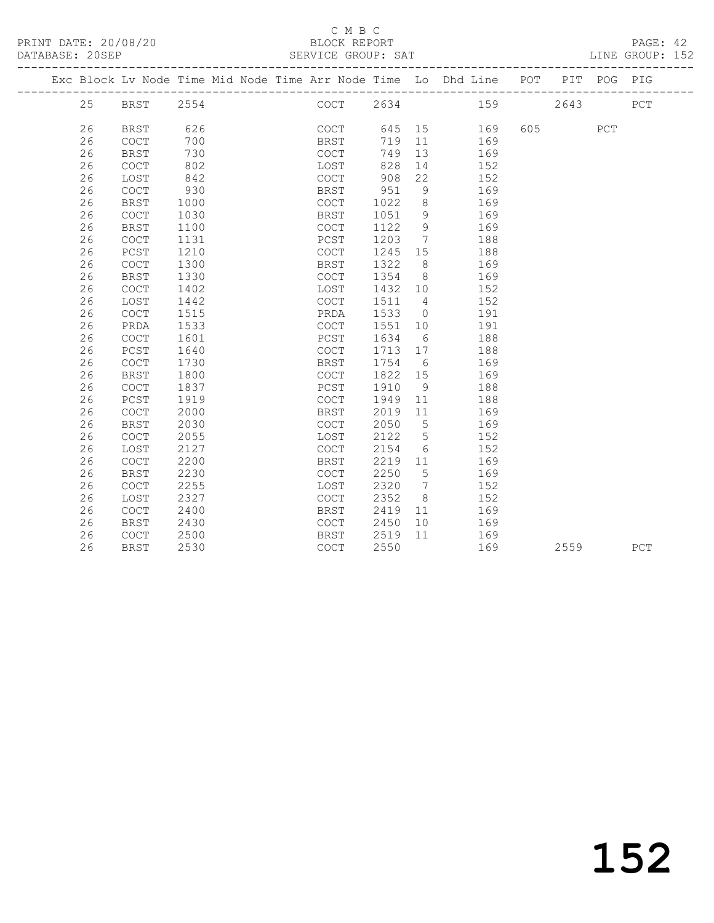#### C M B C<br>BLOCK REPORT

PAGE: 42<br>LINE GROUP: 152

|  |    |             |      | Exc Block Lv Node Time Mid Node Time Arr Node Time Lo Dhd Line POT |             |      |         |                |     |     |     | PIT  | POG         | PIG |
|--|----|-------------|------|--------------------------------------------------------------------|-------------|------|---------|----------------|-----|-----|-----|------|-------------|-----|
|  | 25 | BRST        | 2554 |                                                                    |             | COCT | 2634    |                | 159 |     |     | 2643 |             | PCT |
|  |    |             |      |                                                                    |             |      |         |                |     |     |     |      |             |     |
|  | 26 | <b>BRST</b> | 626  |                                                                    |             | COCT | 645 15  |                |     | 169 | 605 |      | ${\tt PCT}$ |     |
|  | 26 | COCT        | 700  |                                                                    | BRST        |      | 719     | 11             |     | 169 |     |      |             |     |
|  | 26 | <b>BRST</b> | 730  |                                                                    | COCT        |      | 749     | 13             |     | 169 |     |      |             |     |
|  | 26 | <b>COCT</b> | 802  |                                                                    | LOST        |      | 828     | 14             |     | 152 |     |      |             |     |
|  | 26 | LOST        | 842  |                                                                    | COCT        |      | 908     | 22             |     | 152 |     |      |             |     |
|  | 26 | COCT        | 930  |                                                                    | BRST        |      | 951     | 9              |     | 169 |     |      |             |     |
|  | 26 | <b>BRST</b> | 1000 |                                                                    | COCT        |      | 1022    | 8 <sup>8</sup> |     | 169 |     |      |             |     |
|  | 26 | COCT        | 1030 |                                                                    | BRST        |      | 1051    | 9              |     | 169 |     |      |             |     |
|  | 26 | <b>BRST</b> | 1100 |                                                                    | <b>COCT</b> |      | 1122    | 9              |     | 169 |     |      |             |     |
|  | 26 | COCT        | 1131 |                                                                    | PCST        |      | 1203    | $\overline{7}$ |     | 188 |     |      |             |     |
|  | 26 | PCST        | 1210 |                                                                    | COCT        |      | 1245 15 |                |     | 188 |     |      |             |     |
|  | 26 | COCT        | 1300 |                                                                    | BRST        |      | 1322    | 8 <sup>8</sup> |     | 169 |     |      |             |     |
|  | 26 | <b>BRST</b> | 1330 |                                                                    | COCT        |      | 1354    | 8 <sup>8</sup> |     | 169 |     |      |             |     |
|  | 26 | COCT        | 1402 |                                                                    | LOST        |      | 1432 10 |                |     | 152 |     |      |             |     |
|  | 26 | LOST        | 1442 |                                                                    | COCT        |      | 1511    | $\overline{4}$ |     | 152 |     |      |             |     |
|  | 26 | COCT        | 1515 |                                                                    | PRDA        |      | 1533    | $\overline{0}$ |     | 191 |     |      |             |     |
|  | 26 | PRDA        | 1533 |                                                                    | COCT        |      | 1551    | 10             |     | 191 |     |      |             |     |
|  | 26 | COCT        | 1601 |                                                                    | PCST        |      | 1634    | 6              |     | 188 |     |      |             |     |
|  | 26 | PCST        | 1640 |                                                                    | COCT        |      | 1713 17 |                |     | 188 |     |      |             |     |
|  | 26 | <b>COCT</b> | 1730 |                                                                    | BRST        |      | 1754    | 6              |     | 169 |     |      |             |     |
|  | 26 | <b>BRST</b> | 1800 |                                                                    | COCT        |      | 1822 15 |                |     | 169 |     |      |             |     |
|  | 26 | <b>COCT</b> | 1837 |                                                                    | PCST        |      | 1910    | 9              |     | 188 |     |      |             |     |
|  | 26 | PCST        | 1919 |                                                                    | COCT        |      | 1949    | 11             |     | 188 |     |      |             |     |
|  | 26 | COCT        | 2000 |                                                                    | BRST        |      | 2019    | 11             |     | 169 |     |      |             |     |
|  | 26 | <b>BRST</b> | 2030 |                                                                    | COCT        |      | 2050    | $5\phantom{0}$ |     | 169 |     |      |             |     |
|  | 26 | <b>COCT</b> | 2055 |                                                                    | LOST        |      | 2122    | 5              |     | 152 |     |      |             |     |
|  | 26 | LOST        | 2127 |                                                                    | <b>COCT</b> |      | 2154    | 6              |     | 152 |     |      |             |     |
|  | 26 | COCT        | 2200 |                                                                    | <b>BRST</b> |      | 2219    | 11             |     | 169 |     |      |             |     |
|  | 26 | <b>BRST</b> | 2230 |                                                                    | <b>COCT</b> |      | 2250    | 5              |     | 169 |     |      |             |     |
|  | 26 | COCT        | 2255 |                                                                    | LOST        |      | 2320    | $\overline{7}$ |     | 152 |     |      |             |     |
|  | 26 | LOST        | 2327 |                                                                    | COCT        |      | 2352    | 8 <sup>8</sup> |     | 152 |     |      |             |     |
|  | 26 | COCT        | 2400 |                                                                    | BRST        |      | 2419    | 11             |     | 169 |     |      |             |     |
|  | 26 | BRST        | 2430 |                                                                    | COCT        |      | 2450    | 10             | 169 |     |     |      |             |     |
|  | 26 | COCT        | 2500 |                                                                    | BRST        |      | 2519    | 11             | 169 |     |     |      |             |     |
|  | 26 | <b>BRST</b> | 2530 |                                                                    | COCT        |      | 2550    |                |     | 169 |     | 2559 |             | PCT |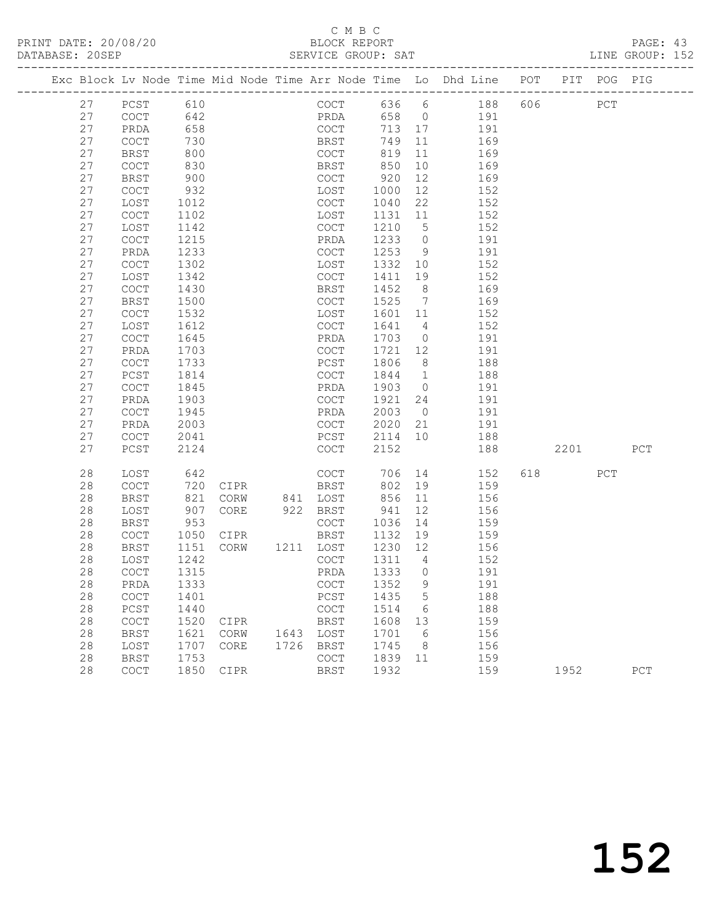## C M B C<br>BLOCK REPORT

PAGE: 43<br>LINE GROUP: 152

|  |    |                                            |            |      |           |             |              |             |                |     |           |     | Exc Block Lv Node Time Mid Node Time Arr Node Time Lo Dhd Line POT PIT POG PIG |     |       |
|--|----|--------------------------------------------|------------|------|-----------|-------------|--------------|-------------|----------------|-----|-----------|-----|--------------------------------------------------------------------------------|-----|-------|
|  | 27 | PCST                                       | 610        |      |           |             | COCT         |             |                |     | 636 6 188 | 606 |                                                                                | PCT |       |
|  | 27 | COCT                                       | 642<br>658 |      |           |             | PRDA<br>COCT | 658 0       |                |     | 191       |     |                                                                                |     |       |
|  | 27 | PRDA                                       |            |      |           |             |              | 713 17      |                |     | 191       |     |                                                                                |     |       |
|  | 27 | COCT                                       | 730        |      |           |             | <b>BRST</b>  | 749         | 11             | 169 |           |     |                                                                                |     |       |
|  | 27 | <b>BRST</b>                                | 800        |      |           | COCT        |              | 819         | 11             |     | 169       |     |                                                                                |     |       |
|  | 27 | COCT                                       | 830        |      |           | BRST        |              | 850         | 10             |     | 169       |     |                                                                                |     |       |
|  | 27 | BRST                                       | 900        |      |           | COCT        |              | 920         | 12             |     | 169       |     |                                                                                |     |       |
|  | 27 | COCT                                       | 932        |      |           | LOST        |              | 1000        | 12             |     | 152       |     |                                                                                |     |       |
|  | 27 | LOST                                       | 1012       |      |           | COCT        |              | 1040        | 22             |     | 152       |     |                                                                                |     |       |
|  | 27 | COCT                                       | 1102       |      |           | LOST        |              | 1131        | 11             |     | 152       |     |                                                                                |     |       |
|  | 27 | LOST                                       | 1142       |      |           | COCT        |              | 1210        | 5 <sup>5</sup> |     | 152       |     |                                                                                |     |       |
|  | 27 | COCT                                       | 1215       |      |           | PRDA        |              | 1233        | $\overline{0}$ |     | 191       |     |                                                                                |     |       |
|  | 27 | PRDA                                       | 1233       |      |           | COCT        |              | 1253        | 9              |     | 191       |     |                                                                                |     |       |
|  | 27 | COCT                                       | 1302       |      |           | LOST        |              | 1332        | 10             |     | 152       |     |                                                                                |     |       |
|  | 27 | LOST                                       | 1342       |      |           | COCT        |              | 1411        | 19             |     | 152       |     |                                                                                |     |       |
|  | 27 | COCT                                       | 1430       |      |           | BRST        |              | 1452        | 8 <sup>8</sup> |     | 169       |     |                                                                                |     |       |
|  | 27 | <b>BRST</b>                                | 1500       |      |           | COCT        |              | 1525        | $\overline{7}$ |     | 169       |     |                                                                                |     |       |
|  | 27 | COCT                                       | 1532       |      |           | LOST        |              | 1601        | 11             |     | 152       |     |                                                                                |     |       |
|  | 27 | LOST                                       | 1612       |      |           | COCT        |              | 1641        | $\overline{4}$ |     | 152       |     |                                                                                |     |       |
|  | 27 | COCT                                       | 1645       |      |           | PRDA        |              | 1703        | $\overline{0}$ |     | 191       |     |                                                                                |     |       |
|  | 27 | PRDA                                       | 1703       |      |           | COCT        |              | 1721        | 12             | 191 |           |     |                                                                                |     |       |
|  | 27 | COCT                                       | 1733       |      |           | PCST        |              | 1806        | 8 <sup>8</sup> |     | 188       |     |                                                                                |     |       |
|  | 27 | PCST                                       | 1814       |      |           | COCT        |              | 1844        | $\overline{1}$ |     | 188       |     |                                                                                |     |       |
|  | 27 | COCT                                       | 1845       |      |           | PRDA        |              | 1903        | $\overline{0}$ |     | 191       |     |                                                                                |     |       |
|  | 27 | PRDA                                       | 1903       |      |           | COCT        |              | 1921        | 24             |     | 191       |     |                                                                                |     |       |
|  | 27 | COCT                                       | 1945       |      |           | PRDA        |              | 2003        | $\overline{0}$ |     | 191       |     |                                                                                |     |       |
|  | 27 | PRDA                                       | 2003       |      |           | COCT        |              | 2020        | 21             |     | 191       |     |                                                                                |     |       |
|  | 27 | COCT                                       | 2041       |      |           | PCST        |              | 2114        | 10             |     | 188       |     |                                                                                |     |       |
|  | 27 | PCST                                       | 2124       |      |           | COCT        |              | 2152        |                |     | 188       |     | 2201                                                                           |     | PCT   |
|  | 28 | LOST                                       | 642        |      |           | COCT        |              | 706         | 14             |     | 152       |     | 618 — 18                                                                       | PCT |       |
|  | 28 | COCT                                       | 720        | CIPR |           | BRST        |              | 802         | 19             |     | 159       |     |                                                                                |     |       |
|  | 28 | BRST                                       | 821        | CORW | 841 LOST  |             |              | 856         | 11             |     | 156       |     |                                                                                |     |       |
|  | 28 | LOST                                       | 907        | CORE | 922 BRST  |             |              | 941         | 12             |     | 156       |     |                                                                                |     |       |
|  | 28 | BRST                                       | 953        |      |           | COCT        |              | 1036        | 14             |     | 159       |     |                                                                                |     |       |
|  | 28 | COCT                                       | 1050       | CIPR |           | BRST        |              | 1132        | 19             |     | 159       |     |                                                                                |     |       |
|  | 28 | BRST                                       | 1151       | CORW | 1211 LOST |             |              | 1230 12     |                |     | 156       |     |                                                                                |     |       |
|  | 28 | LOST                                       | 1242       |      |           | COCT        |              | 1311        | $\overline{4}$ |     | 152       |     |                                                                                |     |       |
|  | 28 | COCT                                       | 1315       |      |           | PRDA        |              | 1333        | $\overline{0}$ |     | 191       |     |                                                                                |     |       |
|  | 28 | PRDA                                       | 1333       |      |           |             |              | COCT 1352 9 |                |     | 191       |     |                                                                                |     |       |
|  | 28 | COCT                                       | 1401       |      |           | PCST        |              | 1435        | 5              |     | 188       |     |                                                                                |     |       |
|  | 28 | $PCST$                                     | 1440       |      |           | COCT        |              | 1514        | 6              |     | 188       |     |                                                                                |     |       |
|  | 28 | $\mathtt{C}\mathtt{O}\mathtt{C}\mathtt{T}$ | 1520       | CIPR |           | <b>BRST</b> |              | 1608        | 13             |     | 159       |     |                                                                                |     |       |
|  | 28 | <b>BRST</b>                                | 1621       | CORW | 1643      | LOST        |              | 1701        | 6              |     | 156       |     |                                                                                |     |       |
|  | 28 | LOST                                       | 1707       | CORE | 1726      | BRST        |              | 1745        | 8              |     | 156       |     |                                                                                |     |       |
|  | 28 | <b>BRST</b>                                | 1753       |      |           | <b>COCT</b> |              | 1839        | 11             |     | 159       |     |                                                                                |     |       |
|  | 28 | COCT                                       | 1850       | CIPR |           | <b>BRST</b> |              | 1932        |                |     | 159       |     | 1952                                                                           |     | $PCT$ |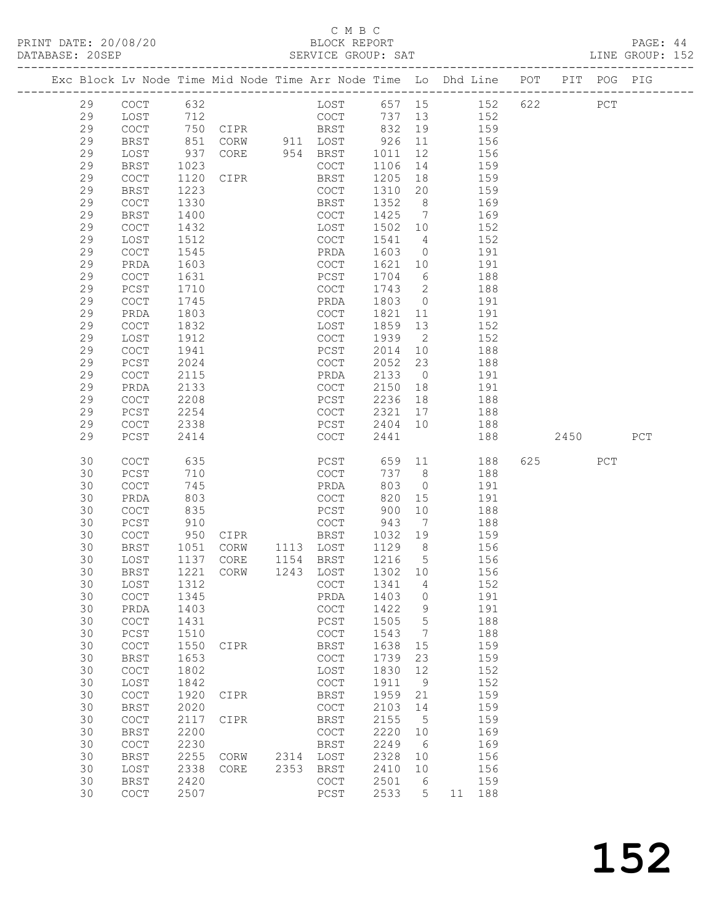PRINT DATE: 20/08/20 BLOCK REPORT PAGE: 44 DATABASE: 20SEP

#### C M B C<br>BLOCK REPORT

|          |                                                    |              | ------------------------ |      | ULAYIYU UNUUL. UAI                         |              |                              | ---------------------------------                                  |     |      |             |     |
|----------|----------------------------------------------------|--------------|--------------------------|------|--------------------------------------------|--------------|------------------------------|--------------------------------------------------------------------|-----|------|-------------|-----|
|          |                                                    |              |                          |      |                                            |              |                              | Exc Block Lv Node Time Mid Node Time Arr Node Time Lo Dhd Line POT |     |      | PIT POG PIG |     |
| 29       | COCT                                               | 632          |                          |      | LOST                                       | 657 15       |                              | 152                                                                | 622 |      | PCT         |     |
| 29       | LOST                                               | 712          |                          |      | COCT                                       | 737          | 13                           | 152                                                                |     |      |             |     |
| 29       | COCT                                               |              | 750 CIPR                 |      | <b>BRST</b>                                | 832          | 19                           | 159                                                                |     |      |             |     |
| 29       | <b>BRST</b>                                        | 851          | CORW 911 LOST            |      |                                            | 926          | 11                           | 156                                                                |     |      |             |     |
| 29       | LOST                                               | 937          | CORE                     |      | 954 BRST                                   | 1011         | 12                           | 156                                                                |     |      |             |     |
| 29       | BRST                                               | 1023         |                          |      | COCT                                       | 1106         | 14                           | 159                                                                |     |      |             |     |
| 29       | COCT                                               | 1120         | CIPR                     |      | BRST                                       | 1205         | 18                           | 159                                                                |     |      |             |     |
| 29       | BRST                                               | 1223         |                          |      | COCT                                       | 1310         | 20                           | 159                                                                |     |      |             |     |
| 29       | $\mathtt{C}\mathtt{O}\mathtt{C}\mathtt{T}$         | 1330         |                          |      | BRST                                       | 1352         | 8 <sup>8</sup>               | 169                                                                |     |      |             |     |
| 29       | <b>BRST</b>                                        | 1400         |                          |      | COCT                                       | 1425         | $\overline{7}$               | 169                                                                |     |      |             |     |
| 29       | COCT                                               | 1432         |                          |      | LOST                                       | 1502         | 10                           | 152                                                                |     |      |             |     |
| 29       | LOST                                               | 1512         |                          |      | COCT                                       | 1541         | $\overline{4}$               | 152                                                                |     |      |             |     |
| 29       | COCT                                               | 1545         |                          |      | PRDA                                       | 1603         | $\overline{0}$               | 191                                                                |     |      |             |     |
| 29       | PRDA                                               | 1603         |                          |      | COCT                                       | 1621         | 10                           | 191                                                                |     |      |             |     |
| 29       | <b>COCT</b>                                        | 1631         |                          |      | PCST                                       | 1704         | 6                            | 188                                                                |     |      |             |     |
| 29       | PCST                                               | 1710         |                          |      | COCT                                       | 1743         | 2                            | 188                                                                |     |      |             |     |
| 29       | $\mathtt{C}\mathtt{O}\mathtt{C}\mathtt{T}$         | 1745         |                          |      | PRDA                                       | 1803         | $\overline{0}$               | 191                                                                |     |      |             |     |
| 29       | PRDA                                               | 1803         |                          |      | COCT                                       | 1821         | 11                           | 191                                                                |     |      |             |     |
| 29       | COCT                                               | 1832         |                          |      | LOST                                       | 1859         | 13                           | 152                                                                |     |      |             |     |
| 29       | LOST                                               | 1912         |                          |      | COCT                                       | 1939         | $\overline{2}$               | 152<br>188                                                         |     |      |             |     |
| 29<br>29 | $\mathtt{C}\mathtt{O}\mathtt{C}\mathtt{T}$         | 1941<br>2024 |                          |      | PCST                                       | 2014<br>2052 | 10<br>23                     |                                                                    |     |      |             |     |
| 29       | PCST<br>COCT                                       | 2115         |                          |      | COCT<br>PRDA                               | 2133         | $\overline{0}$               | 188<br>191                                                         |     |      |             |     |
| 29       | PRDA                                               | 2133         |                          |      | COCT                                       | 2150         | 18                           | 191                                                                |     |      |             |     |
| 29       | COCT                                               | 2208         |                          |      | PCST                                       | 2236         | 18                           | 188                                                                |     |      |             |     |
| 29       | PCST                                               | 2254         |                          |      | COCT                                       | 2321         | 17                           | 188                                                                |     |      |             |     |
| 29       | $\mathtt{C}\mathtt{O}\mathtt{C}\mathtt{T}$         | 2338         |                          |      | PCST                                       | 2404         | 10                           | 188                                                                |     |      |             |     |
| 29       | PCST                                               | 2414         |                          |      | COCT                                       | 2441         |                              | 188                                                                |     | 2450 |             | PCT |
| 30       | COCT                                               | 635          |                          |      | PCST                                       | 659 11       |                              | 188                                                                | 625 |      | PCT         |     |
| 30       | $PCST$                                             | 710          |                          |      | COCT                                       | 737          | 8 <sup>8</sup>               | 188                                                                |     |      |             |     |
| 30       | $\mathtt{C}\mathtt{O}\mathtt{C}\mathtt{T}$         | 745          |                          |      | PRDA                                       | 803          | $\overline{0}$               | 191                                                                |     |      |             |     |
| 30       | PRDA                                               | 803          |                          |      | COCT                                       | 820          | 15                           | 191                                                                |     |      |             |     |
| 30       | <b>COCT</b>                                        | 835          |                          |      | PCST                                       | 900          | 10                           | 188                                                                |     |      |             |     |
| 30       | PCST                                               | 910          |                          |      | COCT                                       | 943          | $7\phantom{.0}\phantom{.0}7$ | 188                                                                |     |      |             |     |
| 30       | COCT                                               | 950          | CIPR                     |      | <b>BRST</b>                                | 1032         | 19                           | 159                                                                |     |      |             |     |
| 30       | BRST                                               | 1051         | CORW                     |      | 1113 LOST                                  | 1129         | 8 <sup>8</sup>               | 156                                                                |     |      |             |     |
| 30       | LOST                                               | 1137         | CORE                     |      | 1154 BRST                                  | 1216         | 5 <sup>5</sup>               | 156                                                                |     |      |             |     |
| 30       | BRST                                               | 1221         | CORW                     |      | 1243 LOST                                  | 1302 10      |                              | 156                                                                |     |      |             |     |
| 30       | LOST                                               | 1312         |                          |      | COCT                                       | 1341         | 4                            | 152                                                                |     |      |             |     |
| 30       | COCT                                               | 1345         |                          |      | PRDA                                       | 1403         | 0                            | 191                                                                |     |      |             |     |
| 30       | PRDA                                               | 1403         |                          |      | $\mathtt{C}\mathtt{O}\mathtt{C}\mathtt{T}$ | 1422         | 9                            | 191                                                                |     |      |             |     |
| 30<br>30 | $\operatorname{COT}$                               | 1431<br>1510 |                          |      | ${\tt PCST}$                               | 1505         | 5<br>7                       | 188<br>188                                                         |     |      |             |     |
| 30       | PCST<br>$\mathtt{C}\mathtt{O}\mathtt{C}\mathtt{T}$ | 1550         | CIPR                     |      | COCT<br><b>BRST</b>                        | 1543<br>1638 | 15                           | 159                                                                |     |      |             |     |
| 30       | <b>BRST</b>                                        | 1653         |                          |      | COCT                                       | 1739         | 23                           | 159                                                                |     |      |             |     |
| 30       | $\mathtt{C}\mathtt{O}\mathtt{C}\mathtt{T}$         | 1802         |                          |      | LOST                                       | 1830         | 12                           | 152                                                                |     |      |             |     |
| 30       | LOST                                               | 1842         |                          |      | COCT                                       | 1911         | 9                            | 152                                                                |     |      |             |     |
| 30       | COCT                                               | 1920         | CIPR                     |      | <b>BRST</b>                                | 1959         | 21                           | 159                                                                |     |      |             |     |
| 30       | <b>BRST</b>                                        | 2020         |                          |      | COCT                                       | 2103         | 14                           | 159                                                                |     |      |             |     |
| 30       | COCT                                               | 2117         | CIPR                     |      | <b>BRST</b>                                | 2155         | 5                            | 159                                                                |     |      |             |     |
| 30       | <b>BRST</b>                                        | 2200         |                          |      | COCT                                       | 2220         | 10                           | 169                                                                |     |      |             |     |
| 30       | COCT                                               | 2230         |                          |      | <b>BRST</b>                                | 2249         | 6                            | 169                                                                |     |      |             |     |
| 30       | <b>BRST</b>                                        | 2255         | CORW                     | 2314 | LOST                                       | 2328         | 10                           | 156                                                                |     |      |             |     |
| 30       | LOST                                               | 2338         | CORE                     | 2353 | <b>BRST</b>                                | 2410         | 10                           | 156                                                                |     |      |             |     |
| 30       | <b>BRST</b>                                        | 2420         |                          |      | $_{\mathrm{COT}}$                          | 2501         | 6                            | 159                                                                |     |      |             |     |
| 30       | COCT                                               | 2507         |                          |      | $_{\rm PCST}$                              | 2533         | 5                            | 188<br>11                                                          |     |      |             |     |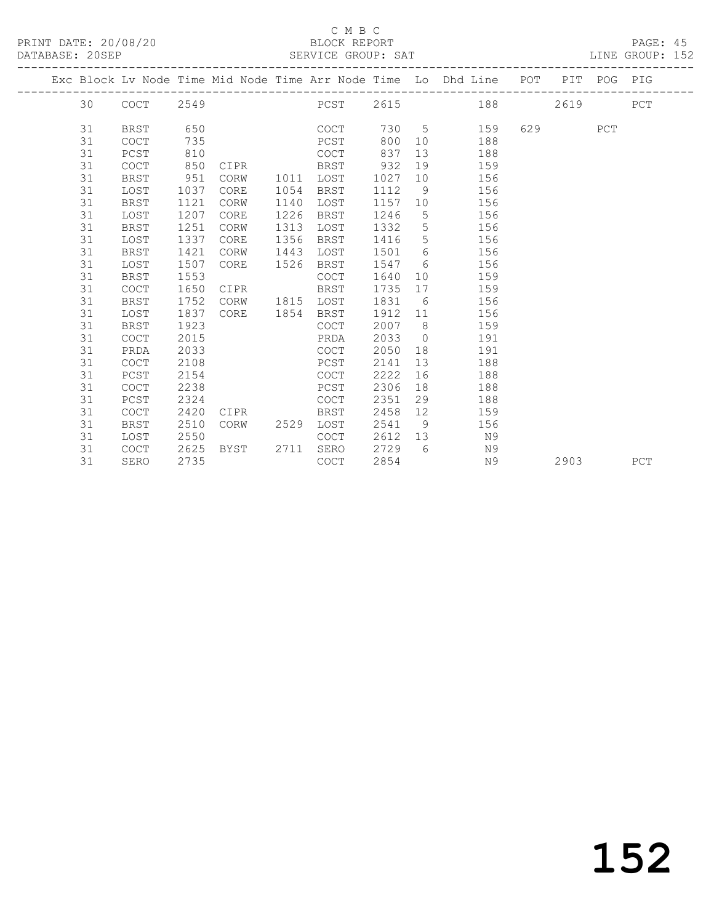#### C M B C<br>BLOCK REPORT

#### PAGE: 45<br>LINE GROUP: 152

|  |    |             |      |      |      |             |         |                | Exc Block Lv Node Time Mid Node Time Arr Node Time Lo Dhd Line POT PIT POG PIG |     |      |     |     |
|--|----|-------------|------|------|------|-------------|---------|----------------|--------------------------------------------------------------------------------|-----|------|-----|-----|
|  | 30 | COCT        | 2549 |      |      | <b>POST</b> |         |                | 2615 188                                                                       |     | 2619 |     | PCT |
|  | 31 | <b>BRST</b> | 650  |      |      | COCT        |         |                | 730 5<br>159                                                                   | 629 |      | PCT |     |
|  | 31 | <b>COCT</b> | 735  |      |      | PCST        | 800     | 10             | 188                                                                            |     |      |     |     |
|  | 31 | PCST        | 810  |      |      | COCT        | 837     | 13             | 188                                                                            |     |      |     |     |
|  | 31 | COCT        | 850  | CIPR |      | BRST        | 932     | 19             | 159                                                                            |     |      |     |     |
|  | 31 | <b>BRST</b> | 951  | CORW | 1011 | LOST        | 1027    | 10             | 156                                                                            |     |      |     |     |
|  | 31 | LOST        | 1037 | CORE | 1054 | BRST        | 1112    | 9              | 156                                                                            |     |      |     |     |
|  | 31 | <b>BRST</b> | 1121 | CORW | 1140 | LOST        | 1157    | 10             | 156                                                                            |     |      |     |     |
|  | 31 | LOST        | 1207 | CORE | 1226 | BRST        | 1246    | 5 <sup>5</sup> | 156                                                                            |     |      |     |     |
|  | 31 | <b>BRST</b> | 1251 | CORW | 1313 | LOST        | 1332    | 5              | 156                                                                            |     |      |     |     |
|  | 31 | LOST        | 1337 | CORE | 1356 | BRST        | 1416    | 5 <sup>5</sup> | 156                                                                            |     |      |     |     |
|  | 31 | <b>BRST</b> | 1421 | CORW | 1443 | LOST        | 1501    | 6              | 156                                                                            |     |      |     |     |
|  | 31 | LOST        | 1507 | CORE | 1526 | BRST        | 1547    | 6              | 156                                                                            |     |      |     |     |
|  | 31 | <b>BRST</b> | 1553 |      |      | COCT        | 1640    | 10             | 159                                                                            |     |      |     |     |
|  | 31 | <b>COCT</b> | 1650 | CIPR |      | BRST        | 1735    | 17             | 159                                                                            |     |      |     |     |
|  | 31 | BRST        | 1752 | CORW |      | 1815 LOST   | 1831    | 6              | 156                                                                            |     |      |     |     |
|  | 31 | LOST        | 1837 | CORE |      | 1854 BRST   | 1912 11 |                | 156                                                                            |     |      |     |     |
|  | 31 | BRST        | 1923 |      |      | <b>COCT</b> | 2007    | 8 <sup>8</sup> | 159                                                                            |     |      |     |     |
|  | 31 | <b>COCT</b> | 2015 |      |      | PRDA        | 2033    | $\overline{0}$ | 191                                                                            |     |      |     |     |
|  | 31 | PRDA        | 2033 |      |      | COCT        | 2050    | 18             | 191                                                                            |     |      |     |     |
|  | 31 | <b>COCT</b> | 2108 |      |      | PCST        | 2141    | 13             | 188                                                                            |     |      |     |     |
|  | 31 | PCST        | 2154 |      |      | <b>COCT</b> | 2222    | 16             | 188                                                                            |     |      |     |     |
|  | 31 | <b>COCT</b> | 2238 |      |      | PCST        | 2306    | 18             | 188                                                                            |     |      |     |     |
|  | 31 | PCST        | 2324 |      |      | COCT        | 2351    | 29             | 188                                                                            |     |      |     |     |
|  | 31 | <b>COCT</b> | 2420 | CIPR |      | BRST        | 2458    | 12             | 159                                                                            |     |      |     |     |
|  | 31 | <b>BRST</b> | 2510 | CORW | 2529 | LOST        | 2541    | 9              | 156                                                                            |     |      |     |     |
|  | 31 | LOST        | 2550 |      |      | COCT        | 2612    | 13             | N 9                                                                            |     |      |     |     |
|  | 31 | COCT        | 2625 | BYST | 2711 | SERO        | 2729    | - 6            | N9                                                                             |     |      |     |     |
|  | 31 | SERO        | 2735 |      |      | COCT        | 2854    |                | N9                                                                             |     | 2903 |     | PCT |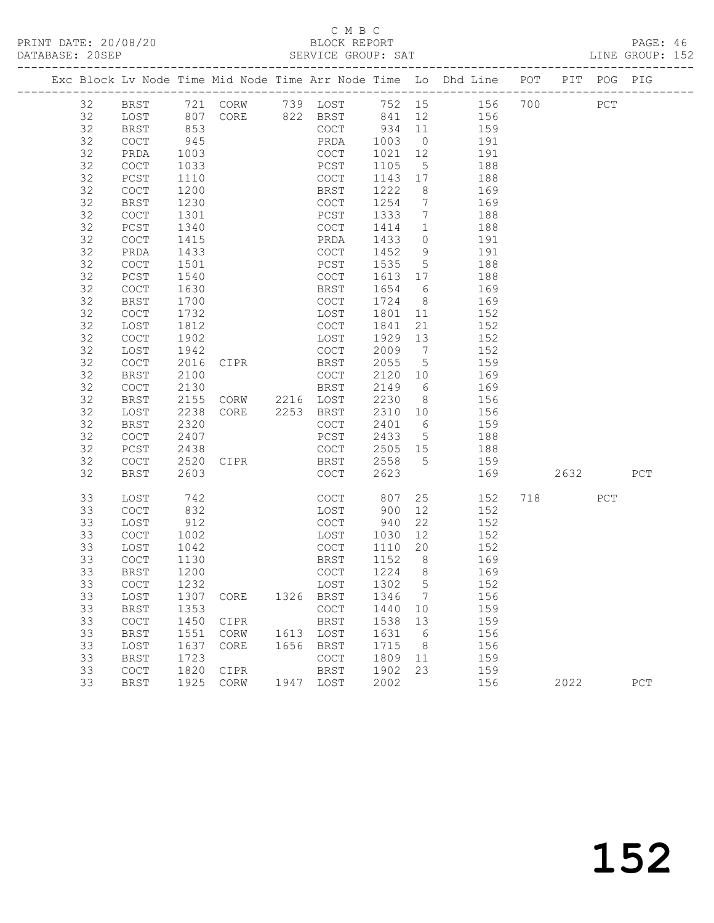## C M B C<br>BLOCK REPORT

PAGE: 46<br>LINE GROUP: 152

|  |          |                                            |              |                              |      |                                            |              |                      | Exc Block Lv Node Time Mid Node Time Arr Node Time Lo Dhd Line POT PIT POG PIG |     |      |     |     |
|--|----------|--------------------------------------------|--------------|------------------------------|------|--------------------------------------------|--------------|----------------------|--------------------------------------------------------------------------------|-----|------|-----|-----|
|  | 32       | BRST                                       |              | 721 CORW 739 LOST            |      |                                            |              |                      | 752 15 156                                                                     | 700 |      | PCT |     |
|  | 32       | LOST                                       | 807          |                              |      | CORE 822 BRST 841                          |              | 12                   | 156                                                                            |     |      |     |     |
|  | 32       | BRST                                       | 853          |                              |      | COCT                                       | 934          | 11                   | 159                                                                            |     |      |     |     |
|  | 32       | COCT                                       | 945          |                              |      | PRDA                                       | 1003         | $\overline{0}$       | 191                                                                            |     |      |     |     |
|  | 32       | PRDA                                       | 1003         |                              |      | COCT                                       | 1021         | 12                   | 191                                                                            |     |      |     |     |
|  | 32       | $\mathtt{C}\mathtt{O}\mathtt{C}\mathtt{T}$ | 1033         |                              |      | PCST                                       | 1105         | $5\overline{)}$      | 188                                                                            |     |      |     |     |
|  | 32       | PCST                                       | 1110         |                              |      | COCT                                       | 1143         | 17                   | 188                                                                            |     |      |     |     |
|  | 32       | COCT                                       | 1200         |                              |      | BRST                                       | 1222         | 8                    | 169                                                                            |     |      |     |     |
|  | 32       | <b>BRST</b>                                | 1230         |                              |      | COCT                                       | 1254         | $\overline{7}$       | 169                                                                            |     |      |     |     |
|  | 32       | COCT                                       | 1301         |                              |      | PCST                                       | 1333         | $7\phantom{.0}$      | 188                                                                            |     |      |     |     |
|  | 32       | PCST                                       | 1340         |                              |      | COCT                                       | 1414         | $\mathbf{1}$         | 188                                                                            |     |      |     |     |
|  | 32       | COCT                                       | 1415         |                              |      | PRDA                                       | 1433         | $\circ$              | 191                                                                            |     |      |     |     |
|  | 32       | PRDA                                       | 1433         |                              |      | COCT                                       | 1452         | 9                    | 191                                                                            |     |      |     |     |
|  | 32       | COCT                                       | 1501         |                              |      | PCST                                       | 1535         | 5                    | 188                                                                            |     |      |     |     |
|  | 32       | PCST                                       | 1540         |                              |      | COCT                                       | 1613         | 17                   | 188                                                                            |     |      |     |     |
|  | 32       | COCT                                       | 1630         |                              |      | BRST                                       | 1654         | 6                    | 169                                                                            |     |      |     |     |
|  | 32       | <b>BRST</b>                                | 1700         |                              |      | COCT                                       | 1724         | 8 <sup>8</sup>       | 169                                                                            |     |      |     |     |
|  | 32       | COCT                                       | 1732         |                              |      | LOST                                       | 1801         | 11                   | 152                                                                            |     |      |     |     |
|  | 32<br>32 | LOST                                       | 1812         |                              |      | COCT                                       | 1841<br>1929 | 21<br>13             | 152                                                                            |     |      |     |     |
|  | 32       | COCT                                       | 1902<br>1942 |                              |      | LOST<br>COCT                               | 2009         | $\overline{7}$       | 152<br>152                                                                     |     |      |     |     |
|  | 32       | LOST<br>COCT                               | 2016         | CIPR                         |      | BRST                                       | 2055         | $5^{\circ}$          | 159                                                                            |     |      |     |     |
|  | 32       | <b>BRST</b>                                | 2100         |                              |      | COCT                                       | 2120         | 10                   | 169                                                                            |     |      |     |     |
|  | 32       | COCT                                       | 2130         |                              |      | BRST                                       | 2149         | 6                    | 169                                                                            |     |      |     |     |
|  | 32       | BRST                                       | 2155         | CORW 2216 LOST               |      |                                            | 2230         | 8 <sup>8</sup>       | 156                                                                            |     |      |     |     |
|  | 32       | LOST                                       | 2238         | CORE                         |      | 2253 BRST                                  | 2310         | 10                   | 156                                                                            |     |      |     |     |
|  | 32       | <b>BRST</b>                                | 2320         |                              |      | COCT                                       | 2401         | 6                    | 159                                                                            |     |      |     |     |
|  | 32       | COCT                                       | 2407         |                              |      | PCST                                       | 2433         | $5\overline{)}$      | 188                                                                            |     |      |     |     |
|  | 32       | PCST                                       | 2438         |                              |      | COCT                                       | 2505 15      |                      | 188                                                                            |     |      |     |     |
|  | 32       | <b>COCT</b>                                | 2520         | CIPR                         |      | BRST                                       | 2558         | $5^{\circ}$          | 159                                                                            |     |      |     |     |
|  | 32       | <b>BRST</b>                                | 2603         |                              |      | COCT                                       | 2623         |                      | 169                                                                            |     | 2632 |     | PCT |
|  |          |                                            |              |                              |      |                                            |              |                      |                                                                                |     |      |     |     |
|  | 33       | LOST                                       | 742          |                              |      | COCT                                       | 807          | 25                   | 152                                                                            |     | 718  | PCT |     |
|  | 33       | COCT                                       | 832          |                              |      | LOST                                       | 900          | 12                   | 152                                                                            |     |      |     |     |
|  | 33       | LOST                                       | 912          |                              |      | COCT                                       | 940          | 22                   | 152                                                                            |     |      |     |     |
|  | 33       | COCT                                       | 1002         |                              |      | LOST                                       | 1030         | 12                   | 152                                                                            |     |      |     |     |
|  | 33<br>33 | LOST<br>COCT                               | 1042<br>1130 |                              |      | COCT<br>BRST                               | 1110<br>1152 | 20<br>8 <sup>8</sup> | 152<br>169                                                                     |     |      |     |     |
|  | 33       | <b>BRST</b>                                | 1200         |                              |      | COCT                                       | 1224         | 8 <sup>8</sup>       | 169                                                                            |     |      |     |     |
|  | 33       | COCT                                       | 1232         |                              |      | LOST 1302 5                                |              |                      | 152                                                                            |     |      |     |     |
|  | 33       | LOST                                       | 1307         | CORE                         | 1326 | BRST                                       | 1346         | 7                    | 156                                                                            |     |      |     |     |
|  | 33       | <b>BRST</b>                                | 1353         |                              |      | $\mathtt{C}\mathtt{O}\mathtt{C}\mathtt{T}$ | 1440         | 10                   | 159                                                                            |     |      |     |     |
|  | 33       | COCT                                       | 1450         | CIPR                         |      | BRST                                       | 1538         | 13                   | 159                                                                            |     |      |     |     |
|  | 33       | <b>BRST</b>                                | 1551         | CORW                         | 1613 | LOST                                       | 1631         | 6                    | 156                                                                            |     |      |     |     |
|  | 33       | LOST                                       | 1637         | CORE                         | 1656 | BRST                                       | 1715         | 8                    | 156                                                                            |     |      |     |     |
|  | 33       | <b>BRST</b>                                | 1723         |                              |      | $\mathtt{C}\mathtt{O}\mathtt{C}\mathtt{T}$ | 1809         | 11                   | 159                                                                            |     |      |     |     |
|  | 33       | COCT                                       | 1820         | CIPR                         |      | BRST                                       | 1902         | 23                   | 159                                                                            |     |      |     |     |
|  | 33       | <b>BRST</b>                                | 1925         | $\mathop{\rm CORW}\nolimits$ | 1947 | LOST                                       | 2002         |                      | 156                                                                            |     | 2022 |     | PCT |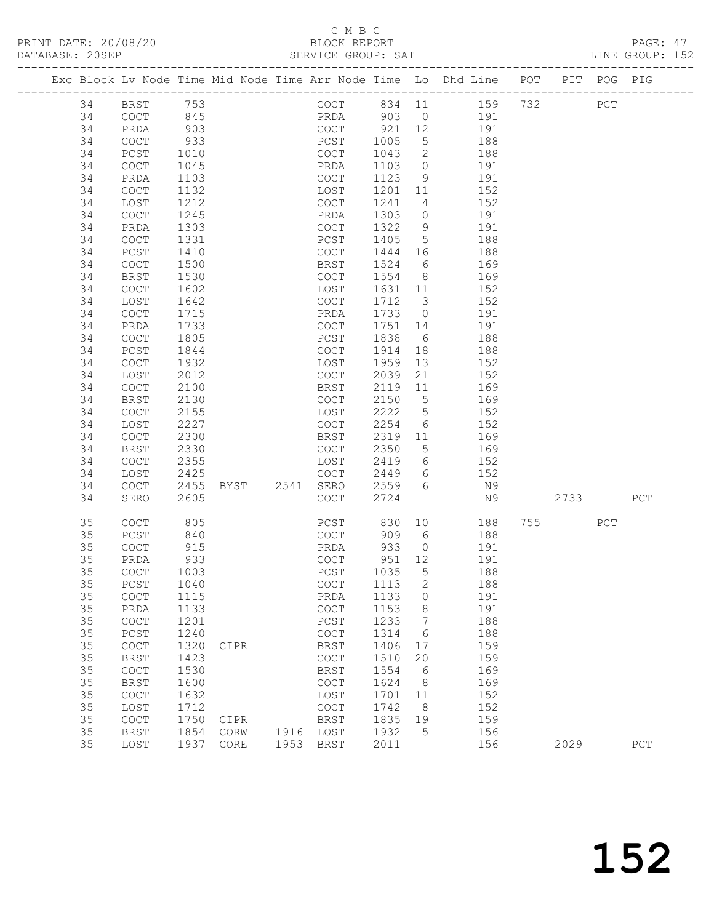## C M B C

| DATABASE: 20SEP |    |                                            |      |                |           | SERVICE GROUP: SAT |         |                 |                                                                                |      |     | LINE GROUP: 152 |  |
|-----------------|----|--------------------------------------------|------|----------------|-----------|--------------------|---------|-----------------|--------------------------------------------------------------------------------|------|-----|-----------------|--|
|                 |    |                                            |      |                |           |                    |         |                 | Exc Block Lv Node Time Mid Node Time Arr Node Time Lo Dhd Line POT PIT POG PIG |      |     |                 |  |
|                 | 34 | BRST 753                                   |      |                |           |                    |         |                 | COCT 834 11 159 732 PCT                                                        |      |     |                 |  |
|                 | 34 | COCT                                       | 845  |                |           |                    |         |                 | PRDA 903 0 191                                                                 |      |     |                 |  |
|                 | 34 | PRDA                                       | 903  |                |           |                    |         |                 | COCT 921 12 191                                                                |      |     |                 |  |
|                 | 34 | <b>COCT</b>                                | 933  |                |           | PCST 1005          |         | 5 <sup>5</sup>  | 188                                                                            |      |     |                 |  |
|                 | 34 | PCST                                       | 1010 |                |           | COCT               | 1043    | $\overline{2}$  | 188                                                                            |      |     |                 |  |
|                 | 34 | COCT                                       | 1045 |                |           | PRDA               | 1103    | $\overline{0}$  | 191                                                                            |      |     |                 |  |
|                 | 34 | PRDA                                       | 1103 |                |           | COCT               | 1123    | 9               | 191                                                                            |      |     |                 |  |
|                 | 34 | COCT                                       | 1132 |                |           | LOST               | 1201 11 |                 | 152                                                                            |      |     |                 |  |
|                 | 34 | LOST                                       | 1212 |                |           | COCT               | 1241    | $4\overline{4}$ | 152                                                                            |      |     |                 |  |
|                 | 34 | <b>COCT</b>                                | 1245 |                |           | PRDA               | 1303    | $\overline{0}$  | 191                                                                            |      |     |                 |  |
|                 | 34 | PRDA                                       | 1303 |                |           | COCT               | 1322    | 9               | 191                                                                            |      |     |                 |  |
|                 | 34 | COCT                                       | 1331 |                |           | PCST               | 1405    | 5 <sup>5</sup>  | 188                                                                            |      |     |                 |  |
|                 | 34 | PCST                                       | 1410 |                |           | COCT               | 1444 16 |                 | 188                                                                            |      |     |                 |  |
|                 | 34 | COCT                                       | 1500 |                |           | BRST               | 1524    | 6               | 169                                                                            |      |     |                 |  |
|                 | 34 | BRST                                       | 1530 |                |           | COCT               | 1554 8  |                 | 169                                                                            |      |     |                 |  |
|                 | 34 | COCT                                       | 1602 |                |           | LOST               | 1631 11 |                 | 152                                                                            |      |     |                 |  |
|                 | 34 | LOST                                       | 1642 |                |           | COCT               | 1712 3  |                 | 152                                                                            |      |     |                 |  |
|                 | 34 | COCT                                       | 1715 |                |           | PRDA               | 1733    | $\overline{0}$  | 191                                                                            |      |     |                 |  |
|                 | 34 | PRDA                                       | 1733 |                |           | COCT               | 1751    | 14              | 191                                                                            |      |     |                 |  |
|                 | 34 | COCT                                       | 1805 |                |           | PCST               | 1838    | 6               | 188                                                                            |      |     |                 |  |
|                 | 34 | PCST                                       | 1844 |                |           | COCT               | 1914    | 18              | 188                                                                            |      |     |                 |  |
|                 | 34 | COCT                                       | 1932 |                |           | LOST               | 1959    | 13              | 152                                                                            |      |     |                 |  |
|                 | 34 | LOST                                       | 2012 |                |           | COCT               | 2039    | 21              | 152                                                                            |      |     |                 |  |
|                 | 34 | COCT                                       | 2100 |                |           | BRST               | 2119    | 11              | 169                                                                            |      |     |                 |  |
|                 | 34 | BRST                                       | 2130 |                |           | COCT               | 2150 5  |                 | 169                                                                            |      |     |                 |  |
|                 | 34 | COCT                                       | 2155 |                |           | LOST               | 2222    | $5\overline{)}$ | 152                                                                            |      |     |                 |  |
|                 | 34 | LOST                                       | 2227 |                |           | COCT               | 2254    | 6               | 152                                                                            |      |     |                 |  |
|                 | 34 | $\mathtt{C}\mathtt{O}\mathtt{C}\mathtt{T}$ | 2300 |                |           | BRST               | 2319    | 11              | 169                                                                            |      |     |                 |  |
|                 | 34 | <b>BRST</b>                                | 2330 |                |           | COCT               | 2350    | 5 <sup>5</sup>  | 169                                                                            |      |     |                 |  |
|                 | 34 | COCT                                       | 2355 |                |           | LOST               | 2419    | 6               | 152                                                                            |      |     |                 |  |
|                 | 34 | LOST                                       | 2425 |                |           | COCT               | 2449    |                 | 6 152                                                                          |      |     |                 |  |
|                 | 34 | COCT                                       | 2455 | BYST 2541 SERO |           |                    | 2559    | $6\overline{6}$ | N9                                                                             |      |     |                 |  |
|                 | 34 | SERO                                       | 2605 |                |           | COCT               | 2724    |                 | N9                                                                             | 2733 |     | PCT             |  |
|                 | 35 | <b>COCT</b>                                | 805  |                |           | PCST               |         |                 | 830 10<br>188                                                                  |      | PCT |                 |  |
|                 | 35 | PCST                                       | 840  |                |           | COCT               | 909 6   |                 | 188                                                                            |      |     |                 |  |
|                 | 35 | COCT                                       | 915  |                |           | PRDA               | 933     | $\overline{0}$  | 191                                                                            |      |     |                 |  |
|                 | 35 | PRDA                                       | 933  |                |           | COCT               | 951 12  |                 | 191                                                                            |      |     |                 |  |
|                 | 35 | COCT 1003                                  |      |                |           | PCST 1035 5        |         |                 | 188                                                                            |      |     |                 |  |
|                 | 35 | PCST                                       | 1040 |                |           | COCT               | 1113    | 2               | 188                                                                            |      |     |                 |  |
|                 | 35 | COCT                                       | 1115 |                |           | PRDA               | 1133    | $\overline{0}$  | 191                                                                            |      |     |                 |  |
|                 | 35 | PRDA                                       | 1133 |                |           | COCT               | 1153    | 8               | 191                                                                            |      |     |                 |  |
|                 | 35 | COCT                                       | 1201 |                |           | PCST               | 1233    | $\overline{7}$  | 188                                                                            |      |     |                 |  |
|                 | 35 | $PCST$                                     | 1240 |                |           | COCT               | 1314    | 6               | 188                                                                            |      |     |                 |  |
|                 | 35 | COCT                                       | 1320 | CIPR           |           | BRST               | 1406    | 17              | 159                                                                            |      |     |                 |  |
|                 | 35 | <b>BRST</b>                                | 1423 |                |           | COCT               | 1510    | 20              | 159                                                                            |      |     |                 |  |
|                 | 35 | COCT                                       | 1530 |                |           | BRST               | 1554    | 6               | 169                                                                            |      |     |                 |  |
|                 | 35 | <b>BRST</b>                                | 1600 |                |           | COCT               | 1624    | 8 <sup>8</sup>  | 169                                                                            |      |     |                 |  |
|                 | 35 | COCT                                       | 1632 |                |           | LOST               | 1701    | 11              | 152                                                                            |      |     |                 |  |
|                 | 35 | LOST                                       | 1712 |                |           | COCT               | 1742    | 8               | 152                                                                            |      |     |                 |  |
|                 | 35 | COCT                                       | 1750 | CIPR           |           | BRST               | 1835    | 19              | 159                                                                            |      |     |                 |  |
|                 | 35 | <b>BRST</b>                                | 1854 | CORW           | 1916 LOST |                    | 1932    | $5^{\circ}$     | 156                                                                            |      |     |                 |  |
|                 | 35 | LOST                                       |      | 1937 CORE      | 1953 BRST |                    | 2011    |                 | 156                                                                            | 2029 |     | PCT             |  |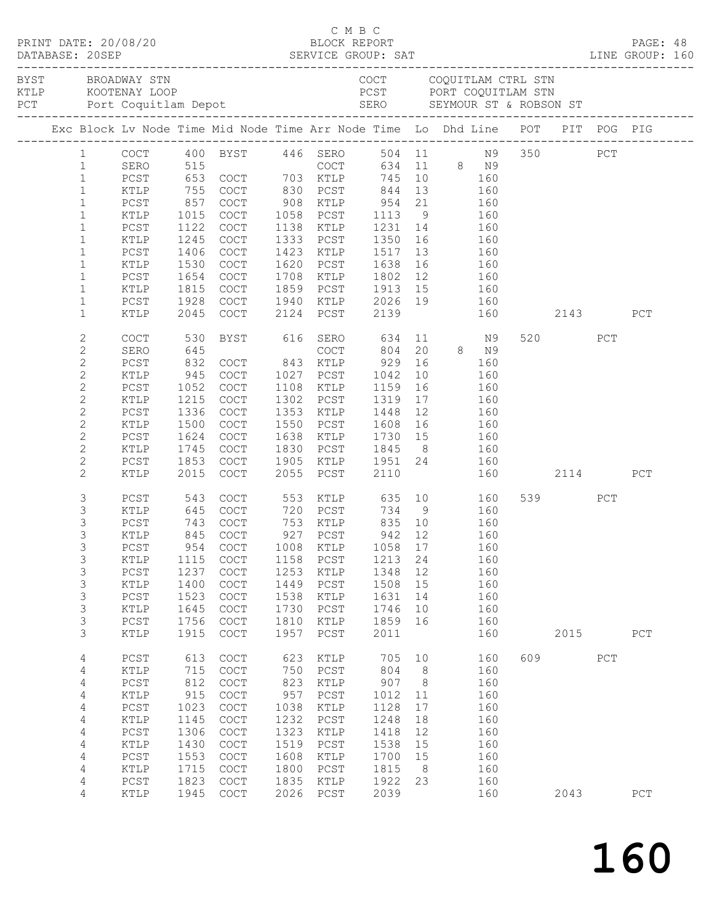|  |                |              |      | EXAMPLE BROAD STRACK STRACK STRACK STRACK STRACK STRACK STRACK STRACK STRACK STRACK STRACK STRACK SERO SEYMOUR STRACK STRACK STRACK STRACK STRACK STRACK STRACK STRACK STRACK STRACK STRACK STRACK STRACK STRACK STRACK STRACK |      |                       |                                   |                |         |                   |     |               |     |             |  |
|--|----------------|--------------|------|--------------------------------------------------------------------------------------------------------------------------------------------------------------------------------------------------------------------------------|------|-----------------------|-----------------------------------|----------------|---------|-------------------|-----|---------------|-----|-------------|--|
|  |                |              |      | Exc Block Lv Node Time Mid Node Time Arr Node Time Lo Dhd Line POT PIT POG PIG                                                                                                                                                 |      |                       |                                   |                |         |                   |     |               |     |             |  |
|  |                |              |      | 1 COCT 400 BYST 446 SERO                                                                                                                                                                                                       |      |                       |                                   |                |         |                   |     | 504 11 N9 350 | PCT |             |  |
|  | $\mathbf{1}$   |              |      | SERO 515<br>PCST 653 COCT 703 KTLP 745 10 160<br>KTLP 755 COCT 830 PCST 844 13 160                                                                                                                                             |      |                       |                                   |                |         | 634 11 8 N9       |     |               |     |             |  |
|  | $\mathbf{1}$   |              |      |                                                                                                                                                                                                                                |      |                       |                                   |                |         |                   |     |               |     |             |  |
|  | $\mathbf{1}$   |              |      |                                                                                                                                                                                                                                |      |                       |                                   |                |         |                   |     |               |     |             |  |
|  | $\mathbf{1}$   | PCST         | 857  | COCT                                                                                                                                                                                                                           |      | 908 KTLP 954 21 160   |                                   |                |         |                   |     |               |     |             |  |
|  | $\mathbf{1}$   | KTLP         | 1015 | COCT                                                                                                                                                                                                                           |      | 1058 PCST             | 1113 9 160                        |                |         |                   |     |               |     |             |  |
|  | $\mathbf{1}$   | ${\tt PCST}$ |      | 1122 COCT                                                                                                                                                                                                                      |      | 1138 KTLP             |                                   |                |         |                   |     |               |     |             |  |
|  | $\mathbf{1}$   | KTLP         |      | 1245 COCT                                                                                                                                                                                                                      |      | 1333 PCST             | 1231 14 160<br>1350 16 160        |                |         |                   |     |               |     |             |  |
|  | $\mathbf{1}$   | PCST         | 1406 | COCT                                                                                                                                                                                                                           |      | 1423 KTLP             | 1517                              |                | 13 160  |                   |     |               |     |             |  |
|  | $\mathbf{1}$   | KTLP         | 1530 | COCT                                                                                                                                                                                                                           |      | 1620 PCST             | 1638 16 160                       |                |         |                   |     |               |     |             |  |
|  | $\mathbf{1}$   | PCST         | 1654 | COCT                                                                                                                                                                                                                           |      | 1708 KTLP             |                                   |                |         |                   |     |               |     |             |  |
|  | $\mathbf{1}$   | KTLP         | 1815 | COCT                                                                                                                                                                                                                           |      | 1859 PCST             | 1802  12  160<br>1913  15  160    |                |         |                   |     |               |     |             |  |
|  | $\mathbf 1$    | PCST         |      | 1928 COCT                                                                                                                                                                                                                      |      | 1940 KTLP 2026 19 160 |                                   |                |         |                   |     |               |     |             |  |
|  | $\mathbf{1}$   | KTLP         | 2045 | COCT                                                                                                                                                                                                                           |      | 2124 PCST             | 2139                              |                |         |                   |     | 160 2143      |     | PCT         |  |
|  |                |              |      |                                                                                                                                                                                                                                |      |                       |                                   |                |         |                   |     |               |     |             |  |
|  | 2              | COCT         | 530  | BYST 616 SERO                                                                                                                                                                                                                  |      |                       |                                   |                |         | 634 11 N9         |     | 520 320       | PCT |             |  |
|  | $\mathbf{2}$   | SERO         | 645  |                                                                                                                                                                                                                                |      | COCT                  | 804                               |                | 20 8 N9 |                   |     |               |     |             |  |
|  | $\mathbf{2}$   | PCST         |      | 832 COCT 843 KTLP                                                                                                                                                                                                              |      |                       | 929                               |                | 16      | 160               |     |               |     |             |  |
|  | $\mathbf{2}$   | KTLP         |      | 945 COCT                                                                                                                                                                                                                       |      | 1027 PCST             | 1042                              | 10             |         | $\frac{160}{165}$ |     |               |     |             |  |
|  | $\mathbf{2}$   | PCST         |      | 1052 COCT                                                                                                                                                                                                                      |      | 1108 KTLP             | 1159                              | 16             |         | 160               |     |               |     |             |  |
|  | $\mathbf{2}$   | KTLP         | 1215 | COCT                                                                                                                                                                                                                           |      | 1302 PCST             | 1319                              |                | 17 160  |                   |     |               |     |             |  |
|  | $\mathbf{2}$   | PCST         | 1336 | COCT                                                                                                                                                                                                                           |      | 1353 KTLP             | 1448                              | 12             |         | 160               |     |               |     |             |  |
|  | $\mathbf{2}$   | KTLP         | 1500 | COCT                                                                                                                                                                                                                           |      | 1550 PCST             | 1608                              |                | 16 160  |                   |     |               |     |             |  |
|  | $\overline{c}$ | PCST         | 1624 | COCT                                                                                                                                                                                                                           |      | 1638 KTLP             |                                   |                |         |                   |     |               |     |             |  |
|  | $\mathbf{2}$   | KTLP         | 1745 | COCT                                                                                                                                                                                                                           |      | 1830 PCST             | 1730 15 160<br>1845 8 160<br>1845 |                |         |                   |     |               |     |             |  |
|  | $\mathbf{2}$   | PCST         | 1853 | COCT                                                                                                                                                                                                                           |      | 1905 KTLP             | 1951 24 160                       |                |         |                   |     |               |     |             |  |
|  | $\overline{2}$ | KTLP         | 2015 | COCT                                                                                                                                                                                                                           |      | 2055 PCST             | 2110                              |                |         |                   |     | 160 2114      |     | PCT         |  |
|  | 3              | PCST         |      | 543 COCT                                                                                                                                                                                                                       |      | 553 KTLP 635 10       |                                   |                |         | 160               |     | 539 PCT       |     |             |  |
|  | 3              | KTLP         |      | 645 COCT 720 PCST 734 9 160                                                                                                                                                                                                    |      |                       |                                   |                |         |                   |     |               |     |             |  |
|  | $\mathsf S$    | PCST         | 743  | COCT                                                                                                                                                                                                                           |      | 753 KTLP 835 10 160   |                                   |                |         |                   |     |               |     |             |  |
|  | 3              | KTLP         |      | 845 COCT                                                                                                                                                                                                                       |      | 927 PCST              | 942 12                            |                |         | 160               |     |               |     |             |  |
|  | 3              | $PCST$       |      | 954 COCT 1008 KTLP 1058 17 160                                                                                                                                                                                                 |      |                       |                                   |                |         |                   |     |               |     |             |  |
|  | 3              | KTLP         | 1115 | COCT                                                                                                                                                                                                                           | 1158 | PCST                  | 1213                              | 24             |         | 160               |     |               |     |             |  |
|  | 3              | PCST         | 1237 | $\mathtt{C}\mathtt{O}\mathtt{C}\mathtt{T}$                                                                                                                                                                                     | 1253 | KTLP                  | 1348                              | 12             |         | 160               |     |               |     |             |  |
|  | $\mathsf S$    | KTLP         | 1400 | COCT                                                                                                                                                                                                                           | 1449 | PCST                  | 1508                              | 15             |         | 160               |     |               |     |             |  |
|  | $\mathsf S$    | PCST         | 1523 | $\mathtt{C}\mathtt{O}\mathtt{C}\mathtt{T}$                                                                                                                                                                                     | 1538 | KTLP                  | 1631                              | 14             |         | 160               |     |               |     |             |  |
|  | 3              | KTLP         | 1645 | COCT                                                                                                                                                                                                                           | 1730 | PCST                  | 1746                              | 10             |         | 160               |     |               |     |             |  |
|  | $\mathsf S$    | PCST         | 1756 | $\mathtt{C}\mathtt{O}\mathtt{C}\mathtt{T}$                                                                                                                                                                                     | 1810 | KTLP                  | 1859                              | 16             |         | 160               |     |               |     |             |  |
|  | 3              | KTLP         | 1915 | $\mathtt{C}\mathtt{O}\mathtt{C}\mathtt{T}$                                                                                                                                                                                     | 1957 | ${\tt PCST}$          | 2011                              |                |         | 160               |     | 2015          |     | ${\tt PCT}$ |  |
|  | 4              | $PCST$       | 613  | COCT                                                                                                                                                                                                                           | 623  | KTLP                  | 705                               | 10             |         | 160               | 609 |               | PCT |             |  |
|  | 4              | KTLP         | 715  | $\mathtt{C}\mathtt{O}\mathtt{C}\mathtt{T}$                                                                                                                                                                                     | 750  | PCST                  | 804                               | 8              |         | 160               |     |               |     |             |  |
|  | 4              | PCST         | 812  | $\mathtt{C}\mathtt{O}\mathtt{C}\mathtt{T}$                                                                                                                                                                                     | 823  | KTLP                  | 907                               | 8              |         | 160               |     |               |     |             |  |
|  | $\sqrt{4}$     | KTLP         | 915  | $\mathtt{C}\mathtt{O}\mathtt{C}\mathtt{T}$                                                                                                                                                                                     | 957  | PCST                  | 1012                              | 11             |         | 160               |     |               |     |             |  |
|  | 4              | $PCST$       | 1023 | $\mathtt{C}\mathtt{O}\mathtt{C}\mathtt{T}$                                                                                                                                                                                     | 1038 | KTLP                  | 1128                              | 17             |         | 160               |     |               |     |             |  |
|  | 4              | KTLP         | 1145 | $\mathtt{C}\mathtt{O}\mathtt{C}\mathtt{T}$                                                                                                                                                                                     | 1232 | PCST                  | 1248                              | 18             |         | 160               |     |               |     |             |  |
|  | 4              | $PCST$       | 1306 | COCT                                                                                                                                                                                                                           | 1323 | KTLP                  | 1418                              | 12             |         | 160               |     |               |     |             |  |
|  | $\sqrt{4}$     | KTLP         | 1430 | COCT                                                                                                                                                                                                                           | 1519 | PCST                  | 1538                              | 15             |         | 160               |     |               |     |             |  |
|  | $\sqrt{4}$     | PCST         | 1553 | COCT                                                                                                                                                                                                                           | 1608 | KTLP                  | 1700                              | 15             |         | 160               |     |               |     |             |  |
|  | 4              | KTLP         | 1715 | COCT                                                                                                                                                                                                                           | 1800 | PCST                  | 1815                              | 8 <sup>8</sup> |         | 160               |     |               |     |             |  |
|  | 4              | PCST         | 1823 | COCT                                                                                                                                                                                                                           | 1835 | KTLP                  | 1922                              | 23             |         | 160               |     |               |     |             |  |
|  | 4              | KTLP         | 1945 | COCT                                                                                                                                                                                                                           | 2026 | PCST                  | 2039                              |                |         | 160               |     | 2043          |     | ${\tt PCT}$ |  |
|  |                |              |      |                                                                                                                                                                                                                                |      |                       |                                   |                |         |                   |     |               |     |             |  |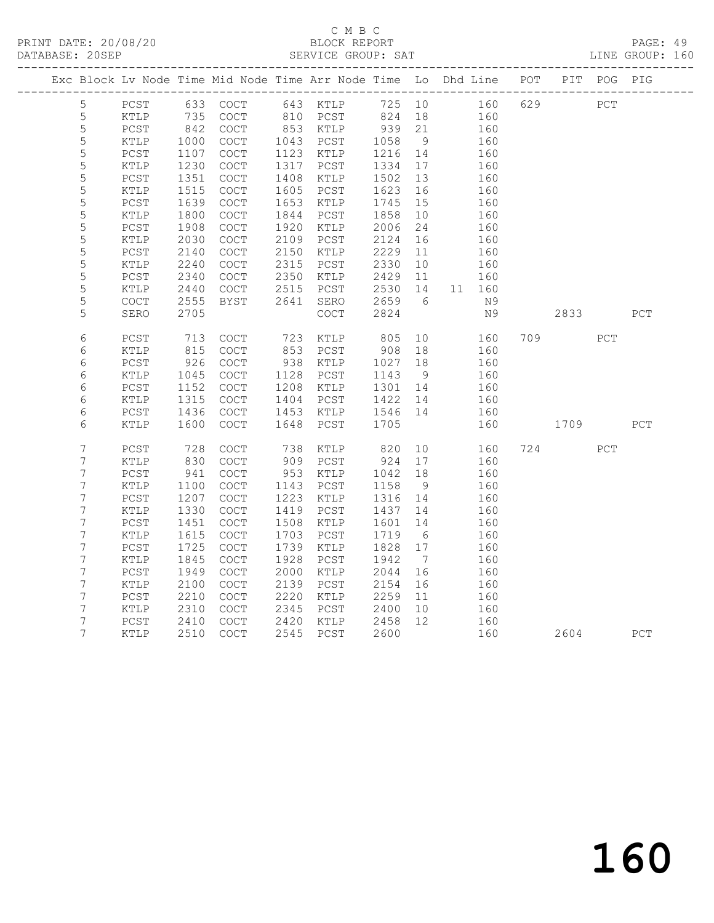# C M B C<br>BLOCK REPORT

PAGE: 49<br>LINE GROUP: 160

|  |                  |                                            |      | Exc Block Lv Node Time Mid Node Time Arr Node Time Lo Dhd Line POT PIT POG PIG |      |             |        |                              |        |     |                                                                                                                                                                                                                                |     |     |
|--|------------------|--------------------------------------------|------|--------------------------------------------------------------------------------|------|-------------|--------|------------------------------|--------|-----|--------------------------------------------------------------------------------------------------------------------------------------------------------------------------------------------------------------------------------|-----|-----|
|  | 5                | PCST                                       |      | 633 COCT                                                                       |      | 643 KTLP    | 725 10 |                              | 160    | 629 | PCT                                                                                                                                                                                                                            |     |     |
|  | $\mathsf S$      | KTLP                                       | 735  | COCT                                                                           | 810  | PCST        | 824    | 18                           | 160    |     |                                                                                                                                                                                                                                |     |     |
|  | $\mathsf S$      | PCST                                       | 842  | COCT                                                                           |      | 853 KTLP    | 939    | 21                           | 160    |     |                                                                                                                                                                                                                                |     |     |
|  | 5                | KTLP                                       | 1000 | COCT                                                                           | 1043 | PCST        | 1058   | 9                            | 160    |     |                                                                                                                                                                                                                                |     |     |
|  | $\mathsf S$      | PCST                                       | 1107 | COCT                                                                           | 1123 | KTLP        | 1216   | 14                           | 160    |     |                                                                                                                                                                                                                                |     |     |
|  | 5                | KTLP                                       | 1230 | COCT                                                                           | 1317 | PCST        | 1334   | 17                           | 160    |     |                                                                                                                                                                                                                                |     |     |
|  | 5                | PCST                                       | 1351 | COCT                                                                           | 1408 | KTLP        | 1502   | 13                           | 160    |     |                                                                                                                                                                                                                                |     |     |
|  | 5                | KTLP                                       | 1515 | COCT                                                                           | 1605 | PCST        | 1623   | 16                           | 160    |     |                                                                                                                                                                                                                                |     |     |
|  | 5                | PCST                                       | 1639 | COCT                                                                           | 1653 | KTLP        | 1745   | 15                           | 160    |     |                                                                                                                                                                                                                                |     |     |
|  | $\mathsf S$      | KTLP                                       | 1800 | COCT                                                                           | 1844 | PCST        | 1858   | 10                           | 160    |     |                                                                                                                                                                                                                                |     |     |
|  | 5                | PCST                                       | 1908 | COCT                                                                           | 1920 | KTLP        | 2006   | 24                           | 160    |     |                                                                                                                                                                                                                                |     |     |
|  | $\mathsf S$      | KTLP                                       | 2030 | COCT                                                                           | 2109 | PCST        | 2124   | 16                           | 160    |     |                                                                                                                                                                                                                                |     |     |
|  | 5                | PCST                                       | 2140 | <b>COCT</b>                                                                    | 2150 | KTLP        | 2229   | 11                           | 160    |     |                                                                                                                                                                                                                                |     |     |
|  | 5                | KTLP                                       | 2240 | COCT                                                                           | 2315 | PCST        | 2330   | 10                           | 160    |     |                                                                                                                                                                                                                                |     |     |
|  | $\mathsf S$      | PCST                                       | 2340 | COCT                                                                           | 2350 | KTLP        | 2429   | 11                           | 160    |     |                                                                                                                                                                                                                                |     |     |
|  | 5                | KTLP                                       | 2440 | COCT                                                                           | 2515 | PCST        | 2530   | 14                           | 11 160 |     |                                                                                                                                                                                                                                |     |     |
|  | 5                | $\mathtt{C}\mathtt{O}\mathtt{C}\mathtt{T}$ | 2555 | BYST                                                                           | 2641 | SERO        | 2659   | 6                            | N9     |     |                                                                                                                                                                                                                                |     |     |
|  | 5                | SERO                                       | 2705 |                                                                                |      | <b>COCT</b> | 2824   |                              | N 9    |     | 2833                                                                                                                                                                                                                           |     | PCT |
|  | $\epsilon$       | PCST                                       | 713  | COCT                                                                           | 723  | KTLP        | 805    | 10                           | 160    | 709 |                                                                                                                                                                                                                                | PCT |     |
|  | 6                | KTLP                                       | 815  | COCT                                                                           | 853  | PCST        | 908    | 18                           | 160    |     |                                                                                                                                                                                                                                |     |     |
|  | 6                | PCST                                       | 926  | COCT                                                                           | 938  | KTLP        | 1027   | 18                           | 160    |     |                                                                                                                                                                                                                                |     |     |
|  | 6                | KTLP                                       | 1045 | COCT                                                                           | 1128 | PCST        | 1143   | 9                            | 160    |     |                                                                                                                                                                                                                                |     |     |
|  | 6                | PCST                                       | 1152 | COCT                                                                           | 1208 | KTLP        | 1301   | 14                           | 160    |     |                                                                                                                                                                                                                                |     |     |
|  | 6                | KTLP                                       | 1315 | COCT                                                                           | 1404 | PCST        | 1422   | 14                           | 160    |     |                                                                                                                                                                                                                                |     |     |
|  | 6                | PCST                                       | 1436 | COCT                                                                           | 1453 | KTLP        | 1546   | 14                           | 160    |     |                                                                                                                                                                                                                                |     |     |
|  | 6                | KTLP                                       | 1600 | COCT                                                                           | 1648 | PCST        | 1705   |                              | 160    |     | 1709                                                                                                                                                                                                                           |     | PCT |
|  | $\boldsymbol{7}$ | PCST                                       | 728  | <b>COCT</b>                                                                    | 738  | KTLP        | 820    | 10                           | 160    |     | 724 — 2014 — 2015 — 2016 — 2021 — 2021 — 2022 — 2022 — 2022 — 2022 — 2022 — 2022 — 2022 — 2022 — 2022 — 2022 — 2022 — 2022 — 2023 — 2023 — 2023 — 2023 — 2023 — 2023 — 2023 — 2023 — 2023 — 2023 — 2023 — 2023 — 2023 — 2023 — | PCT |     |
|  | $\boldsymbol{7}$ | KTLP                                       | 830  | <b>COCT</b>                                                                    | 909  | PCST        | 924    | 17                           | 160    |     |                                                                                                                                                                                                                                |     |     |
|  | $\boldsymbol{7}$ | PCST                                       | 941  | $\mathtt{C}\mathtt{O}\mathtt{C}\mathtt{T}$                                     | 953  | KTLP        | 1042   | 18                           | 160    |     |                                                                                                                                                                                                                                |     |     |
|  | $\boldsymbol{7}$ | KTLP                                       | 1100 | COCT                                                                           | 1143 | PCST        | 1158   | - 9                          | 160    |     |                                                                                                                                                                                                                                |     |     |
|  | 7                | PCST                                       | 1207 | COCT                                                                           | 1223 | KTLP        | 1316   | 14                           | 160    |     |                                                                                                                                                                                                                                |     |     |
|  | $\boldsymbol{7}$ | KTLP                                       | 1330 | COCT                                                                           | 1419 | PCST        | 1437   | 14                           | 160    |     |                                                                                                                                                                                                                                |     |     |
|  | 7                | PCST                                       | 1451 | <b>COCT</b>                                                                    | 1508 | KTLP        | 1601   | 14                           | 160    |     |                                                                                                                                                                                                                                |     |     |
|  | $\boldsymbol{7}$ | KTLP                                       | 1615 | COCT                                                                           | 1703 | PCST        | 1719   | 6                            | 160    |     |                                                                                                                                                                                                                                |     |     |
|  | 7                | PCST                                       | 1725 | COCT                                                                           | 1739 | KTLP        | 1828   | 17                           | 160    |     |                                                                                                                                                                                                                                |     |     |
|  | $\boldsymbol{7}$ | KTLP                                       | 1845 | COCT                                                                           | 1928 | PCST        | 1942   | $7\phantom{.0}\phantom{.0}7$ | 160    |     |                                                                                                                                                                                                                                |     |     |
|  | $\boldsymbol{7}$ | PCST                                       | 1949 | COCT                                                                           | 2000 | KTLP        | 2044   | 16                           | 160    |     |                                                                                                                                                                                                                                |     |     |
|  | $\boldsymbol{7}$ | KTLP                                       | 2100 | <b>COCT</b>                                                                    | 2139 | PCST        | 2154   | 16                           | 160    |     |                                                                                                                                                                                                                                |     |     |
|  | 7                | PCST                                       | 2210 | $\mathtt{C}\mathtt{O}\mathtt{C}\mathtt{T}$                                     | 2220 | KTLP        | 2259   | 11                           | 160    |     |                                                                                                                                                                                                                                |     |     |
|  | $\boldsymbol{7}$ | KTLP                                       | 2310 | COCT                                                                           | 2345 | PCST        | 2400   | 10<br>12                     | 160    |     |                                                                                                                                                                                                                                |     |     |
|  | 7<br>7           | PCST                                       | 2410 | COCT                                                                           | 2420 | KTLP        | 2458   |                              | 160    |     |                                                                                                                                                                                                                                |     |     |
|  |                  | $\texttt{KTLP}$                            | 2510 | COCT                                                                           | 2545 | PCST        | 2600   |                              | 160    |     | 2604                                                                                                                                                                                                                           |     | PCT |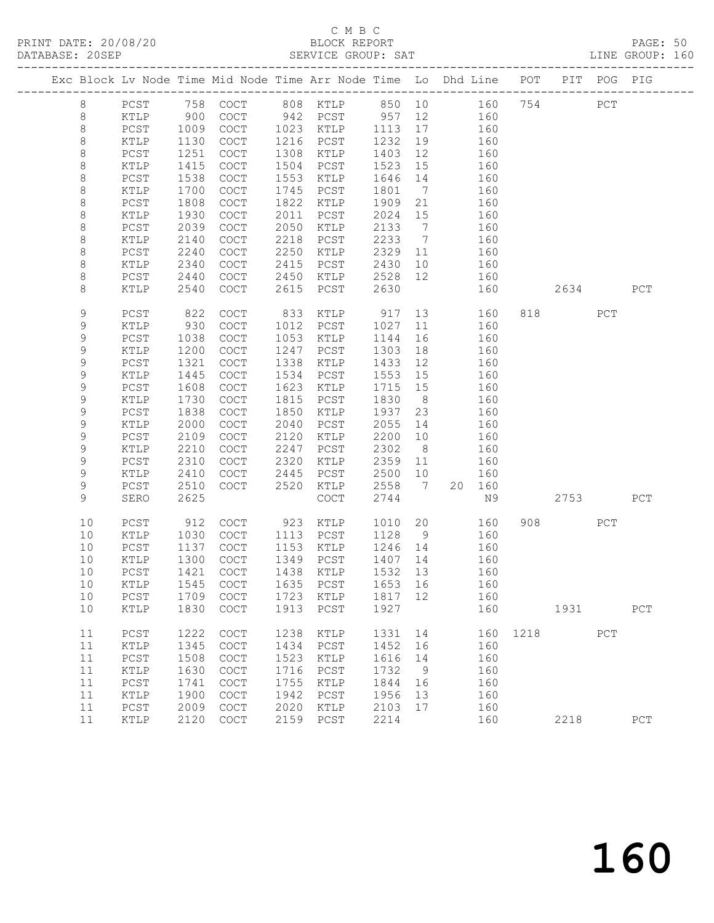# C M B C<br>BLOCK REPORT

PAGE: 50<br>LINE GROUP: 160

| Exc Block Lv Node Time Mid Node Time Arr Node Time Lo Dhd Line POT PIT POG PIG |        |      |                                            |      |                                            |      |                              |    |        |      |          |              |     |
|--------------------------------------------------------------------------------|--------|------|--------------------------------------------|------|--------------------------------------------|------|------------------------------|----|--------|------|----------|--------------|-----|
| $\,8\,$                                                                        | $PCST$ | 758  | COCT                                       |      | 808 KTLP                                   | 850  |                              | 10 | 160    | 754  |          | $_{\rm PCT}$ |     |
| $\,8\,$                                                                        | KTLP   | 900  | $\operatorname{COT}$                       | 942  | PCST                                       | 957  | 12                           |    | 160    |      |          |              |     |
| $\,8\,$                                                                        | $PCST$ | 1009 | $\operatorname{COT}$                       | 1023 | KTLP                                       | 1113 | 17                           |    | 160    |      |          |              |     |
| $\,8\,$                                                                        | KTLP   | 1130 | COCT                                       | 1216 | PCST                                       | 1232 | 19                           |    | 160    |      |          |              |     |
| $\,8\,$                                                                        | PCST   | 1251 | $\mathtt{C}\mathtt{O}\mathtt{C}\mathtt{T}$ | 1308 | KTLP                                       | 1403 | 12                           |    | 160    |      |          |              |     |
| $\,8\,$                                                                        | KTLP   | 1415 | COCT                                       | 1504 | PCST                                       | 1523 | 15                           |    | 160    |      |          |              |     |
| $\,8\,$                                                                        | $PCST$ | 1538 | COCT                                       | 1553 | KTLP                                       | 1646 | 14                           |    | 160    |      |          |              |     |
| 8                                                                              | KTLP   | 1700 | COCT                                       | 1745 | PCST                                       | 1801 | 7                            |    | 160    |      |          |              |     |
| $\,8\,$                                                                        | PCST   | 1808 | COCT                                       | 1822 | KTLP                                       | 1909 | 21                           |    | 160    |      |          |              |     |
| $\,8\,$                                                                        | KTLP   | 1930 | COCT                                       | 2011 | PCST                                       | 2024 | 15                           |    | 160    |      |          |              |     |
| $\,8\,$                                                                        | PCST   | 2039 | $\mathtt{C}\mathtt{O}\mathtt{C}\mathtt{T}$ | 2050 | KTLP                                       | 2133 | $7\phantom{.0}\phantom{.0}7$ |    | 160    |      |          |              |     |
| $\,8\,$                                                                        | KTLP   | 2140 | COCT                                       | 2218 | PCST                                       | 2233 | $7\phantom{.0}\phantom{.0}7$ |    | 160    |      |          |              |     |
| $\,8\,$                                                                        | PCST   | 2240 | <b>COCT</b>                                | 2250 | KTLP                                       | 2329 | 11                           |    | 160    |      |          |              |     |
| $\,8\,$                                                                        | KTLP   | 2340 | COCT                                       | 2415 | PCST                                       | 2430 | 10                           |    | 160    |      |          |              |     |
| $\,8\,$                                                                        | PCST   | 2440 | COCT                                       | 2450 | KTLP                                       | 2528 | 12                           |    | 160    |      |          |              |     |
| 8                                                                              | KTLP   | 2540 | COCT                                       | 2615 | PCST                                       | 2630 |                              |    | 160    |      | 2634     |              | PCT |
| 9                                                                              | PCST   | 822  | $\mathtt{C}\mathtt{O}\mathtt{C}\mathtt{T}$ | 833  | KTLP                                       | 917  | 13                           |    | 160    |      | 818 — 18 | PCT          |     |
| 9                                                                              | KTLP   | 930  | COCT                                       | 1012 | PCST                                       | 1027 | 11                           |    | 160    |      |          |              |     |
| $\mathsf 9$                                                                    | PCST   | 1038 | COCT                                       | 1053 | KTLP                                       | 1144 | 16                           |    | 160    |      |          |              |     |
| 9                                                                              | KTLP   | 1200 | COCT                                       | 1247 | PCST                                       | 1303 | 18                           |    | 160    |      |          |              |     |
| 9                                                                              | PCST   | 1321 | COCT                                       | 1338 | KTLP                                       | 1433 | 12                           |    | 160    |      |          |              |     |
| 9                                                                              | KTLP   | 1445 | COCT                                       | 1534 | $_{\rm PCST}$                              | 1553 | 15                           |    | 160    |      |          |              |     |
| $\mathsf 9$                                                                    | PCST   | 1608 | COCT                                       | 1623 | KTLP                                       | 1715 | 15                           |    | 160    |      |          |              |     |
| 9                                                                              | KTLP   | 1730 | COCT                                       | 1815 | PCST                                       | 1830 | 8 <sup>8</sup>               |    | 160    |      |          |              |     |
| 9                                                                              | PCST   | 1838 | COCT                                       | 1850 | KTLP                                       | 1937 | 23                           |    | 160    |      |          |              |     |
| 9                                                                              | KTLP   | 2000 | $\mathtt{C}\mathtt{O}\mathtt{C}\mathtt{T}$ | 2040 | $PCST$                                     | 2055 | 14                           |    | 160    |      |          |              |     |
| $\mathsf 9$                                                                    | $PCST$ | 2109 | $\mathtt{C}\mathtt{O}\mathtt{C}\mathtt{T}$ | 2120 | $\verb KTLP $                              | 2200 | 10                           |    | 160    |      |          |              |     |
| 9                                                                              | KTLP   | 2210 | COCT                                       | 2247 | PCST                                       | 2302 | 8 <sup>8</sup>               |    | 160    |      |          |              |     |
| 9                                                                              | PCST   | 2310 | $\mathtt{C}\mathtt{O}\mathtt{C}\mathtt{T}$ | 2320 | KTLP                                       | 2359 | 11                           |    | 160    |      |          |              |     |
| 9                                                                              | KTLP   | 2410 | COCT                                       | 2445 | PCST                                       | 2500 | 10                           |    | 160    |      |          |              |     |
| 9                                                                              | PCST   | 2510 | <b>COCT</b>                                | 2520 | $\verb KTLP $                              | 2558 | $\overline{7}$               |    | 20 160 |      |          |              |     |
| 9                                                                              | SERO   | 2625 |                                            |      | $\mathtt{C}\mathtt{O}\mathtt{C}\mathtt{T}$ | 2744 |                              |    | N9     |      | 2753     |              | PCT |
| 10                                                                             | PCST   | 912  | COCT                                       | 923  | KTLP                                       | 1010 | 20                           |    | 160    |      | 908 8    | PCT          |     |
| 10                                                                             | KTLP   | 1030 | <b>COCT</b>                                | 1113 | PCST                                       | 1128 | 9                            |    | 160    |      |          |              |     |
| 10                                                                             | PCST   | 1137 | COCT                                       | 1153 | KTLP                                       | 1246 | 14                           |    | 160    |      |          |              |     |
| 10                                                                             | KTLP   | 1300 | <b>COCT</b>                                | 1349 | PCST                                       | 1407 | 14                           |    | 160    |      |          |              |     |
| 10                                                                             | PCST   | 1421 | COCT                                       | 1438 | KTLP                                       | 1532 | 13                           |    | 160    |      |          |              |     |
| 10                                                                             | KTLP   |      |                                            |      | 1545 COCT 1635 PCST 1653 16                |      |                              |    | 160    |      |          |              |     |
| 10                                                                             | $PCST$ | 1709 | COCT                                       | 1723 | KTLP                                       | 1817 | 12                           |    | 160    |      |          |              |     |
| 10                                                                             | KTLP   | 1830 | COCT                                       | 1913 | PCST                                       | 1927 |                              |    | 160    |      | 1931     |              | PCT |
| 11                                                                             | PCST   | 1222 | <b>COCT</b>                                | 1238 | KTLP                                       | 1331 | 14                           |    | 160    | 1218 |          | PCT          |     |
| 11                                                                             | KTLP   | 1345 | COCT                                       | 1434 | PCST                                       | 1452 | 16                           |    | 160    |      |          |              |     |
| 11                                                                             | $PCST$ | 1508 | $\mathtt{C}\mathtt{O}\mathtt{C}\mathtt{T}$ | 1523 | KTLP                                       | 1616 | 14                           |    | 160    |      |          |              |     |
| 11                                                                             | KTLP   | 1630 | COCT                                       | 1716 | PCST                                       | 1732 | 9                            |    | 160    |      |          |              |     |
| 11                                                                             | PCST   | 1741 | COCT                                       | 1755 | KTLP                                       | 1844 | 16                           |    | 160    |      |          |              |     |
| 11                                                                             | KTLP   | 1900 | COCT                                       | 1942 | PCST                                       | 1956 | 13                           |    | 160    |      |          |              |     |
| 11                                                                             | PCST   | 2009 | COCT                                       | 2020 | KTLP                                       | 2103 | 17                           |    | 160    |      |          |              |     |
| 11                                                                             | KTLP   | 2120 | COCT                                       | 2159 | PCST                                       | 2214 |                              |    | 160    |      | 2218     |              | PCT |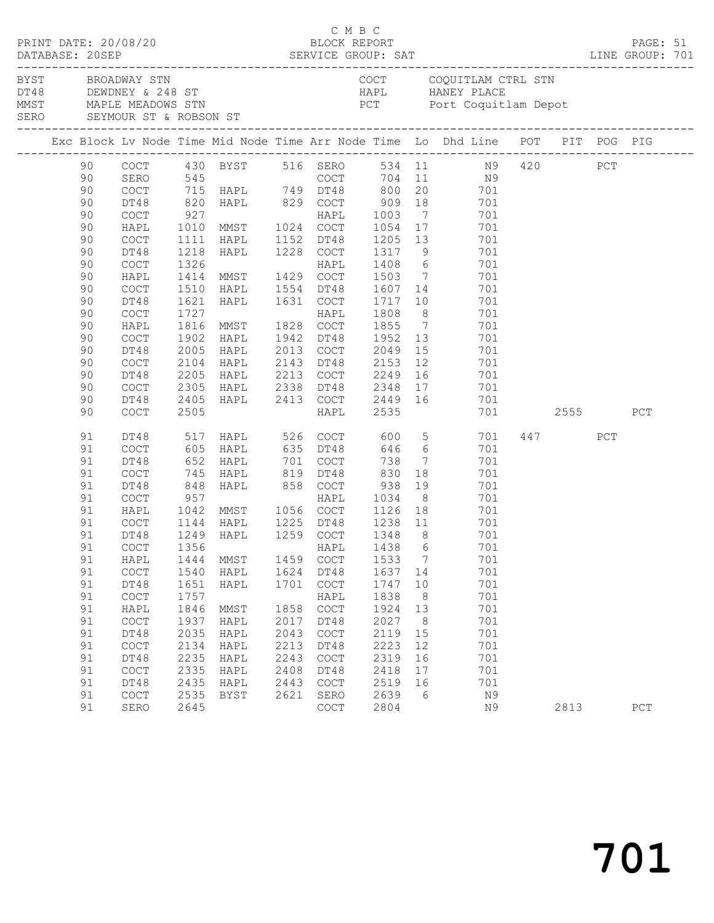| PRINT DATE: 20/08/20 |    |                                            |      |                                                             |      |                                            | C M B C<br>BLOCK REPORT               |                | DATABASE: 20SEP SERVICE GROUP: SAT LINE GROUP: 701                                                                                                          |          |     | PAGE: 51 |  |
|----------------------|----|--------------------------------------------|------|-------------------------------------------------------------|------|--------------------------------------------|---------------------------------------|----------------|-------------------------------------------------------------------------------------------------------------------------------------------------------------|----------|-----|----------|--|
|                      |    | BYST BROADWAY STN                          |      |                                                             |      |                                            |                                       |                | COCT COQUITLAM CTRL STN<br>DT48 DEWDNEY & 248 ST<br>MMST MAPLE MEADOWS STN BOOK PCT POTT Coquit1<br>SERO SEYMOUR ST & ROBSON ST<br>PCT Port Coquitlam Depot |          |     |          |  |
|                      |    |                                            |      |                                                             |      |                                            |                                       |                | Exc Block Lv Node Time Mid Node Time Arr Node Time Lo Dhd Line POT PIT POG PIG                                                                              |          |     |          |  |
|                      | 90 |                                            |      |                                                             |      |                                            |                                       |                | COCT 430 BYST 516 SERO 534 11 N9 420 PCT<br>SERO 545 COCT 704 11 N9<br>COCT 715 HAPL 749 DT48 800 20 701                                                    |          |     |          |  |
|                      | 90 |                                            |      |                                                             |      |                                            |                                       |                |                                                                                                                                                             |          |     |          |  |
|                      | 90 |                                            |      |                                                             |      |                                            |                                       |                |                                                                                                                                                             |          |     |          |  |
|                      | 90 | DT48                                       |      |                                                             |      |                                            |                                       |                |                                                                                                                                                             |          |     |          |  |
|                      | 90 | COCT                                       |      |                                                             |      |                                            |                                       |                |                                                                                                                                                             |          |     |          |  |
|                      | 90 | HAPL                                       |      |                                                             |      |                                            |                                       |                |                                                                                                                                                             |          |     |          |  |
|                      | 90 | COCT                                       | 1111 | HAPL 1152 DT48                                              |      |                                            |                                       |                | 1205 13 701                                                                                                                                                 |          |     |          |  |
|                      | 90 | DT48                                       | 1218 | HAPL 1228 COCT                                              |      |                                            |                                       |                | 1317 9 701                                                                                                                                                  |          |     |          |  |
|                      | 90 | $\mathtt{C}\mathtt{O}\mathtt{C}\mathtt{T}$ |      |                                                             |      |                                            | 1408 6<br>1503 7                      |                | 701                                                                                                                                                         |          |     |          |  |
|                      | 90 | HAPL                                       |      |                                                             |      |                                            |                                       |                | 701                                                                                                                                                         |          |     |          |  |
|                      | 90 | COCT                                       |      | 1510 HAPL 1554 DT48                                         |      |                                            | 1607 14                               |                | 701                                                                                                                                                         |          |     |          |  |
|                      | 90 | DT48                                       | 1621 | HAPL 1631 COCT                                              |      |                                            | 1717 10                               |                | 701                                                                                                                                                         |          |     |          |  |
|                      | 90 | COCT                                       | 1727 | 1727<br>1816 MMST - 1828 COCT<br>--- 1942 DT48              |      |                                            | 1808                                  |                | $\frac{8}{7}$<br>701                                                                                                                                        |          |     |          |  |
|                      | 90 | HAPL                                       |      |                                                             |      |                                            | 1855                                  |                | 701                                                                                                                                                         |          |     |          |  |
|                      | 90 | COCT                                       | 1902 | HAPL                                                        |      | 1942 DT48                                  | 1952                                  |                | 13<br>701                                                                                                                                                   |          |     |          |  |
|                      | 90 | DT48                                       | 2005 | HAPL                                                        |      |                                            | 2013 COCT 2049                        |                | 15<br>701                                                                                                                                                   |          |     |          |  |
|                      | 90 | $\mathtt{C}\mathtt{O}\mathtt{C}\mathtt{T}$ | 2104 | HAPL<br>2104 HAPL<br>2205 HAPL                              |      |                                            |                                       |                | 701                                                                                                                                                         |          |     |          |  |
|                      | 90 | DT48                                       |      |                                                             |      |                                            |                                       |                | 701                                                                                                                                                         |          |     |          |  |
|                      | 90 | COCT                                       |      | 2305 HAPL 2338 DT48 2348                                    |      |                                            |                                       |                | 17 701                                                                                                                                                      |          |     |          |  |
|                      | 90 | DT48                                       |      |                                                             |      |                                            |                                       |                | 2405 HAPL 2413 COCT 2449 16 701                                                                                                                             |          |     |          |  |
|                      | 90 | COCT                                       | 2505 |                                                             |      | HAPL                                       | 2535                                  |                |                                                                                                                                                             | 701 2555 |     | PCT      |  |
|                      | 91 | DT48                                       |      |                                                             |      |                                            |                                       |                | 517 HAPL 526 COCT 600 5 701                                                                                                                                 | 447      | PCT |          |  |
|                      | 91 | COCT                                       |      | 605 HAPL 635 DT48                                           |      |                                            |                                       |                | 646 6<br>701                                                                                                                                                |          |     |          |  |
|                      | 91 | DT48                                       |      |                                                             |      |                                            | 738                                   |                | $7\overline{ }$<br>701                                                                                                                                      |          |     |          |  |
|                      | 91 | COCT                                       |      | 652 HAPL 701 COCT<br>745 HAPL 819 DT48<br>848 HAPL 858 COCT |      |                                            | 830                                   | 18             | 701                                                                                                                                                         |          |     |          |  |
|                      | 91 | DT48                                       |      |                                                             |      |                                            | 938                                   |                | 19<br>701                                                                                                                                                   |          |     |          |  |
|                      | 91 | COCT                                       | 957  |                                                             |      |                                            | HAPL 1034                             |                | 8<br>701                                                                                                                                                    |          |     |          |  |
|                      | 91 | HAPL                                       |      | 1042 MMST 1056 COCT                                         |      |                                            |                                       |                | 1126 18 701                                                                                                                                                 |          |     |          |  |
|                      | 91 | COCT                                       |      | 1144 HAPL   1225 DT48<br>1249 HAPL   1259 COCT              |      |                                            | 1225 DT48 1238 11<br>1259 COCT 1348 8 |                | 701<br>701                                                                                                                                                  |          |     |          |  |
|                      | 91 | DT48                                       |      |                                                             |      |                                            |                                       |                |                                                                                                                                                             |          |     |          |  |
|                      | 91 |                                            |      | COCT 1356 HAPL 1438 6                                       |      |                                            |                                       |                | 701                                                                                                                                                         |          |     |          |  |
|                      | 91 | HAPL                                       | 1444 | MMST                                                        | 1459 | COCT                                       | 1533                                  | $\overline{7}$ | 701                                                                                                                                                         |          |     |          |  |
|                      | 91 | $\operatorname{COT}$                       | 1540 | HAPL                                                        | 1624 | DT48                                       | 1637 14                               |                | 701                                                                                                                                                         |          |     |          |  |
|                      | 91 | DT48                                       | 1651 | HAPL                                                        | 1701 | COCT                                       | 1747                                  | 10             | 701                                                                                                                                                         |          |     |          |  |
|                      | 91 | COCT                                       | 1757 |                                                             |      | HAPL                                       | 1838                                  | 8              | 701                                                                                                                                                         |          |     |          |  |
|                      | 91 | HAPL                                       | 1846 | MMST                                                        | 1858 | $\mathtt{C}\mathtt{O}\mathtt{C}\mathtt{T}$ | 1924                                  | 13             | 701                                                                                                                                                         |          |     |          |  |
|                      | 91 | COCT                                       | 1937 | HAPL                                                        | 2017 | DT48                                       | 2027                                  | 8 <sup>8</sup> | 701                                                                                                                                                         |          |     |          |  |
|                      | 91 | DT48                                       | 2035 | HAPL                                                        | 2043 | COCT                                       | 2119                                  | 15             | 701                                                                                                                                                         |          |     |          |  |
|                      | 91 | COCT                                       | 2134 | HAPL                                                        | 2213 | DT48                                       | 2223                                  | 12             | 701                                                                                                                                                         |          |     |          |  |
|                      | 91 | DT48                                       | 2235 | HAPL                                                        | 2243 | COCT                                       | 2319                                  | 16             | 701                                                                                                                                                         |          |     |          |  |
|                      | 91 | COCT                                       | 2335 | HAPL                                                        | 2408 | DT48                                       | 2418                                  | 17             | 701                                                                                                                                                         |          |     |          |  |
|                      | 91 | DT48                                       | 2435 | HAPL                                                        | 2443 | COCT                                       | 2519                                  | 16             | 701                                                                                                                                                         |          |     |          |  |
|                      | 91 | COCT                                       | 2535 | BYST                                                        | 2621 | SERO                                       | 2639                                  | - 6            | N9                                                                                                                                                          |          |     |          |  |
|                      | 91 | SERO                                       | 2645 |                                                             |      | COCT                                       | 2804                                  |                | N9                                                                                                                                                          | 2813     |     | PCT      |  |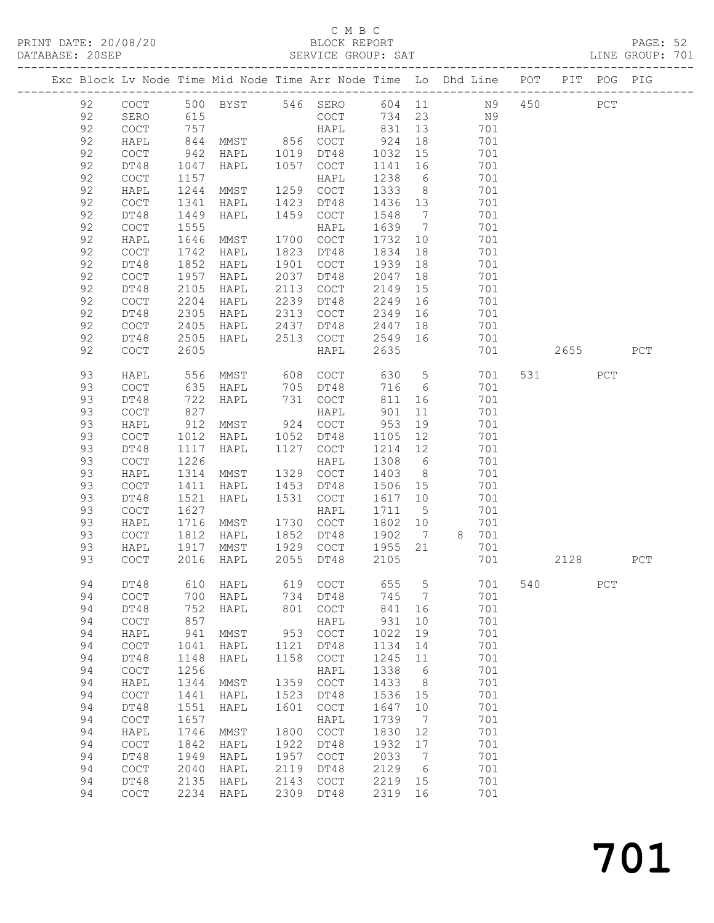# C M B C<br>BLOCK REPORT

| DATABASE: 20SEP |    |                                            |              |                                         |      | SERVICE GROUP: SAT                                                             |         |                 |         |     |     |       |          | LINE GROUP: 701 |
|-----------------|----|--------------------------------------------|--------------|-----------------------------------------|------|--------------------------------------------------------------------------------|---------|-----------------|---------|-----|-----|-------|----------|-----------------|
|                 |    |                                            |              |                                         |      | Exc Block Lv Node Time Mid Node Time Arr Node Time Lo Dhd Line POT PIT POG PIG |         |                 |         |     |     |       |          |                 |
|                 | 92 |                                            |              |                                         |      | COCT 500 BYST 546 SERO 604 11 N9 450 PCT                                       |         |                 |         |     |     |       |          |                 |
|                 | 92 | SERO                                       | 615          |                                         |      | COCT 734 23 N9                                                                 |         |                 |         |     |     |       |          |                 |
|                 | 92 | COCT                                       | 757          | HAPL<br>MMST 856 COCT<br>HAPL 1019 DT48 |      | HAPL 831 13 701                                                                |         |                 |         |     |     |       |          |                 |
|                 | 92 | HAPL                                       | $757$<br>844 |                                         |      |                                                                                | 924 18  |                 |         | 701 |     |       |          |                 |
|                 | 92 | COCT                                       | 942          |                                         |      |                                                                                | 1032    |                 | 15      | 701 |     |       |          |                 |
|                 | 92 | DT48                                       | 1047         | HAPL                                    | 1057 | COCT                                                                           | 1141 16 |                 |         | 701 |     |       |          |                 |
|                 | 92 | COCT                                       | 1157         | <b>MMST</b>                             |      | HAPL                                                                           | 1238    | 6               |         | 701 |     |       |          |                 |
|                 | 92 | HAPL                                       | 1244         |                                         |      | 1259 COCT                                                                      | 1333    | 8 <sup>1</sup>  |         | 701 |     |       |          |                 |
|                 | 92 | $\mathtt{C}\mathtt{O}\mathtt{C}\mathtt{T}$ | 1341         | HAPL                                    | 1423 | DT48                                                                           | 1436 13 |                 |         | 701 |     |       |          |                 |
|                 | 92 | DT48                                       | 1449         | HAPL                                    | 1459 | COCT                                                                           | 1548    | $\overline{7}$  |         | 701 |     |       |          |                 |
|                 | 92 | COCT                                       | 1555         |                                         |      | HAPL                                                                           | 1639 7  |                 |         | 701 |     |       |          |                 |
|                 | 92 | HAPL                                       | 1646         | MMST                                    |      | 1700 COCT                                                                      | 1732    | 10              |         | 701 |     |       |          |                 |
|                 | 92 | COCT                                       | 1742         | HAPL                                    | 1823 | DT48                                                                           | 1834    | 18              |         | 701 |     |       |          |                 |
|                 | 92 | DT48                                       | 1852         | HAPL                                    | 1901 | COCT                                                                           | 1939    |                 | 18      | 701 |     |       |          |                 |
|                 | 92 | COCT                                       | 1957         | HAPL                                    | 2037 | DT48                                                                           | 2047    |                 |         | 701 |     |       |          |                 |
|                 | 92 | DT48                                       | 2105         | HAPL                                    | 2113 | COCT                                                                           | 2149    | 15              |         | 701 |     |       |          |                 |
|                 | 92 | COCT                                       | 2204         | HAPL                                    | 2239 | DT48                                                                           | 2249    | 16              |         | 701 |     |       |          |                 |
|                 | 92 | DT48                                       | 2305         | HAPL                                    | 2313 | COCT                                                                           | 2349    | 16              |         | 701 |     |       |          |                 |
|                 | 92 | COCT                                       | 2405         | HAPL                                    | 2437 | DT48                                                                           | 2447    |                 | 18 701  |     |     |       |          |                 |
|                 | 92 | DT48                                       | 2505         | HAPL                                    | 2513 | COCT                                                                           | 2549 16 |                 |         | 701 |     |       |          |                 |
|                 | 92 | $\mathtt{C}\mathtt{O}\mathtt{C}\mathtt{T}$ | 2605         |                                         |      | HAPL                                                                           | 2635    |                 |         | 701 |     |       | 2655 200 | PCT             |
|                 | 93 | HAPL                                       | 556          | MMST 608 COCT                           |      |                                                                                | 630     | 5 <sup>5</sup>  |         | 701 |     | 531 7 | PCT      |                 |
|                 | 93 | COCT                                       | 635          | HAPL                                    |      |                                                                                |         | 716 6           |         | 701 |     |       |          |                 |
|                 | 93 | DT48                                       | 722          | HAPL                                    |      | 705 DT48<br>731 COCT                                                           | 811     | 16              |         | 701 |     |       |          |                 |
|                 | 93 | COCT                                       | 827          |                                         |      | HAPL                                                                           | 901     | 11              |         | 701 |     |       |          |                 |
|                 | 93 | HAPL                                       | 912          | MMST 924 COCT                           |      |                                                                                | 953     | 19              |         | 701 |     |       |          |                 |
|                 | 93 | COCT                                       | 1012         | HAPL 1052                               |      | DT48                                                                           | 1105    | 12              |         | 701 |     |       |          |                 |
|                 | 93 | DT48                                       | 1117         | HAPL                                    |      | 1127 COCT                                                                      | 1214 12 |                 |         | 701 |     |       |          |                 |
|                 | 93 | COCT                                       | 1226         |                                         |      | HAPL                                                                           | 1308    | $6\overline{6}$ |         | 701 |     |       |          |                 |
|                 | 93 | HAPL                                       | 1314         | MMST                                    |      | 1329 COCT                                                                      | 1403    | 8 <sup>8</sup>  |         | 701 |     |       |          |                 |
|                 | 93 | COCT                                       | 1411         | HAPL                                    | 1453 | DT48                                                                           | 1506 15 |                 |         | 701 |     |       |          |                 |
|                 | 93 | DT48                                       | 1521         | HAPL                                    | 1531 | COCT                                                                           | 1617 10 |                 |         | 701 |     |       |          |                 |
|                 | 93 | $\mathtt{C}\mathtt{O}\mathtt{C}\mathtt{T}$ | 1627         |                                         |      | HAPL                                                                           | 1711    | $5\overline{)}$ |         | 701 |     |       |          |                 |
|                 | 93 | HAPL                                       | 1716         | <b>MMST</b>                             |      | 1730 COCT                                                                      | 1802 10 |                 |         | 701 |     |       |          |                 |
|                 | 93 | COCT                                       | 1812         | HAPL                                    | 1852 | DT48                                                                           | 1902    |                 | 7 8 701 |     |     |       |          |                 |
|                 | 93 | HAPL                                       | 1917         | MMST                                    |      | 1929 COCT                                                                      | 1955    | 21              |         | 701 |     |       |          |                 |
|                 | 93 | <b>COCT</b>                                |              | $2016$ HAPL                             |      | 2055 DT48                                                                      | 2105    |                 |         | 701 |     |       | 2128     | PCT             |
|                 | 94 | DT48                                       | 610          | HAPL                                    | 619  | COCT                                                                           | 655     | 5               |         | 701 | 540 |       | PCT      |                 |
|                 | 94 | $\mathtt{C}\mathtt{O}\mathtt{C}\mathtt{T}$ | 700          | HAPL                                    | 734  | DT48                                                                           | 745     | 7               |         | 701 |     |       |          |                 |
|                 | 94 | DT48                                       | 752          | HAPL                                    | 801  | COCT                                                                           | 841     | 16              |         | 701 |     |       |          |                 |
|                 | 94 | $\mathtt{C}\mathtt{O}\mathtt{C}\mathtt{T}$ | 857          |                                         |      | HAPL                                                                           | 931     | 10              |         | 701 |     |       |          |                 |
|                 | 94 | HAPL                                       | 941          | MMST                                    | 953  | COCT                                                                           | 1022    | 19              |         | 701 |     |       |          |                 |
|                 | 94 | $\mathtt{C}\mathtt{O}\mathtt{C}\mathtt{T}$ | 1041         | HAPL                                    | 1121 | DT48                                                                           | 1134    | 14              |         | 701 |     |       |          |                 |
|                 | 94 | DT48                                       | 1148         | HAPL                                    | 1158 | $\mathtt{C}\mathtt{O}\mathtt{C}\mathtt{T}$                                     | 1245    | 11              |         | 701 |     |       |          |                 |
|                 | 94 | $\mathtt{C}\mathtt{O}\mathtt{C}\mathtt{T}$ | 1256         |                                         |      | HAPL                                                                           | 1338    | 6               |         | 701 |     |       |          |                 |
|                 | 94 | HAPL                                       | 1344         | MMST                                    | 1359 | COCT                                                                           | 1433    | 8               |         | 701 |     |       |          |                 |
|                 | 94 | $\mathtt{C}\mathtt{O}\mathtt{C}\mathtt{T}$ | 1441         | HAPL                                    | 1523 | DT48                                                                           | 1536    | 15              |         | 701 |     |       |          |                 |
|                 | 94 | DT48                                       | 1551         | HAPL                                    | 1601 | COCT                                                                           | 1647    | 10              |         | 701 |     |       |          |                 |
|                 | 94 | $\mathtt{C}\mathtt{O}\mathtt{C}\mathtt{T}$ | 1657         |                                         |      | HAPL                                                                           | 1739    | $7\phantom{.0}$ |         | 701 |     |       |          |                 |
|                 | 94 | HAPL                                       | 1746         | MMST                                    | 1800 | COCT                                                                           | 1830    | 12              |         | 701 |     |       |          |                 |
|                 | 94 | COCT                                       | 1842         | HAPL                                    | 1922 | DT48                                                                           | 1932    | 17              |         | 701 |     |       |          |                 |

 94 DT48 1949 HAPL 1957 COCT 2033 7 701 94 COCT 2040 HAPL 2119 DT48 2129 6 701 94 DT48 2135 HAPL 2143 COCT 2219 15 701 94 COCT 2234 HAPL 2309 DT48 2319 16 701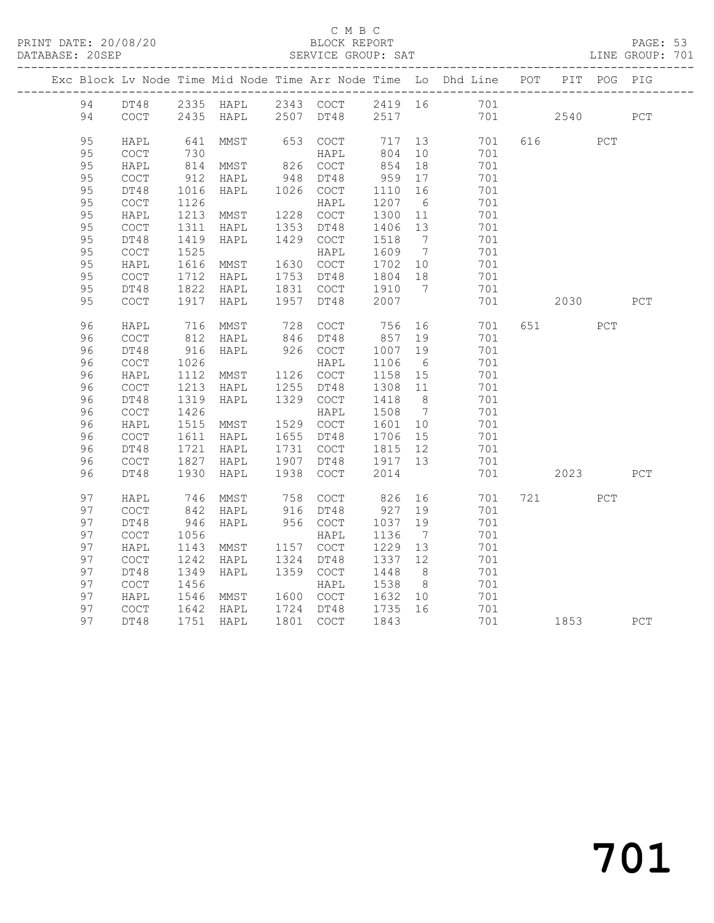#### C M B C<br>BLOCK REPORT

#### PAGE: 53<br>LINE GROUP: 701

|  |          |                                                    |              | Exc Block Lv Node Time Mid Node Time Arr Node Time Lo Dhd Line POT |      |                   |                  |                      |            |     |       | PIT POG PIG |     |
|--|----------|----------------------------------------------------|--------------|--------------------------------------------------------------------|------|-------------------|------------------|----------------------|------------|-----|-------|-------------|-----|
|  | 94       |                                                    |              | DT48 2335 HAPL 2343 COCT 2419 16 701                               |      |                   |                  |                      |            |     |       |             |     |
|  | 94       | COCT                                               |              | 2435 HAPL                                                          |      | 2507 DT48         | 2517             |                      | 701        |     | 2540  |             | PCT |
|  | 95       | HAPL                                               |              | MMST                                                               |      | 653 COCT          |                  | 13                   | 701        |     | 616   | PCT         |     |
|  | 95       | $\mathtt{C}\mathtt{O}\mathtt{C}\mathtt{T}$         | 641<br>730   |                                                                    |      | HAPL              | 717<br>804       | 10                   | 701        |     |       |             |     |
|  | 95       | HAPL                                               | 814          | MMST 826 COCT                                                      |      |                   | 854              | 18                   | 701        |     |       |             |     |
|  | 95       | $\mathtt{C}\mathtt{O}\mathtt{C}\mathtt{T}$         | 912          | HAPL                                                               | 948  | DT48              | 959              | 17                   | 701        |     |       |             |     |
|  | 95       | DT48                                               | 1016         | HAPL                                                               |      | 1026 COCT         | 1110 16          |                      | 701        |     |       |             |     |
|  | 95       | $\mathtt{C}\mathtt{O}\mathtt{C}\mathtt{T}$         | 1126         |                                                                    |      | HAPL              | 1207             | 6                    | 701        |     |       |             |     |
|  | 95       | HAPL                                               | 1213         | MMST                                                               |      | 1228 COCT         | 1300             | 11                   | 701        |     |       |             |     |
|  | 95       | $\mathtt{C}\mathtt{O}\mathtt{C}\mathtt{T}$         | 1311         | HAPL                                                               | 1353 | DT48              | 1406 13          |                      | 701        |     |       |             |     |
|  | 95       | DT48                                               | 1419         | HAPL                                                               |      | 1429 COCT         | 1518             | $\overline{7}$       | 701        |     |       |             |     |
|  | 95       | $\mathtt{C}\mathtt{O}\mathtt{C}\mathtt{T}$         | 1525         |                                                                    |      | HAPL              | 1609             | $\overline{7}$       | 701        |     |       |             |     |
|  | 95       | HAPL                                               | 1616         | MMST                                                               |      | 1630 COCT         | 1702 10          |                      | 701        |     |       |             |     |
|  | 95       | $\mathtt{C}\mathtt{O}\mathtt{C}\mathtt{T}$         | 1712         | HAPL                                                               |      | 1753 DT48         | 1804 18          |                      | 701        |     |       |             |     |
|  | 95<br>95 | DT48<br>COCT                                       | 1822<br>1917 | HAPL                                                               | 1957 | 1831 COCT<br>DT48 | 1910<br>2007     | $7\phantom{0}$       | 701<br>701 |     | 2030  |             | PCT |
|  |          |                                                    |              | HAPL                                                               |      |                   |                  |                      |            |     |       |             |     |
|  | 96       | HAPL                                               | 716          | MMST                                                               |      | 728 COCT          | 756              | 16                   | 701        |     | 651 7 | PCT         |     |
|  | 96       | $\mathtt{C}\mathtt{O}\mathtt{C}\mathtt{T}$         | 812          | HAPL                                                               |      | 846 DT48          | 857              | 19                   | 701        |     |       |             |     |
|  | 96       | DT48                                               | 916          | HAPL                                                               |      | 926 COCT          | 1007             | 19                   | 701        |     |       |             |     |
|  | 96       | $\mathtt{C}\mathtt{O}\mathtt{C}\mathtt{T}$         | 1026         |                                                                    |      | HAPL              | 1106             | $6\overline{6}$      | 701        |     |       |             |     |
|  | 96       | HAPL                                               | 1112         | MMST                                                               |      | 1126 COCT         | 1158             | 15                   | 701        |     |       |             |     |
|  | 96       | COCT                                               | 1213         | HAPL                                                               | 1255 | DT48              | 1308             | 11                   | 701        |     |       |             |     |
|  | 96       | DT48                                               | 1319         | HAPL                                                               |      | 1329 COCT         | 1418             | 8 <sup>8</sup>       | 701        |     |       |             |     |
|  | 96<br>96 | $\mathtt{C}\mathtt{O}\mathtt{C}\mathtt{T}$<br>HAPL | 1426<br>1515 | MMST                                                               |      | HAPL<br>1529 COCT | 1508<br>1601     | $\overline{7}$<br>10 | 701<br>701 |     |       |             |     |
|  | 96       | $\mathtt{C}\mathtt{O}\mathtt{C}\mathtt{T}$         | 1611         | HAPL                                                               |      | 1655 DT48         | 1706             | 15                   | 701        |     |       |             |     |
|  | 96       | DT48                                               | 1721         | HAPL                                                               |      | 1731 COCT         | 1815             | 12                   | 701        |     |       |             |     |
|  | 96       | COCT                                               | 1827         | HAPL                                                               |      | 1907 DT48         | 1917 13          |                      | 701        |     |       |             |     |
|  | 96       | DT48                                               | 1930         | HAPL                                                               | 1938 | COCT              | 2014             |                      | 701        |     | 2023  |             | PCT |
|  |          |                                                    |              |                                                                    |      |                   |                  |                      |            |     |       |             |     |
|  | 97       | HAPL                                               | 746          | MMST                                                               |      | 758 COCT          | 826              | 16                   | 701        | 721 |       | PCT         |     |
|  | 97       | $\mathtt{C}\mathtt{O}\mathtt{C}\mathtt{T}$         | 842          | HAPL                                                               |      | 916 DT48          | 927              | 19                   | 701        |     |       |             |     |
|  | 97       | DT48                                               | 946          | HAPL                                                               |      | 956 COCT          | 1037             | 19                   | 701        |     |       |             |     |
|  | 97       | COCT                                               | 1056         |                                                                    |      | HAPL              | 1136             | $\overline{7}$       | 701        |     |       |             |     |
|  | 97       | HAPL                                               | 1143         | MMST                                                               |      | 1157 COCT         | 1229             | 13                   | 701        |     |       |             |     |
|  | 97<br>97 | $\mathtt{C}\mathtt{O}\mathtt{C}\mathtt{T}$<br>DT48 | 1242<br>1349 | HAPL<br>HAPL                                                       | 1324 | DT48<br>1359 COCT | 1337<br>1448     | 12<br>8 <sup>8</sup> | 701<br>701 |     |       |             |     |
|  | 97       | COCT                                               | 1456         |                                                                    |      | HAPL              | 1538             | 8 <sup>8</sup>       | 701        |     |       |             |     |
|  | 97       | HAPL                                               | 1546         | MMST                                                               |      | 1600 COCT         |                  | 10                   | 701        |     |       |             |     |
|  | 97       | $\mathtt{C}\mathtt{O}\mathtt{C}\mathtt{T}$         | 1642         | HAPL                                                               |      | 1724 DT48         | $10 - 1$<br>1735 | 16                   | 701        |     |       |             |     |
|  | 97       | DT48                                               |              | 1751 HAPL                                                          |      | 1801 COCT         | 1843             |                      | 701        |     | 1853  |             | PCT |
|  |          |                                                    |              |                                                                    |      |                   |                  |                      |            |     |       |             |     |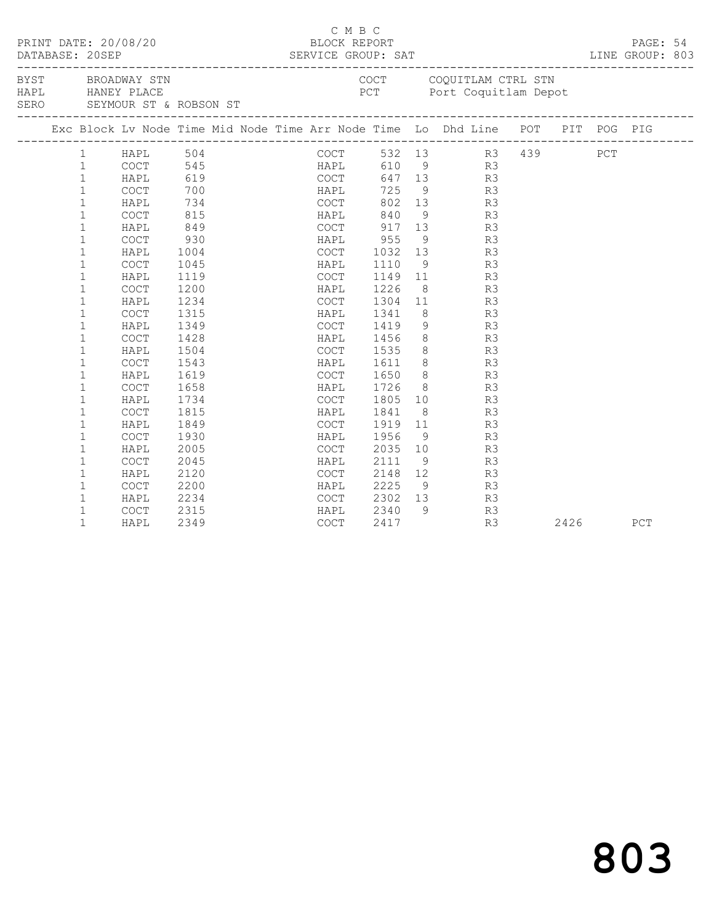|      | DATABASE: 20SEP | PRINT DATE: 20/08/20 |      |                             | C M B C<br>BLOCK REPORT |      |                |                                                                                                |  |      | PAGE: 54<br>LINE GROUP: 803 |  |
|------|-----------------|----------------------|------|-----------------------------|-------------------------|------|----------------|------------------------------------------------------------------------------------------------|--|------|-----------------------------|--|
| SERO |                 |                      |      | SEYMOUR ST & ROBSON ST      |                         |      |                | BYST BROADWAY STN COUL CONSUMERS BYST BROADWAY STN COULL CONSUMERS TO POT POTT COQUILLAM Depot |  |      |                             |  |
|      |                 |                      |      |                             |                         |      |                | Exc Block Lv Node Time Mid Node Time Arr Node Time Lo Dhd Line POT PIT POG PIG                 |  |      |                             |  |
|      | 1               | HAPL 504             |      |                             | COCT                    |      |                | 532 13 R3 439 PCT                                                                              |  |      |                             |  |
|      | $\mathbf{1}$    | COCT                 |      |                             | HAPL                    | 610  |                | $\overline{9}$ R3                                                                              |  |      |                             |  |
|      | $\mathbf{1}$    | HAPL                 |      | 545<br>545 HAPL<br>619 COCT |                         |      |                | 647 13<br>R3                                                                                   |  |      |                             |  |
|      | $\mathbf{1}$    | <b>COCT</b>          | 700  |                             | HAPL                    | 725  |                | 9<br>R3                                                                                        |  |      |                             |  |
|      | $\mathbf 1$     | HAPL                 | 734  |                             | COCT                    | 802  |                | 13<br>R3                                                                                       |  |      |                             |  |
|      | $\mathbf{1}$    | COCT                 | 815  |                             | HAPL                    | 840  |                | $\frac{9}{13}$<br>R3                                                                           |  |      |                             |  |
|      | $\mathbf{1}$    | HAPL                 | 849  |                             | COCT                    | 917  |                | R3                                                                                             |  |      |                             |  |
|      | $\mathbf{1}$    | COCT                 | 930  |                             | HAPL                    | 955  |                | $9 \left( \frac{1}{2} \right)$<br>R3                                                           |  |      |                             |  |
|      | $\mathbf{1}$    | HAPL                 | 1004 |                             | <b>COCT</b>             |      |                | 1032 13<br>R3                                                                                  |  |      |                             |  |
|      | $\mathbf{1}$    | COCT                 | 1045 |                             | HAPL                    | 1110 |                | 9<br>R3                                                                                        |  |      |                             |  |
|      | $\mathbf 1$     | HAPL                 | 1119 |                             | COCT                    | 1149 |                | 11<br>R3                                                                                       |  |      |                             |  |
|      | $\mathbf{1}$    | COCT                 | 1200 |                             | HAPL                    | 1226 | 8 <sup>8</sup> | R3                                                                                             |  |      |                             |  |
|      | $\mathbf 1$     | HAPL                 | 1234 |                             | COCT                    | 1304 | 11             | R3                                                                                             |  |      |                             |  |
|      | $\mathbf 1$     | <b>COCT</b>          | 1315 |                             | HAPL                    | 1341 | 8 <sup>8</sup> | R3                                                                                             |  |      |                             |  |
|      | $\mathbf 1$     | HAPL                 | 1349 |                             | COCT                    | 1419 | 9              | R3                                                                                             |  |      |                             |  |
|      | $\mathbf 1$     | COCT                 | 1428 |                             | HAPL                    | 1456 |                | $8 - 1$<br>R3                                                                                  |  |      |                             |  |
|      | $\mathbf{1}$    | HAPL                 | 1504 |                             | COCT                    | 1535 |                | $\begin{array}{c} 8 \\ 8 \end{array}$<br>R3                                                    |  |      |                             |  |
|      | $\mathbf 1$     | COCT                 | 1543 |                             | HAPL                    | 1611 |                | R3                                                                                             |  |      |                             |  |
|      | $\mathbf 1$     | HAPL                 | 1619 |                             | COCT                    | 1650 |                | $8 \t\t R3$                                                                                    |  |      |                             |  |
|      | $\mathbf 1$     | COCT                 | 1658 |                             | HAPL                    | 1726 |                | $8 - 1$<br>R3                                                                                  |  |      |                             |  |
|      | $\mathbf 1$     | HAPL                 | 1734 |                             | COCT                    | 1805 |                | 10<br>R3                                                                                       |  |      |                             |  |
|      | $\mathbf 1$     | COCT                 | 1815 |                             | HAPL                    | 1841 |                | $8 - 8$<br>R3                                                                                  |  |      |                             |  |
|      | $\mathbf 1$     | HAPL                 | 1849 |                             | COCT                    | 1919 | 11             | R3                                                                                             |  |      |                             |  |
|      | $\mathbf 1$     | COCT                 | 1930 |                             | HAPL                    | 1956 | 9 <sup>°</sup> | R3                                                                                             |  |      |                             |  |
|      | $\mathbf{1}$    | HAPL                 | 2005 |                             | COCT                    | 2035 | 10             | R3                                                                                             |  |      |                             |  |
|      | $\mathbf{1}$    | COCT                 | 2045 |                             | HAPL                    | 2111 | 9              | R3                                                                                             |  |      |                             |  |
|      | $\mathbf 1$     | HAPL                 | 2120 |                             | COCT                    | 2148 | 12             | R3                                                                                             |  |      |                             |  |
|      | $\mathbf 1$     | COCT                 | 2200 |                             | HAPL                    | 2225 |                | $\frac{1}{9}$<br>R3                                                                            |  |      |                             |  |
|      | 1               | HAPL                 | 2234 |                             | COCT                    | 2302 | 13             | R3                                                                                             |  |      |                             |  |
|      | $\mathbf 1$     | <b>COCT</b>          | 2315 |                             | HAPL                    | 2340 | 9              | R3                                                                                             |  |      |                             |  |
|      | $\mathbf{1}$    | HAPL                 | 2349 |                             | COCT                    | 2417 |                | R3                                                                                             |  | 2426 | PCT                         |  |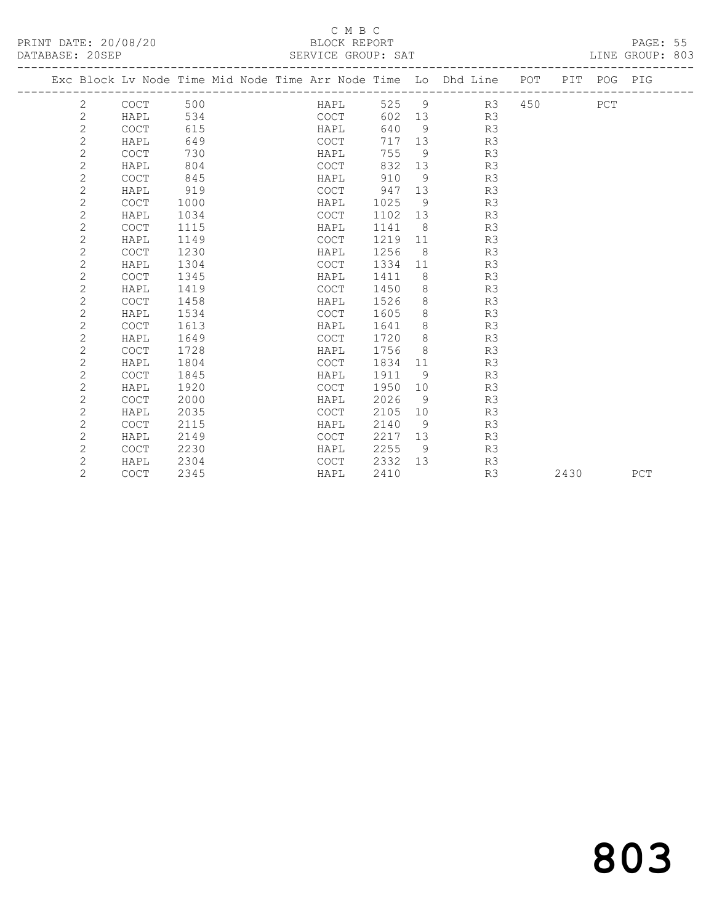| PRINT DATE: 20/08/20<br>DATABASE: 20SEP |             |      |  |  |  | BLOCK REPORT<br>SERVICE GROUP: SAT |        |                |                                                                                |      | PAGE: 55<br>LINE GROUP: 803 |  |
|-----------------------------------------|-------------|------|--|--|--|------------------------------------|--------|----------------|--------------------------------------------------------------------------------|------|-----------------------------|--|
|                                         |             |      |  |  |  |                                    |        |                | Exc Block Lv Node Time Mid Node Time Arr Node Time Lo Dhd Line POT PIT POG PIG |      |                             |  |
| 2                                       | COCT        | 500  |  |  |  |                                    |        |                | HAPL 525 9 R3 450                                                              | PCT  |                             |  |
| $\mathbf{2}$                            | HAPL 534    |      |  |  |  |                                    |        |                |                                                                                |      |                             |  |
| $\overline{2}$                          | COCT        | 615  |  |  |  |                                    |        |                | COCT 602 13 R3<br>HAPL 640 9 R3                                                |      |                             |  |
| $\overline{2}$                          | HAPL        | 649  |  |  |  | COCT                               |        |                | 717 13 R3                                                                      |      |                             |  |
| $\overline{2}$                          | COCT        | 730  |  |  |  |                                    |        |                | HAPL 755 9 R3                                                                  |      |                             |  |
| 2                                       | HAPL        | 804  |  |  |  | COCT                               |        |                | 832 13 R3                                                                      |      |                             |  |
| $\overline{2}$                          | COCT        | 845  |  |  |  |                                    |        |                | HAPL 910 9 R3                                                                  |      |                             |  |
| 2                                       | HAPL        | 919  |  |  |  |                                    |        |                | COCT 947 13 R3                                                                 |      |                             |  |
| 2                                       | COCT        | 1000 |  |  |  | HAPL                               |        |                | 1025 9 R3                                                                      |      |                             |  |
| 2                                       | HAPL        | 1034 |  |  |  | COCT                               |        |                | 1102 13 R3                                                                     |      |                             |  |
| 2                                       | COCT        | 1115 |  |  |  | HAPL                               |        |                | 1141 8 R3                                                                      |      |                             |  |
| $\overline{2}$                          | HAPL        | 1149 |  |  |  | COCT                               |        |                | 1219 11 R3                                                                     |      |                             |  |
| 2                                       | <b>COCT</b> | 1230 |  |  |  | HAPL                               |        |                | 1256 8 R3                                                                      |      |                             |  |
| $\mathbf{2}$                            | HAPL        | 1304 |  |  |  | COCT                               |        |                | 1334 11 R3                                                                     |      |                             |  |
| 2                                       | <b>COCT</b> | 1345 |  |  |  | HAPL                               |        |                | 1411 8 R3                                                                      |      |                             |  |
| $\mathbf{2}$                            | HAPL        | 1419 |  |  |  | COCT                               |        |                | 1450 8 R3                                                                      |      |                             |  |
| $\mathbf{2}$                            | COCT        | 1458 |  |  |  | HAPL                               | 1526 8 |                | R3                                                                             |      |                             |  |
| $\mathbf{2}$                            | HAPL        | 1534 |  |  |  | COCT                               | 1605 8 |                | R3                                                                             |      |                             |  |
| $\overline{c}$                          | <b>COCT</b> | 1613 |  |  |  | HAPL                               | 1641 8 |                | R3                                                                             |      |                             |  |
| $\overline{2}$                          | HAPL        | 1649 |  |  |  | COCT                               | 1720 8 |                | R3                                                                             |      |                             |  |
| $\overline{2}$                          | COCT        | 1728 |  |  |  | HAPL                               | 1756 8 |                | R <sub>3</sub>                                                                 |      |                             |  |
| $\overline{2}$                          | HAPL        | 1804 |  |  |  | COCT                               |        |                | 1834 11 R3                                                                     |      |                             |  |
| $\mathbf{2}$                            | COCT        | 1845 |  |  |  | HAPL                               | 1911   | $\overline{9}$ | R <sub>3</sub>                                                                 |      |                             |  |
| $\overline{2}$                          | HAPL        | 1920 |  |  |  | COCT                               | 1950   |                | 10 R3                                                                          |      |                             |  |
| $\mathbf{2}$                            | COCT        | 2000 |  |  |  | HAPL                               | 2026   |                | 9 R3                                                                           |      |                             |  |
| $\mathbf{2}$                            | HAPL        | 2035 |  |  |  | COCT                               |        |                | 2105 10 R3                                                                     |      |                             |  |
| $\overline{2}$                          | <b>COCT</b> | 2115 |  |  |  | HAPL                               |        |                | 2140 9 R3                                                                      |      |                             |  |
| $\overline{2}$                          | HAPL        | 2149 |  |  |  | COCT                               |        |                | 2217 13 R3                                                                     |      |                             |  |
| $\overline{c}$                          | COCT        | 2230 |  |  |  | HAPL                               |        |                | 2255 9 R3                                                                      |      |                             |  |
| $\overline{2}$                          | HAPL        | 2304 |  |  |  |                                    |        |                | COCT 2332 13 R3                                                                |      |                             |  |
| $\overline{2}$                          | COCT        | 2345 |  |  |  | HAPL                               | 2410   |                | R3                                                                             | 2430 | PCT                         |  |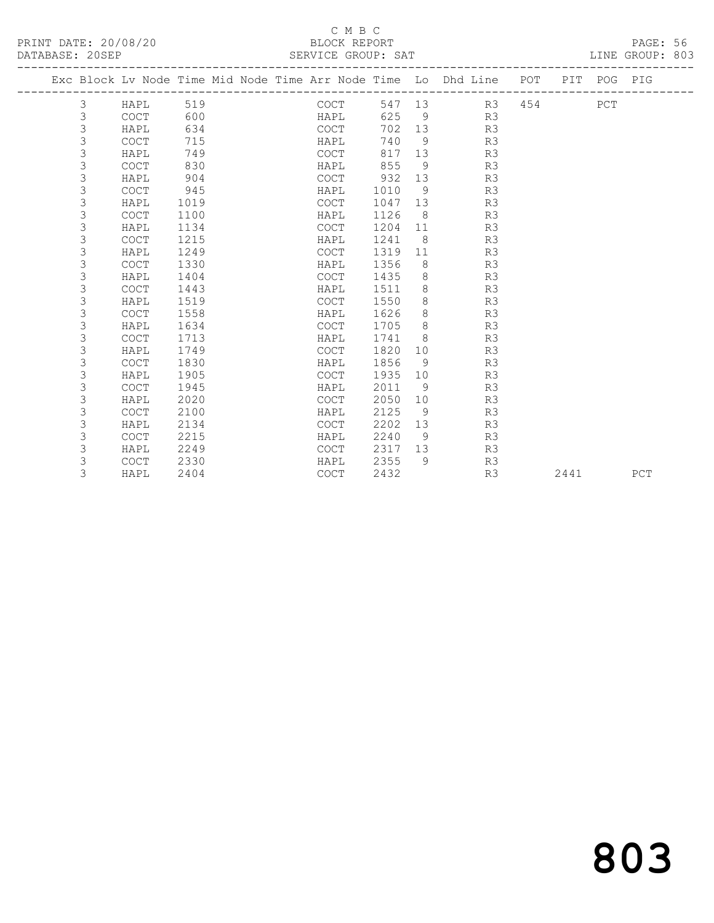| DATABASE: 20SEP |   |             |      |  | SERVICE GROUP: SAT |        |         |                                                                    |     |      |             | LINE GROUP: 803 |  |
|-----------------|---|-------------|------|--|--------------------|--------|---------|--------------------------------------------------------------------|-----|------|-------------|-----------------|--|
|                 |   |             |      |  |                    |        |         | Exc Block Lv Node Time Mid Node Time Arr Node Time Lo Dhd Line POT |     |      | PIT POG PIG |                 |  |
|                 | 3 | HAPL        | 519  |  | COCT               | 547 13 |         | R3                                                                 | 454 |      | PCT         |                 |  |
|                 | 3 | COCT        | 600  |  | HAPL               | 625    | - 9     | R3                                                                 |     |      |             |                 |  |
|                 | 3 | HAPL        | 634  |  | <b>COCT</b>        | 702    | 13      | R3                                                                 |     |      |             |                 |  |
|                 | 3 | <b>COCT</b> | 715  |  | HAPL               | 740    | - 9     | R3                                                                 |     |      |             |                 |  |
|                 | 3 | HAPL        | 749  |  | <b>COCT</b>        | 817    | 13      | R3                                                                 |     |      |             |                 |  |
|                 | 3 | <b>COCT</b> | 830  |  | HAPL               | 855    | 9       | R3                                                                 |     |      |             |                 |  |
|                 | 3 | HAPL        | 904  |  | <b>COCT</b>        | 932    | 13      | R3                                                                 |     |      |             |                 |  |
|                 | 3 | <b>COCT</b> | 945  |  | HAPL               | 1010   | 9       | R3                                                                 |     |      |             |                 |  |
|                 | 3 | HAPL        | 1019 |  | <b>COCT</b>        | 1047   | 13      | R3                                                                 |     |      |             |                 |  |
|                 | 3 | <b>COCT</b> | 1100 |  | HAPL               | 1126   | 8       | R3                                                                 |     |      |             |                 |  |
|                 | 3 | HAPL        | 1134 |  | <b>COCT</b>        | 1204   | 11      | R3                                                                 |     |      |             |                 |  |
|                 | 3 | <b>COCT</b> | 1215 |  | HAPL               | 1241   | 8       | R3                                                                 |     |      |             |                 |  |
|                 | 3 | HAPL        | 1249 |  | <b>COCT</b>        | 1319   | 11      | R3                                                                 |     |      |             |                 |  |
|                 | 3 | <b>COCT</b> | 1330 |  | HAPL               | 1356   | 8       | R3                                                                 |     |      |             |                 |  |
|                 | 3 | HAPL        | 1404 |  | <b>COCT</b>        | 1435   | 8       | R3                                                                 |     |      |             |                 |  |
|                 | 3 | <b>COCT</b> | 1443 |  | HAPL               | 1511   | 8       | R3                                                                 |     |      |             |                 |  |
|                 | 3 | HAPL        | 1519 |  | <b>COCT</b>        | 1550   | 8       | R3                                                                 |     |      |             |                 |  |
|                 | 3 | COCT        | 1558 |  | HAPL               | 1626   | 8       | R3                                                                 |     |      |             |                 |  |
|                 | 3 | HAPL        | 1634 |  | <b>COCT</b>        | 1705   | $\,8\,$ | R3                                                                 |     |      |             |                 |  |
|                 | 3 | <b>COCT</b> | 1713 |  | HAPL               | 1741   | 8       | R3                                                                 |     |      |             |                 |  |
|                 | 3 | HAPL        | 1749 |  | <b>COCT</b>        | 1820   | 10      | R3                                                                 |     |      |             |                 |  |
|                 | 3 | <b>COCT</b> | 1830 |  | HAPL               | 1856   | 9       | R3                                                                 |     |      |             |                 |  |
|                 | 3 | HAPL        | 1905 |  | <b>COCT</b>        | 1935   | 10      | R3                                                                 |     |      |             |                 |  |
|                 | 3 | <b>COCT</b> | 1945 |  | HAPL               | 2011   | 9       | R3                                                                 |     |      |             |                 |  |
|                 | 3 | HAPL        | 2020 |  | COCT               | 2050   | 10      | R3                                                                 |     |      |             |                 |  |
|                 | 3 | COCT        | 2100 |  | HAPL               | 2125   | 9       | R3                                                                 |     |      |             |                 |  |
|                 | 3 | HAPL        | 2134 |  | <b>COCT</b>        | 2202   | 13      | R3                                                                 |     |      |             |                 |  |
|                 | 3 | <b>COCT</b> | 2215 |  | HAPL               | 2240   | 9       | R3                                                                 |     |      |             |                 |  |
|                 | 3 | HAPL        | 2249 |  | <b>COCT</b>        | 2317   | 13      | R3                                                                 |     |      |             |                 |  |
|                 | 3 | <b>COCT</b> | 2330 |  | HAPL               | 2355   | 9       | R3                                                                 |     |      |             |                 |  |
|                 | 3 | HAPL        | 2404 |  | <b>COCT</b>        | 2432   |         | R3                                                                 |     | 2441 |             | PCT             |  |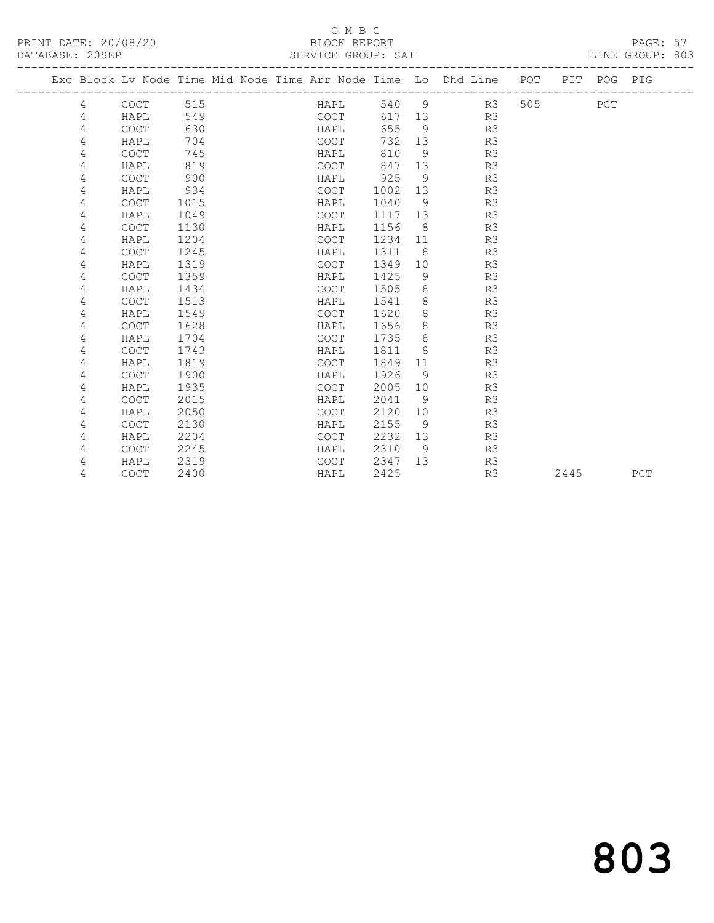PRINT DATE: 20/08/20 BLOCK REPORT PAGE: 57 DATABASE: 20SEP

#### C M B C<br>BLOCK REPORT

| DAIADAJE. ZVJEF |   |             |      | OLAVICL GAUUF. OAI                                                             |      |           |     |          |  |     | LINE GROUP. OUJ |  |
|-----------------|---|-------------|------|--------------------------------------------------------------------------------|------|-----------|-----|----------|--|-----|-----------------|--|
|                 |   |             |      | Exc Block Lv Node Time Mid Node Time Arr Node Time Lo Dhd Line POT PIT POG PIG |      |           |     |          |  |     |                 |  |
|                 | 4 | COCT        | 515  | HAPL                                                                           |      |           |     | 540 9 R3 |  | PCT |                 |  |
|                 | 4 | HAPL        | 549  | COCT                                                                           |      | 617<br>13 |     | R3       |  |     |                 |  |
|                 | 4 | <b>COCT</b> | 630  | HAPL                                                                           |      | 655       | -9  | R3       |  |     |                 |  |
|                 | 4 | HAPL        | 704  | COCT                                                                           | 732  | 13        |     | R3       |  |     |                 |  |
|                 | 4 | COCT        | 745  | HAPL                                                                           | 810  |           | 9   | R3       |  |     |                 |  |
|                 | 4 | HAPL        | 819  | COCT                                                                           | 847  | 13        |     | R3       |  |     |                 |  |
|                 | 4 | <b>COCT</b> | 900  | HAPL                                                                           | 925  |           | 9   | R3       |  |     |                 |  |
|                 | 4 | HAPL        | 934  | COCT                                                                           | 1002 | 13        |     | R3       |  |     |                 |  |
|                 | 4 | <b>COCT</b> | 1015 | HAPL                                                                           | 1040 |           | 9   | R3       |  |     |                 |  |
|                 | 4 | HAPL        | 1049 | COCT                                                                           | 1117 | 13        |     | R3       |  |     |                 |  |
|                 | 4 | <b>COCT</b> | 1130 | HAPL                                                                           | 1156 |           | -8  | R3       |  |     |                 |  |
|                 | 4 | HAPL        | 1204 | COCT                                                                           | 1234 | 11        |     | R3       |  |     |                 |  |
|                 | 4 | <b>COCT</b> | 1245 | HAPL                                                                           | 1311 |           | - 8 | R3       |  |     |                 |  |
|                 | 4 | HAPL        | 1319 | <b>COCT</b>                                                                    | 1349 | 10        |     | R3       |  |     |                 |  |
|                 | 4 | <b>COCT</b> | 1359 | HAPL                                                                           | 1425 |           | 9   | R3       |  |     |                 |  |
|                 | 4 | HAPL        | 1434 | COCT                                                                           | 1505 |           | 8   | R3       |  |     |                 |  |
|                 | 4 | <b>COCT</b> | 1513 | HAPL                                                                           | 1541 |           | 8   | R3       |  |     |                 |  |
|                 | 4 | HAPL        | 1549 | COCT                                                                           | 1620 |           | 8   | R3       |  |     |                 |  |
|                 | 4 | <b>COCT</b> | 1628 | HAPL                                                                           | 1656 |           | 8   | R3       |  |     |                 |  |
|                 | 4 | HAPL        | 1704 | <b>COCT</b>                                                                    | 1735 |           | 8   | R3       |  |     |                 |  |

 4 COCT 1743 HAPL 1811 8 R3 4 HAPL 1819 COCT 1849 11 R3 4 COCT 1900 HAPL 1926 9 R3

4 COCT 2015 HAPL 2041 9 R3

 4 COCT 2130 HAPL 2155 9 R3 4 HAPL 2204 COCT 2232 13 R3 4 COCT 2245 HAPL 2310 9 R3 4 HAPL 2319 COCT 2347 13 R3

4 HAPL 1935 COCT 2005 10 R3

4 HAPL 2050 COCT 2120 10 R3

4 COCT 2400 HAPL 2425 R3 2445 PCT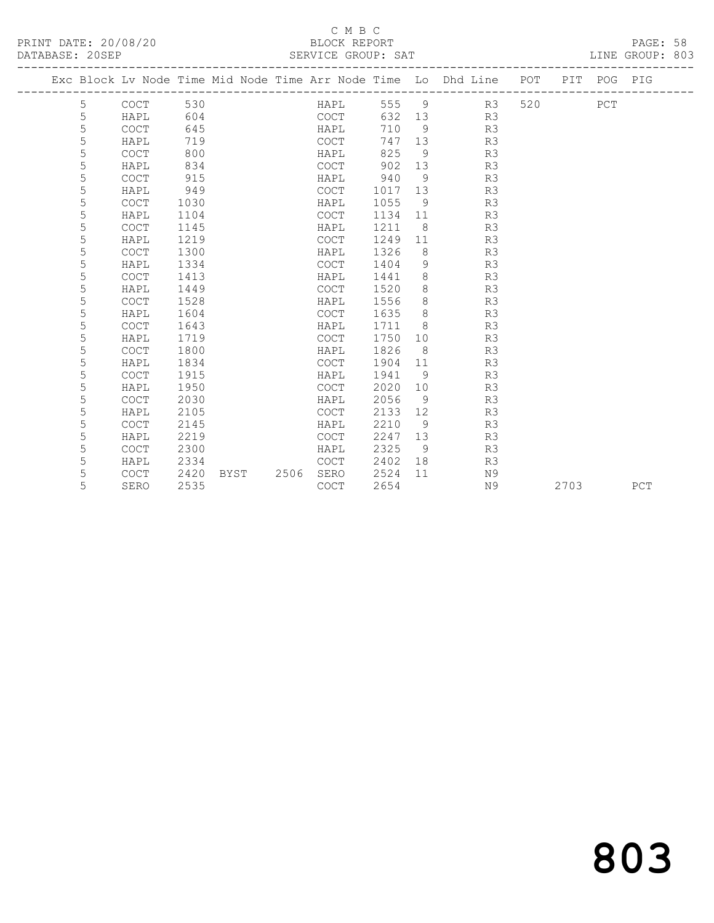| DATABASE: 20SEP |   |             |      |      |      | SERVICE GROUP: SAT   |      |                |                                                                    |     |      |             | LINE GROUP: 803 |
|-----------------|---|-------------|------|------|------|----------------------|------|----------------|--------------------------------------------------------------------|-----|------|-------------|-----------------|
|                 |   |             |      |      |      | ____________________ |      |                | Exc Block Lv Node Time Mid Node Time Arr Node Time Lo Dhd Line POT |     |      | PIT POG PIG |                 |
|                 | 5 | COCT        | 530  |      |      | HAPL                 | 555  | $\overline{9}$ | R3                                                                 | 520 |      | PCT         |                 |
|                 | 5 | HAPL        | 604  |      |      | COCT                 | 632  | 13             | R3                                                                 |     |      |             |                 |
|                 | 5 | COCT        | 645  |      |      | HAPL                 | 710  | 9              | R3                                                                 |     |      |             |                 |
|                 | 5 | HAPL        | 719  |      |      | <b>COCT</b>          | 747  | 13             | R3                                                                 |     |      |             |                 |
|                 | 5 | <b>COCT</b> | 800  |      |      | HAPL                 | 825  | 9              | R3                                                                 |     |      |             |                 |
|                 | 5 | HAPL        | 834  |      |      | COCT                 | 902  | 13             | R3                                                                 |     |      |             |                 |
|                 | 5 | COCT        | 915  |      |      | HAPL                 | 940  | 9              | R3                                                                 |     |      |             |                 |
|                 | 5 | HAPL        | 949  |      |      | <b>COCT</b>          | 1017 | 13             | R3                                                                 |     |      |             |                 |
|                 | 5 | <b>COCT</b> | 1030 |      |      | HAPL                 | 1055 | 9              | R3                                                                 |     |      |             |                 |
|                 | 5 | HAPL        | 1104 |      |      | <b>COCT</b>          | 1134 | 11             | R3                                                                 |     |      |             |                 |
|                 | 5 | COCT        | 1145 |      |      | HAPL                 | 1211 | 8              | R3                                                                 |     |      |             |                 |
|                 | 5 | HAPL        | 1219 |      |      | <b>COCT</b>          | 1249 | 11             | R3                                                                 |     |      |             |                 |
|                 | 5 | <b>COCT</b> | 1300 |      |      | HAPL                 | 1326 | 8              | R3                                                                 |     |      |             |                 |
|                 | 5 | HAPL        | 1334 |      |      | <b>COCT</b>          | 1404 | 9              | R3                                                                 |     |      |             |                 |
|                 | 5 | <b>COCT</b> | 1413 |      |      | HAPL                 | 1441 | 8              | R3                                                                 |     |      |             |                 |
|                 | 5 | HAPL        | 1449 |      |      | <b>COCT</b>          | 1520 | $\,8\,$        | R3                                                                 |     |      |             |                 |
|                 | 5 | <b>COCT</b> | 1528 |      |      | HAPL                 | 1556 | $\,8\,$        | R3                                                                 |     |      |             |                 |
|                 | 5 | HAPL        | 1604 |      |      | <b>COCT</b>          | 1635 | 8              | R3                                                                 |     |      |             |                 |
|                 | 5 | <b>COCT</b> | 1643 |      |      | HAPL                 | 1711 | 8              | R3                                                                 |     |      |             |                 |
|                 | 5 | HAPL        | 1719 |      |      | <b>COCT</b>          | 1750 | 10             | R3                                                                 |     |      |             |                 |
|                 | 5 | <b>COCT</b> | 1800 |      |      | HAPL                 | 1826 | 8              | R3                                                                 |     |      |             |                 |
|                 | 5 | HAPL        | 1834 |      |      | <b>COCT</b>          | 1904 | 11             | R3                                                                 |     |      |             |                 |
|                 | 5 | <b>COCT</b> | 1915 |      |      | HAPL                 | 1941 | 9              | R3                                                                 |     |      |             |                 |
|                 | 5 | HAPL        | 1950 |      |      | <b>COCT</b>          | 2020 | 10             | R3                                                                 |     |      |             |                 |
|                 | 5 | <b>COCT</b> | 2030 |      |      | HAPL                 | 2056 | 9              | R3                                                                 |     |      |             |                 |
|                 | 5 | HAPL        | 2105 |      |      | COCT                 | 2133 | 12             | R3                                                                 |     |      |             |                 |
|                 | 5 | <b>COCT</b> | 2145 |      |      | HAPL                 | 2210 | 9              | R3                                                                 |     |      |             |                 |
|                 | 5 | HAPL        | 2219 |      |      | <b>COCT</b>          | 2247 | 13             | R3                                                                 |     |      |             |                 |
|                 | 5 | <b>COCT</b> | 2300 |      |      | HAPL                 | 2325 | 9              | R3                                                                 |     |      |             |                 |
|                 | 5 | HAPL        | 2334 |      |      | <b>COCT</b>          | 2402 | 18             | R3                                                                 |     |      |             |                 |
|                 | 5 | <b>COCT</b> | 2420 | BYST | 2506 | SERO                 | 2524 | 11             | N9                                                                 |     |      |             |                 |
|                 | 5 | SERO        | 2535 |      |      | <b>COCT</b>          | 2654 |                | N9                                                                 |     | 2703 |             | PCT             |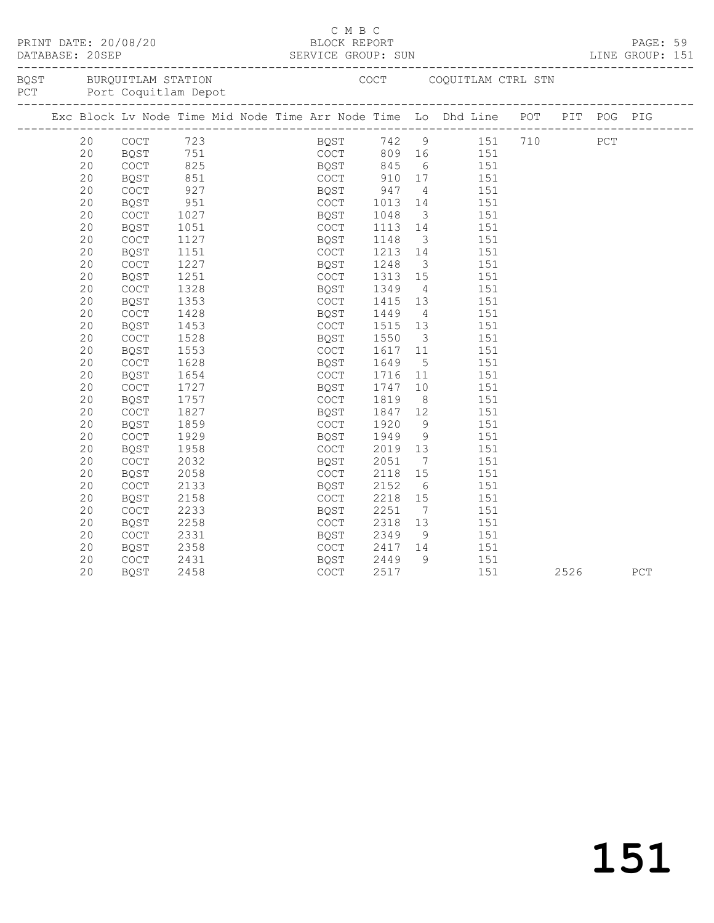|  |    | PRINT DATE: 20/08/20    |                   |  | СМВС<br>BLOCK REPORT                      |         |                         | DATABASE: 20SEP SERVICE GROUP: SUN LINE GROUP: 151                             |      | PAGE: 59 |  |
|--|----|-------------------------|-------------------|--|-------------------------------------------|---------|-------------------------|--------------------------------------------------------------------------------|------|----------|--|
|  |    | BQST BURQUITLAM STATION |                   |  |                                           |         |                         | COCT COQUITLAM CTRL STN                                                        |      |          |  |
|  |    |                         |                   |  |                                           |         |                         | Exc Block Lv Node Time Mid Node Time Arr Node Time Lo Dhd Line POT PIT POG PIG |      |          |  |
|  | 20 | COCT 723                |                   |  |                                           |         |                         | BQST 742 9 151 710 PCT                                                         |      |          |  |
|  | 20 | BQST                    |                   |  |                                           |         |                         |                                                                                |      |          |  |
|  | 20 | COCT                    | 751<br>825<br>851 |  |                                           |         |                         | COCT 809 16 151<br>BQST 845 6 151<br>COCT 910 17 151                           |      |          |  |
|  | 20 | BQST                    |                   |  |                                           |         |                         |                                                                                |      |          |  |
|  | 20 | COCT                    | 927               |  |                                           |         |                         | 4 151                                                                          |      |          |  |
|  | 20 | BQST                    | 951               |  | BQST 947 4<br>COCT 1013 14<br>BQST 1048 3 |         |                         | 151                                                                            |      |          |  |
|  | 20 | COCT                    | 1027              |  |                                           |         |                         | $\overline{\mathbf{3}}$<br>151                                                 |      |          |  |
|  | 20 | BQST                    | 1051              |  | COCT                                      | 1113 14 |                         | 151                                                                            |      |          |  |
|  | 20 | COCT                    | 1127              |  | BQST                                      | 1148    | $\overline{\mathbf{3}}$ | 151                                                                            |      |          |  |
|  | 20 | BQST                    | 1151              |  | COCT                                      |         |                         | $1213$ $14$ $151$                                                              |      |          |  |
|  | 20 | COCT                    | 1227              |  | BQST                                      | 1248    |                         | 3 151                                                                          |      |          |  |
|  | 20 | BQST                    | 1251              |  | COCT                                      | 1313 15 |                         | 151                                                                            |      |          |  |
|  | 20 | COCT                    | 1328              |  | BQST                                      | 1349    |                         | $4\overline{ }$<br>151                                                         |      |          |  |
|  | 20 | <b>BQST</b>             | 1353              |  | COCT                                      | 1415    | 13                      | 151                                                                            |      |          |  |
|  | 20 | COCT                    | 1428              |  | BQST                                      | 1449    | $4\overline{4}$         | 151                                                                            |      |          |  |
|  | 20 | BQST                    | 1453              |  | COCT                                      | 1515    |                         | $\overline{13}$ $\overline{151}$                                               |      |          |  |
|  | 20 | <b>COCT</b>             | 1528              |  | BQST                                      | 1550    |                         | 3 151                                                                          |      |          |  |
|  | 20 | <b>BQST</b>             | 1553              |  | COCT                                      | 1617 11 |                         | 151                                                                            |      |          |  |
|  | 20 | COCT                    | 1628              |  | BQST                                      | 1649    |                         | 5 <sup>5</sup><br>151                                                          |      |          |  |
|  | 20 | <b>BQST</b>             | 1654              |  | COCT                                      | 1716    |                         | 11 151                                                                         |      |          |  |
|  | 20 | <b>COCT</b>             | 1727              |  | BQST                                      | 1747    |                         | $\begin{array}{c} 10 \\ 8 \end{array}$<br>151                                  |      |          |  |
|  | 20 | BQST                    | 1757              |  | COCT                                      | 1819    |                         | 151                                                                            |      |          |  |
|  | 20 | COCT                    | 1827              |  | BQST                                      | 1847    | 12                      | 151                                                                            |      |          |  |
|  | 20 | BQST                    | 1859              |  | COCT                                      | 1920    | 9                       | 151                                                                            |      |          |  |
|  | 20 | COCT                    | 1929              |  | BQST                                      | 1949    |                         | 9<br>151                                                                       |      |          |  |
|  | 20 | BQST                    | 1958              |  | COCT                                      | 2019    | 13                      | 151                                                                            |      |          |  |
|  | 20 | COCT                    | 2032              |  | BQST                                      | 2051    | $7\overline{ }$         | 151                                                                            |      |          |  |
|  | 20 | BQST                    | 2058              |  | COCT                                      | 2118    | 15                      | 151                                                                            |      |          |  |
|  | 20 | COCT                    | 2133              |  | BQST                                      | 2152    | 6                       | 151                                                                            |      |          |  |
|  | 20 | BQST                    | 2158              |  | COCT                                      | 2218    | 15                      | 151                                                                            |      |          |  |
|  | 20 | COCT                    | 2233              |  | BQST                                      | 2251    |                         | $\begin{array}{c}\n7\n\end{array}$<br>151                                      |      |          |  |
|  | 20 | <b>BOST</b>             | 2258              |  | COCT                                      | 2318    | 13                      | 151                                                                            |      |          |  |
|  | 20 | COCT                    | 2331              |  | BQST                                      |         |                         | 2349 9 151<br>2417 14 151                                                      |      |          |  |
|  | 20 | BQST                    | 2358              |  | COCT                                      |         |                         |                                                                                |      |          |  |
|  | 20 | COCT                    | 2431              |  | BQST                                      | 2449    |                         | 9 151                                                                          |      |          |  |
|  | 20 | <b>BOST</b>             | 2458              |  | <b>COCT</b>                               | 2517    |                         | 151                                                                            | 2526 | PCT      |  |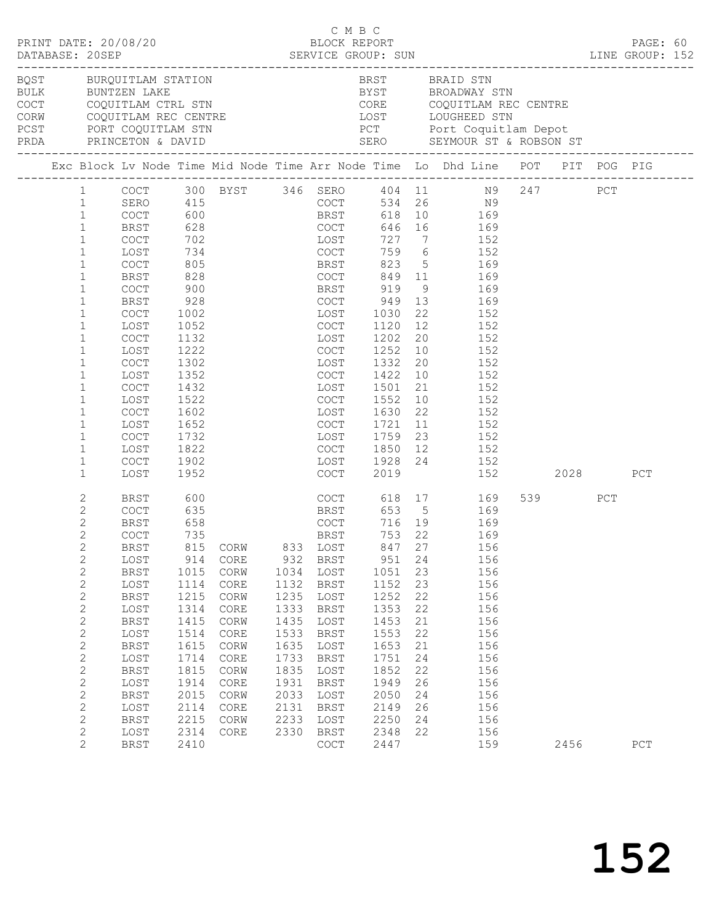|  |                                  | PRINT DATE: 20/08/20                         |            |                                                                                         |      | C M B C<br>BLOCK REPORT      |           |    |                                                                                                                                                                                                                                                                             |         | PAGE: 60 |  |
|--|----------------------------------|----------------------------------------------|------------|-----------------------------------------------------------------------------------------|------|------------------------------|-----------|----|-----------------------------------------------------------------------------------------------------------------------------------------------------------------------------------------------------------------------------------------------------------------------------|---------|----------|--|
|  |                                  | BQST BURQUITLAM STATION<br>BULK BUNTZEN LAKE |            | COCT COQUITLAM CTRL STN<br>CORW COQUITLAM REC CENTRE<br>PCST PORT COQUITLAM STN<br>PERI |      |                              |           |    | BRST BRAID STN<br>BYST BROADWAY STN<br>COCT COQUITLAM CTRL STN CORE COQUITLAM REC CENTRE<br>CORN COQUITLAM REC CENTRE LOST LOUGHEED STN<br>PCST PORT COQUITLAM STN PCT PORT COQUITLAM STN PCT PORT COQUITLAM STN PCT PORT COQUITLAM REC CENTRE<br>PRDA PRINCETON & DAVID SE |         |          |  |
|  |                                  |                                              |            |                                                                                         |      |                              |           |    | Exc Block Lv Node Time Mid Node Time Arr Node Time Lo Dhd Line POT PIT POG PIG                                                                                                                                                                                              |         |          |  |
|  |                                  |                                              |            |                                                                                         |      |                              |           |    | 1 COCT 300 BYST 346 SERO 404 11 N9 247 PCT                                                                                                                                                                                                                                  |         |          |  |
|  | $\mathbf{1}$                     | SERO 415                                     |            |                                                                                         |      |                              |           |    | COCT 534 26 N9                                                                                                                                                                                                                                                              |         |          |  |
|  | $\mathbf{1}$                     | COCT 600<br>BRST 628                         |            |                                                                                         |      |                              |           |    | BRST 618 10 169<br>COCT 646 16 169                                                                                                                                                                                                                                          |         |          |  |
|  | $\mathbf{1}$                     |                                              |            |                                                                                         |      |                              |           |    |                                                                                                                                                                                                                                                                             |         |          |  |
|  | $\mathbf{1}$                     | COCT                                         | 702        | LOST                                                                                    |      |                              |           |    | 727 7 152                                                                                                                                                                                                                                                                   |         |          |  |
|  | $\mathbf{1}$                     | LOST                                         | 734        | COCT                                                                                    |      |                              |           |    | 759 6 152                                                                                                                                                                                                                                                                   |         |          |  |
|  | $\mathbf{1}$                     | COCT                                         | 805<br>828 |                                                                                         |      |                              |           |    | BRST 823 5 169<br>COCT 849 11 169                                                                                                                                                                                                                                           |         |          |  |
|  | $\mathbf{1}$<br>$\mathbf{1}$     | BRST                                         | 900        | BRST 823<br>COCT 849<br>BRST 919                                                        |      |                              |           |    | 9 169                                                                                                                                                                                                                                                                       |         |          |  |
|  | $\mathbf{1}$                     | COCT<br>BRST                                 | 928        |                                                                                         |      |                              |           |    |                                                                                                                                                                                                                                                                             |         |          |  |
|  | $\mathbf{1}$                     | COCT                                         | 1002       |                                                                                         |      |                              |           |    | COCT 949 13 169                                                                                                                                                                                                                                                             |         |          |  |
|  | $\mathbf{1}$                     | LOST                                         | 1052       |                                                                                         |      | LOST 1030 22<br>COCT 1120 12 |           |    | 22 152<br>12 152<br>152                                                                                                                                                                                                                                                     |         |          |  |
|  | $\mathbf{1}$                     | COCT                                         | 1132       |                                                                                         |      | LOST 1202                    |           |    | $20$ 152                                                                                                                                                                                                                                                                    |         |          |  |
|  | $\mathbf{1}$                     | LOST                                         | 1222       | <b>COCT</b>                                                                             |      |                              | 1252      |    | 10 152                                                                                                                                                                                                                                                                      |         |          |  |
|  | $\mathbf{1}$                     | $\mathtt{C}\mathtt{O}\mathtt{C}\mathtt{T}$   | 1302       |                                                                                         |      |                              | 1332      |    | 20 152                                                                                                                                                                                                                                                                      |         |          |  |
|  | 1                                | LOST                                         | 1352       |                                                                                         |      | LOST 1332 20<br>COCT 1422 10 |           |    | 152                                                                                                                                                                                                                                                                         |         |          |  |
|  | $\mathbf{1}$                     | COCT                                         | 1432       |                                                                                         |      |                              | LOST 1501 |    | $\frac{18}{21}$ $\frac{152}{152}$                                                                                                                                                                                                                                           |         |          |  |
|  | 1                                | LOST                                         | 1522       | <b>COCT</b>                                                                             |      |                              | 1552      |    | 10 152                                                                                                                                                                                                                                                                      |         |          |  |
|  | $\mathbf{1}$                     | $\mathtt{C}\mathtt{O}\mathtt{C}\mathtt{T}$   | 1602       |                                                                                         |      |                              | 1630      |    | 22 152                                                                                                                                                                                                                                                                      |         |          |  |
|  | 1                                | LOST                                         | 1652       |                                                                                         |      | LOST<br>COCT                 | 1721 11   |    | $\begin{array}{cc} 11 & \hspace{1.5cm} 152 \\ 23 & \hspace{1.5cm} 152 \end{array}$                                                                                                                                                                                          |         |          |  |
|  | $\mathbf{1}$                     | COCT                                         | 1732       |                                                                                         |      | LOST 1759                    |           |    |                                                                                                                                                                                                                                                                             |         |          |  |
|  | $\mathbf{1}$                     | LOST                                         | 1822       |                                                                                         |      |                              |           |    | COCT 1850 12 152                                                                                                                                                                                                                                                            |         |          |  |
|  | $\mathbf{1}$                     | COCT                                         | 1902       |                                                                                         |      |                              |           |    | LOST 1928 24 152<br>COCT 2019 152                                                                                                                                                                                                                                           |         |          |  |
|  | $\mathbf{1}$                     | LOST                                         | 1952       |                                                                                         |      |                              |           |    | 152 2028                                                                                                                                                                                                                                                                    |         | PCT      |  |
|  | 2                                | BRST                                         | 600        |                                                                                         |      |                              |           |    | COCT 618 17 169                                                                                                                                                                                                                                                             | 539 PCT |          |  |
|  | 2                                | COCT                                         | 635        |                                                                                         |      |                              |           |    | BRST 653 5 169                                                                                                                                                                                                                                                              |         |          |  |
|  | $\overline{c}$                   | BRST                                         | 658<br>735 |                                                                                         |      |                              |           |    | COCT 716 19 169<br>BRST 753 22 169                                                                                                                                                                                                                                          |         |          |  |
|  | $\overline{c}$<br>$\overline{2}$ | <b>COCT</b>                                  |            |                                                                                         |      |                              |           |    | BRST 815 CORW 833 LOST 847 27 156                                                                                                                                                                                                                                           |         |          |  |
|  | $\overline{c}$                   | LOST                                         | 914        | CORE                                                                                    |      | 932 BRST                     | 951 24    |    | 156                                                                                                                                                                                                                                                                         |         |          |  |
|  | $\overline{c}$                   | BRST                                         | 1015       | CORW                                                                                    | 1034 | LOST                         | 1051      | 23 | 156                                                                                                                                                                                                                                                                         |         |          |  |
|  | $\overline{c}$                   | LOST                                         | 1114       | CORE                                                                                    | 1132 | <b>BRST</b>                  | 1152      | 23 | 156                                                                                                                                                                                                                                                                         |         |          |  |
|  | $\mathbf{2}$                     | BRST                                         | 1215       | CORW                                                                                    | 1235 | LOST                         | 1252      | 22 | 156                                                                                                                                                                                                                                                                         |         |          |  |
|  | $\overline{c}$                   | LOST                                         | 1314       | CORE                                                                                    | 1333 | BRST                         | 1353      | 22 | 156                                                                                                                                                                                                                                                                         |         |          |  |
|  | $\mathbf{2}$                     | BRST                                         | 1415       | CORW                                                                                    | 1435 | LOST                         | 1453      | 21 | 156                                                                                                                                                                                                                                                                         |         |          |  |
|  | $\mathbf{2}$                     | LOST                                         | 1514       | CORE                                                                                    | 1533 | <b>BRST</b>                  | 1553      | 22 | 156                                                                                                                                                                                                                                                                         |         |          |  |
|  | $\mathbf{2}$                     | BRST                                         | 1615       | CORW                                                                                    | 1635 | LOST                         | 1653      | 21 | 156                                                                                                                                                                                                                                                                         |         |          |  |
|  | $\overline{c}$                   | LOST                                         | 1714       | CORE                                                                                    | 1733 | BRST                         | 1751      | 24 | 156                                                                                                                                                                                                                                                                         |         |          |  |
|  | $\overline{c}$                   | <b>BRST</b>                                  | 1815       | CORW                                                                                    | 1835 | LOST                         | 1852      | 22 | 156                                                                                                                                                                                                                                                                         |         |          |  |
|  | $\mathbf{2}$                     | LOST                                         | 1914       | CORE                                                                                    | 1931 | BRST                         | 1949      | 26 | 156                                                                                                                                                                                                                                                                         |         |          |  |
|  | $\mathbf{2}$                     | BRST                                         | 2015       | CORW                                                                                    | 2033 | LOST                         | 2050      | 24 | 156                                                                                                                                                                                                                                                                         |         |          |  |
|  | $\overline{c}$                   | LOST                                         | 2114       | CORE                                                                                    | 2131 | BRST                         | 2149      | 26 | 156                                                                                                                                                                                                                                                                         |         |          |  |
|  | $\overline{c}$                   | <b>BRST</b>                                  | 2215       | CORW                                                                                    | 2233 | LOST                         | 2250      | 24 | 156                                                                                                                                                                                                                                                                         |         |          |  |
|  | $\overline{c}$                   | LOST                                         | 2314       | CORE                                                                                    | 2330 | BRST                         | 2348      | 22 | 156                                                                                                                                                                                                                                                                         |         |          |  |
|  | $\overline{2}$                   | <b>BRST</b>                                  | 2410       |                                                                                         |      | COCT                         | 2447      |    | 159                                                                                                                                                                                                                                                                         | 2456    | PCT      |  |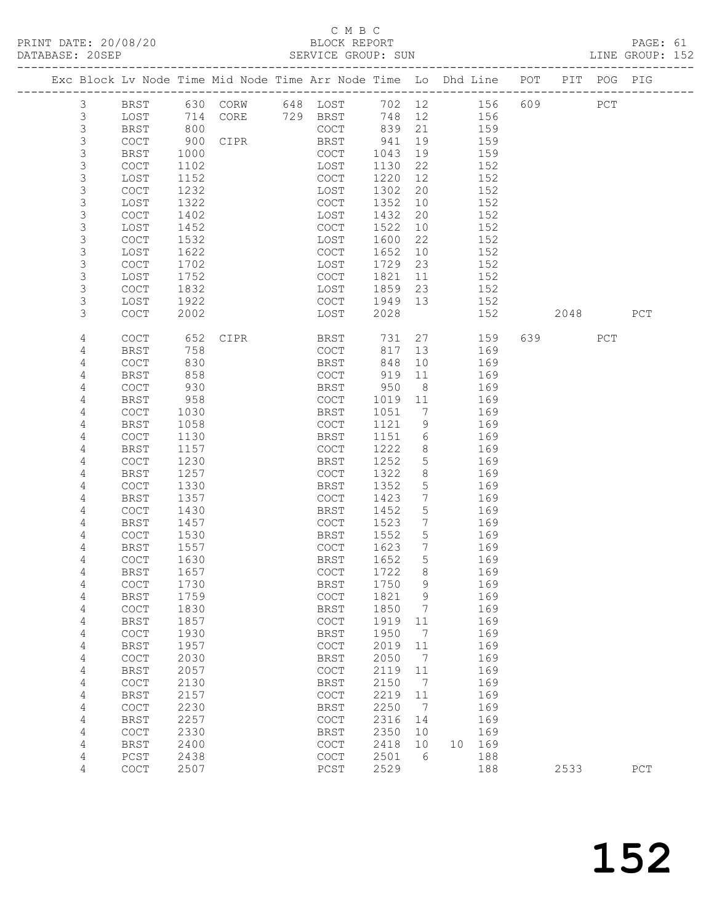## C M B C<br>BLOCK REPORT

PAGE: 61<br>LINE GROUP: 152

|  |                            |                                            |              | Exc Block Lv Node Time Mid Node Time Arr Node Time Lo Dhd Line POT PIT POG PIG |               |              |                                   |    |            |     |          |     |             |
|--|----------------------------|--------------------------------------------|--------------|--------------------------------------------------------------------------------|---------------|--------------|-----------------------------------|----|------------|-----|----------|-----|-------------|
|  | $\mathcal{S}$              | BRST                                       |              | 630 CORW 648 LOST                                                              |               |              |                                   |    | 702 12 156 | 609 |          | PCT |             |
|  | $\mathfrak{Z}$             | LOST                                       | 714          | CORE                                                                           | 729 BRST      | 748          | 12                                |    | 156        |     |          |     |             |
|  | $\mathsf 3$                | <b>BRST</b>                                | 800          |                                                                                | COCT          | 839          | 21                                |    | 159        |     |          |     |             |
|  | $\mathsf 3$                | COCT                                       | 900          | CIPR                                                                           | BRST          | 941          | 19                                |    | 159        |     |          |     |             |
|  | 3                          | BRST                                       | 1000         |                                                                                | COCT          | 1043         | 19                                |    | 159        |     |          |     |             |
|  | 3                          | COCT                                       | 1102         |                                                                                | LOST          | 1130         | 22                                |    | 152        |     |          |     |             |
|  | $\mathsf S$                | LOST                                       | 1152         |                                                                                | COCT          | 1220         | 12                                |    | 152        |     |          |     |             |
|  | $\mathsf S$                | COCT                                       | 1232         |                                                                                | LOST          | 1302         | 20                                |    | 152        |     |          |     |             |
|  | 3                          | LOST                                       | 1322         |                                                                                | COCT          | 1352         | 10                                |    | 152        |     |          |     |             |
|  | $\mathsf S$                | COCT                                       | 1402         |                                                                                | LOST          | 1432         | 20                                |    | 152        |     |          |     |             |
|  | $\mathsf S$<br>$\mathsf S$ | LOST                                       | 1452         |                                                                                | COCT          | 1522         | 10<br>22                          |    | 152        |     |          |     |             |
|  | 3                          | COCT<br>LOST                               | 1532<br>1622 |                                                                                | LOST<br>COCT  | 1600<br>1652 | 10                                |    | 152<br>152 |     |          |     |             |
|  | $\mathsf S$                | COCT                                       | 1702         |                                                                                | LOST          | 1729         | 23                                |    | 152        |     |          |     |             |
|  | 3                          | LOST                                       | 1752         |                                                                                | COCT          | 1821         | 11                                |    | 152        |     |          |     |             |
|  | $\mathsf S$                | COCT                                       | 1832         |                                                                                | LOST          | 1859         | 23                                |    | 152        |     |          |     |             |
|  | 3                          | LOST                                       | 1922         |                                                                                | COCT          | 1949         | 13                                |    | 152        |     |          |     |             |
|  | 3                          | COCT                                       | 2002         |                                                                                | LOST          | 2028         |                                   |    | 152        |     | 2048     |     | PCT         |
|  |                            |                                            |              |                                                                                |               |              |                                   |    |            |     |          |     |             |
|  | 4                          | COCT                                       | 652          | CIPR                                                                           | BRST          | 731          | 27                                |    | 159        |     | 639 — 10 | PCT |             |
|  | 4                          | BRST                                       | 758          |                                                                                | COCT          | 817          | 13                                |    | 169        |     |          |     |             |
|  | 4                          | <b>COCT</b>                                | 830          |                                                                                | BRST          | 848          | 10                                |    | 169        |     |          |     |             |
|  | 4                          | <b>BRST</b>                                | 858          |                                                                                | COCT          | 919          | 11                                |    | 169        |     |          |     |             |
|  | 4                          | COCT                                       | 930          |                                                                                | BRST          | 950          | 8 <sup>8</sup>                    |    | 169        |     |          |     |             |
|  | 4                          | <b>BRST</b>                                | 958          |                                                                                | COCT          | 1019         | 11                                |    | 169        |     |          |     |             |
|  | 4                          | COCT                                       | 1030         |                                                                                | BRST          | 1051         | $7\phantom{.0}\phantom{.0}7$      |    | 169        |     |          |     |             |
|  | 4                          | <b>BRST</b>                                | 1058         |                                                                                | COCT          | 1121         | 9                                 |    | 169        |     |          |     |             |
|  | 4                          | COCT                                       | 1130         |                                                                                | BRST          | 1151         | 6                                 |    | 169        |     |          |     |             |
|  | 4                          | <b>BRST</b>                                | 1157         |                                                                                | COCT          | 1222         | 8                                 |    | 169        |     |          |     |             |
|  | 4                          | <b>COCT</b>                                | 1230         |                                                                                | BRST          | 1252         | 5                                 |    | 169        |     |          |     |             |
|  | 4                          | <b>BRST</b>                                | 1257         |                                                                                | COCT          | 1322         | 8                                 |    | 169        |     |          |     |             |
|  | 4                          | COCT                                       | 1330         |                                                                                | BRST          | 1352         | 5                                 |    | 169        |     |          |     |             |
|  | 4                          | <b>BRST</b>                                | 1357         |                                                                                | COCT          | 1423         | $7\phantom{.0}$                   |    | 169        |     |          |     |             |
|  | 4                          | COCT                                       | 1430         |                                                                                | BRST          | 1452         | 5                                 |    | 169        |     |          |     |             |
|  | 4<br>4                     | BRST<br>COCT                               | 1457<br>1530 |                                                                                | COCT<br>BRST  | 1523<br>1552 | $7\phantom{.}$<br>$5\phantom{.0}$ |    | 169<br>169 |     |          |     |             |
|  | 4                          | BRST                                       | 1557         |                                                                                | COCT          | 1623         | $7\overline{ }$                   |    | 169        |     |          |     |             |
|  | 4                          | COCT                                       | 1630         |                                                                                | BRST          | 1652         | 5                                 |    | 169        |     |          |     |             |
|  | 4                          | <b>BRST</b>                                | 1657         |                                                                                | COCT          | 1722         | 8                                 |    | 169        |     |          |     |             |
|  | 4                          | $\mathtt{C}\mathtt{O}\mathtt{C}\mathtt{T}$ | 1730         |                                                                                | <b>BRST</b>   | 1750 9       |                                   |    | 169        |     |          |     |             |
|  | 4                          | <b>BRST</b>                                | 1759         |                                                                                | COCT          | 1821         | 9                                 |    | 169        |     |          |     |             |
|  | $\sqrt{4}$                 | COCT                                       | 1830         |                                                                                | <b>BRST</b>   | 1850         | 7                                 |    | 169        |     |          |     |             |
|  | 4                          | <b>BRST</b>                                | 1857         |                                                                                | COCT          | 1919         | 11                                |    | 169        |     |          |     |             |
|  | $\sqrt{4}$                 | COCT                                       | 1930         |                                                                                | <b>BRST</b>   | 1950         | 7                                 |    | 169        |     |          |     |             |
|  | 4                          | <b>BRST</b>                                | 1957         |                                                                                | COCT          | 2019         | 11                                |    | 169        |     |          |     |             |
|  | 4                          | $\mathtt{C}\mathtt{O}\mathtt{C}\mathtt{T}$ | 2030         |                                                                                | <b>BRST</b>   | 2050         | 7                                 |    | 169        |     |          |     |             |
|  | 4                          | <b>BRST</b>                                | 2057         |                                                                                | COCT          | 2119         | 11                                |    | 169        |     |          |     |             |
|  | 4                          | $\mathtt{C}\mathtt{O}\mathtt{C}\mathtt{T}$ | 2130         |                                                                                | <b>BRST</b>   | 2150         | 7                                 |    | 169        |     |          |     |             |
|  | 4                          | <b>BRST</b>                                | 2157         |                                                                                | COCT          | 2219         | 11                                |    | 169        |     |          |     |             |
|  | 4                          | $\mathtt{C}\mathtt{O}\mathtt{C}\mathtt{T}$ | 2230         |                                                                                | <b>BRST</b>   | 2250         | $7\phantom{.0}$                   |    | 169        |     |          |     |             |
|  | 4                          | <b>BRST</b>                                | 2257         |                                                                                | COCT          | 2316         | 14                                |    | 169        |     |          |     |             |
|  | 4                          | $\mathtt{C}\mathtt{O}\mathtt{C}\mathtt{T}$ | 2330         |                                                                                | <b>BRST</b>   | 2350         | 10                                |    | 169        |     |          |     |             |
|  | 4                          | <b>BRST</b>                                | 2400         |                                                                                | COCT          | 2418         | 10                                | 10 | 169        |     |          |     |             |
|  | 4<br>4                     | $PCST$                                     | 2438         |                                                                                | COCT          | 2501<br>2529 | 6                                 |    | 188        |     |          |     |             |
|  |                            | COCT                                       | 2507         |                                                                                | $_{\rm PCST}$ |              |                                   |    | 188        |     | 2533     |     | ${\tt PCT}$ |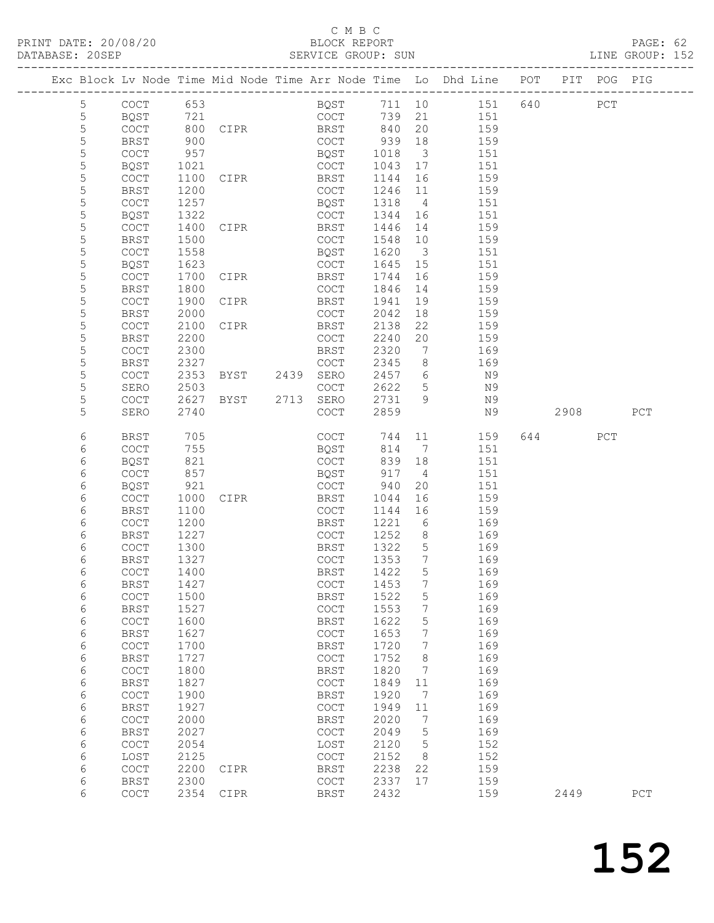| DATABASE: 20SEP |             |                                            |      |                                                                                                                | SERVICE GROUP: SUN |              |                         | EXAMPLE GROUP: 152                                                             |          |     |     |  |
|-----------------|-------------|--------------------------------------------|------|----------------------------------------------------------------------------------------------------------------|--------------------|--------------|-------------------------|--------------------------------------------------------------------------------|----------|-----|-----|--|
|                 |             |                                            |      |                                                                                                                |                    |              |                         | Exc Block Lv Node Time Mid Node Time Arr Node Time Lo Dhd Line POT PIT POG PIG |          |     |     |  |
|                 | 5           | COCT 653                                   |      |                                                                                                                |                    |              |                         | BQST 711 10 151 640 PCT                                                        |          |     |     |  |
|                 | 5           | BQST                                       | 721  |                                                                                                                | COCT               |              |                         | 739 21 151                                                                     |          |     |     |  |
|                 | 5           | COCT                                       |      | 800 CIPR BRST 840                                                                                              |                    |              | 20                      | 159                                                                            |          |     |     |  |
|                 | $\mathsf S$ | BRST                                       | 900  |                                                                                                                | COCT 939           |              | 18                      | 159                                                                            |          |     |     |  |
|                 | 5           | COCT                                       | 957  |                                                                                                                | <b>BQST</b>        | 1018         | $\overline{\mathbf{3}}$ | 151                                                                            |          |     |     |  |
|                 | 5           | BQST                                       | 1021 |                                                                                                                | COCT               | 1043         | 17                      | 151                                                                            |          |     |     |  |
|                 | 5           | COCT                                       | 1100 | CIPR BRST                                                                                                      |                    | 1144         | 16                      | 159                                                                            |          |     |     |  |
|                 | 5           | BRST                                       | 1200 |                                                                                                                | COCT               | 1246 11      |                         | 159                                                                            |          |     |     |  |
|                 | 5           | COCT                                       | 1257 |                                                                                                                | BQST               | 1318         | $4\overline{4}$         | 151                                                                            |          |     |     |  |
|                 | 5           | BQST                                       | 1322 |                                                                                                                | COCT               | 1344         | 16                      | 151                                                                            |          |     |     |  |
|                 | 5           | <b>COCT</b>                                | 1400 | CIPR                                                                                                           | BRST               | 1446         | 14                      | 159                                                                            |          |     |     |  |
|                 | 5           | BRST                                       | 1500 |                                                                                                                | COCT               | 1548         | 10                      | 159                                                                            |          |     |     |  |
|                 | 5           | COCT                                       | 1558 |                                                                                                                | BQST               | 1620         | $\overline{\mathbf{3}}$ | 151                                                                            |          |     |     |  |
|                 | 5           | BQST                                       | 1623 |                                                                                                                | COCT               | 1645         | 15                      | 151                                                                            |          |     |     |  |
|                 | 5           |                                            |      |                                                                                                                |                    | 1744         | 16                      | 159                                                                            |          |     |     |  |
|                 | 5           | COCT                                       | 1700 | CIPR THE STATE OF THE STATE OF THE STATE OF THE STATE OF THE STATE OF THE STATE OF THE STATE OF THE STATE OF T | BRST               |              | 14                      |                                                                                |          |     |     |  |
|                 |             | BRST                                       | 1800 | CIPR                                                                                                           | COCT               | 1846<br>1941 |                         | 159                                                                            |          |     |     |  |
|                 | 5           | COCT                                       | 1900 |                                                                                                                | BRST               |              | 19                      | 159                                                                            |          |     |     |  |
|                 | 5           | BRST                                       | 2000 |                                                                                                                | COCT               | 2042         | 18                      | 159                                                                            |          |     |     |  |
|                 | 5           | COCT                                       | 2100 | CIPR                                                                                                           | BRST               | 2138         | 22                      | 159                                                                            |          |     |     |  |
|                 | 5           | BRST                                       | 2200 |                                                                                                                | COCT               | 2240         | 20                      | 159                                                                            |          |     |     |  |
|                 | 5           | $\mathtt{C}\mathtt{O}\mathtt{C}\mathtt{T}$ | 2300 |                                                                                                                | BRST               | 2320         | $\overline{7}$          | 169                                                                            |          |     |     |  |
|                 | 5           | BRST                                       | 2327 |                                                                                                                | COCT               | 2345         | 8 <sup>8</sup>          | 169                                                                            |          |     |     |  |
|                 | 5           | COCT                                       | 2353 | BYST 2439 SERO                                                                                                 |                    |              |                         | 2457 6 N9                                                                      |          |     |     |  |
|                 | 5           | SERO                                       | 2503 |                                                                                                                | COCT               | 2622         | 5 <sup>5</sup>          | N9                                                                             |          |     |     |  |
|                 | 5           | COCT                                       | 2627 |                                                                                                                |                    | 2731 9       |                         | N 9                                                                            |          |     |     |  |
|                 | 5           | SERO                                       | 2740 |                                                                                                                | COCT               | 2859         |                         | N 9                                                                            | 2908 PCT |     |     |  |
|                 | 6           | BRST                                       | 705  |                                                                                                                | COCT               | 744          | 11                      | 159                                                                            | 644      | PCT |     |  |
|                 | 6           | <b>COCT</b>                                | 755  |                                                                                                                | BQST               | 814          | $7\overline{ }$         | 151                                                                            |          |     |     |  |
|                 | 6           | BQST                                       | 821  |                                                                                                                | COCT               | 839          | 18                      | 151                                                                            |          |     |     |  |
|                 | 6           | <b>COCT</b>                                | 857  |                                                                                                                | BQST               | 917          | $\overline{4}$          | 151                                                                            |          |     |     |  |
|                 | 6           | BQST                                       | 921  |                                                                                                                | COCT               | 940          | 20                      | 151                                                                            |          |     |     |  |
|                 | 6           | COCT                                       | 1000 | CIPR                                                                                                           | BRST               | 1044         | 16                      | 159                                                                            |          |     |     |  |
|                 | 6           | BRST                                       | 1100 |                                                                                                                | COCT               | 1144         | 16                      | 159                                                                            |          |     |     |  |
|                 | 6           | <b>COCT</b>                                | 1200 |                                                                                                                | BRST               | 1221         | 6                       | 169                                                                            |          |     |     |  |
|                 | 6           | BRST                                       | 1227 |                                                                                                                | COCT               | 1252         | 8 <sup>8</sup>          | 169                                                                            |          |     |     |  |
|                 | 6           | <b>COCT</b>                                | 1300 |                                                                                                                | BRST               | 1322         | $5\overline{)}$         | 169                                                                            |          |     |     |  |
|                 | 6           | <b>BRST</b>                                | 1327 |                                                                                                                | COCT               | 1353         | $\overline{7}$          | 169                                                                            |          |     |     |  |
|                 | 6           | $COCT$ 1400                                |      |                                                                                                                | BRST 1422          |              | $5\overline{)}$         | 169                                                                            |          |     |     |  |
|                 | 6           | BRST                                       | 1427 |                                                                                                                | COCT               | 1453         | 7                       | 169                                                                            |          |     |     |  |
|                 | 6           | COCT                                       | 1500 |                                                                                                                | BRST               | 1522         | 5                       | 169                                                                            |          |     |     |  |
|                 | 6           | <b>BRST</b>                                | 1527 |                                                                                                                | COCT               | 1553         | 7                       | 169                                                                            |          |     |     |  |
|                 | 6           | COCT                                       | 1600 |                                                                                                                | BRST               | 1622         | 5                       | 169                                                                            |          |     |     |  |
|                 | 6           | <b>BRST</b>                                | 1627 |                                                                                                                | COCT               | 1653         | 7                       | 169                                                                            |          |     |     |  |
|                 | 6           | COCT                                       | 1700 |                                                                                                                | <b>BRST</b>        | 1720         | 7                       | 169                                                                            |          |     |     |  |
|                 | 6           | <b>BRST</b>                                | 1727 |                                                                                                                | COCT               | 1752         | 8                       | 169                                                                            |          |     |     |  |
|                 | 6           | COCT                                       | 1800 |                                                                                                                | BRST               | 1820         | 7                       | 169                                                                            |          |     |     |  |
|                 | 6           | <b>BRST</b>                                | 1827 |                                                                                                                | COCT               | 1849         | 11                      | 169                                                                            |          |     |     |  |
|                 | 6           | COCT                                       | 1900 |                                                                                                                | BRST               | 1920         | 7                       | 169                                                                            |          |     |     |  |
|                 | 6           | <b>BRST</b>                                | 1927 |                                                                                                                | COCT               | 1949         | 11                      | 169                                                                            |          |     |     |  |
|                 | 6           | COCT                                       | 2000 |                                                                                                                | BRST               | 2020         | 7                       | 169                                                                            |          |     |     |  |
|                 | 6           | <b>BRST</b>                                | 2027 |                                                                                                                | COCT               | 2049         | 5                       | 169                                                                            |          |     |     |  |
|                 | 6           | COCT                                       | 2054 |                                                                                                                | LOST               | 2120         | 5                       | 152                                                                            |          |     |     |  |
|                 | 6           | LOST                                       | 2125 |                                                                                                                | COCT               | 2152         | - 8                     | 152                                                                            |          |     |     |  |
|                 | 6           | COCT                                       | 2200 | CIPR                                                                                                           | BRST               | 2238         | 22                      | 159                                                                            |          |     |     |  |
|                 | 6           | <b>BRST</b>                                | 2300 |                                                                                                                | COCT               | 2337         | 17                      | 159                                                                            |          |     |     |  |
|                 | 6           | COCT                                       | 2354 | CIPR                                                                                                           | BRST               | 2432         |                         | 159                                                                            | 2449     |     | PCT |  |
|                 |             |                                            |      |                                                                                                                |                    |              |                         |                                                                                |          |     |     |  |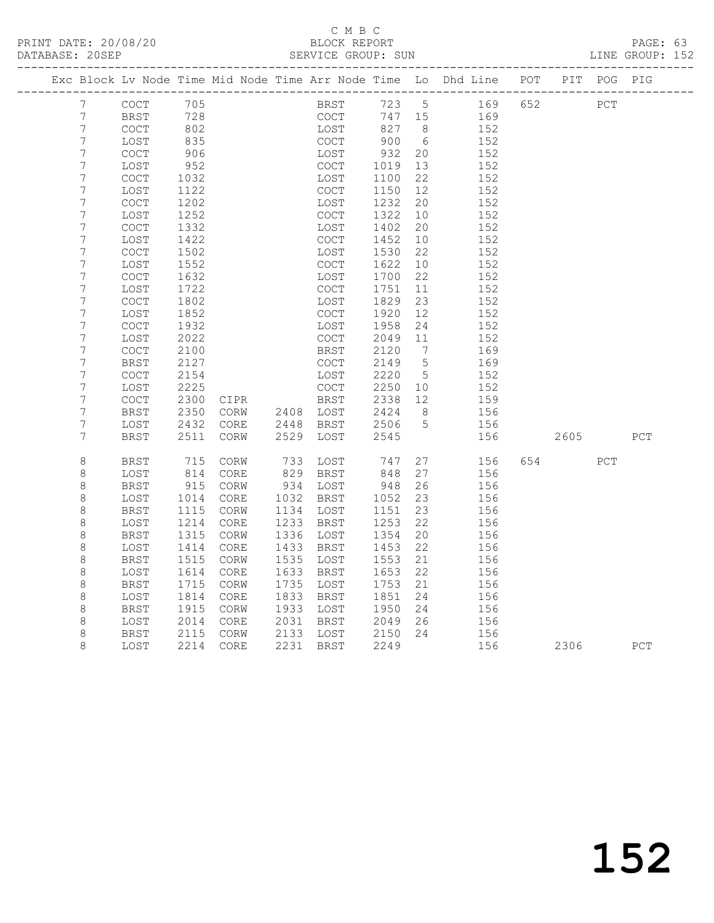## C M B C<br>BLOCK REPORT

PAGE: 63<br>LINE GROUP: 152

| Exc Block Lv Node Time Mid Node Time Arr Node Time Lo Dhd Line POT<br>PIT POG PIG<br>705<br>723 5<br>169 652<br>PCT<br>7<br>COCT<br>BRST<br>$7\phantom{.}$<br>728<br>BRST<br>COCT<br>747 15<br>169<br>$\overline{7}$<br>827<br><b>COCT</b><br>802<br>LOST<br>8 <sup>8</sup><br>152<br>$\overline{7}$<br>900<br>835<br>COCT<br>6<br>LOST<br>152<br>$\boldsymbol{7}$<br>COCT<br>906<br>LOST<br>932<br>20<br>152<br>7<br>952<br>COCT<br>1019<br>13<br>152<br>LOST<br>$\overline{7}$<br>22<br><b>COCT</b><br>1032<br>LOST<br>1100<br>152<br>$\boldsymbol{7}$<br>12<br>152<br>LOST<br>1122<br>COCT<br>1150<br>$\overline{7}$<br>1202<br>1232<br>20<br><b>COCT</b><br>LOST<br>152<br>$\overline{7}$<br>1252<br><b>COCT</b><br>1322<br>10<br>152<br>LOST<br>7<br>20<br>COCT<br>1332<br>LOST<br>1402<br>152<br>$\overline{7}$<br>1422<br>1452<br>10<br>152<br>LOST<br>COCT<br>7<br>22<br>COCT<br>1502<br>LOST<br>1530<br>152<br>7<br>10<br>LOST<br>1552<br><b>COCT</b><br>1622<br>152<br>$\overline{7}$<br>1700<br>22<br>152<br>COCT<br>1632<br>LOST<br>7<br>LOST<br>1722<br>COCT<br>1751<br>11<br>152<br>$\overline{7}$<br>23<br><b>COCT</b><br>1802<br>LOST<br>1829<br>152<br>$\overline{7}$<br>12<br>LOST<br>1852<br>COCT<br>1920<br>152<br>$\overline{7}$<br>COCT<br>1932<br>LOST<br>1958<br>24<br>152<br>7<br>2022<br><b>COCT</b><br>2049<br>152<br>LOST<br>11<br>$\overline{7}$<br>2120<br>$7\phantom{.0}\phantom{.0}7$<br>COCT<br>2100<br>BRST<br>169<br>$\overline{7}$<br>$5^{\circ}$<br>BRST<br>2127<br>COCT<br>2149<br>169<br>$\boldsymbol{7}$<br>2220<br><b>COCT</b><br>2154<br>LOST<br>$5^{\circ}$<br>152<br>7<br>LOST<br>2225<br><b>COCT</b><br>2250<br>10<br>152<br>$\overline{7}$<br>2338<br>12<br>COCT<br>2300<br>CIPR<br>BRST<br>159<br>7<br>2350<br>2424<br>8 <sup>8</sup><br>156<br>BRST<br>CORW<br>2408 LOST<br>7<br>$5\overline{)}$<br>2432<br>CORE<br>2448<br>BRST<br>2506<br>156<br>LOST<br>7<br><b>BRST</b><br>2511<br>CORW<br>2529<br>LOST<br>2545<br>156<br>2605<br>8<br>715<br>733<br>747<br>27<br>156<br>654 65<br>BRST<br>CORW<br>LOST<br><b>PCT</b><br>$\,8\,$<br>829<br>27<br>LOST<br>814<br>CORE<br>BRST<br>848<br>156<br>$\,8\,$<br>26<br>915<br>CORW<br>934<br>948<br>156<br>BRST<br>LOST<br>8<br>23<br>LOST<br>1014<br>CORE<br>1032<br>BRST<br>1052<br>156<br>$\,8\,$<br>23<br><b>BRST</b><br>1115<br>CORW<br>1134<br>LOST<br>1151<br>156<br>$\,8\,$<br>1214<br>1233<br>1253<br>22<br>CORE<br>BRST<br>156<br>LOST |     |
|----------------------------------------------------------------------------------------------------------------------------------------------------------------------------------------------------------------------------------------------------------------------------------------------------------------------------------------------------------------------------------------------------------------------------------------------------------------------------------------------------------------------------------------------------------------------------------------------------------------------------------------------------------------------------------------------------------------------------------------------------------------------------------------------------------------------------------------------------------------------------------------------------------------------------------------------------------------------------------------------------------------------------------------------------------------------------------------------------------------------------------------------------------------------------------------------------------------------------------------------------------------------------------------------------------------------------------------------------------------------------------------------------------------------------------------------------------------------------------------------------------------------------------------------------------------------------------------------------------------------------------------------------------------------------------------------------------------------------------------------------------------------------------------------------------------------------------------------------------------------------------------------------------------------------------------------------------------------------------------------------------------------------------------------------------------------------------------------------------------------------------------------------------------------------------------------------------------------------------------------------------------------------------------------------------------------------------------------------------------------------------------------------------------------------------------------|-----|
|                                                                                                                                                                                                                                                                                                                                                                                                                                                                                                                                                                                                                                                                                                                                                                                                                                                                                                                                                                                                                                                                                                                                                                                                                                                                                                                                                                                                                                                                                                                                                                                                                                                                                                                                                                                                                                                                                                                                                                                                                                                                                                                                                                                                                                                                                                                                                                                                                                              |     |
|                                                                                                                                                                                                                                                                                                                                                                                                                                                                                                                                                                                                                                                                                                                                                                                                                                                                                                                                                                                                                                                                                                                                                                                                                                                                                                                                                                                                                                                                                                                                                                                                                                                                                                                                                                                                                                                                                                                                                                                                                                                                                                                                                                                                                                                                                                                                                                                                                                              |     |
|                                                                                                                                                                                                                                                                                                                                                                                                                                                                                                                                                                                                                                                                                                                                                                                                                                                                                                                                                                                                                                                                                                                                                                                                                                                                                                                                                                                                                                                                                                                                                                                                                                                                                                                                                                                                                                                                                                                                                                                                                                                                                                                                                                                                                                                                                                                                                                                                                                              |     |
|                                                                                                                                                                                                                                                                                                                                                                                                                                                                                                                                                                                                                                                                                                                                                                                                                                                                                                                                                                                                                                                                                                                                                                                                                                                                                                                                                                                                                                                                                                                                                                                                                                                                                                                                                                                                                                                                                                                                                                                                                                                                                                                                                                                                                                                                                                                                                                                                                                              |     |
|                                                                                                                                                                                                                                                                                                                                                                                                                                                                                                                                                                                                                                                                                                                                                                                                                                                                                                                                                                                                                                                                                                                                                                                                                                                                                                                                                                                                                                                                                                                                                                                                                                                                                                                                                                                                                                                                                                                                                                                                                                                                                                                                                                                                                                                                                                                                                                                                                                              |     |
|                                                                                                                                                                                                                                                                                                                                                                                                                                                                                                                                                                                                                                                                                                                                                                                                                                                                                                                                                                                                                                                                                                                                                                                                                                                                                                                                                                                                                                                                                                                                                                                                                                                                                                                                                                                                                                                                                                                                                                                                                                                                                                                                                                                                                                                                                                                                                                                                                                              |     |
|                                                                                                                                                                                                                                                                                                                                                                                                                                                                                                                                                                                                                                                                                                                                                                                                                                                                                                                                                                                                                                                                                                                                                                                                                                                                                                                                                                                                                                                                                                                                                                                                                                                                                                                                                                                                                                                                                                                                                                                                                                                                                                                                                                                                                                                                                                                                                                                                                                              |     |
|                                                                                                                                                                                                                                                                                                                                                                                                                                                                                                                                                                                                                                                                                                                                                                                                                                                                                                                                                                                                                                                                                                                                                                                                                                                                                                                                                                                                                                                                                                                                                                                                                                                                                                                                                                                                                                                                                                                                                                                                                                                                                                                                                                                                                                                                                                                                                                                                                                              |     |
|                                                                                                                                                                                                                                                                                                                                                                                                                                                                                                                                                                                                                                                                                                                                                                                                                                                                                                                                                                                                                                                                                                                                                                                                                                                                                                                                                                                                                                                                                                                                                                                                                                                                                                                                                                                                                                                                                                                                                                                                                                                                                                                                                                                                                                                                                                                                                                                                                                              |     |
|                                                                                                                                                                                                                                                                                                                                                                                                                                                                                                                                                                                                                                                                                                                                                                                                                                                                                                                                                                                                                                                                                                                                                                                                                                                                                                                                                                                                                                                                                                                                                                                                                                                                                                                                                                                                                                                                                                                                                                                                                                                                                                                                                                                                                                                                                                                                                                                                                                              |     |
|                                                                                                                                                                                                                                                                                                                                                                                                                                                                                                                                                                                                                                                                                                                                                                                                                                                                                                                                                                                                                                                                                                                                                                                                                                                                                                                                                                                                                                                                                                                                                                                                                                                                                                                                                                                                                                                                                                                                                                                                                                                                                                                                                                                                                                                                                                                                                                                                                                              |     |
|                                                                                                                                                                                                                                                                                                                                                                                                                                                                                                                                                                                                                                                                                                                                                                                                                                                                                                                                                                                                                                                                                                                                                                                                                                                                                                                                                                                                                                                                                                                                                                                                                                                                                                                                                                                                                                                                                                                                                                                                                                                                                                                                                                                                                                                                                                                                                                                                                                              |     |
|                                                                                                                                                                                                                                                                                                                                                                                                                                                                                                                                                                                                                                                                                                                                                                                                                                                                                                                                                                                                                                                                                                                                                                                                                                                                                                                                                                                                                                                                                                                                                                                                                                                                                                                                                                                                                                                                                                                                                                                                                                                                                                                                                                                                                                                                                                                                                                                                                                              |     |
|                                                                                                                                                                                                                                                                                                                                                                                                                                                                                                                                                                                                                                                                                                                                                                                                                                                                                                                                                                                                                                                                                                                                                                                                                                                                                                                                                                                                                                                                                                                                                                                                                                                                                                                                                                                                                                                                                                                                                                                                                                                                                                                                                                                                                                                                                                                                                                                                                                              |     |
|                                                                                                                                                                                                                                                                                                                                                                                                                                                                                                                                                                                                                                                                                                                                                                                                                                                                                                                                                                                                                                                                                                                                                                                                                                                                                                                                                                                                                                                                                                                                                                                                                                                                                                                                                                                                                                                                                                                                                                                                                                                                                                                                                                                                                                                                                                                                                                                                                                              |     |
|                                                                                                                                                                                                                                                                                                                                                                                                                                                                                                                                                                                                                                                                                                                                                                                                                                                                                                                                                                                                                                                                                                                                                                                                                                                                                                                                                                                                                                                                                                                                                                                                                                                                                                                                                                                                                                                                                                                                                                                                                                                                                                                                                                                                                                                                                                                                                                                                                                              |     |
|                                                                                                                                                                                                                                                                                                                                                                                                                                                                                                                                                                                                                                                                                                                                                                                                                                                                                                                                                                                                                                                                                                                                                                                                                                                                                                                                                                                                                                                                                                                                                                                                                                                                                                                                                                                                                                                                                                                                                                                                                                                                                                                                                                                                                                                                                                                                                                                                                                              |     |
|                                                                                                                                                                                                                                                                                                                                                                                                                                                                                                                                                                                                                                                                                                                                                                                                                                                                                                                                                                                                                                                                                                                                                                                                                                                                                                                                                                                                                                                                                                                                                                                                                                                                                                                                                                                                                                                                                                                                                                                                                                                                                                                                                                                                                                                                                                                                                                                                                                              |     |
|                                                                                                                                                                                                                                                                                                                                                                                                                                                                                                                                                                                                                                                                                                                                                                                                                                                                                                                                                                                                                                                                                                                                                                                                                                                                                                                                                                                                                                                                                                                                                                                                                                                                                                                                                                                                                                                                                                                                                                                                                                                                                                                                                                                                                                                                                                                                                                                                                                              |     |
|                                                                                                                                                                                                                                                                                                                                                                                                                                                                                                                                                                                                                                                                                                                                                                                                                                                                                                                                                                                                                                                                                                                                                                                                                                                                                                                                                                                                                                                                                                                                                                                                                                                                                                                                                                                                                                                                                                                                                                                                                                                                                                                                                                                                                                                                                                                                                                                                                                              |     |
|                                                                                                                                                                                                                                                                                                                                                                                                                                                                                                                                                                                                                                                                                                                                                                                                                                                                                                                                                                                                                                                                                                                                                                                                                                                                                                                                                                                                                                                                                                                                                                                                                                                                                                                                                                                                                                                                                                                                                                                                                                                                                                                                                                                                                                                                                                                                                                                                                                              |     |
|                                                                                                                                                                                                                                                                                                                                                                                                                                                                                                                                                                                                                                                                                                                                                                                                                                                                                                                                                                                                                                                                                                                                                                                                                                                                                                                                                                                                                                                                                                                                                                                                                                                                                                                                                                                                                                                                                                                                                                                                                                                                                                                                                                                                                                                                                                                                                                                                                                              |     |
|                                                                                                                                                                                                                                                                                                                                                                                                                                                                                                                                                                                                                                                                                                                                                                                                                                                                                                                                                                                                                                                                                                                                                                                                                                                                                                                                                                                                                                                                                                                                                                                                                                                                                                                                                                                                                                                                                                                                                                                                                                                                                                                                                                                                                                                                                                                                                                                                                                              |     |
|                                                                                                                                                                                                                                                                                                                                                                                                                                                                                                                                                                                                                                                                                                                                                                                                                                                                                                                                                                                                                                                                                                                                                                                                                                                                                                                                                                                                                                                                                                                                                                                                                                                                                                                                                                                                                                                                                                                                                                                                                                                                                                                                                                                                                                                                                                                                                                                                                                              |     |
|                                                                                                                                                                                                                                                                                                                                                                                                                                                                                                                                                                                                                                                                                                                                                                                                                                                                                                                                                                                                                                                                                                                                                                                                                                                                                                                                                                                                                                                                                                                                                                                                                                                                                                                                                                                                                                                                                                                                                                                                                                                                                                                                                                                                                                                                                                                                                                                                                                              |     |
|                                                                                                                                                                                                                                                                                                                                                                                                                                                                                                                                                                                                                                                                                                                                                                                                                                                                                                                                                                                                                                                                                                                                                                                                                                                                                                                                                                                                                                                                                                                                                                                                                                                                                                                                                                                                                                                                                                                                                                                                                                                                                                                                                                                                                                                                                                                                                                                                                                              |     |
|                                                                                                                                                                                                                                                                                                                                                                                                                                                                                                                                                                                                                                                                                                                                                                                                                                                                                                                                                                                                                                                                                                                                                                                                                                                                                                                                                                                                                                                                                                                                                                                                                                                                                                                                                                                                                                                                                                                                                                                                                                                                                                                                                                                                                                                                                                                                                                                                                                              |     |
|                                                                                                                                                                                                                                                                                                                                                                                                                                                                                                                                                                                                                                                                                                                                                                                                                                                                                                                                                                                                                                                                                                                                                                                                                                                                                                                                                                                                                                                                                                                                                                                                                                                                                                                                                                                                                                                                                                                                                                                                                                                                                                                                                                                                                                                                                                                                                                                                                                              |     |
|                                                                                                                                                                                                                                                                                                                                                                                                                                                                                                                                                                                                                                                                                                                                                                                                                                                                                                                                                                                                                                                                                                                                                                                                                                                                                                                                                                                                                                                                                                                                                                                                                                                                                                                                                                                                                                                                                                                                                                                                                                                                                                                                                                                                                                                                                                                                                                                                                                              | PCT |
|                                                                                                                                                                                                                                                                                                                                                                                                                                                                                                                                                                                                                                                                                                                                                                                                                                                                                                                                                                                                                                                                                                                                                                                                                                                                                                                                                                                                                                                                                                                                                                                                                                                                                                                                                                                                                                                                                                                                                                                                                                                                                                                                                                                                                                                                                                                                                                                                                                              |     |
|                                                                                                                                                                                                                                                                                                                                                                                                                                                                                                                                                                                                                                                                                                                                                                                                                                                                                                                                                                                                                                                                                                                                                                                                                                                                                                                                                                                                                                                                                                                                                                                                                                                                                                                                                                                                                                                                                                                                                                                                                                                                                                                                                                                                                                                                                                                                                                                                                                              |     |
|                                                                                                                                                                                                                                                                                                                                                                                                                                                                                                                                                                                                                                                                                                                                                                                                                                                                                                                                                                                                                                                                                                                                                                                                                                                                                                                                                                                                                                                                                                                                                                                                                                                                                                                                                                                                                                                                                                                                                                                                                                                                                                                                                                                                                                                                                                                                                                                                                                              |     |
|                                                                                                                                                                                                                                                                                                                                                                                                                                                                                                                                                                                                                                                                                                                                                                                                                                                                                                                                                                                                                                                                                                                                                                                                                                                                                                                                                                                                                                                                                                                                                                                                                                                                                                                                                                                                                                                                                                                                                                                                                                                                                                                                                                                                                                                                                                                                                                                                                                              |     |
|                                                                                                                                                                                                                                                                                                                                                                                                                                                                                                                                                                                                                                                                                                                                                                                                                                                                                                                                                                                                                                                                                                                                                                                                                                                                                                                                                                                                                                                                                                                                                                                                                                                                                                                                                                                                                                                                                                                                                                                                                                                                                                                                                                                                                                                                                                                                                                                                                                              |     |
|                                                                                                                                                                                                                                                                                                                                                                                                                                                                                                                                                                                                                                                                                                                                                                                                                                                                                                                                                                                                                                                                                                                                                                                                                                                                                                                                                                                                                                                                                                                                                                                                                                                                                                                                                                                                                                                                                                                                                                                                                                                                                                                                                                                                                                                                                                                                                                                                                                              |     |
| $\,8\,$<br>1315<br>1336<br>1354<br>20<br>156<br>BRST<br>CORW<br>LOST                                                                                                                                                                                                                                                                                                                                                                                                                                                                                                                                                                                                                                                                                                                                                                                                                                                                                                                                                                                                                                                                                                                                                                                                                                                                                                                                                                                                                                                                                                                                                                                                                                                                                                                                                                                                                                                                                                                                                                                                                                                                                                                                                                                                                                                                                                                                                                         |     |
| 8<br>1433<br>22<br>LOST<br>1414<br>CORE<br>BRST<br>1453<br>156                                                                                                                                                                                                                                                                                                                                                                                                                                                                                                                                                                                                                                                                                                                                                                                                                                                                                                                                                                                                                                                                                                                                                                                                                                                                                                                                                                                                                                                                                                                                                                                                                                                                                                                                                                                                                                                                                                                                                                                                                                                                                                                                                                                                                                                                                                                                                                               |     |
| $\,8\,$<br><b>BRST</b><br>1515<br>CORW<br>1535<br>LOST<br>1553<br>21<br>156                                                                                                                                                                                                                                                                                                                                                                                                                                                                                                                                                                                                                                                                                                                                                                                                                                                                                                                                                                                                                                                                                                                                                                                                                                                                                                                                                                                                                                                                                                                                                                                                                                                                                                                                                                                                                                                                                                                                                                                                                                                                                                                                                                                                                                                                                                                                                                  |     |
| $\,8\,$<br>1633<br>22<br>LOST<br>1614<br>CORE<br>BRST<br>1653<br>156                                                                                                                                                                                                                                                                                                                                                                                                                                                                                                                                                                                                                                                                                                                                                                                                                                                                                                                                                                                                                                                                                                                                                                                                                                                                                                                                                                                                                                                                                                                                                                                                                                                                                                                                                                                                                                                                                                                                                                                                                                                                                                                                                                                                                                                                                                                                                                         |     |
| $\,8\,$<br><b>BRST</b><br>1715<br>1735<br>1753<br>21<br>CORW<br>LOST<br>156                                                                                                                                                                                                                                                                                                                                                                                                                                                                                                                                                                                                                                                                                                                                                                                                                                                                                                                                                                                                                                                                                                                                                                                                                                                                                                                                                                                                                                                                                                                                                                                                                                                                                                                                                                                                                                                                                                                                                                                                                                                                                                                                                                                                                                                                                                                                                                  |     |
| $\,8\,$<br>1833<br>1814<br>1851<br>24<br>156<br>LOST<br>CORE<br>BRST                                                                                                                                                                                                                                                                                                                                                                                                                                                                                                                                                                                                                                                                                                                                                                                                                                                                                                                                                                                                                                                                                                                                                                                                                                                                                                                                                                                                                                                                                                                                                                                                                                                                                                                                                                                                                                                                                                                                                                                                                                                                                                                                                                                                                                                                                                                                                                         |     |
| $\,8\,$<br>1933<br>BRST<br>1915<br>CORW<br>LOST<br>1950<br>24<br>156                                                                                                                                                                                                                                                                                                                                                                                                                                                                                                                                                                                                                                                                                                                                                                                                                                                                                                                                                                                                                                                                                                                                                                                                                                                                                                                                                                                                                                                                                                                                                                                                                                                                                                                                                                                                                                                                                                                                                                                                                                                                                                                                                                                                                                                                                                                                                                         |     |
| 8<br>2014<br>2031<br>2049<br>26<br>156<br>LOST<br>CORE<br>BRST                                                                                                                                                                                                                                                                                                                                                                                                                                                                                                                                                                                                                                                                                                                                                                                                                                                                                                                                                                                                                                                                                                                                                                                                                                                                                                                                                                                                                                                                                                                                                                                                                                                                                                                                                                                                                                                                                                                                                                                                                                                                                                                                                                                                                                                                                                                                                                               |     |
| 8<br>2133<br><b>BRST</b><br>2115<br>CORW<br>LOST<br>2150<br>24<br>156                                                                                                                                                                                                                                                                                                                                                                                                                                                                                                                                                                                                                                                                                                                                                                                                                                                                                                                                                                                                                                                                                                                                                                                                                                                                                                                                                                                                                                                                                                                                                                                                                                                                                                                                                                                                                                                                                                                                                                                                                                                                                                                                                                                                                                                                                                                                                                        |     |
| 8<br>2214<br>$\mathtt{CORE}$<br>2231 BRST<br>2249<br>156<br>LOST<br>2306<br>PCT                                                                                                                                                                                                                                                                                                                                                                                                                                                                                                                                                                                                                                                                                                                                                                                                                                                                                                                                                                                                                                                                                                                                                                                                                                                                                                                                                                                                                                                                                                                                                                                                                                                                                                                                                                                                                                                                                                                                                                                                                                                                                                                                                                                                                                                                                                                                                              |     |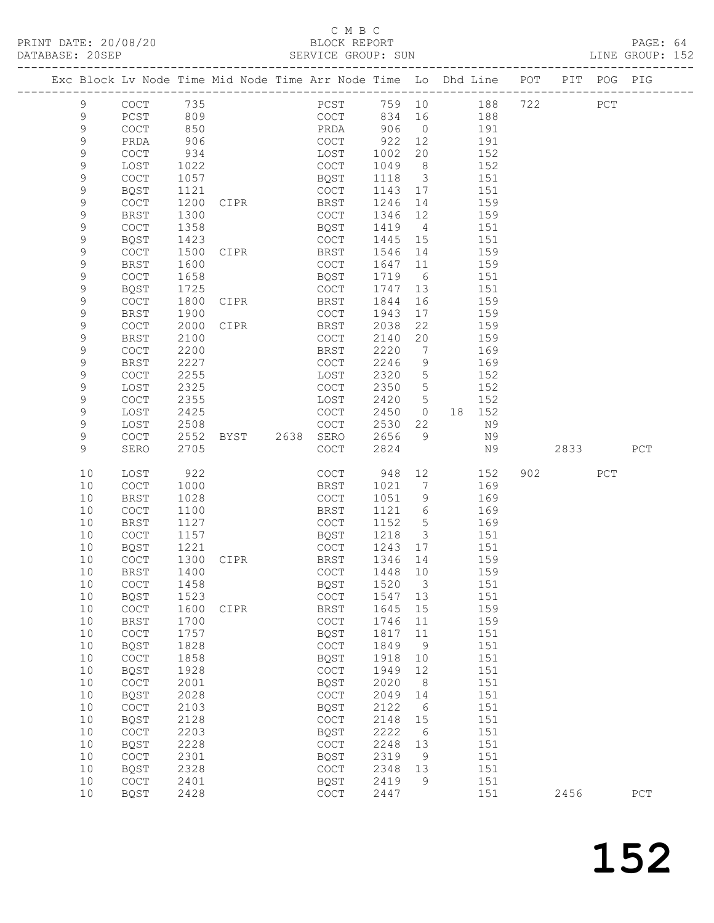# C M B C<br>BLOCK REPORT<br>SERVICE GROUP: SUN

| DATABASE: 20SEP |             |                                            |      |                        | SERVICE GROUP: SUN |           |                          |                                                                                |         |     | LINE GROUP: 152 |  |
|-----------------|-------------|--------------------------------------------|------|------------------------|--------------------|-----------|--------------------------|--------------------------------------------------------------------------------|---------|-----|-----------------|--|
|                 |             |                                            |      |                        |                    |           |                          | Exc Block Lv Node Time Mid Node Time Arr Node Time Lo Dhd Line POT PIT POG PIG |         |     |                 |  |
|                 | 9           | COCT 735                                   |      |                        |                    |           |                          | PCST 759 10 188 722 PCT                                                        |         |     |                 |  |
|                 | 9           | PCST                                       | 809  |                        |                    |           |                          | COCT 834 16 188                                                                |         |     |                 |  |
|                 | 9           | COCT                                       | 850  |                        | PRDA 906           |           | $\overline{0}$           | 191                                                                            |         |     |                 |  |
|                 | $\mathsf 9$ | PRDA                                       | 906  |                        | COCT               | 922 12    |                          | 191                                                                            |         |     |                 |  |
|                 | 9           | COCT                                       | 934  |                        | LOST               | 1002      | 20                       | 152                                                                            |         |     |                 |  |
|                 | 9           | LOST                                       | 1022 |                        | COCT               | 1049      | 8 <sup>8</sup>           | 152                                                                            |         |     |                 |  |
|                 | 9           | COCT                                       | 1057 |                        | BQST               | 1118      | $\overline{\mathbf{3}}$  | 151                                                                            |         |     |                 |  |
|                 | 9           | BQST                                       | 1121 |                        | COCT               | 1143 17   |                          | 151                                                                            |         |     |                 |  |
|                 | $\mathsf 9$ | COCT                                       | 1200 | CIPR                   | <b>BRST</b>        | 1246      | 14                       | 159                                                                            |         |     |                 |  |
|                 | 9           | BRST                                       | 1300 |                        | COCT               | 1346 12   |                          | 159                                                                            |         |     |                 |  |
|                 | 9           | <b>COCT</b>                                | 1358 |                        | BQST               | 1419      | 4                        | 151                                                                            |         |     |                 |  |
|                 | 9           | BQST                                       | 1423 |                        | COCT               | 1445 15   |                          | 151                                                                            |         |     |                 |  |
|                 | $\mathsf 9$ |                                            |      |                        | <b>BRST</b>        | 1546      | 14                       |                                                                                |         |     |                 |  |
|                 | 9           | COCT                                       | 1500 | CIPR                   | COCT               |           |                          | 159                                                                            |         |     |                 |  |
|                 |             | BRST                                       | 1600 |                        |                    | 1647      | 11                       | 159                                                                            |         |     |                 |  |
|                 | 9           | COCT                                       | 1658 |                        | BQST               | 1719      | 6                        | 151                                                                            |         |     |                 |  |
|                 | 9           | BQST                                       | 1725 |                        | COCT               | 1747      | 13                       | 151                                                                            |         |     |                 |  |
|                 | 9           | COCT                                       | 1800 | CIPR                   | BRST               | 1844      | 16                       | 159                                                                            |         |     |                 |  |
|                 | 9           | BRST                                       | 1900 |                        | COCT               | 1943      | 17                       | 159                                                                            |         |     |                 |  |
|                 | 9           | COCT                                       | 2000 | <b>CIPR</b>            | BRST               | 2038      | 22                       | 159                                                                            |         |     |                 |  |
|                 | 9           | <b>BRST</b>                                | 2100 |                        | COCT               | 2140      | 20                       | 159                                                                            |         |     |                 |  |
|                 | $\mathsf 9$ | $\mathtt{C}\mathtt{O}\mathtt{C}\mathtt{T}$ | 2200 |                        | BRST               | 2220      | $\overline{7}$           | 169                                                                            |         |     |                 |  |
|                 | 9           | BRST                                       | 2227 |                        | COCT               | 2246      | 9                        | 169                                                                            |         |     |                 |  |
|                 | 9           | COCT                                       | 2255 |                        | LOST               | 2320      | $5^{\circ}$              | 152                                                                            |         |     |                 |  |
|                 | 9           | LOST                                       | 2325 |                        | COCT               | 2350      | $5^{\circ}$              | 152                                                                            |         |     |                 |  |
|                 | $\mathsf 9$ | COCT                                       | 2355 |                        | LOST               | 2420 5    |                          | 152                                                                            |         |     |                 |  |
|                 | 9           | LOST                                       | 2425 |                        | COCT               | 2450      | $\overline{0}$           | 18 152                                                                         |         |     |                 |  |
|                 | 9           | LOST                                       | 2508 |                        | COCT               | 2530      | 22                       | N 9                                                                            |         |     |                 |  |
|                 | 9           | COCT                                       | 2552 | BYST 2638 SERO         |                    | 2656      |                          | 9 N 9                                                                          |         |     |                 |  |
|                 | 9           | SERO                                       | 2705 |                        | COCT               | 2824      |                          | N9                                                                             | 2833    |     | PCT             |  |
|                 | 10          | LOST                                       | 922  |                        | COCT               | 948       | 12                       | 152                                                                            | 902 200 | PCT |                 |  |
|                 | 10          | COCT                                       | 1000 |                        | BRST               | 1021      | 7                        | 169                                                                            |         |     |                 |  |
|                 | 10          | <b>BRST</b>                                | 1028 |                        | COCT               | 1051 9    |                          | 169                                                                            |         |     |                 |  |
|                 | 10          | COCT                                       | 1100 |                        | BRST               | 1121 6    |                          | 169                                                                            |         |     |                 |  |
|                 | 10          | BRST                                       | 1127 |                        | COCT               | 1152      | 5 <sup>5</sup>           | 169                                                                            |         |     |                 |  |
|                 | 10          | COCT                                       | 1157 |                        | BQST               | 1218      | $\overline{\mathbf{3}}$  | 151                                                                            |         |     |                 |  |
|                 | 10          | BQST                                       | 1221 |                        | COCT               | 1243 17   |                          | 151                                                                            |         |     |                 |  |
|                 | 10          | <b>COCT</b>                                |      | 1221<br>1300 CIPR BRST |                    | $1346$ 14 |                          | 159                                                                            |         |     |                 |  |
|                 |             |                                            |      |                        |                    |           |                          | 10 BRST 1400 COCT 1448 10 159                                                  |         |     |                 |  |
|                 | 10          | COCT                                       | 1458 |                        | BQST               | 1520      | $\overline{\phantom{a}}$ | 151                                                                            |         |     |                 |  |
|                 | 10          | BQST                                       | 1523 |                        | COCT               | 1547      | 13                       | 151                                                                            |         |     |                 |  |
|                 | 10          | $\mathtt{C}\mathtt{O}\mathtt{C}\mathtt{T}$ | 1600 | CIPR                   | BRST               | 1645      | 15                       | 159                                                                            |         |     |                 |  |
|                 | 10          | <b>BRST</b>                                | 1700 |                        | COCT               | 1746      | 11                       | 159                                                                            |         |     |                 |  |
|                 | 10          | $\mathtt{C}\mathtt{O}\mathtt{C}\mathtt{T}$ | 1757 |                        | BQST               | 1817      | 11                       | 151                                                                            |         |     |                 |  |
|                 | 10          | <b>BQST</b>                                | 1828 |                        | COCT               | 1849      | 9                        | 151                                                                            |         |     |                 |  |
|                 | 10          | $\mathtt{C}\mathtt{O}\mathtt{C}\mathtt{T}$ | 1858 |                        | BQST               | 1918      | 10                       | 151                                                                            |         |     |                 |  |
|                 | 10          | BQST                                       | 1928 |                        | COCT               | 1949      | 12                       | 151                                                                            |         |     |                 |  |
|                 | 10          | COCT                                       | 2001 |                        | BQST               | 2020      | 8                        | 151                                                                            |         |     |                 |  |
|                 | 10          | BQST                                       | 2028 |                        | COCT               | 2049      | 14                       | 151                                                                            |         |     |                 |  |
|                 | 10          | $\operatorname{COT}$                       | 2103 |                        | BQST               | 2122      | 6                        | 151                                                                            |         |     |                 |  |
|                 | 10          | BQST                                       | 2128 |                        | COCT               | 2148      | 15                       | 151                                                                            |         |     |                 |  |
|                 | 10          | $\mathtt{C}\mathtt{O}\mathtt{C}\mathtt{T}$ | 2203 |                        | BQST               | 2222      | - 6                      | 151                                                                            |         |     |                 |  |
|                 | 10          | BQST                                       | 2228 |                        | COCT               | 2248      | 13                       | 151                                                                            |         |     |                 |  |
|                 | 10          | COCT                                       | 2301 |                        | BQST               | 2319      | 9                        | 151                                                                            |         |     |                 |  |
|                 | 10          | BQST                                       | 2328 |                        | COCT               | 2348      | 13                       | 151                                                                            |         |     |                 |  |
|                 | 10          | COCT                                       | 2401 |                        | BQST               | 2419      | 9                        | 151                                                                            |         |     |                 |  |
|                 | 10          | BQST                                       | 2428 |                        | COCT               | 2447      |                          | 151                                                                            | 2456    |     | ${\tt PCT}$     |  |
|                 |             |                                            |      |                        |                    |           |                          |                                                                                |         |     |                 |  |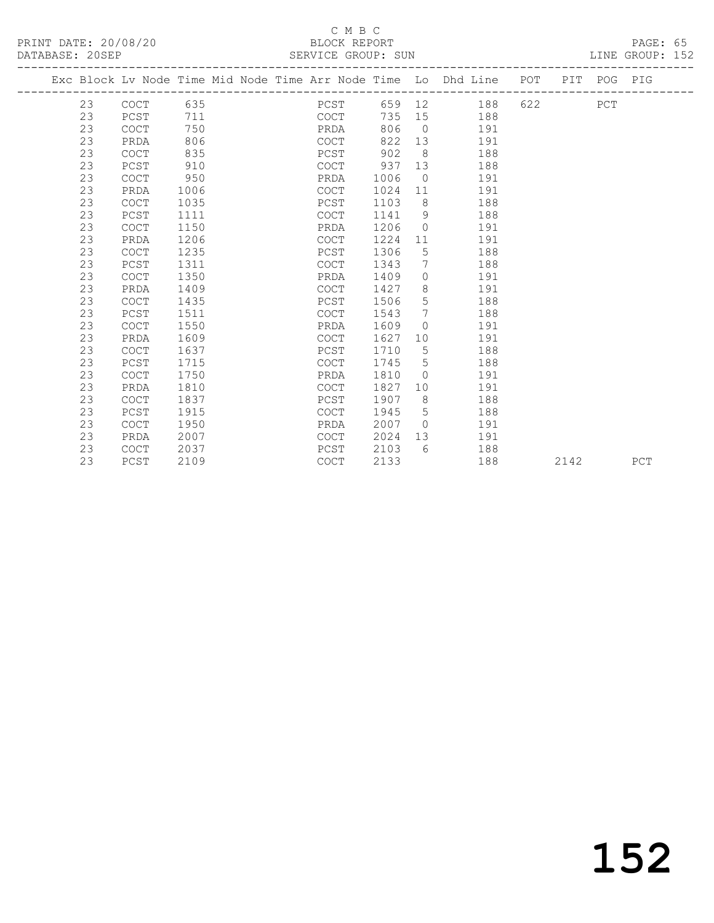| PRINT DATE: 20/08/20 | BLOCK REPORT                          | PAGE: 65 |  |
|----------------------|---------------------------------------|----------|--|
| DATABASE: 20SEP      | LINE GROUP: 152<br>SERVICE GROUP: SUN |          |  |
|                      |                                       |          |  |

|  |    |             |      |  |             |        |                | Exc Block Lv Node Time Mid Node Time Arr Node Time Lo Dhd Line | POT | PIT  | POG PIG |     |
|--|----|-------------|------|--|-------------|--------|----------------|----------------------------------------------------------------|-----|------|---------|-----|
|  | 23 | <b>COCT</b> | 635  |  | PCST        | 659 12 |                | 188                                                            | 622 |      | PCT     |     |
|  | 23 | PCST        | 711  |  | COCT        | 735    | 15             | 188                                                            |     |      |         |     |
|  | 23 | COCT        | 750  |  | PRDA        | 806    | $\overline{0}$ | 191                                                            |     |      |         |     |
|  | 23 | PRDA        | 806  |  | COCT        | 822    | 13             | 191                                                            |     |      |         |     |
|  | 23 | <b>COCT</b> | 835  |  | PCST        | 902    | - 8            | 188                                                            |     |      |         |     |
|  | 23 | PCST        | 910  |  | <b>COCT</b> | 937    | 13             | 188                                                            |     |      |         |     |
|  | 23 | <b>COCT</b> | 950  |  | PRDA        | 1006   | $\overline{0}$ | 191                                                            |     |      |         |     |
|  | 23 | PRDA        | 1006 |  | COCT        | 1024   | 11             | 191                                                            |     |      |         |     |
|  | 23 | COCT        | 1035 |  | PCST        | 1103   | 8              | 188                                                            |     |      |         |     |
|  | 23 | PCST        | 1111 |  | <b>COCT</b> | 1141   | 9              | 188                                                            |     |      |         |     |
|  | 23 | COCT        | 1150 |  | PRDA        | 1206   | $\Omega$       | 191                                                            |     |      |         |     |
|  | 23 | PRDA        | 1206 |  | <b>COCT</b> | 1224   | 11             | 191                                                            |     |      |         |     |
|  | 23 | <b>COCT</b> | 1235 |  | PCST        | 1306   | 5              | 188                                                            |     |      |         |     |
|  | 23 | PCST        | 1311 |  | <b>COCT</b> | 1343   | 7              | 188                                                            |     |      |         |     |
|  | 23 | <b>COCT</b> | 1350 |  | PRDA        | 1409   | $\Omega$       | 191                                                            |     |      |         |     |
|  | 23 | PRDA        | 1409 |  | <b>COCT</b> | 1427   | 8              | 191                                                            |     |      |         |     |
|  | 23 | <b>COCT</b> | 1435 |  | PCST        | 1506   | 5              | 188                                                            |     |      |         |     |
|  | 23 | PCST        | 1511 |  | <b>COCT</b> | 1543   | 7              | 188                                                            |     |      |         |     |
|  | 23 | COCT        | 1550 |  | PRDA        | 1609   | $\Omega$       | 191                                                            |     |      |         |     |
|  | 23 | PRDA        | 1609 |  | <b>COCT</b> | 1627   | 10             | 191                                                            |     |      |         |     |
|  | 23 | <b>COCT</b> | 1637 |  | PCST        | 1710   | 5              | 188                                                            |     |      |         |     |
|  | 23 | PCST        | 1715 |  | <b>COCT</b> | 1745   | 5              | 188                                                            |     |      |         |     |
|  | 23 | <b>COCT</b> | 1750 |  | PRDA        | 1810   | $\Omega$       | 191                                                            |     |      |         |     |
|  | 23 | PRDA        | 1810 |  | COCT        | 1827   | 10             | 191                                                            |     |      |         |     |
|  | 23 | <b>COCT</b> | 1837 |  | PCST        | 1907   | 8              | 188                                                            |     |      |         |     |
|  | 23 | PCST        | 1915 |  | COCT        | 1945   | 5              | 188                                                            |     |      |         |     |
|  | 23 | <b>COCT</b> | 1950 |  | PRDA        | 2007   | $\overline{0}$ | 191                                                            |     |      |         |     |
|  | 23 | PRDA        | 2007 |  | <b>COCT</b> | 2024   | 13             | 191                                                            |     |      |         |     |
|  | 23 | <b>COCT</b> | 2037 |  | PCST        | 2103   | 6              | 188                                                            |     |      |         |     |
|  | 23 | PCST        | 2109 |  | <b>COCT</b> | 2133   |                | 188                                                            |     | 2142 |         | PCT |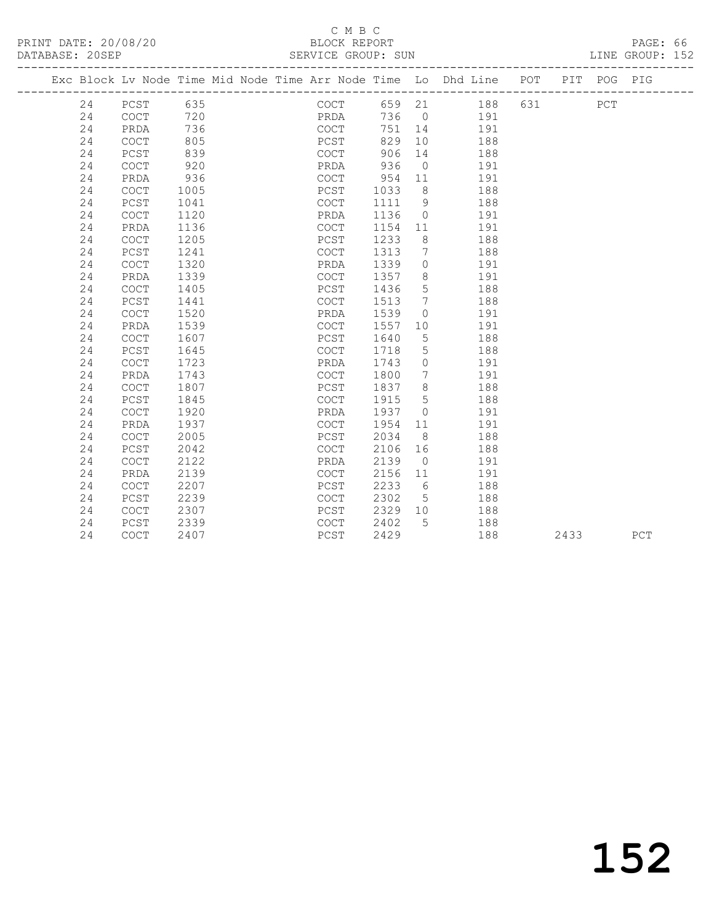## C M B C<br>BLOCK REPORT

PAGE: 66<br>LINE GROUP: 152

| Exc Block Lv Node Time Mid Node Time Arr Node Time Lo Dhd Line POT<br>PIT POG PIG<br>635<br>631<br>24<br>PCST<br>COCT<br>659 21<br>188<br>${\tt PCT}$<br>720<br>24<br>COCT<br>PRDA<br>736<br>191<br>$\bigcirc$<br>24<br>736<br>COCT<br>751<br>PRDA<br>14<br>191<br>24<br>805<br>PCST<br>829<br>10<br><b>COCT</b><br>188<br>839<br>906<br>24<br>$PCST$<br>$\mathtt{C}\mathtt{O}\mathtt{C}\mathtt{T}$<br>14<br>188<br>COCT<br>920<br>936<br>24<br>PRDA<br>$\bigcirc$<br>191<br>24<br>936<br>COCT<br>954<br>191<br>PRDA<br>11<br>1033<br>188<br>24<br><b>COCT</b><br>1005<br>PCST<br>8<br>24<br>PCST<br>1041<br><b>COCT</b><br>1111<br>9<br>188<br>24<br>COCT<br>1120<br>1136<br>191<br>PRDA<br>$\Omega$<br>24<br>1136<br>COCT<br>1154<br>191<br>PRDA<br>11<br>1233<br>24<br>1205<br>PCST<br>8<br>188<br><b>COCT</b><br>24<br>PCST<br>1241<br><b>COCT</b><br>1313<br>188<br>7<br>24<br>COCT<br>1320<br>1339<br>PRDA<br>$\circ$<br>191<br>1339<br>1357<br>24<br><b>COCT</b><br>8<br>191<br>PRDA<br>24<br>COCT<br>1405<br>PCST<br>1436<br>5<br>188<br>24<br>PCST<br>1441<br><b>COCT</b><br>1513<br>7<br>188<br>24<br>COCT<br>1520<br>1539<br>PRDA<br>$\circ$<br>191<br>24<br>1539<br><b>COCT</b><br>1557<br>191<br>PRDA<br>10<br>24<br>$\mathtt{C}\mathtt{O}\mathtt{C}\mathtt{T}$<br>1607<br>PCST<br>1640<br>188<br>5<br>24<br>PCST<br>1645<br>COCT<br>1718<br>5<br>188<br>1723<br>24<br>$\mathtt{C}\mathtt{O}\mathtt{C}\mathtt{T}$<br>1743<br>191<br>PRDA<br>$\circ$<br>24<br>1743<br>COCT<br>1800<br>191<br>PRDA<br>$7\phantom{.0}$<br>24<br>1837<br>8<br>188<br>COCT<br>1807<br>PCST<br>24<br>PCST<br>1845<br>COCT<br>1915<br>5<br>188<br>24<br>$\mathtt{C}\mathtt{O}\mathtt{C}\mathtt{T}$<br>1920<br>PRDA<br>1937<br>191<br>$\Omega$<br>24<br>1937<br>1954<br>191<br>PRDA<br><b>COCT</b><br>11<br>2005<br>24<br>$\mathtt{C}\mathtt{O}\mathtt{C}\mathtt{T}$<br>PCST<br>2034<br>188<br>8<br>2042<br>2106<br>24<br>PCST<br><b>COCT</b><br>16<br>188<br>24<br><b>COCT</b><br>2122<br>PRDA<br>2139<br>191<br>$\circ$<br>2156<br>24<br>PRDA<br>2139<br><b>COCT</b><br>191<br>11<br>2207<br>2233<br>24<br><b>COCT</b><br>PCST<br>6<br>188<br>24<br>PCST<br>2239<br>COCT<br>2302<br>188<br>5<br>24<br>2329<br>COCT<br>2307<br>PCST<br>10 <sup>°</sup><br>188<br>24<br>PCST<br>2339<br>COCT<br>2402<br>5<br>188 |  |    |  |  |      |     |  |     |  |
|-------------------------------------------------------------------------------------------------------------------------------------------------------------------------------------------------------------------------------------------------------------------------------------------------------------------------------------------------------------------------------------------------------------------------------------------------------------------------------------------------------------------------------------------------------------------------------------------------------------------------------------------------------------------------------------------------------------------------------------------------------------------------------------------------------------------------------------------------------------------------------------------------------------------------------------------------------------------------------------------------------------------------------------------------------------------------------------------------------------------------------------------------------------------------------------------------------------------------------------------------------------------------------------------------------------------------------------------------------------------------------------------------------------------------------------------------------------------------------------------------------------------------------------------------------------------------------------------------------------------------------------------------------------------------------------------------------------------------------------------------------------------------------------------------------------------------------------------------------------------------------------------------------------------------------------------------------------------------------------------------------------------------------------------------------------------------------------------------------------------------------------------------------------------------------------------------------------------------------------------------------------------------------------------------------|--|----|--|--|------|-----|--|-----|--|
|                                                                                                                                                                                                                                                                                                                                                                                                                                                                                                                                                                                                                                                                                                                                                                                                                                                                                                                                                                                                                                                                                                                                                                                                                                                                                                                                                                                                                                                                                                                                                                                                                                                                                                                                                                                                                                                                                                                                                                                                                                                                                                                                                                                                                                                                                                       |  |    |  |  |      |     |  |     |  |
|                                                                                                                                                                                                                                                                                                                                                                                                                                                                                                                                                                                                                                                                                                                                                                                                                                                                                                                                                                                                                                                                                                                                                                                                                                                                                                                                                                                                                                                                                                                                                                                                                                                                                                                                                                                                                                                                                                                                                                                                                                                                                                                                                                                                                                                                                                       |  |    |  |  |      |     |  |     |  |
|                                                                                                                                                                                                                                                                                                                                                                                                                                                                                                                                                                                                                                                                                                                                                                                                                                                                                                                                                                                                                                                                                                                                                                                                                                                                                                                                                                                                                                                                                                                                                                                                                                                                                                                                                                                                                                                                                                                                                                                                                                                                                                                                                                                                                                                                                                       |  |    |  |  |      |     |  |     |  |
|                                                                                                                                                                                                                                                                                                                                                                                                                                                                                                                                                                                                                                                                                                                                                                                                                                                                                                                                                                                                                                                                                                                                                                                                                                                                                                                                                                                                                                                                                                                                                                                                                                                                                                                                                                                                                                                                                                                                                                                                                                                                                                                                                                                                                                                                                                       |  |    |  |  |      |     |  |     |  |
|                                                                                                                                                                                                                                                                                                                                                                                                                                                                                                                                                                                                                                                                                                                                                                                                                                                                                                                                                                                                                                                                                                                                                                                                                                                                                                                                                                                                                                                                                                                                                                                                                                                                                                                                                                                                                                                                                                                                                                                                                                                                                                                                                                                                                                                                                                       |  |    |  |  |      |     |  |     |  |
|                                                                                                                                                                                                                                                                                                                                                                                                                                                                                                                                                                                                                                                                                                                                                                                                                                                                                                                                                                                                                                                                                                                                                                                                                                                                                                                                                                                                                                                                                                                                                                                                                                                                                                                                                                                                                                                                                                                                                                                                                                                                                                                                                                                                                                                                                                       |  |    |  |  |      |     |  |     |  |
|                                                                                                                                                                                                                                                                                                                                                                                                                                                                                                                                                                                                                                                                                                                                                                                                                                                                                                                                                                                                                                                                                                                                                                                                                                                                                                                                                                                                                                                                                                                                                                                                                                                                                                                                                                                                                                                                                                                                                                                                                                                                                                                                                                                                                                                                                                       |  |    |  |  |      |     |  |     |  |
|                                                                                                                                                                                                                                                                                                                                                                                                                                                                                                                                                                                                                                                                                                                                                                                                                                                                                                                                                                                                                                                                                                                                                                                                                                                                                                                                                                                                                                                                                                                                                                                                                                                                                                                                                                                                                                                                                                                                                                                                                                                                                                                                                                                                                                                                                                       |  |    |  |  |      |     |  |     |  |
|                                                                                                                                                                                                                                                                                                                                                                                                                                                                                                                                                                                                                                                                                                                                                                                                                                                                                                                                                                                                                                                                                                                                                                                                                                                                                                                                                                                                                                                                                                                                                                                                                                                                                                                                                                                                                                                                                                                                                                                                                                                                                                                                                                                                                                                                                                       |  |    |  |  |      |     |  |     |  |
|                                                                                                                                                                                                                                                                                                                                                                                                                                                                                                                                                                                                                                                                                                                                                                                                                                                                                                                                                                                                                                                                                                                                                                                                                                                                                                                                                                                                                                                                                                                                                                                                                                                                                                                                                                                                                                                                                                                                                                                                                                                                                                                                                                                                                                                                                                       |  |    |  |  |      |     |  |     |  |
|                                                                                                                                                                                                                                                                                                                                                                                                                                                                                                                                                                                                                                                                                                                                                                                                                                                                                                                                                                                                                                                                                                                                                                                                                                                                                                                                                                                                                                                                                                                                                                                                                                                                                                                                                                                                                                                                                                                                                                                                                                                                                                                                                                                                                                                                                                       |  |    |  |  |      |     |  |     |  |
|                                                                                                                                                                                                                                                                                                                                                                                                                                                                                                                                                                                                                                                                                                                                                                                                                                                                                                                                                                                                                                                                                                                                                                                                                                                                                                                                                                                                                                                                                                                                                                                                                                                                                                                                                                                                                                                                                                                                                                                                                                                                                                                                                                                                                                                                                                       |  |    |  |  |      |     |  |     |  |
|                                                                                                                                                                                                                                                                                                                                                                                                                                                                                                                                                                                                                                                                                                                                                                                                                                                                                                                                                                                                                                                                                                                                                                                                                                                                                                                                                                                                                                                                                                                                                                                                                                                                                                                                                                                                                                                                                                                                                                                                                                                                                                                                                                                                                                                                                                       |  |    |  |  |      |     |  |     |  |
|                                                                                                                                                                                                                                                                                                                                                                                                                                                                                                                                                                                                                                                                                                                                                                                                                                                                                                                                                                                                                                                                                                                                                                                                                                                                                                                                                                                                                                                                                                                                                                                                                                                                                                                                                                                                                                                                                                                                                                                                                                                                                                                                                                                                                                                                                                       |  |    |  |  |      |     |  |     |  |
|                                                                                                                                                                                                                                                                                                                                                                                                                                                                                                                                                                                                                                                                                                                                                                                                                                                                                                                                                                                                                                                                                                                                                                                                                                                                                                                                                                                                                                                                                                                                                                                                                                                                                                                                                                                                                                                                                                                                                                                                                                                                                                                                                                                                                                                                                                       |  |    |  |  |      |     |  |     |  |
|                                                                                                                                                                                                                                                                                                                                                                                                                                                                                                                                                                                                                                                                                                                                                                                                                                                                                                                                                                                                                                                                                                                                                                                                                                                                                                                                                                                                                                                                                                                                                                                                                                                                                                                                                                                                                                                                                                                                                                                                                                                                                                                                                                                                                                                                                                       |  |    |  |  |      |     |  |     |  |
|                                                                                                                                                                                                                                                                                                                                                                                                                                                                                                                                                                                                                                                                                                                                                                                                                                                                                                                                                                                                                                                                                                                                                                                                                                                                                                                                                                                                                                                                                                                                                                                                                                                                                                                                                                                                                                                                                                                                                                                                                                                                                                                                                                                                                                                                                                       |  |    |  |  |      |     |  |     |  |
|                                                                                                                                                                                                                                                                                                                                                                                                                                                                                                                                                                                                                                                                                                                                                                                                                                                                                                                                                                                                                                                                                                                                                                                                                                                                                                                                                                                                                                                                                                                                                                                                                                                                                                                                                                                                                                                                                                                                                                                                                                                                                                                                                                                                                                                                                                       |  |    |  |  |      |     |  |     |  |
|                                                                                                                                                                                                                                                                                                                                                                                                                                                                                                                                                                                                                                                                                                                                                                                                                                                                                                                                                                                                                                                                                                                                                                                                                                                                                                                                                                                                                                                                                                                                                                                                                                                                                                                                                                                                                                                                                                                                                                                                                                                                                                                                                                                                                                                                                                       |  |    |  |  |      |     |  |     |  |
|                                                                                                                                                                                                                                                                                                                                                                                                                                                                                                                                                                                                                                                                                                                                                                                                                                                                                                                                                                                                                                                                                                                                                                                                                                                                                                                                                                                                                                                                                                                                                                                                                                                                                                                                                                                                                                                                                                                                                                                                                                                                                                                                                                                                                                                                                                       |  |    |  |  |      |     |  |     |  |
|                                                                                                                                                                                                                                                                                                                                                                                                                                                                                                                                                                                                                                                                                                                                                                                                                                                                                                                                                                                                                                                                                                                                                                                                                                                                                                                                                                                                                                                                                                                                                                                                                                                                                                                                                                                                                                                                                                                                                                                                                                                                                                                                                                                                                                                                                                       |  |    |  |  |      |     |  |     |  |
|                                                                                                                                                                                                                                                                                                                                                                                                                                                                                                                                                                                                                                                                                                                                                                                                                                                                                                                                                                                                                                                                                                                                                                                                                                                                                                                                                                                                                                                                                                                                                                                                                                                                                                                                                                                                                                                                                                                                                                                                                                                                                                                                                                                                                                                                                                       |  |    |  |  |      |     |  |     |  |
|                                                                                                                                                                                                                                                                                                                                                                                                                                                                                                                                                                                                                                                                                                                                                                                                                                                                                                                                                                                                                                                                                                                                                                                                                                                                                                                                                                                                                                                                                                                                                                                                                                                                                                                                                                                                                                                                                                                                                                                                                                                                                                                                                                                                                                                                                                       |  |    |  |  |      |     |  |     |  |
|                                                                                                                                                                                                                                                                                                                                                                                                                                                                                                                                                                                                                                                                                                                                                                                                                                                                                                                                                                                                                                                                                                                                                                                                                                                                                                                                                                                                                                                                                                                                                                                                                                                                                                                                                                                                                                                                                                                                                                                                                                                                                                                                                                                                                                                                                                       |  |    |  |  |      |     |  |     |  |
|                                                                                                                                                                                                                                                                                                                                                                                                                                                                                                                                                                                                                                                                                                                                                                                                                                                                                                                                                                                                                                                                                                                                                                                                                                                                                                                                                                                                                                                                                                                                                                                                                                                                                                                                                                                                                                                                                                                                                                                                                                                                                                                                                                                                                                                                                                       |  |    |  |  |      |     |  |     |  |
|                                                                                                                                                                                                                                                                                                                                                                                                                                                                                                                                                                                                                                                                                                                                                                                                                                                                                                                                                                                                                                                                                                                                                                                                                                                                                                                                                                                                                                                                                                                                                                                                                                                                                                                                                                                                                                                                                                                                                                                                                                                                                                                                                                                                                                                                                                       |  |    |  |  |      |     |  |     |  |
|                                                                                                                                                                                                                                                                                                                                                                                                                                                                                                                                                                                                                                                                                                                                                                                                                                                                                                                                                                                                                                                                                                                                                                                                                                                                                                                                                                                                                                                                                                                                                                                                                                                                                                                                                                                                                                                                                                                                                                                                                                                                                                                                                                                                                                                                                                       |  |    |  |  |      |     |  |     |  |
|                                                                                                                                                                                                                                                                                                                                                                                                                                                                                                                                                                                                                                                                                                                                                                                                                                                                                                                                                                                                                                                                                                                                                                                                                                                                                                                                                                                                                                                                                                                                                                                                                                                                                                                                                                                                                                                                                                                                                                                                                                                                                                                                                                                                                                                                                                       |  |    |  |  |      |     |  |     |  |
|                                                                                                                                                                                                                                                                                                                                                                                                                                                                                                                                                                                                                                                                                                                                                                                                                                                                                                                                                                                                                                                                                                                                                                                                                                                                                                                                                                                                                                                                                                                                                                                                                                                                                                                                                                                                                                                                                                                                                                                                                                                                                                                                                                                                                                                                                                       |  |    |  |  |      |     |  |     |  |
|                                                                                                                                                                                                                                                                                                                                                                                                                                                                                                                                                                                                                                                                                                                                                                                                                                                                                                                                                                                                                                                                                                                                                                                                                                                                                                                                                                                                                                                                                                                                                                                                                                                                                                                                                                                                                                                                                                                                                                                                                                                                                                                                                                                                                                                                                                       |  |    |  |  |      |     |  |     |  |
|                                                                                                                                                                                                                                                                                                                                                                                                                                                                                                                                                                                                                                                                                                                                                                                                                                                                                                                                                                                                                                                                                                                                                                                                                                                                                                                                                                                                                                                                                                                                                                                                                                                                                                                                                                                                                                                                                                                                                                                                                                                                                                                                                                                                                                                                                                       |  |    |  |  |      |     |  |     |  |
|                                                                                                                                                                                                                                                                                                                                                                                                                                                                                                                                                                                                                                                                                                                                                                                                                                                                                                                                                                                                                                                                                                                                                                                                                                                                                                                                                                                                                                                                                                                                                                                                                                                                                                                                                                                                                                                                                                                                                                                                                                                                                                                                                                                                                                                                                                       |  |    |  |  |      |     |  |     |  |
|                                                                                                                                                                                                                                                                                                                                                                                                                                                                                                                                                                                                                                                                                                                                                                                                                                                                                                                                                                                                                                                                                                                                                                                                                                                                                                                                                                                                                                                                                                                                                                                                                                                                                                                                                                                                                                                                                                                                                                                                                                                                                                                                                                                                                                                                                                       |  |    |  |  |      |     |  |     |  |
|                                                                                                                                                                                                                                                                                                                                                                                                                                                                                                                                                                                                                                                                                                                                                                                                                                                                                                                                                                                                                                                                                                                                                                                                                                                                                                                                                                                                                                                                                                                                                                                                                                                                                                                                                                                                                                                                                                                                                                                                                                                                                                                                                                                                                                                                                                       |  |    |  |  |      |     |  |     |  |
|                                                                                                                                                                                                                                                                                                                                                                                                                                                                                                                                                                                                                                                                                                                                                                                                                                                                                                                                                                                                                                                                                                                                                                                                                                                                                                                                                                                                                                                                                                                                                                                                                                                                                                                                                                                                                                                                                                                                                                                                                                                                                                                                                                                                                                                                                                       |  |    |  |  |      |     |  |     |  |
|                                                                                                                                                                                                                                                                                                                                                                                                                                                                                                                                                                                                                                                                                                                                                                                                                                                                                                                                                                                                                                                                                                                                                                                                                                                                                                                                                                                                                                                                                                                                                                                                                                                                                                                                                                                                                                                                                                                                                                                                                                                                                                                                                                                                                                                                                                       |  |    |  |  |      |     |  |     |  |
| <b>COCT</b><br>2407<br>PCST<br>2433                                                                                                                                                                                                                                                                                                                                                                                                                                                                                                                                                                                                                                                                                                                                                                                                                                                                                                                                                                                                                                                                                                                                                                                                                                                                                                                                                                                                                                                                                                                                                                                                                                                                                                                                                                                                                                                                                                                                                                                                                                                                                                                                                                                                                                                                   |  | 24 |  |  | 2429 | 188 |  | PCT |  |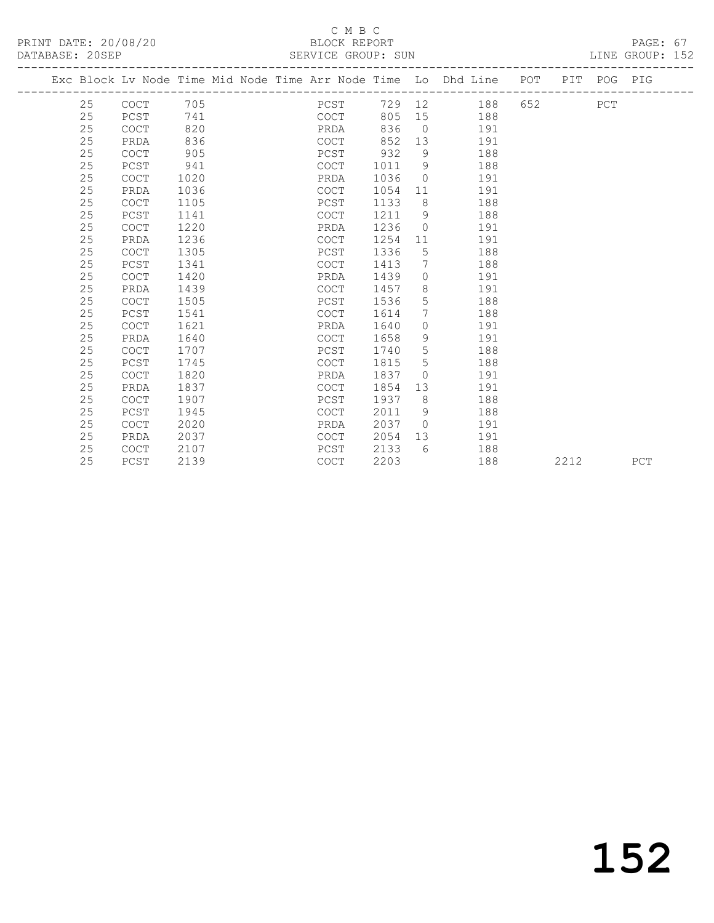#### C M B C<br>LOCK REPORT SERVICE GROUP: SUN

| PRINT DATE: 20/08/20 | BLOCK REPORT       | PAGE: 67        |
|----------------------|--------------------|-----------------|
| DATABASE: 20SEP      | SERVICE GROUP: SUN | LINE GROUP: 152 |

|  |    | Exc Block Lv Node Time Mid Node Time Arr Node Time Lo Dhd Line POT PIT POG PIG |      |  |             |      |      |                 |        |     |      |     |     |
|--|----|--------------------------------------------------------------------------------|------|--|-------------|------|------|-----------------|--------|-----|------|-----|-----|
|  | 25 | COCT                                                                           | 705  |  |             | PCST |      |                 | 729 12 | 188 |      | PCT |     |
|  | 25 | PCST                                                                           | 741  |  |             | COCT | 805  | 15              |        | 188 |      |     |     |
|  | 25 | <b>COCT</b>                                                                    | 820  |  | PRDA        |      | 836  | $\bigcirc$      |        | 191 |      |     |     |
|  | 25 | PRDA                                                                           | 836  |  | COCT        |      | 852  |                 | 13     | 191 |      |     |     |
|  | 25 | COCT                                                                           | 905  |  | PCST        |      | 932  | 9               |        | 188 |      |     |     |
|  | 25 | PCST                                                                           | 941  |  | <b>COCT</b> |      | 1011 | 9 <sup>°</sup>  |        | 188 |      |     |     |
|  | 25 | <b>COCT</b>                                                                    | 1020 |  | PRDA        |      | 1036 | $\bigcirc$      |        | 191 |      |     |     |
|  | 25 | PRDA                                                                           | 1036 |  | COCT        |      | 1054 | 11              |        | 191 |      |     |     |
|  | 25 | <b>COCT</b>                                                                    | 1105 |  | PCST        |      | 1133 | 8               |        | 188 |      |     |     |
|  | 25 | PCST                                                                           | 1141 |  | <b>COCT</b> |      | 1211 | 9 <sup>°</sup>  |        | 188 |      |     |     |
|  | 25 | <b>COCT</b>                                                                    | 1220 |  | PRDA        |      | 1236 | $\bigcirc$      |        | 191 |      |     |     |
|  | 25 | PRDA                                                                           | 1236 |  | COCT        |      | 1254 | 11              |        | 191 |      |     |     |
|  | 25 | <b>COCT</b>                                                                    | 1305 |  | PCST        |      | 1336 | $5\overline{)}$ |        | 188 |      |     |     |
|  | 25 | PCST                                                                           | 1341 |  | <b>COCT</b> |      | 1413 | $7\phantom{.0}$ |        | 188 |      |     |     |
|  | 25 | <b>COCT</b>                                                                    | 1420 |  | PRDA        |      | 1439 | $\Omega$        |        | 191 |      |     |     |
|  | 25 | PRDA                                                                           | 1439 |  | COCT        |      | 1457 | 8               |        | 191 |      |     |     |
|  | 25 | <b>COCT</b>                                                                    | 1505 |  | PCST        |      | 1536 | 5               |        | 188 |      |     |     |
|  | 25 | PCST                                                                           | 1541 |  | COCT        |      | 1614 | $7\overline{ }$ |        | 188 |      |     |     |
|  | 25 | <b>COCT</b>                                                                    | 1621 |  | PRDA        |      | 1640 | $\circ$         |        | 191 |      |     |     |
|  | 25 | PRDA                                                                           | 1640 |  | COCT        |      | 1658 | 9               |        | 191 |      |     |     |
|  | 25 | <b>COCT</b>                                                                    | 1707 |  | PCST        |      | 1740 | 5               |        | 188 |      |     |     |
|  | 25 | PCST                                                                           | 1745 |  | COCT        |      | 1815 | 5               |        | 188 |      |     |     |
|  | 25 | <b>COCT</b>                                                                    | 1820 |  | PRDA        |      | 1837 | $\bigcirc$      |        | 191 |      |     |     |
|  | 25 | PRDA                                                                           | 1837 |  | COCT        |      | 1854 | 13              |        | 191 |      |     |     |
|  | 25 | COCT                                                                           | 1907 |  | PCST        |      | 1937 | 8               |        | 188 |      |     |     |
|  | 25 | PCST                                                                           | 1945 |  | <b>COCT</b> |      | 2011 | 9               |        | 188 |      |     |     |
|  | 25 | COCT                                                                           | 2020 |  | PRDA        |      | 2037 | $\bigcirc$      |        | 191 |      |     |     |
|  | 25 | PRDA                                                                           | 2037 |  | <b>COCT</b> |      | 2054 | 13              |        | 191 |      |     |     |
|  | 25 | <b>COCT</b>                                                                    | 2107 |  | PCST        |      | 2133 | 6               |        | 188 |      |     |     |
|  | 25 | PCST                                                                           | 2139 |  | <b>COCT</b> |      | 2203 |                 |        | 188 | 2212 |     | PCT |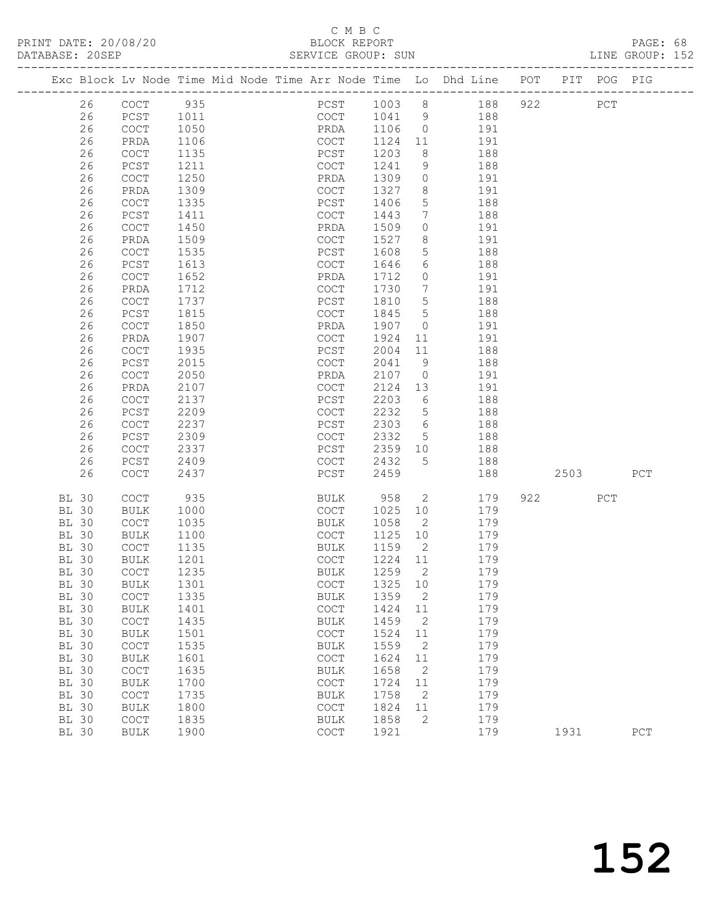#### C M B C<br>BLOCK REPORT SERVICE GROUP: SUN

|                 | PRINT DATE: 20/08/20 | BLOCK REPORT       | PAGE: 68        |
|-----------------|----------------------|--------------------|-----------------|
| DATABASE: 20SEP |                      | SERVICE GROUP: SUN | LINE GROUP: 152 |

|              |       |                  |      |  |                                            |      |           |                            | Exc Block Lv Node Time Mid Node Time Arr Node Time Lo Dhd Line | POT |      | PIT POG PIG |             |
|--------------|-------|------------------|------|--|--------------------------------------------|------|-----------|----------------------------|----------------------------------------------------------------|-----|------|-------------|-------------|
|              | 26    | COCT             | 935  |  |                                            |      | PCST 1003 | 8 <sup>8</sup>             | 188                                                            | 922 |      | PCT         |             |
|              | 26    | PCST             | 1011 |  | COCT                                       |      | 1041      | $\overline{9}$             | 188                                                            |     |      |             |             |
|              | 26    | COCT             | 1050 |  | PRDA                                       |      | 1106      | $\overline{0}$             | 191                                                            |     |      |             |             |
|              | 26    | PRDA             | 1106 |  | <b>COCT</b>                                |      | 1124      | 11                         | 191                                                            |     |      |             |             |
|              | 26    |                  | 1135 |  | PCST                                       |      | 1203      | 8                          | 188                                                            |     |      |             |             |
|              |       | COCT             |      |  |                                            |      |           |                            |                                                                |     |      |             |             |
|              | 26    | PCST             | 1211 |  | COCT                                       |      | 1241      | 9                          | 188                                                            |     |      |             |             |
|              | 26    | COCT             | 1250 |  | PRDA                                       |      | 1309      | $\circ$                    | 191                                                            |     |      |             |             |
|              | 26    | PRDA             | 1309 |  | COCT                                       |      | 1327      | 8                          | 191                                                            |     |      |             |             |
|              | 26    | COCT             | 1335 |  | PCST                                       |      | 1406      | 5                          | 188                                                            |     |      |             |             |
|              | 26    | PCST             | 1411 |  | COCT                                       |      | 1443      | $7\overline{ }$            | 188                                                            |     |      |             |             |
|              | 26    | COCT             | 1450 |  | PRDA                                       |      | 1509      | $\circ$                    | 191                                                            |     |      |             |             |
|              | 26    | PRDA             | 1509 |  | <b>COCT</b>                                |      | 1527      | 8                          | 191                                                            |     |      |             |             |
|              | 26    | COCT             | 1535 |  | PCST                                       |      | 1608      | 5                          | 188                                                            |     |      |             |             |
|              | 26    | PCST             | 1613 |  | COCT                                       |      | 1646      | 6                          | 188                                                            |     |      |             |             |
|              | 26    | COCT             | 1652 |  | PRDA                                       |      | 1712      | $\circ$                    | 191                                                            |     |      |             |             |
|              | 26    | PRDA             | 1712 |  | COCT                                       |      | 1730      | 7                          | 191                                                            |     |      |             |             |
|              | 26    | COCT             | 1737 |  | PCST                                       |      | 1810      | $5\overline{)}$            | 188                                                            |     |      |             |             |
|              | 26    | PCST             | 1815 |  | COCT                                       |      | 1845      | $5\phantom{.0}$            | 188                                                            |     |      |             |             |
|              | 26    | COCT             | 1850 |  | PRDA                                       |      | 1907      | $\overline{0}$             | 191                                                            |     |      |             |             |
|              | 26    | PRDA             | 1907 |  | COCT                                       |      | 1924      | 11                         | 191                                                            |     |      |             |             |
|              | 26    | COCT             | 1935 |  | PCST                                       |      | 2004      | 11                         | 188                                                            |     |      |             |             |
|              | 26    | PCST             | 2015 |  | $\mathtt{C}\mathtt{O}\mathtt{C}\mathtt{T}$ |      | 2041      | 9                          | 188                                                            |     |      |             |             |
|              |       |                  |      |  |                                            |      |           |                            |                                                                |     |      |             |             |
|              | 26    | COCT             | 2050 |  | PRDA                                       |      | 2107      | $\overline{0}$             | 191                                                            |     |      |             |             |
|              | 26    | PRDA             | 2107 |  | COCT                                       |      | 2124      | 13                         | 191                                                            |     |      |             |             |
|              | 26    | COCT             | 2137 |  | PCST                                       |      | 2203      | 6                          | 188                                                            |     |      |             |             |
|              | 26    | PCST             | 2209 |  | COCT                                       |      | 2232      | $5^{\circ}$                | 188                                                            |     |      |             |             |
|              | 26    | COCT             | 2237 |  | PCST                                       |      | 2303      | $6\overline{6}$            | 188                                                            |     |      |             |             |
|              | 26    | PCST             | 2309 |  | COCT                                       |      | 2332      | $5^{\circ}$                | 188                                                            |     |      |             |             |
|              | 26    | COCT             | 2337 |  | PCST                                       |      | 2359      | 10                         | 188                                                            |     |      |             |             |
|              | 26    | PCST             | 2409 |  | COCT                                       |      | 2432      | $5^{\circ}$                | 188                                                            |     |      |             |             |
|              | 26    | COCT             | 2437 |  | PCST                                       |      | 2459      |                            | 188                                                            |     | 2503 |             | PCT         |
|              |       |                  |      |  |                                            |      |           |                            |                                                                |     |      |             |             |
| <b>BL 30</b> |       | COCT             | 935  |  | BULK                                       |      | 958       | $\mathbf{2}$               | 179                                                            | 922 |      | PCT         |             |
| <b>BL 30</b> |       | <b>BULK</b>      | 1000 |  | COCT                                       |      | 1025      | 10                         | 179                                                            |     |      |             |             |
| <b>BL 30</b> |       | COCT             | 1035 |  | BULK                                       |      | 1058      | $\overline{2}$             | 179                                                            |     |      |             |             |
| <b>BL 30</b> |       | BULK             | 1100 |  | COCT                                       |      | 1125      | 10                         | 179                                                            |     |      |             |             |
| <b>BL 30</b> |       | COCT             | 1135 |  | BULK                                       |      | 1159      | $\overline{\phantom{a}}$   | 179                                                            |     |      |             |             |
| <b>BL 30</b> |       | BULK             | 1201 |  | COCT                                       |      | 1224 11   |                            | 179                                                            |     |      |             |             |
| BL 30        |       | COCT             | 1235 |  | <b>BULK</b>                                |      | 1259      | $\overline{2}$             | 179                                                            |     |      |             |             |
|              | BL 30 | <b>BULK</b> 1301 |      |  |                                            | COCT | 1325 10   |                            | 179                                                            |     |      |             |             |
| BL 30        |       | COCT             | 1335 |  | BULK                                       |      | 1359      | 2                          | 179                                                            |     |      |             |             |
| <b>BL 30</b> |       | <b>BULK</b>      | 1401 |  | COCT                                       |      | 1424 11   |                            | 179                                                            |     |      |             |             |
| <b>BL 30</b> |       | COCT             | 1435 |  | BULK                                       |      | 1459      | $\overline{2}$             | 179                                                            |     |      |             |             |
| <b>BL 30</b> |       | <b>BULK</b>      | 1501 |  | COCT                                       |      | 1524      | 11                         | 179                                                            |     |      |             |             |
| <b>BL 30</b> |       | COCT             | 1535 |  | BULK                                       |      | 1559      | 2                          | 179                                                            |     |      |             |             |
| <b>BL 30</b> |       | <b>BULK</b>      | 1601 |  | COCT                                       |      | 1624      | 11                         | 179                                                            |     |      |             |             |
| <b>BL 30</b> |       | COCT             | 1635 |  | <b>BULK</b>                                |      | 1658      | $\overline{\phantom{0}}^2$ | 179                                                            |     |      |             |             |
| <b>BL 30</b> |       | <b>BULK</b>      | 1700 |  | COCT                                       |      | 1724      | 11                         | 179                                                            |     |      |             |             |
| <b>BL 30</b> |       | COCT             | 1735 |  | <b>BULK</b>                                |      | 1758      | $\overline{\phantom{a}}$   | 179                                                            |     |      |             |             |
| <b>BL 30</b> |       | <b>BULK</b>      | 1800 |  | COCT                                       |      | 1824      | 11                         | 179                                                            |     |      |             |             |
| <b>BL 30</b> |       | COCT             | 1835 |  | <b>BULK</b>                                |      | 1858      | 2                          | 179                                                            |     |      |             |             |
| <b>BL 30</b> |       | <b>BULK</b>      | 1900 |  | COCT                                       |      | 1921      |                            | 179                                                            |     | 1931 |             | ${\tt PCT}$ |
|              |       |                  |      |  |                                            |      |           |                            |                                                                |     |      |             |             |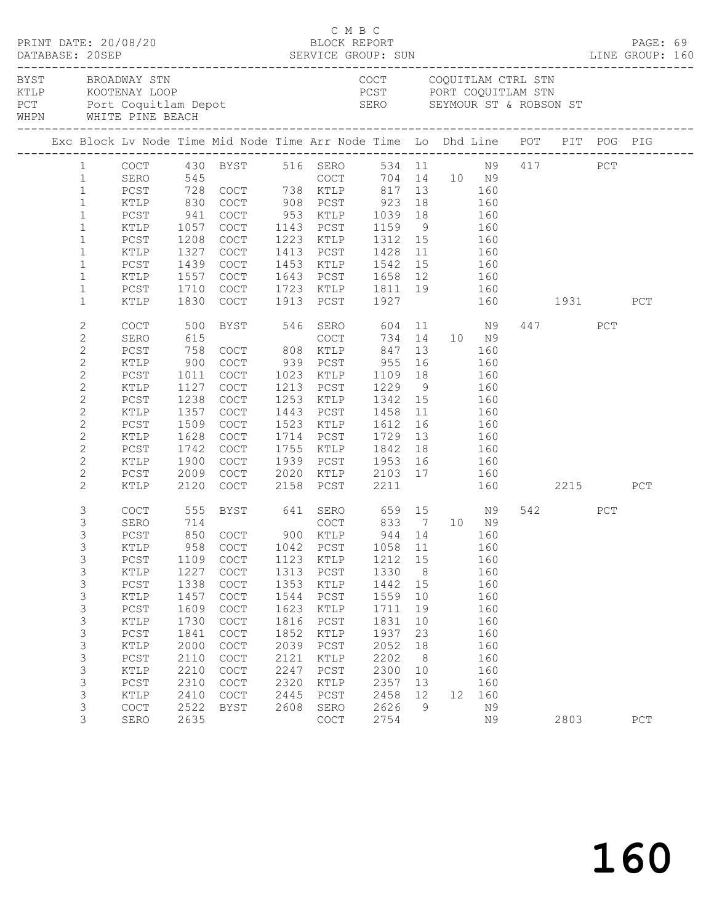|                   |                |        |                                                                                                                                                                                                                                |                                                                                                                   | C M B C |                                                                      |              |                 |                   |     |              |      |     |     |  |
|-------------------|----------------|--------|--------------------------------------------------------------------------------------------------------------------------------------------------------------------------------------------------------------------------------|-------------------------------------------------------------------------------------------------------------------|---------|----------------------------------------------------------------------|--------------|-----------------|-------------------|-----|--------------|------|-----|-----|--|
| BYST BROADWAY STN |                |        | EN THE MOOTEN STREET CONSULTER STREET TO A SERIES ON SERIES WHEN WHITE PINE BEACH SERIES AND MELTIC SERIES ON SERIES ON SEYMOUR ST & ROBSON STREET TO A METTE PINE BEACH SERIES AND SERIES ON SERIES ON SERIES ON SERIES ON SE |                                                                                                                   |         | COCT COQUITLAM CTRL STN                                              |              |                 |                   |     |              |      |     |     |  |
|                   |                |        |                                                                                                                                                                                                                                |                                                                                                                   |         |                                                                      |              |                 |                   |     |              |      |     |     |  |
|                   |                |        |                                                                                                                                                                                                                                | 1 COCT 430 BYST 516 SERO 534 11 N9 417 PCT<br>1 SERO 545 COCT 704 14 10 N9<br>1 PCST 728 COCT 738 KTLP 817 13 160 |         |                                                                      |              |                 |                   |     |              |      |     |     |  |
|                   |                |        |                                                                                                                                                                                                                                |                                                                                                                   |         |                                                                      |              |                 |                   |     |              |      |     |     |  |
|                   |                |        |                                                                                                                                                                                                                                |                                                                                                                   |         |                                                                      |              |                 |                   |     |              |      |     |     |  |
|                   | $\mathbf{1}$   | KTLP   | 830                                                                                                                                                                                                                            |                                                                                                                   |         |                                                                      |              |                 |                   |     |              |      |     |     |  |
|                   | $\mathbf{1}$   | PCST   | $\begin{array}{c} 941 \\ 1057 \end{array}$                                                                                                                                                                                     | COCT 908 PCST 923 18 160<br>COCT 953 KTLP 1039 18 160<br>COCT 1143 PCST 1159 9 160                                |         |                                                                      |              |                 |                   |     |              |      |     |     |  |
|                   | $\mathbf{1}$   | KTLP   | 1057                                                                                                                                                                                                                           |                                                                                                                   |         |                                                                      |              |                 |                   |     |              |      |     |     |  |
|                   | $\mathbf{1}$   | PCST   | 1208                                                                                                                                                                                                                           | COCT                                                                                                              |         | 1223 KTLP 1312 15                                                    |              |                 | 160               |     |              |      |     |     |  |
|                   | $\mathbf{1}$   | KTLP   | 1327                                                                                                                                                                                                                           | COCT                                                                                                              |         | 1413 PCST                                                            | 1428         | 11              | 160               |     |              |      |     |     |  |
|                   | $\mathbf{1}$   | PCST   | 1439                                                                                                                                                                                                                           | COCT                                                                                                              |         | 1453 KTLP 1542 15 160<br>1643 PCST 1658 12 160                       |              |                 |                   |     |              |      |     |     |  |
|                   | $\mathbf{1}$   | KTLP   | 1557                                                                                                                                                                                                                           | COCT                                                                                                              |         |                                                                      |              |                 |                   |     |              |      |     |     |  |
|                   | $\mathbf{1}$   | PCST   | 1710                                                                                                                                                                                                                           | COCT                                                                                                              |         | 1723 KTLP 1811 19 160                                                |              |                 |                   |     |              |      |     |     |  |
|                   | $\mathbf{1}$   | KTLP   | 1830                                                                                                                                                                                                                           | COCT                                                                                                              |         | 1913 PCST 1927                                                       |              |                 |                   |     | 160 1931     |      |     | PCT |  |
|                   | $\mathbf{2}$   | COCT   | 500                                                                                                                                                                                                                            |                                                                                                                   |         | BYST 546 SERO 604 11 N9                                              |              |                 |                   |     |              | 447  | PCT |     |  |
|                   | $\mathbf{2}$   | SERO   | 615                                                                                                                                                                                                                            |                                                                                                                   |         | COCT                                                                 |              |                 | 734 14 10 N9      |     |              |      |     |     |  |
|                   | $\overline{c}$ | PCST   | 758                                                                                                                                                                                                                            | COCT 808 KTLP                                                                                                     |         |                                                                      | 847          |                 | 13                | 160 |              |      |     |     |  |
|                   | $\mathbf{2}$   | KTLP   | 900                                                                                                                                                                                                                            | COCT                                                                                                              |         | 939 PCST                                                             | 955          | 16              | 160               |     |              |      |     |     |  |
|                   | $\mathbf{2}$   | PCST   | 1011                                                                                                                                                                                                                           | COCT                                                                                                              |         | 1023 KTLP                                                            | 1109 18      |                 |                   | 160 |              |      |     |     |  |
|                   | $\mathbf{2}$   | KTLP   | 1127                                                                                                                                                                                                                           | COCT                                                                                                              |         | 1213 PCST                                                            | $1229$ 9 160 |                 |                   |     |              |      |     |     |  |
|                   | $\overline{c}$ | PCST   | 1238                                                                                                                                                                                                                           | COCT                                                                                                              |         | 1253 KTLP                                                            | 1342 15      |                 | 160               |     |              |      |     |     |  |
|                   | 2              | KTLP   | 1357                                                                                                                                                                                                                           | COCT                                                                                                              |         | 1443 PCST                                                            | 1458         | 11              | 160               |     |              |      |     |     |  |
|                   | $\mathbf{2}$   | $PCST$ | 1509                                                                                                                                                                                                                           | COCT                                                                                                              |         | 1523 KTLP                                                            | 1612 16      |                 |                   |     |              |      |     |     |  |
|                   | $\mathbf{2}$   | KTLP   | 1628                                                                                                                                                                                                                           | COCT                                                                                                              |         | 1714 PCST                                                            | 1729         | 13              | $\frac{160}{160}$ |     |              |      |     |     |  |
|                   | $\mathbf{2}$   | PCST   | 1742                                                                                                                                                                                                                           | COCT                                                                                                              |         | 1755 KTLP                                                            | 1842         | 18              | 160               |     |              |      |     |     |  |
|                   | 2              | KTLP   | 1900                                                                                                                                                                                                                           | COCT                                                                                                              |         |                                                                      |              |                 |                   |     |              |      |     |     |  |
|                   | $\mathbf{2}$   | PCST   | 2009                                                                                                                                                                                                                           | COCT                                                                                                              |         |                                                                      |              |                 |                   |     |              |      |     |     |  |
|                   | $\mathbf{2}$   | KTLP   | 2120                                                                                                                                                                                                                           | COCT                                                                                                              |         | 1939 PCST 1953 16 160<br>2020 KTLP 2103 17 160<br>2158 PCST 2211 160 |              |                 |                   |     | 160 2215 PCT |      |     |     |  |
|                   | 3              | COCT   | 555                                                                                                                                                                                                                            |                                                                                                                   |         | BYST 641 SERO 659 15 N9                                              |              |                 |                   |     |              | 542  | PCT |     |  |
|                   | $\mathfrak{Z}$ | SERO   |                                                                                                                                                                                                                                |                                                                                                                   |         |                                                                      |              |                 |                   |     |              |      |     |     |  |
|                   | 3              | $PCST$ | 714<br>850                                                                                                                                                                                                                     | COCT 833 7 10 N9<br>COCT 900 KTLP 944 14 160                                                                      |         |                                                                      |              |                 |                   |     |              |      |     |     |  |
|                   | 3              | KTLP   |                                                                                                                                                                                                                                | 958 COCT 1042 PCST 1058 11 160                                                                                    |         |                                                                      |              |                 |                   |     |              |      |     |     |  |
|                   | 3              | PCST   | 1109                                                                                                                                                                                                                           | COCT                                                                                                              | 1123    | KTLP                                                                 | 1212         | 15              |                   | 160 |              |      |     |     |  |
|                   | 3              | KTLP   | 1227                                                                                                                                                                                                                           | COCT                                                                                                              | 1313    | PCST                                                                 | 1330         | 8 <sup>8</sup>  |                   | 160 |              |      |     |     |  |
|                   | 3              | $PCST$ | 1338                                                                                                                                                                                                                           | COCT                                                                                                              | 1353    | KTLP                                                                 | 1442         | 15              |                   | 160 |              |      |     |     |  |
|                   | 3              | KTLP   | 1457                                                                                                                                                                                                                           | COCT                                                                                                              | 1544    | PCST                                                                 | 1559         | 10              |                   | 160 |              |      |     |     |  |
|                   | 3              | PCST   | 1609                                                                                                                                                                                                                           | COCT                                                                                                              | 1623    | KTLP                                                                 | 1711         | 19              |                   | 160 |              |      |     |     |  |
|                   | $\mathfrak{Z}$ | KTLP   | 1730                                                                                                                                                                                                                           | COCT                                                                                                              | 1816    | PCST                                                                 | 1831         | 10              |                   | 160 |              |      |     |     |  |
|                   | 3              | $PCST$ | 1841                                                                                                                                                                                                                           | COCT                                                                                                              | 1852    | $\texttt{KTLP}$                                                      | 1937         | 23              |                   | 160 |              |      |     |     |  |
|                   | 3              | KTLP   | 2000                                                                                                                                                                                                                           | COCT                                                                                                              | 2039    | PCST                                                                 | 2052         | 18              |                   | 160 |              |      |     |     |  |
|                   | 3              | $PCST$ | 2110                                                                                                                                                                                                                           | $\mathtt{C}\mathtt{O}\mathtt{C}\mathtt{T}$                                                                        | 2121    | KTLP                                                                 | 2202         | 8 <sup>8</sup>  |                   | 160 |              |      |     |     |  |
|                   | 3              | KTLP   | 2210                                                                                                                                                                                                                           | COCT                                                                                                              | 2247    | $_{\rm PCST}$                                                        | 2300         | 10              |                   | 160 |              |      |     |     |  |
|                   | 3              | $PCST$ | 2310                                                                                                                                                                                                                           | COCT                                                                                                              | 2320    | KTLP                                                                 | 2357         | 13              |                   | 160 |              |      |     |     |  |
|                   | 3              | KTLP   | 2410                                                                                                                                                                                                                           | COCT                                                                                                              | 2445    | PCST                                                                 | 2458         | 12 <sup>°</sup> | 12 <sup>°</sup>   | 160 |              |      |     |     |  |
|                   | 3              | COCT   | 2522                                                                                                                                                                                                                           | BYST                                                                                                              | 2608    | SERO                                                                 | 2626         | 9               |                   | N9  |              |      |     |     |  |
|                   | 3              | SERO   | 2635                                                                                                                                                                                                                           |                                                                                                                   |         | COCT                                                                 | 2754         |                 |                   | N9  |              | 2803 |     | PCT |  |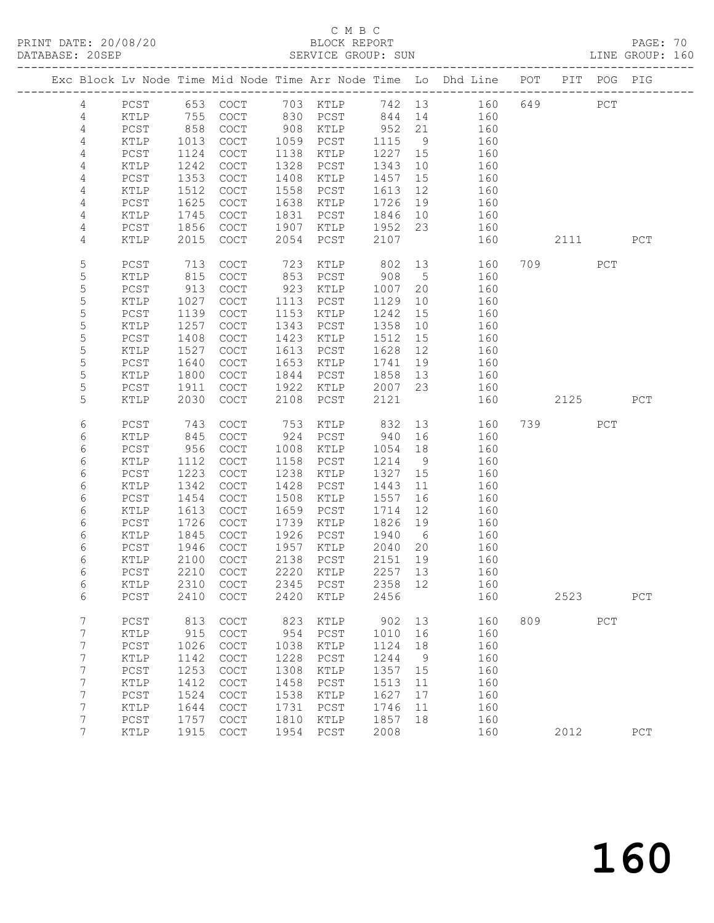# C M B C<br>BLOCK REPORT

PAGE: 70<br>LINE GROUP: 160

|                |               |              |                                            |              |               |              |                 | Exc Block Lv Node Time Mid Node Time Arr Node Time Lo Dhd Line POT PIT POG PIG |     |           |     |     |
|----------------|---------------|--------------|--------------------------------------------|--------------|---------------|--------------|-----------------|--------------------------------------------------------------------------------|-----|-----------|-----|-----|
| 4              | PCST          |              |                                            |              |               |              |                 | 653 COCT 703 KTLP 742 13 160                                                   |     | 649       | PCT |     |
| 4              | KTLP          | 755          | COCT                                       |              | 830 PCST      | 844 14       |                 | 160                                                                            |     |           |     |     |
| 4              | PCST          | 858          | $\mathtt{C}\mathtt{O}\mathtt{C}\mathtt{T}$ | 908          | KTLP          | 952          | 21              | 160                                                                            |     |           |     |     |
| 4              | KTLP          | 1013         | <b>COCT</b>                                | 1059         | PCST          | 1115         | 9               | 160                                                                            |     |           |     |     |
| 4              | PCST          | 1124         | COCT                                       | 1138         | KTLP          | 1227         | 15              | 160                                                                            |     |           |     |     |
| 4              | KTLP          | 1242         | COCT                                       | 1328         | PCST          | 1343         | 10              | 160                                                                            |     |           |     |     |
| 4              | PCST          | 1353         | COCT                                       | 1408         | KTLP          | 1457         | 15              | 160                                                                            |     |           |     |     |
| 4              | KTLP          | 1512         | COCT                                       | 1558         | PCST          | 1613         | 12              | 160                                                                            |     |           |     |     |
| 4              | PCST          | 1625         | COCT                                       | 1638         | KTLP          | 1726         | 19              | 160                                                                            |     |           |     |     |
| $\overline{4}$ | KTLP          | 1745         | $\operatorname{COT}$                       | 1831         | PCST          | 1846         | 10              | 160                                                                            |     |           |     |     |
| 4              | PCST          | 1856         | COCT                                       | 1907         | KTLP          | 1952         | 23              | 160                                                                            |     |           |     |     |
| 4              | KTLP          | 2015         | COCT                                       | 2054         | PCST          | 2107         |                 | 160                                                                            |     | 2111      |     | PCT |
|                |               |              |                                            |              |               |              |                 |                                                                                |     |           |     |     |
| 5              | PCST          | 713          | <b>COCT</b>                                | 723          | KTLP          | 802          | 13              | 160                                                                            |     | 709       | PCT |     |
| 5              | KTLP          | 815          | $\operatorname{COT}$                       | 853          | PCST          | 908          | $5\overline{)}$ | 160                                                                            |     |           |     |     |
| 5              | PCST          | 913          | $\operatorname{COT}$                       | 923          | KTLP          | 1007         | 20              | 160                                                                            |     |           |     |     |
| 5              | KTLP          | 1027         | COCT                                       | 1113         | PCST          | 1129         | 10              | 160                                                                            |     |           |     |     |
| 5              | PCST          | 1139         | COCT                                       | 1153         | KTLP          | 1242         | 15              | 160                                                                            |     |           |     |     |
| 5              | KTLP          | 1257         | COCT                                       | 1343         | PCST          | 1358         | 10              | 160                                                                            |     |           |     |     |
| 5              | PCST          | 1408         | COCT                                       | 1423         | KTLP          | 1512         | 15              | 160                                                                            |     |           |     |     |
| 5              | KTLP          | 1527         | $\mathtt{C}\mathtt{O}\mathtt{C}\mathtt{T}$ | 1613         | PCST          | 1628         | 12              | 160                                                                            |     |           |     |     |
| 5              | $PCST$        | 1640         | $\operatorname{COT}$                       | 1653         | KTLP          | 1741         | 19              | 160                                                                            |     |           |     |     |
| $\mathsf S$    | $\verb KTLP $ | 1800         | COCT                                       | 1844         | PCST          | 1858         | 13              | 160                                                                            |     |           |     |     |
| 5              | PCST          | 1911         | $\operatorname{COT}$                       | 1922         | KTLP          | 2007         | 23              | 160                                                                            |     |           |     |     |
| 5              | KTLP          | 2030         | COCT                                       | 2108         | PCST          | 2121         |                 | 160                                                                            |     | 2125      |     | PCT |
|                |               |              |                                            |              |               |              |                 |                                                                                |     |           |     |     |
| 6              | PCST          | 743          | COCT                                       | 753          | KTLP          | 832          |                 | 13<br>160                                                                      |     | 739 — 139 | PCT |     |
| 6              | KTLP          | 845          | $\mathtt{C}\mathtt{O}\mathtt{C}\mathtt{T}$ |              | 924 PCST      | 940          | 16              | 160                                                                            |     |           |     |     |
| 6              | PCST          | 956          | COCT                                       | 1008         | KTLP          | 1054         | 18              | 160                                                                            |     |           |     |     |
| 6              | KTLP          | 1112         | COCT                                       | 1158         | PCST          | 1214         | 9               | 160                                                                            |     |           |     |     |
| 6              | PCST          | 1223<br>1342 | COCT                                       | 1238<br>1428 | KTLP<br>PCST  | 1327         | 15<br>11        | 160<br>160                                                                     |     |           |     |     |
| 6<br>6         | KTLP<br>PCST  | 1454         | COCT<br>COCT                               | 1508         | KTLP          | 1443<br>1557 | 16              | 160                                                                            |     |           |     |     |
| 6              | KTLP          | 1613         | $\operatorname{COT}$                       | 1659         | PCST          | 1714         | 12              | 160                                                                            |     |           |     |     |
| 6              | PCST          | 1726         | COCT                                       | 1739         | KTLP          | 1826         | 19              | 160                                                                            |     |           |     |     |
| 6              | KTLP          | 1845         | COCT                                       | 1926         | PCST          | 1940         | 6               | 160                                                                            |     |           |     |     |
| 6              | PCST          | 1946         | <b>COCT</b>                                | 1957         | KTLP          | 2040         | 20              | 160                                                                            |     |           |     |     |
| 6              | KTLP          | 2100         | COCT                                       | 2138         | PCST          | 2151         | 19              | 160                                                                            |     |           |     |     |
| 6              | PCST          | 2210         | COCT                                       |              | 2220 KTLP     | 2257         | 13              | 160                                                                            |     |           |     |     |
| 6              | KTLP          |              | 2310 COCT                                  |              | 2345 PCST     | 2358 12      |                 | 160                                                                            |     |           |     |     |
| 6              | PCST          | 2410         | COCT                                       | 2420         | KTLP          | 2456         |                 | 160                                                                            |     | 2523      |     | PCT |
|                |               |              |                                            |              |               |              |                 |                                                                                |     |           |     |     |
| 7              | PCST          | 813          | COCT                                       | 823          | KTLP          | 902          | 13              | 160                                                                            | 809 |           | PCT |     |
| 7              | KTLP          | 915          | COCT                                       | 954          | PCST          | 1010         | 16              | 160                                                                            |     |           |     |     |
| 7              | $PCST$        | 1026         | COCT                                       | 1038         | KTLP          | 1124         | 18              | 160                                                                            |     |           |     |     |
| 7              | KTLP          | 1142         | $\mathtt{C}\mathtt{O}\mathtt{C}\mathtt{T}$ | 1228         | PCST          | 1244         | 9               | 160                                                                            |     |           |     |     |
| 7              | PCST          | 1253         | COCT                                       | 1308         | $\verb KTLP $ | 1357         | 15              | 160                                                                            |     |           |     |     |
| 7              | KTLP          | 1412         | COCT                                       | 1458         | PCST          | 1513         | 11              | 160                                                                            |     |           |     |     |
| 7              | PCST          | 1524         | COCT                                       | 1538         | KTLP          | 1627         | 17              | 160                                                                            |     |           |     |     |
| 7              | KTLP          | 1644         | COCT                                       | 1731         | PCST          | 1746         | 11              | 160                                                                            |     |           |     |     |
| 7              | $PCST$        | 1757         | COCT                                       | 1810         | $\verb KTLP $ | 1857         | 18              | 160                                                                            |     |           |     |     |
| 7              | KTLP          | 1915         | $\mathtt{C}\mathtt{O}\mathtt{C}\mathtt{T}$ | 1954         | PCST          | 2008         |                 | 160                                                                            |     | 2012      |     | PCT |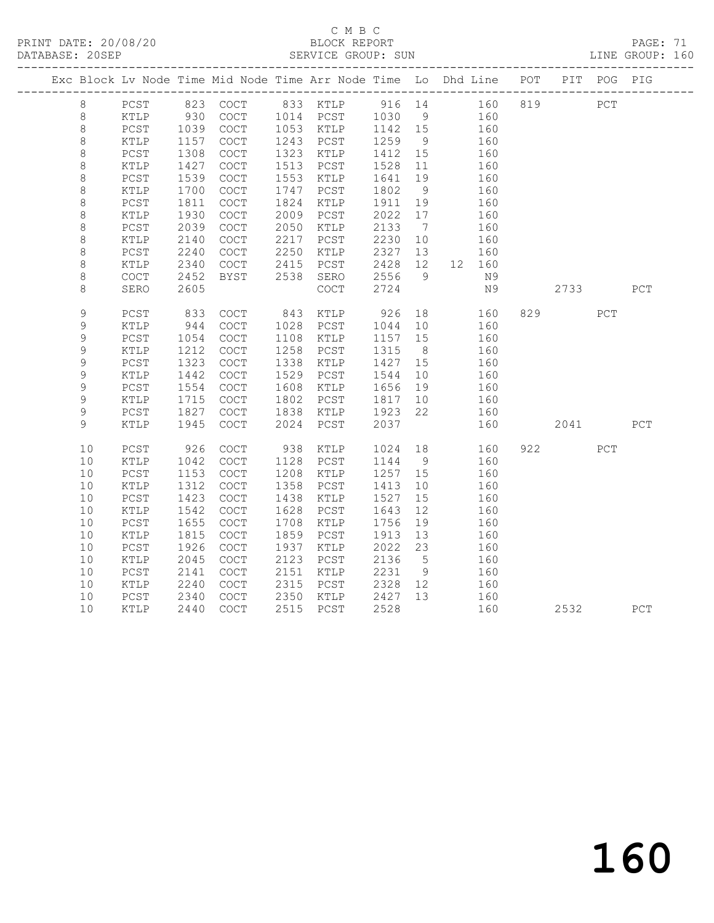# C M B C<br>BLOCK REPORT

PAGE: 71<br>LINE GROUP: 160

| Exc Block Lv Node Time Mid Node Time Arr Node Time Lo Dhd Line POT PIT POG PIG |                 |      |                                            |      |                                            |         |                |   |        |           |     |     |
|--------------------------------------------------------------------------------|-----------------|------|--------------------------------------------|------|--------------------------------------------|---------|----------------|---|--------|-----------|-----|-----|
| $8\,$                                                                          | PCST            |      |                                            |      | 823 COCT 833 KTLP 916 14 160 819           |         |                |   |        |           | PCT |     |
| $\,8\,$                                                                        | KTLP            | 930  | COCT                                       |      | 1014 PCST                                  | 1030    |                | 9 | 160    |           |     |     |
| $\,8\,$                                                                        | PCST            | 1039 | COCT                                       |      | 1053 KTLP                                  | 1142 15 |                |   | 160    |           |     |     |
| $\,8\,$                                                                        | KTLP            | 1157 | COCT                                       | 1243 | PCST                                       | 1259    | 9              |   | 160    |           |     |     |
| $\,8\,$                                                                        | $PCST$          | 1308 | COCT                                       | 1323 | KTLP                                       | 1412    | 15             |   | 160    |           |     |     |
| $\,8\,$                                                                        | KTLP            | 1427 | COCT                                       | 1513 | PCST                                       | 1528    | 11             |   | 160    |           |     |     |
| $\,8\,$                                                                        | $PCST$          | 1539 | COCT                                       | 1553 | KTLP                                       | 1641    | 19             |   | 160    |           |     |     |
| $\,8\,$                                                                        | $\texttt{KTLP}$ | 1700 | $\operatorname{COT}$                       | 1747 | PCST                                       | 1802    | 9              |   | 160    |           |     |     |
| $\,8\,$                                                                        | PCST            | 1811 | COCT                                       | 1824 | KTLP                                       | 1911    | 19             |   | 160    |           |     |     |
| $\,8\,$                                                                        | $\verb KTLP $   | 1930 | COCT                                       | 2009 | PCST                                       | 2022    | 17             |   | 160    |           |     |     |
| $\,8\,$                                                                        | PCST            | 2039 | COCT                                       | 2050 | KTLP                                       | 2133    | $\overline{7}$ |   | 160    |           |     |     |
| $\,8\,$                                                                        | KTLP            | 2140 | COCT                                       | 2217 | PCST                                       | 2230    | 10             |   | 160    |           |     |     |
| $\,8\,$                                                                        | PCST            | 2240 | COCT                                       | 2250 | KTLP                                       | 2327    | 13             |   | 160    |           |     |     |
| $\,8\,$                                                                        | KTLP            | 2340 | COCT                                       | 2415 | PCST                                       | 2428    | 12             |   | 12 160 |           |     |     |
| $\,8\,$                                                                        | COCT            | 2452 | <b>BYST</b>                                | 2538 | SERO                                       | 2556    | 9 <sup>°</sup> |   | N9     |           |     |     |
| $\,8\,$                                                                        | SERO            | 2605 |                                            |      | $\mathtt{C}\mathtt{O}\mathtt{C}\mathtt{T}$ | 2724    |                |   | N9     | 2733      |     | PCT |
| 9                                                                              | $PCST$          | 833  | $\operatorname{COT}$                       | 843  | KTLP                                       | 926     | 18             |   | 160    | 829       | PCT |     |
| $\mathsf 9$                                                                    | $\verb KTLP $   | 944  | $\mathtt{C}\mathtt{O}\mathtt{C}\mathtt{T}$ | 1028 | PCST                                       | 1044    | 10             |   | 160    |           |     |     |
| 9                                                                              | PCST            | 1054 | COCT                                       | 1108 | KTLP                                       | 1157    | 15             |   | 160    |           |     |     |
| 9                                                                              | KTLP            | 1212 | $\mathtt{C}\mathtt{O}\mathtt{C}\mathtt{T}$ | 1258 | PCST                                       | 1315    | 8 <sup>8</sup> |   | 160    |           |     |     |
| 9                                                                              | ${\tt PCST}$    | 1323 | COCT                                       | 1338 | KTLP                                       | 1427    | 15             |   | 160    |           |     |     |
| 9                                                                              | KTLP            | 1442 | COCT                                       | 1529 | PCST                                       | 1544    | 10             |   | 160    |           |     |     |
| 9                                                                              | PCST            | 1554 | COCT                                       | 1608 | KTLP                                       | 1656    | 19             |   | 160    |           |     |     |
| $\mathcal{G}$                                                                  | KTLP            | 1715 | COCT                                       | 1802 | PCST                                       | 1817    | 10             |   | 160    |           |     |     |
| 9                                                                              | $PCST$          | 1827 | COCT                                       | 1838 | KTLP                                       | 1923    | 22             |   | 160    |           |     |     |
| 9                                                                              | KTLP            | 1945 | $\operatorname{COT}$                       | 2024 | PCST                                       | 2037    |                |   | 160    | 2041 2012 |     | PCT |
| 10                                                                             | PCST            | 926  | COCT                                       | 938  | KTLP                                       | 1024    | 18             |   | 160    | 922       | PCT |     |
| 10                                                                             | $\texttt{KTLP}$ | 1042 | COCT                                       | 1128 | PCST                                       | 1144    | 9              |   | 160    |           |     |     |
| 10                                                                             | $PCST$          | 1153 | COCT                                       | 1208 | KTLP                                       | 1257    | 15             |   | 160    |           |     |     |
| 10                                                                             | KTLP            | 1312 | COCT                                       | 1358 | PCST                                       | 1413    | 10             |   | 160    |           |     |     |
| 10                                                                             | $PCST$          | 1423 | COCT                                       | 1438 | KTLP                                       | 1527    | 15             |   | 160    |           |     |     |
| 10                                                                             | KTLP            | 1542 | COCT                                       | 1628 | PCST                                       | 1643    | 12             |   | 160    |           |     |     |
| 10                                                                             | PCST            | 1655 | COCT                                       | 1708 | KTLP                                       | 1756    | 19             |   | 160    |           |     |     |
| 10                                                                             | KTLP            | 1815 | COCT                                       | 1859 | PCST                                       | 1913    | 13             |   | 160    |           |     |     |
| 10                                                                             | $PCST$          | 1926 | $\mathtt{C}\mathtt{O}\mathtt{C}\mathtt{T}$ | 1937 | KTLP                                       | 2022    | 23             |   | 160    |           |     |     |
| 10                                                                             | $\texttt{KTLP}$ | 2045 | COCT                                       | 2123 | PCST                                       | 2136    | $5^{\circ}$    |   | 160    |           |     |     |
| 10                                                                             | PCST            | 2141 | COCT                                       | 2151 | KTLP                                       | 2231    | 9              |   | 160    |           |     |     |
| 10                                                                             | $\texttt{KTLP}$ | 2240 | COCT                                       | 2315 | PCST                                       | 2328    | 12             |   | 160    |           |     |     |
| 10                                                                             | PCST            | 2340 | $\mathtt{C}\mathtt{O}\mathtt{C}\mathtt{T}$ | 2350 | KTLP                                       | 2427    | 13             |   | 160    |           |     |     |
| 10                                                                             | KTLP            | 2440 | COCT                                       |      | 2515 PCST                                  | 2528    |                |   | 160    | 2532      |     | PCT |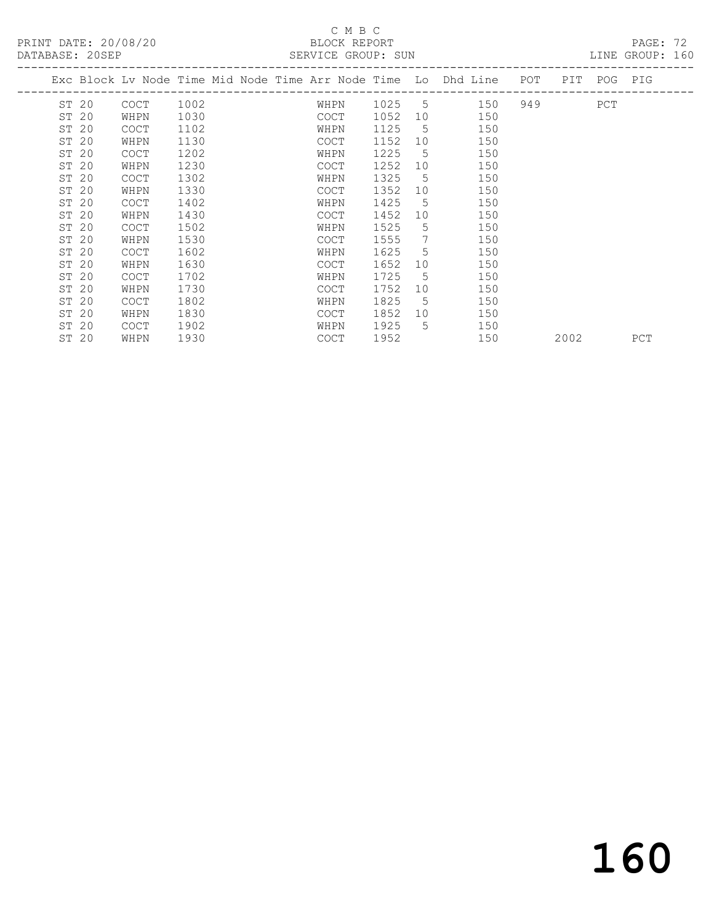| DATABASE: 20SEP |             |      |                                                                    | SERVICE GROUP: SUN |             |     |  |           |             | LINE GROUP: 160 |
|-----------------|-------------|------|--------------------------------------------------------------------|--------------------|-------------|-----|--|-----------|-------------|-----------------|
|                 |             |      | Exc Block Lv Node Time Mid Node Time Arr Node Time Lo Dhd Line POT |                    |             |     |  |           | PIT POG PIG |                 |
| ST 20           | COCT        | 1002 | WHPN                                                               | 1025 5             |             | 150 |  | 949 — 100 | PCT         |                 |
| ST 20           | WHPN        | 1030 | COCT                                                               | 1052               | 10          | 150 |  |           |             |                 |
| ST 20           | <b>COCT</b> | 1102 | WHPN                                                               | 1125               | 5           | 150 |  |           |             |                 |
| ST 20           | WHPN        | 1130 | COCT                                                               | 1152               | 10          | 150 |  |           |             |                 |
| ST 20           | <b>COCT</b> | 1202 | WHPN                                                               | 1225               | -5          | 150 |  |           |             |                 |
| ST 20           | WHPN        | 1230 | COCT                                                               | 1252               | 10          | 150 |  |           |             |                 |
| ST 20           | <b>COCT</b> | 1302 | WHPN                                                               | 1325               | -5          | 150 |  |           |             |                 |
| ST 20           | WHPN        | 1330 | <b>COCT</b>                                                        | 1352               | 10          | 150 |  |           |             |                 |
| ST 20           | <b>COCT</b> | 1402 | WHPN                                                               | 1425               | $5^{\circ}$ | 150 |  |           |             |                 |
| ST 20           | WHPN        | 1430 | COCT                                                               | 1452               | 10          | 150 |  |           |             |                 |
| ST 20           | <b>COCT</b> | 1502 | WHPN                                                               | 1525               | $5^{\circ}$ | 150 |  |           |             |                 |
| ST 20           | WHPN        | 1530 | COCT                                                               | 1555               | 7           | 150 |  |           |             |                 |
| ST 20           | <b>COCT</b> | 1602 | WHPN                                                               | 1625               | $5^{\circ}$ | 150 |  |           |             |                 |
| ST 20           | WHPN        | 1630 | COCT                                                               | 1652               | 10          | 150 |  |           |             |                 |
| ST 20           | <b>COCT</b> | 1702 | WHPN                                                               | 1725               | 5           | 150 |  |           |             |                 |
| ST 20           | WHPN        | 1730 | <b>COCT</b>                                                        | 1752               | 10          | 150 |  |           |             |                 |
| ST 20           | <b>COCT</b> | 1802 | WHPN                                                               | 1825               | 5           | 150 |  |           |             |                 |
| ST 20           | WHPN        | 1830 | COCT                                                               | 1852               | 10          | 150 |  |           |             |                 |
| ST 20           | <b>COCT</b> | 1902 | WHPN                                                               | 1925               | 5           | 150 |  |           |             |                 |
| ST 20           | WHPN        | 1930 | COCT                                                               | 1952               |             | 150 |  | 2002      |             | PCT             |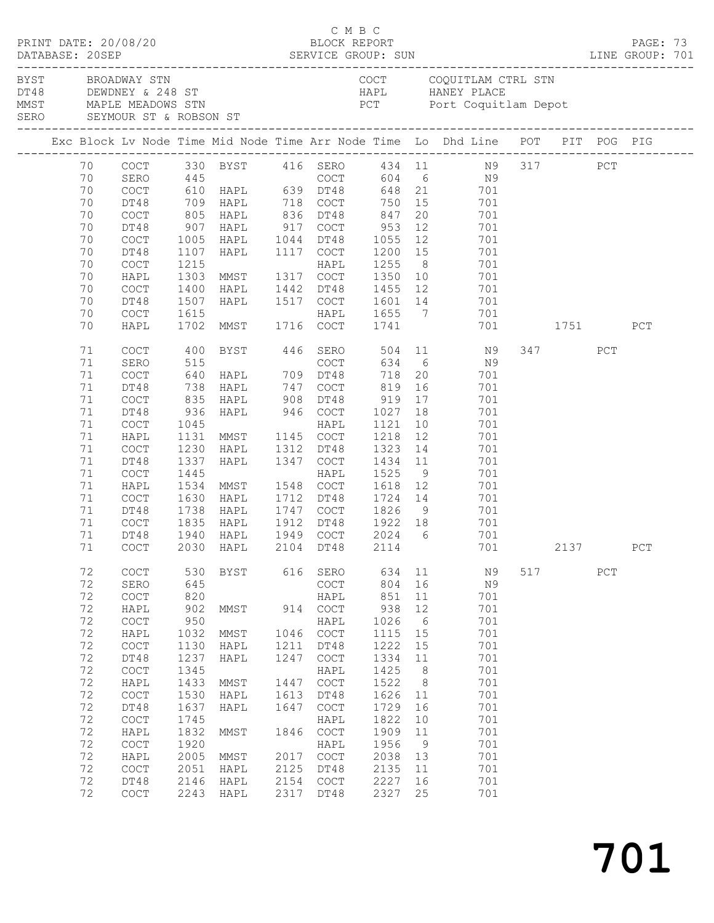| PRINT DATE: 20/08/20<br>DATABASE: 20SEP |  |                                                                                                                |                                                                                                                                                                                            |                                                                                                                                                 |                                                                                                                                                                                                                  |                                                                                                    | C M B C<br>BLOCK REPORT                                                                                                                                                                    |                                                                                                                                                     |                                                                                                                    | PAGE: 73                                                                                                                                                                                                            |     |                 |     |            |  |
|-----------------------------------------|--|----------------------------------------------------------------------------------------------------------------|--------------------------------------------------------------------------------------------------------------------------------------------------------------------------------------------|-------------------------------------------------------------------------------------------------------------------------------------------------|------------------------------------------------------------------------------------------------------------------------------------------------------------------------------------------------------------------|----------------------------------------------------------------------------------------------------|--------------------------------------------------------------------------------------------------------------------------------------------------------------------------------------------|-----------------------------------------------------------------------------------------------------------------------------------------------------|--------------------------------------------------------------------------------------------------------------------|---------------------------------------------------------------------------------------------------------------------------------------------------------------------------------------------------------------------|-----|-----------------|-----|------------|--|
|                                         |  |                                                                                                                | BYST BROADWAY STN                                                                                                                                                                          |                                                                                                                                                 | DT48 DEWDNEY & 248 ST<br>MMST MAPLE MEADOWS STN<br>SERO SEYMOUR ST & ROBSON ST                                                                                                                                   |                                                                                                    |                                                                                                                                                                                            |                                                                                                                                                     |                                                                                                                    | COCT COQUITLAM CTRL STN<br>HAPL HANEY PLACE<br>PCT Port Coquitlam Depot                                                                                                                                             |     |                 |     |            |  |
|                                         |  |                                                                                                                |                                                                                                                                                                                            |                                                                                                                                                 |                                                                                                                                                                                                                  |                                                                                                    |                                                                                                                                                                                            |                                                                                                                                                     |                                                                                                                    | Exc Block Lv Node Time Mid Node Time Arr Node Time Lo Dhd Line POT PIT POG PIG                                                                                                                                      |     |                 |     |            |  |
|                                         |  | 70<br>70<br>70<br>70<br>70<br>70<br>70<br>70<br>70<br>70<br>70<br>70                                           | DT48<br>COCT<br>DT48<br>COCT<br>DT48<br>COCT<br>HAPL<br>COCT<br>DT48                                                                                                                       | 1107<br>1400<br>1507                                                                                                                            | 709 HAPL       718   COCT<br>805   HAPL        836   DT48<br>907   HAPL        917   COCT<br>1005 HAPL 1044 DT48<br>HAPL<br>1215 HAPL<br>1303 MMST 1317 COCT<br>HAPL<br>HAPL                                     |                                                                                                    | 1117 COCT<br>1442 DT48<br>1517 COCT                                                                                                                                                        | 750 15<br>847<br>953<br>1055<br>1200 15<br>1255<br>1350<br>1455 12<br>1601 14                                                                       | 20<br>12<br>12<br>8 <sup>8</sup>                                                                                   | COCT 330 BYST 416 SERO 434 11 N9 317 PCT<br>SERO 445 COCT 604 6 N9<br>COCT 610 HAPL 639 DT48 648 21 701<br>701<br>701<br>701<br>701<br>701<br>701<br>$\begin{array}{c}\n10 \\ 10\n\end{array}$<br>701<br>701<br>701 |     |                 |     |            |  |
|                                         |  | 70                                                                                                             | COCT                                                                                                                                                                                       | 1615                                                                                                                                            |                                                                                                                                                                                                                  |                                                                                                    | HAPL                                                                                                                                                                                       | $\begin{array}{c}\n1655 \\ 1741\n\end{array}$                                                                                                       |                                                                                                                    | 701                                                                                                                                                                                                                 |     |                 |     |            |  |
|                                         |  | 70<br>71<br>71<br>71<br>71<br>71<br>71<br>71<br>71<br>71<br>71<br>71<br>71<br>71<br>71<br>71<br>71<br>$71\,$   | HAPL<br>COCT<br>SERO<br>COCT<br>DT48<br>COCT<br>DT48<br>COCT<br>HAPL<br>COCT<br>DT48<br>COCT<br>HAPL<br>COCT<br>DT48<br>COCT<br>DT48                                                       | 400<br>835<br>936<br>1045<br>1131<br>1230<br>1337<br>1445<br>1630<br>1738<br>1835                                                               | 1702 MMST 1716 COCT<br>BYST 446 SERO<br>738 HAPL 747<br>HAPL 908<br>HAPL 946 COCT<br>MMST 1145 COCT<br>HAPL<br>HAPL<br>1534 MMST 1548 COCT<br>HAPL<br>HAPL<br>HAPL<br>1940 HAPL<br>COCT 2030 HAPL 2104 DT48 2114 |                                                                                                    | COCT<br>DT48<br>HAPL<br>1312 DT48<br>1347 COCT<br>HAPL<br>1712 DT48<br>1747 COCT<br>1912 DT48<br>1949 COCT                                                                                 | 1741<br>$634$ 6<br>718<br>819<br>919<br>1027 18<br>1121<br>1218<br>1323<br>1434<br>1525<br>1618<br>1724 14<br>1826<br>1922 18<br>2024 6             | 20<br>16<br>17<br>10<br>12<br>14<br>11<br>9<br>12                                                                  | 701 1751<br>504 11 N9<br>N9<br>701<br>701<br>701<br>701<br>701<br>701<br>701<br>701<br>701<br>701<br>701<br>9<br>701<br>$701$<br>701                                                                                |     | 347<br>701 2137 | PCT | PCT<br>PCT |  |
|                                         |  | 72<br>72<br>72<br>72<br>72<br>72<br>72<br>72<br>72<br>72<br>72<br>72<br>72<br>72<br>72<br>72<br>72<br>72<br>72 | COCT<br>SERO<br>COCT<br>HAPL<br>COCT<br>HAPL<br>COCT<br>DT48<br>COCT<br>HAPL<br>$\mathtt{C}\mathtt{O}\mathtt{C}\mathtt{T}$<br>DT48<br>COCT<br>HAPL<br>COCT<br>HAPL<br>COCT<br>DT48<br>COCT | 530<br>645<br>820<br>902<br>950<br>1032<br>1130<br>1237<br>1345<br>1433<br>1530<br>1637<br>1745<br>1832<br>1920<br>2005<br>2051<br>2146<br>2243 | BYST<br>MMST<br>MMST<br>HAPL<br>HAPL<br>MMST<br>HAPL<br>HAPL<br>MMST<br>MMST<br>HAPL<br>HAPL<br>HAPL                                                                                                             | 616<br>914<br>1046<br>1211<br>1247<br>1447<br>1613<br>1647<br>1846<br>2017<br>2125<br>2154<br>2317 | SERO<br>COCT<br>HAPL<br>COCT<br>HAPL<br>COCT<br>DT48<br>COCT<br>HAPL<br>COCT<br>DT48<br>COCT<br>HAPL<br>COCT<br>HAPL<br>$\mathtt{C}\mathtt{O}\mathtt{C}\mathtt{T}$<br>DT48<br>COCT<br>DT48 | 634<br>804<br>851<br>938<br>1026<br>1115<br>1222<br>1334<br>1425<br>1522<br>1626<br>1729<br>1822<br>1909<br>1956<br>2038<br>2135<br>2227<br>2327 25 | 11<br>16<br>11<br>12<br>$6\overline{6}$<br>15<br>15<br>11<br>8<br>8<br>11<br>16<br>10<br>11<br>9<br>13<br>11<br>16 | N9<br>N9<br>701<br>701<br>701<br>701<br>701<br>701<br>701<br>701<br>701<br>701<br>701<br>701<br>701<br>701<br>701<br>701<br>701                                                                                     | 517 |                 | PCT |            |  |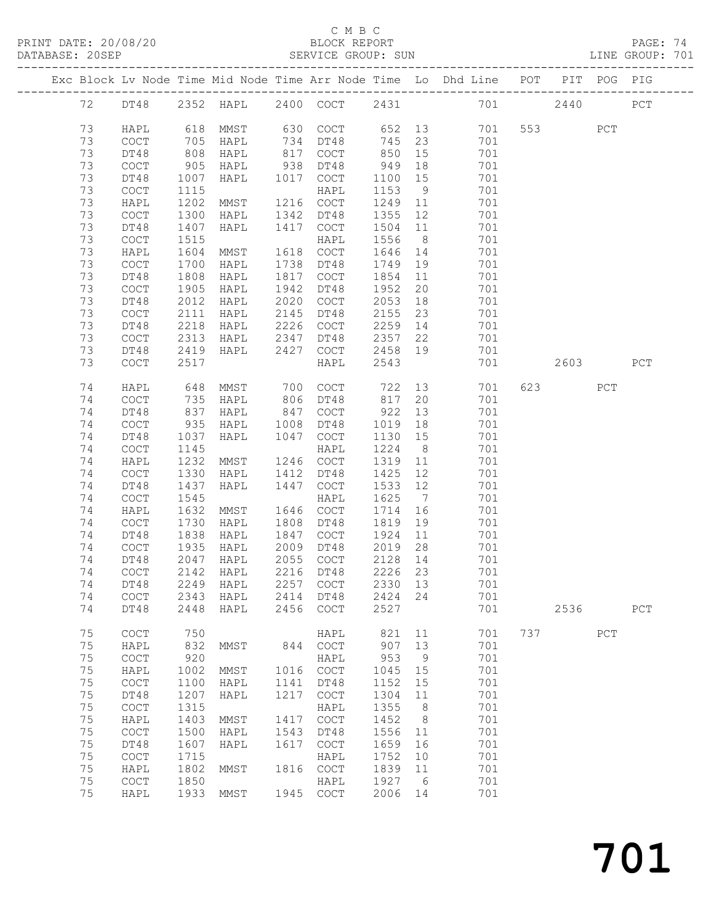PRINT DATE: 20/08/20 BLOCK REPORT PAGE: 74

#### C M B C

| DATABASE: 20SEP |    |                                            |                   |                                |      | SERVICE GROUP: SUN   |         |                |                                                                                |       |     | LINE GROUP: 701 |
|-----------------|----|--------------------------------------------|-------------------|--------------------------------|------|----------------------|---------|----------------|--------------------------------------------------------------------------------|-------|-----|-----------------|
|                 |    |                                            |                   |                                |      |                      |         |                | Exc Block Lv Node Time Mid Node Time Arr Node Time Lo Dhd Line POT PIT POG PIG |       |     |                 |
|                 | 72 |                                            |                   |                                |      |                      |         |                | DT48 2352 HAPL 2400 COCT 2431 701 2440 PCT                                     |       |     |                 |
|                 | 73 | HAPL                                       | 618               | MMST 630 COCT                  |      |                      |         |                | 652 13<br>701                                                                  | 553 3 | PCT |                 |
|                 | 73 | $\mathtt{C}\mathtt{O}\mathtt{C}\mathtt{T}$ |                   | HAPL                           |      |                      | 745     | 23             | 701                                                                            |       |     |                 |
|                 | 73 | DT48                                       | 705<br>808        | HAPL                           |      | 734 DT48<br>817 COCT | 850     | 15             | 701                                                                            |       |     |                 |
|                 | 73 | COCT                                       | 905               | HAPL                           |      | 938 DT48             | 949     | 18             | 701                                                                            |       |     |                 |
|                 | 73 | DT48                                       | 1007              | HAPL 1017 COCT                 |      |                      | 1100    | 15             | 701                                                                            |       |     |                 |
|                 | 73 | $\mathtt{C}\mathtt{O}\mathtt{C}\mathtt{T}$ | 1115              |                                |      | HAPL                 | 1153    | 9              | 701                                                                            |       |     |                 |
|                 | 73 | HAPL                                       | 1202              | MMST                           |      | 1216 COCT            | 1249 11 |                | 701                                                                            |       |     |                 |
|                 | 73 | COCT                                       | 1300              | HAPL                           | 1342 | DT48                 | 1355    | 12             | 701                                                                            |       |     |                 |
|                 | 73 | DT48                                       | 1407              | HAPL                           | 1417 | COCT                 | 1504    | 11             | 701                                                                            |       |     |                 |
|                 | 73 | COCT                                       | 1515              |                                |      | HAPL                 | 1556    | 8 <sup>8</sup> | 701                                                                            |       |     |                 |
|                 | 73 | HAPL                                       | 1604              | MMST                           |      | 1618 COCT            | 1646    | 14             | 701                                                                            |       |     |                 |
|                 | 73 | COCT                                       | 1700              | HAPL                           |      | 1738 DT48            | 1749    | 19             | 701                                                                            |       |     |                 |
|                 | 73 | DT48                                       | 1808              | HAPL                           |      | 1817 COCT            | 1854    | 11             | 701                                                                            |       |     |                 |
|                 | 73 | COCT                                       | 1905              | HAPL                           |      | 1942 DT48            | 1952    | 20             | 701                                                                            |       |     |                 |
|                 | 73 | DT48                                       | 2012              | HAPL                           |      | 2020 COCT            | 2053    | 18             | 701                                                                            |       |     |                 |
|                 | 73 | COCT                                       | 2111              | HAPL                           | 2145 | DT48                 | 2155    | 23             | 701                                                                            |       |     |                 |
|                 | 73 | DT48                                       | 2218              | HAPL                           |      | 2226 COCT            | 2259    | 14             | 701                                                                            |       |     |                 |
|                 | 73 | COCT                                       | 2313              | HAPL                           | 2347 | DT48                 | 2357 22 |                | 701                                                                            |       |     |                 |
|                 | 73 | DT48                                       | 2419              | HAPL                           | 2427 | COCT                 | 2458 19 |                | 701                                                                            |       |     |                 |
|                 | 73 |                                            | 2517              |                                |      |                      | 2543    |                | 701                                                                            | 2603  |     | PCT             |
|                 |    | COCT                                       |                   |                                |      | HAPL                 |         |                |                                                                                |       |     |                 |
|                 | 74 | HAPL                                       | 648<br>735<br>837 | MMST 700 COCT<br>HAPL 806 DT48 |      |                      | 722     | 13             | 701                                                                            | 623   | PCT |                 |
|                 | 74 | COCT                                       |                   | HAPL                           |      |                      | 817     | 20             | 701                                                                            |       |     |                 |
|                 | 74 | DT48                                       |                   | HAPL                           |      | 847 COCT             | 922     | 13             | 701                                                                            |       |     |                 |
|                 | 74 | <b>COCT</b>                                | 935               | HAPL                           | 1008 | DT48                 | 1019    | 18             | 701                                                                            |       |     |                 |
|                 | 74 | DT48                                       | 1037              | HAPL                           | 1047 | COCT                 | 1130    | 15             | 701                                                                            |       |     |                 |
|                 | 74 | $\mathtt{C}\mathtt{O}\mathtt{C}\mathtt{T}$ | 1145              |                                |      | HAPL                 | 1224    | 8 <sup>8</sup> | 701                                                                            |       |     |                 |
|                 | 74 | HAPL                                       | 1232              | MMST                           |      | 1246 COCT            | 1319    | 11             | 701                                                                            |       |     |                 |
|                 | 74 | COCT                                       | 1330              | HAPL                           |      | 1412 DT48            | 1425    | 12             | 701                                                                            |       |     |                 |
|                 | 74 | DT48                                       | 1437              | HAPL                           | 1447 | COCT                 | 1533    | 12             | 701                                                                            |       |     |                 |
|                 | 74 | $\mathtt{C}\mathtt{O}\mathtt{C}\mathtt{T}$ | 1545              |                                |      | HAPL                 | 1625    | $\overline{7}$ | 701                                                                            |       |     |                 |
|                 | 74 | HAPL                                       | 1632              | MMST                           |      | 1646 COCT            | 1714    | 16             | 701                                                                            |       |     |                 |
|                 | 74 | COCT                                       | 1730              | HAPL                           |      | 1808 DT48            | 1819    | 19             | 701                                                                            |       |     |                 |
|                 | 74 | DT48                                       | 1838              | HAPL                           |      | 1847 COCT            | 1924    | 11             | 701                                                                            |       |     |                 |
|                 | 74 | COCT                                       | 1935<br>2047      | HAPL                           |      | 2009 DT48            | 2019 28 |                | 701                                                                            |       |     |                 |
|                 | 74 | DT48                                       |                   | HAPL                           |      | 2055 COCT            | 2128 14 |                | 701                                                                            |       |     |                 |
|                 |    |                                            |                   |                                |      |                      |         |                | 701                                                                            |       |     |                 |
|                 | 74 | DT48                                       | 2249              | HAPL                           |      | 2257 COCT            | 2330 13 |                | 701                                                                            |       |     |                 |
|                 | 74 | COCT                                       | 2343              | HAPL                           |      | 2414 DT48            | 2424 24 |                | 701                                                                            |       |     |                 |
|                 | 74 | DT48                                       | 2448              | HAPL                           |      | 2456 COCT            | 2527    |                | 701                                                                            | 2536  |     | PCT             |
|                 | 75 | COCT                                       | 750               |                                |      | HAPL                 | 821     | 11             | 701                                                                            | 737   | PCT |                 |
|                 | 75 | HAPL                                       | 832               | MMST                           |      | 844 COCT             | 907     | 13             | 701                                                                            |       |     |                 |
|                 | 75 | $\mathtt{C}\mathtt{O}\mathtt{C}\mathtt{T}$ | 920               |                                |      | HAPL                 | 953     | 9              | 701                                                                            |       |     |                 |
|                 | 75 | HAPL                                       | 1002              | MMST                           |      | 1016 COCT            | 1045 15 |                | 701                                                                            |       |     |                 |
|                 | 75 | $\mathtt{C}\mathtt{O}\mathtt{C}\mathtt{T}$ | 1100              | HAPL                           | 1141 | DT48                 | 1152    | 15             | 701                                                                            |       |     |                 |
|                 | 75 | DT48                                       | 1207              | HAPL                           | 1217 | COCT                 | 1304    | 11             | 701                                                                            |       |     |                 |
|                 | 75 | COCT                                       | 1315              |                                |      | HAPL                 | 1355    | 8 <sup>8</sup> | 701                                                                            |       |     |                 |
|                 | 75 | HAPL                                       | 1403              | MMST                           | 1417 | COCT                 | 1452    | 8              | 701                                                                            |       |     |                 |
|                 | 75 | $\mathtt{C}\mathtt{O}\mathtt{C}\mathtt{T}$ | 1500              | HAPL                           | 1543 | DT48                 | 1556    | 11             | 701                                                                            |       |     |                 |
|                 | 75 | DT48                                       | 1607              | HAPL                           | 1617 | COCT                 | 1659    | 16             | 701                                                                            |       |     |                 |
|                 | 75 | COCT                                       | 1715              |                                |      | HAPL                 | 1752    | 10             | 701                                                                            |       |     |                 |
|                 | 75 | HAPL                                       | 1802              | MMST                           |      | 1816 COCT            | 1839    | 11             | 701                                                                            |       |     |                 |
|                 | 75 | $\mathtt{C}\mathtt{O}\mathtt{C}\mathtt{T}$ | 1850              |                                |      | HAPL                 | 1927    | 6              | 701                                                                            |       |     |                 |
|                 | 75 | HAPL                                       | 1933              | MMST                           |      | 1945 COCT            | 2006 14 |                | 701                                                                            |       |     |                 |
|                 |    |                                            |                   |                                |      |                      |         |                |                                                                                |       |     |                 |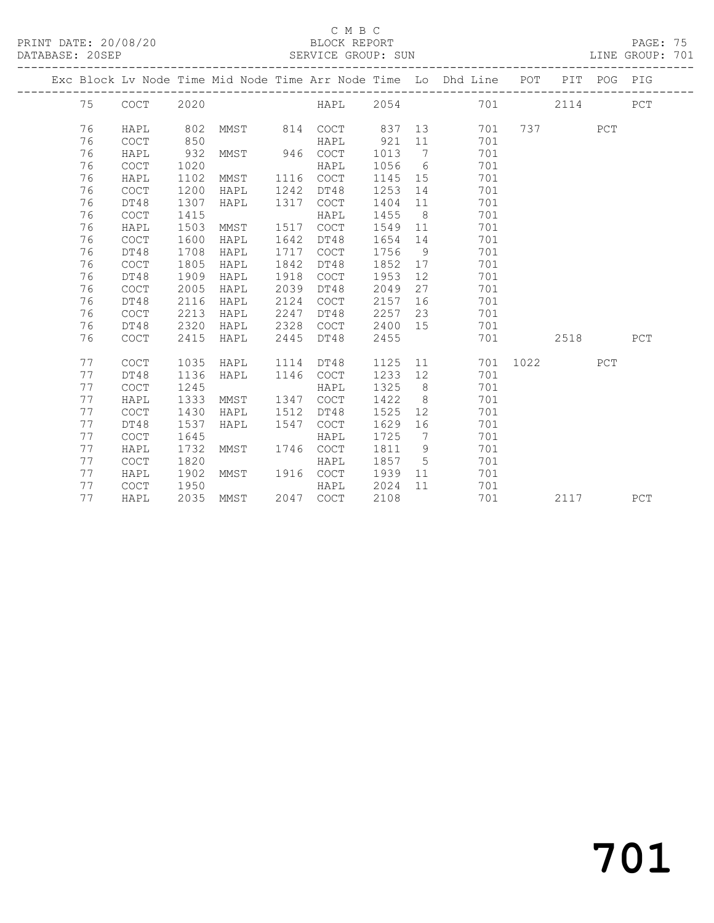PRINT DATE: 20/08/20 BLOCK REPORT BATABASE: 20SEP

#### C M B C<br>BLOCK REPORT

PAGE: 75<br>LINE GROUP: 701

|  |    |                                            |      |      |      |             |      |     | Exc Block Lv Node Time Mid Node Time Arr Node Time Lo Dhd Line | POT  |      | PIT POG PIG |     |
|--|----|--------------------------------------------|------|------|------|-------------|------|-----|----------------------------------------------------------------|------|------|-------------|-----|
|  | 75 | $\mathtt{C}\mathtt{O}\mathtt{C}\mathtt{T}$ | 2020 |      |      | HAPL        | 2054 |     | 701                                                            |      | 2114 |             | PCT |
|  | 76 | HAPL                                       | 802  | MMST | 814  | <b>COCT</b> | 837  | 13  | 701                                                            | 737  |      | PCT         |     |
|  | 76 | COCT                                       | 850  |      |      | HAPL        | 921  | 11  | 701                                                            |      |      |             |     |
|  | 76 | HAPL                                       | 932  | MMST | 946  | <b>COCT</b> | 1013 | 7   | 701                                                            |      |      |             |     |
|  | 76 | <b>COCT</b>                                | 1020 |      |      | HAPL        | 1056 | 6   | 701                                                            |      |      |             |     |
|  | 76 | HAPL                                       | 1102 | MMST | 1116 | COCT        | 1145 | 15  | 701                                                            |      |      |             |     |
|  | 76 | $\mathtt{C}\mathtt{O}\mathtt{C}\mathtt{T}$ | 1200 | HAPL | 1242 | DT48        | 1253 | 14  | 701                                                            |      |      |             |     |
|  | 76 | DT48                                       | 1307 | HAPL | 1317 | COCT        | 1404 | 11  | 701                                                            |      |      |             |     |
|  | 76 | COCT                                       | 1415 |      |      | HAPL        | 1455 | 8   | 701                                                            |      |      |             |     |
|  | 76 | HAPL                                       | 1503 | MMST | 1517 | <b>COCT</b> | 1549 | 11  | 701                                                            |      |      |             |     |
|  | 76 | <b>COCT</b>                                | 1600 | HAPL | 1642 | DT48        | 1654 | 14  | 701                                                            |      |      |             |     |
|  | 76 | DT48                                       | 1708 | HAPL | 1717 | COCT        | 1756 | 9   | 701                                                            |      |      |             |     |
|  | 76 | $\mathtt{C}\mathtt{O}\mathtt{C}\mathtt{T}$ | 1805 | HAPL | 1842 | DT48        | 1852 | 17  | 701                                                            |      |      |             |     |
|  | 76 | DT48                                       | 1909 | HAPL | 1918 | COCT        | 1953 | 12  | 701                                                            |      |      |             |     |
|  | 76 | COCT                                       | 2005 | HAPL | 2039 | DT48        | 2049 | 27  | 701                                                            |      |      |             |     |
|  | 76 | DT48                                       | 2116 | HAPL | 2124 | COCT        | 2157 | 16  | 701                                                            |      |      |             |     |
|  | 76 | <b>COCT</b>                                | 2213 | HAPL | 2247 | DT48        | 2257 | 23  | 701                                                            |      |      |             |     |
|  | 76 | DT48                                       | 2320 | HAPL | 2328 | <b>COCT</b> | 2400 | 15  | 701                                                            |      |      |             |     |
|  | 76 | <b>COCT</b>                                | 2415 | HAPL | 2445 | DT48        | 2455 |     | 701                                                            |      | 2518 |             | PCT |
|  | 77 | COCT                                       | 1035 | HAPL | 1114 | DT48        | 1125 | 11  | 701                                                            | 1022 |      | PCT         |     |
|  | 77 | DT48                                       | 1136 | HAPL | 1146 | COCT        | 1233 | 12  | 701                                                            |      |      |             |     |
|  | 77 | <b>COCT</b>                                | 1245 |      |      | HAPL        | 1325 | 8   | 701                                                            |      |      |             |     |
|  | 77 | HAPL                                       | 1333 | MMST | 1347 | <b>COCT</b> | 1422 | - 8 | 701                                                            |      |      |             |     |
|  | 77 | COCT                                       | 1430 | HAPL | 1512 | DT48        | 1525 | 12  | 701                                                            |      |      |             |     |
|  | 77 | DT48                                       | 1537 | HAPL | 1547 | <b>COCT</b> | 1629 | 16  | 701                                                            |      |      |             |     |
|  | 77 | $\mathtt{C}\mathtt{O}\mathtt{C}\mathtt{T}$ | 1645 |      |      | HAPL        | 1725 | 7   | 701                                                            |      |      |             |     |
|  | 77 | HAPL                                       | 1732 | MMST | 1746 | COCT        | 1811 | 9   | 701                                                            |      |      |             |     |
|  | 77 | <b>COCT</b>                                | 1820 |      |      | HAPL        | 1857 | 5   | 701                                                            |      |      |             |     |
|  | 77 | HAPL                                       | 1902 | MMST | 1916 | COCT        | 1939 | 11  | 701                                                            |      |      |             |     |
|  | 77 | COCT                                       | 1950 |      |      | HAPL        | 2024 | 11  | 701                                                            |      |      |             |     |
|  | 77 | HAPL                                       | 2035 | MMST | 2047 | COCT        | 2108 |     | 701                                                            |      | 2117 |             | PCT |
|  |    |                                            |      |      |      |             |      |     |                                                                |      |      |             |     |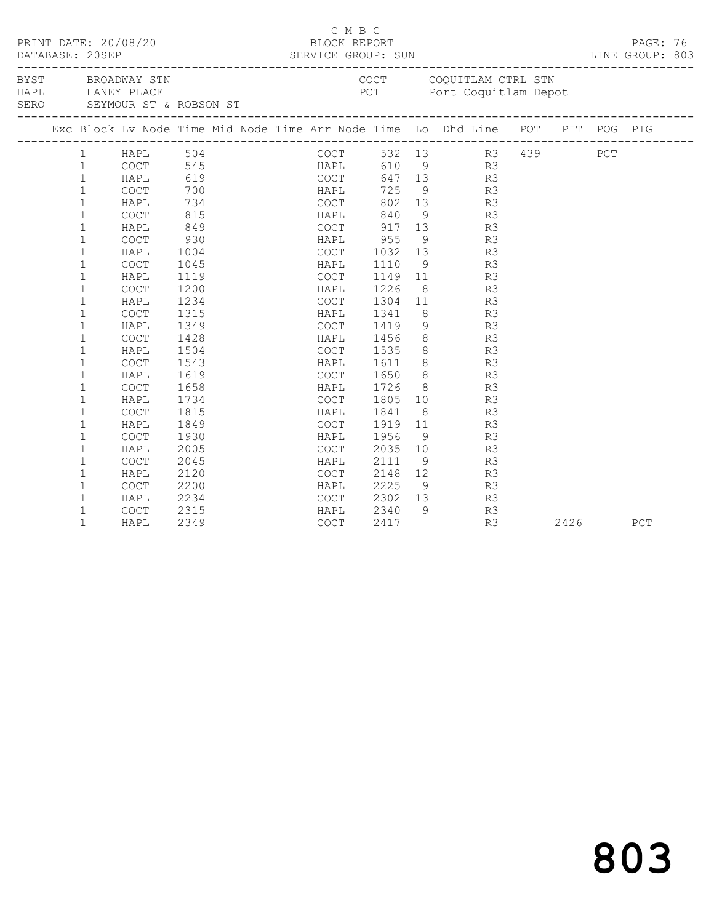|      | PRINT DATE: 20/08/20<br>DATABASE: 20SEP |              |             |      |                             |  | C M B C<br>BLOCK REPORT |      | PAGE: 76<br>LINE GROUP: 803 |                                                                                                |  |      |     |  |
|------|-----------------------------------------|--------------|-------------|------|-----------------------------|--|-------------------------|------|-----------------------------|------------------------------------------------------------------------------------------------|--|------|-----|--|
| SERO |                                         |              |             |      | SEYMOUR ST & ROBSON ST      |  |                         |      |                             | BYST BROADWAY STN COUL CONSUMERS BYST BROADWAY STN COULL CONSUMERS TO POT POTT COQUITIAM Depot |  |      |     |  |
|      |                                         |              |             |      |                             |  |                         |      |                             | Exc Block Lv Node Time Mid Node Time Arr Node Time Lo Dhd Line POT PIT POG PIG                 |  |      |     |  |
|      |                                         | 1            | HAPL 504    |      |                             |  | COCT                    |      |                             | 532 13 R3 439 PCT                                                                              |  |      |     |  |
|      |                                         | $\mathbf{1}$ | COCT        |      | 545<br>545 HAPL<br>619 COCT |  | HAPL                    | 610  |                             | $\overline{9}$ R3                                                                              |  |      |     |  |
|      |                                         | $\mathbf{1}$ | HAPL        |      |                             |  |                         |      |                             | 647 13<br>R3                                                                                   |  |      |     |  |
|      |                                         | $\mathbf{1}$ | <b>COCT</b> | 700  |                             |  | HAPL                    | 725  |                             | $9 \left( \frac{1}{2} \right)$<br>R3                                                           |  |      |     |  |
|      |                                         | $\mathbf 1$  | HAPL        | 734  |                             |  | COCT                    | 802  |                             | 13<br>R3                                                                                       |  |      |     |  |
|      |                                         | $\mathbf{1}$ | COCT        | 815  |                             |  | HAPL                    | 840  |                             | $\frac{9}{13}$<br>R3                                                                           |  |      |     |  |
|      |                                         | $\mathbf{1}$ | HAPL        | 849  |                             |  | COCT                    | 917  |                             | R3                                                                                             |  |      |     |  |
|      |                                         | $\mathbf{1}$ | COCT        | 930  |                             |  | HAPL                    | 955  |                             | $9 \left( \frac{1}{2} \right)$<br>R3                                                           |  |      |     |  |
|      |                                         | $\mathbf{1}$ | HAPL        | 1004 |                             |  | <b>COCT</b>             |      |                             | 1032 13<br>R3                                                                                  |  |      |     |  |
|      |                                         | $\mathbf{1}$ | COCT        | 1045 |                             |  | HAPL                    | 1110 |                             | 9<br>R3                                                                                        |  |      |     |  |
|      |                                         | $\mathbf 1$  | HAPL        | 1119 |                             |  | COCT                    | 1149 |                             | 11<br>R3                                                                                       |  |      |     |  |
|      |                                         | $\mathbf{1}$ | COCT        | 1200 |                             |  | HAPL                    | 1226 | 8 <sup>8</sup>              | R3                                                                                             |  |      |     |  |
|      |                                         | $\mathbf 1$  | HAPL        | 1234 |                             |  | COCT                    | 1304 | 11                          | R3                                                                                             |  |      |     |  |
|      |                                         | $\mathbf 1$  | <b>COCT</b> | 1315 |                             |  | HAPL                    | 1341 | 8 <sup>8</sup>              | R3                                                                                             |  |      |     |  |
|      |                                         | $\mathbf 1$  | HAPL        | 1349 |                             |  | COCT                    | 1419 | 9                           | R3                                                                                             |  |      |     |  |
|      |                                         | $\mathbf 1$  | COCT        | 1428 |                             |  | HAPL                    | 1456 |                             | $8 - 8$<br>R3                                                                                  |  |      |     |  |
|      |                                         | $\mathbf{1}$ | HAPL        | 1504 |                             |  | COCT                    | 1535 |                             | $\begin{array}{c} 8 \\ 8 \end{array}$<br>R3                                                    |  |      |     |  |
|      |                                         | $\mathbf 1$  | COCT        | 1543 |                             |  | HAPL                    | 1611 |                             | R3                                                                                             |  |      |     |  |
|      |                                         | $\mathbf 1$  | HAPL        | 1619 |                             |  | COCT                    | 1650 |                             | $8 \t\t R3$                                                                                    |  |      |     |  |
|      |                                         | $\mathbf 1$  | COCT        | 1658 |                             |  | HAPL                    | 1726 |                             | $8 - 1$<br>R3                                                                                  |  |      |     |  |
|      |                                         | $\mathbf 1$  | HAPL        | 1734 |                             |  | COCT                    | 1805 |                             | 10<br>R3                                                                                       |  |      |     |  |
|      |                                         | $\mathbf 1$  | COCT        | 1815 |                             |  | HAPL                    | 1841 |                             | $8 - 8$<br>R3                                                                                  |  |      |     |  |
|      |                                         | $\mathbf 1$  | HAPL        | 1849 |                             |  | COCT                    | 1919 | 11                          | R3                                                                                             |  |      |     |  |
|      |                                         | $\mathbf 1$  | COCT        | 1930 |                             |  | HAPL                    | 1956 | 9 <sup>°</sup>              | R3                                                                                             |  |      |     |  |
|      |                                         | $\mathbf{1}$ | HAPL        | 2005 |                             |  | COCT                    | 2035 | 10                          | R3                                                                                             |  |      |     |  |
|      |                                         | $\mathbf{1}$ | COCT        | 2045 |                             |  | HAPL                    | 2111 | 9                           | R3                                                                                             |  |      |     |  |
|      |                                         | $\mathbf 1$  | HAPL        | 2120 |                             |  | COCT                    | 2148 | 12                          | R3                                                                                             |  |      |     |  |
|      |                                         | $\mathbf 1$  | COCT        | 2200 |                             |  | HAPL                    | 2225 |                             | $\frac{1}{9}$<br>R3                                                                            |  |      |     |  |
|      |                                         | 1            | HAPL        | 2234 |                             |  | COCT                    | 2302 |                             | R3                                                                                             |  |      |     |  |
|      |                                         | $\mathbf 1$  | <b>COCT</b> | 2315 |                             |  | HAPL                    | 2340 | 9                           | R3                                                                                             |  |      |     |  |
|      |                                         | $\mathbf{1}$ | HAPL        | 2349 |                             |  | COCT                    | 2417 |                             | R3                                                                                             |  | 2426 | PCT |  |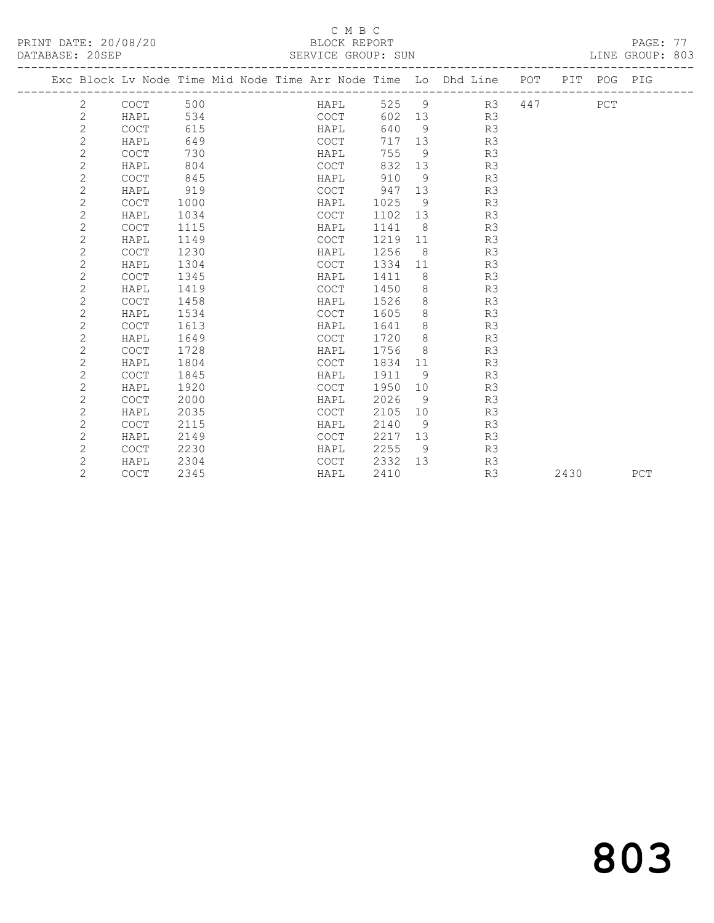PRINT DATE: 20/08/20 BLOCK REPORT<br>
DATABASE: 20SEP<br>
SERVICE GROUP: SUN

#### C M B C<br>BLOCK REPORT

PAGE: 77<br>LINE GROUP: 803

| DAIADAOE. 400EL |                |                                                                                |      |  | ODIVATOR GIVOLI . DOM |             |                |                  |    |              |      |     |
|-----------------|----------------|--------------------------------------------------------------------------------|------|--|-----------------------|-------------|----------------|------------------|----|--------------|------|-----|
|                 |                | Exc Block Lv Node Time Mid Node Time Arr Node Time Lo Dhd Line POT PIT POG PIG |      |  |                       |             |                |                  |    |              |      |     |
|                 | 2 COCT         |                                                                                | 500  |  | <b>HAPL</b>           |             |                |                  |    | 525 9 R3 447 | PCT  |     |
|                 | 2              | HAPL                                                                           | 534  |  | COCT                  |             |                | 602 13 R3        |    |              |      |     |
|                 | $\mathbf{2}$   | <b>COCT</b>                                                                    | 615  |  | HAPL                  | 640         | 9              |                  | R3 |              |      |     |
|                 | $\mathbf{2}$   | HAPL                                                                           | 649  |  | COCT                  | 717 13      |                |                  | R3 |              |      |     |
|                 | $\overline{c}$ | <b>COCT</b>                                                                    | 730  |  | HAPL                  | 755         | 9              |                  | R3 |              |      |     |
|                 | $\overline{c}$ | HAPL                                                                           | 804  |  | COCT                  | 832         | 13             |                  | R3 |              |      |     |
|                 | $\overline{c}$ | <b>COCT</b>                                                                    | 845  |  | HAPL                  | 910         | - 9            |                  | R3 |              |      |     |
|                 | $\mathbf{2}$   | HAPL                                                                           | 919  |  |                       | COCT 947 13 |                |                  | R3 |              |      |     |
|                 | $\mathbf{2}$   | COCT                                                                           | 1000 |  |                       | HAPL 1025   | 9              |                  | R3 |              |      |     |
|                 | $\overline{c}$ | HAPL                                                                           | 1034 |  | COCT                  | 1102 13     |                |                  | R3 |              |      |     |
|                 | $\overline{c}$ | <b>COCT</b>                                                                    | 1115 |  | HAPL                  | 1141        | 8 <sup>8</sup> |                  | R3 |              |      |     |
|                 | $\overline{c}$ | HAPL                                                                           | 1149 |  | COCT                  | 1219        | 11             |                  | R3 |              |      |     |
|                 | $\mathbf{2}$   | <b>COCT</b>                                                                    | 1230 |  | HAPL                  | 1256        |                | 8                | R3 |              |      |     |
|                 | $\mathbf{2}$   | HAPL                                                                           | 1304 |  | COCT                  | 1334        | 11             |                  | R3 |              |      |     |
|                 | $\overline{c}$ | <b>COCT</b>                                                                    | 1345 |  | HAPL                  | 1411        | 8 <sup>8</sup> |                  | R3 |              |      |     |
|                 | $\overline{c}$ | HAPL                                                                           | 1419 |  | COCT                  | 1450        | 8 <sup>8</sup> |                  | R3 |              |      |     |
|                 | $\overline{c}$ | <b>COCT</b>                                                                    | 1458 |  | HAPL                  | 1526        | 8              |                  | R3 |              |      |     |
|                 | $\mathbf{2}$   | HAPL                                                                           | 1534 |  | <b>COCT</b>           | 1605        |                | 8                | R3 |              |      |     |
|                 | 2              | <b>COCT</b>                                                                    | 1613 |  | HAPL                  | 1641        |                | $8 \overline{)}$ | R3 |              |      |     |
|                 | 2              | HAPL                                                                           | 1649 |  | COCT                  | 1720        |                | 8 <sup>8</sup>   | R3 |              |      |     |
|                 | $\mathbf{2}$   | <b>COCT</b>                                                                    | 1728 |  | HAPL                  | 1756        | 8 <sup>1</sup> |                  | R3 |              |      |     |
|                 | $\overline{c}$ | HAPL                                                                           | 1804 |  | COCT                  | 1834        | 11             |                  | R3 |              |      |     |
|                 | $\overline{c}$ | <b>COCT</b>                                                                    | 1845 |  | HAPL                  | 1911        | 9 <sup>°</sup> |                  | R3 |              |      |     |
|                 | $\mathbf{2}$   | HAPL                                                                           | 1920 |  | COCT                  | 1950        | 10             |                  | R3 |              |      |     |
|                 | $\mathbf{2}$   | <b>COCT</b>                                                                    | 2000 |  | HAPL                  | 2026        | - 9            |                  | R3 |              |      |     |
|                 | 2              | HAPL                                                                           | 2035 |  | COCT                  | 2105        | 10             |                  | R3 |              |      |     |
|                 | $\overline{c}$ | <b>COCT</b>                                                                    | 2115 |  | HAPL                  | 2140        | 9              |                  | R3 |              |      |     |
|                 | $\mathbf{2}$   | HAPL                                                                           | 2149 |  | COCT                  | 2217        | 13             |                  | R3 |              |      |     |
|                 | $\overline{c}$ | <b>COCT</b>                                                                    | 2230 |  | HAPL                  | 2255        | 9              |                  | R3 |              |      |     |
|                 | 2              | HAPL                                                                           | 2304 |  | COCT                  | 2332        |                | 13               | R3 |              |      |     |
|                 | $\overline{2}$ | <b>COCT</b>                                                                    | 2345 |  | HAPL                  | 2410        |                |                  | R3 |              | 2430 | PCT |
|                 |                |                                                                                |      |  |                       |             |                |                  |    |              |      |     |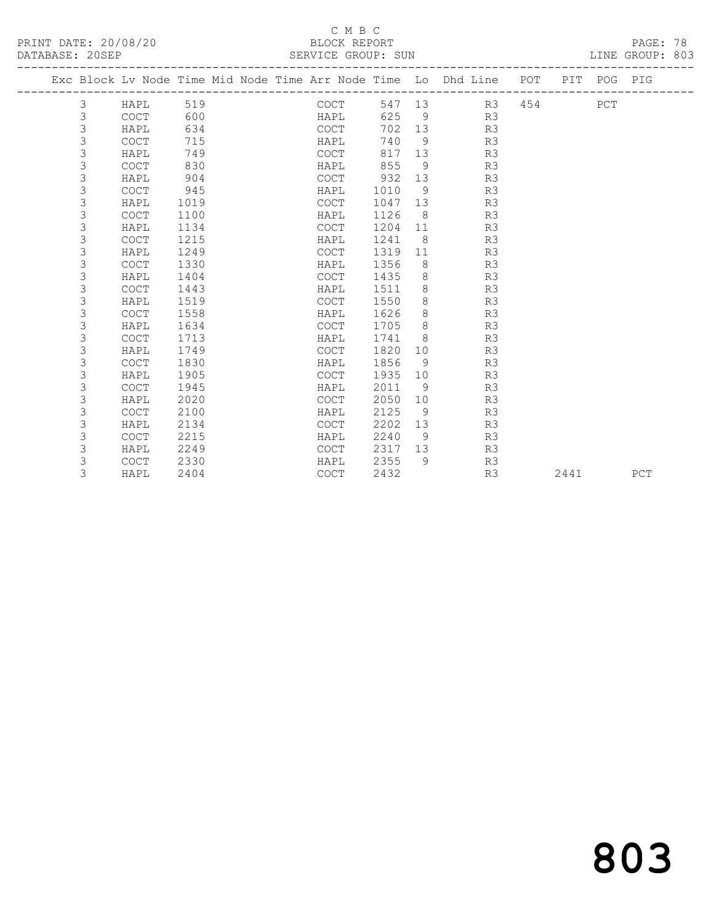PRINT DATE: 20/08/20 BLOCK REPORT DATABASE: 20SEP

## C M B C<br>BLOCK REPORT

PAGE: 78<br>LINE GROUP: 803

|             |             |      | Exc Block Lv Node Time Mid Node Time Arr Node Time Lo Dhd Line POT PIT POG PIG |         |                 |           |     |      |     |     |
|-------------|-------------|------|--------------------------------------------------------------------------------|---------|-----------------|-----------|-----|------|-----|-----|
| 3           | HAPL        | 519  | COCT                                                                           |         |                 | 547 13 R3 | 454 |      | PCT |     |
| 3           | COCT        | 600  | HAPL                                                                           | 625     |                 | 9 R3      |     |      |     |     |
| 3           | HAPL        | 634  | COCT                                                                           | 702     |                 | 13<br>R3  |     |      |     |     |
| 3           | <b>COCT</b> | 715  | HAPL                                                                           | 740     | $\overline{9}$  | R3        |     |      |     |     |
| 3           | HAPL        | 749  | COCT                                                                           | 817     | 13              | R3        |     |      |     |     |
| 3           | <b>COCT</b> | 830  | HAPL                                                                           | 855     | 9               | R3        |     |      |     |     |
| 3           | HAPL        | 904  | COCT                                                                           | 932     | 13              | R3        |     |      |     |     |
| 3           | <b>COCT</b> | 945  | HAPL                                                                           | 1010    | 9 <sup>°</sup>  | R3        |     |      |     |     |
| 3           | HAPL        | 1019 | COCT                                                                           | 1047 13 |                 | R3        |     |      |     |     |
| 3           | <b>COCT</b> | 1100 | HAPL                                                                           | 1126    | 8 <sup>1</sup>  | R3        |     |      |     |     |
| 3           | HAPL        | 1134 | COCT                                                                           | 1204 11 |                 | R3        |     |      |     |     |
| 3           | <b>COCT</b> | 1215 | HAPL                                                                           | 1241    | 8 <sup>8</sup>  | R3        |     |      |     |     |
| 3           | HAPL        | 1249 | COCT                                                                           | 1319    | 11              | R3        |     |      |     |     |
| 3           | COCT        | 1330 | HAPL                                                                           | 1356    | 8 <sup>8</sup>  | R3        |     |      |     |     |
| 3           | HAPL        | 1404 | COCT                                                                           | 1435    | 8 <sup>8</sup>  | R3        |     |      |     |     |
| 3           | <b>COCT</b> | 1443 | HAPL                                                                           | 1511    | 8 <sup>8</sup>  | R3        |     |      |     |     |
| 3           | HAPL        | 1519 | COCT                                                                           | 1550    | 8               | R3        |     |      |     |     |
| 3           | <b>COCT</b> | 1558 | HAPL                                                                           | 1626    | 8               | R3        |     |      |     |     |
| 3           | HAPL        | 1634 | COCT                                                                           | 1705    | 8               | R3        |     |      |     |     |
| 3           | <b>COCT</b> | 1713 | HAPL                                                                           | 1741    | 8 <sup>8</sup>  | R3        |     |      |     |     |
| 3           | HAPL        | 1749 | COCT                                                                           | 1820    | 10              | R3        |     |      |     |     |
| $\mathsf 3$ | COCT        | 1830 | HAPL                                                                           | 1856    | 9               | R3        |     |      |     |     |
| 3           | HAPL        | 1905 | COCT                                                                           | 1935    | 10              | R3        |     |      |     |     |
| 3           | <b>COCT</b> | 1945 | HAPL                                                                           | 2011    | - 9             | R3        |     |      |     |     |
| 3           | HAPL        | 2020 | COCT                                                                           | 2050    | 10 <sup>°</sup> | R3        |     |      |     |     |
| 3           | <b>COCT</b> | 2100 | HAPL                                                                           | 2125    | 9               | R3        |     |      |     |     |
| 3           | HAPL        | 2134 | <b>COCT</b>                                                                    | 2202    | 13              | R3        |     |      |     |     |
| 3           | <b>COCT</b> | 2215 | HAPL                                                                           | 2240    | 9               | R3        |     |      |     |     |
| 3           | HAPL        | 2249 | COCT                                                                           | 2317    |                 | 13<br>R3  |     |      |     |     |
| 3           | <b>COCT</b> | 2330 | HAPL                                                                           | 2355    | - 9             | R3        |     |      |     |     |
| 3           | HAPL        | 2404 | <b>COCT</b>                                                                    | 2432    |                 | R3        |     | 2441 |     | PCT |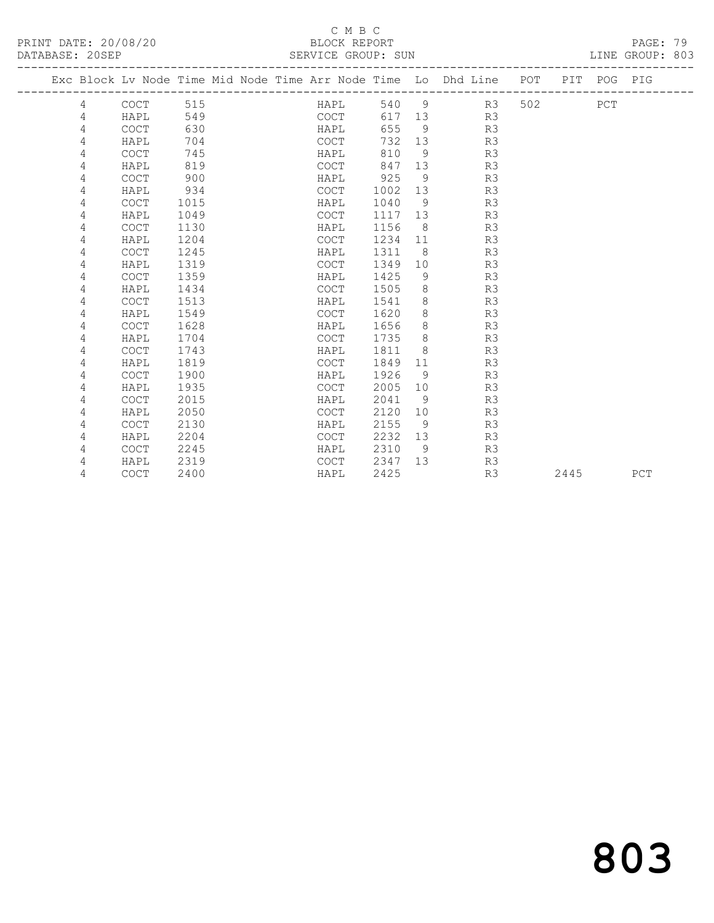# SERVICE GROUP: SUN

|                      | C M R C            |                 |
|----------------------|--------------------|-----------------|
| PRINT DATE: 20/08/20 | BLOCK REPORT       | PAGE: 79        |
| DATABASE: 20SEP      | SERVICE GROUP: SUN | LINE GROUP: 803 |

|   |             |      |  |             |        |     | Exc Block Lv Node Time Mid Node Time Arr Node Time Lo Dhd Line POT |     |      | PIT POG PIG |     |
|---|-------------|------|--|-------------|--------|-----|--------------------------------------------------------------------|-----|------|-------------|-----|
| 4 | <b>COCT</b> | 515  |  | HAPL        | 540    | - 9 | R3                                                                 | 502 |      | PCT         |     |
| 4 | HAPL        | 549  |  | COCT        | 617 13 |     | R3                                                                 |     |      |             |     |
| 4 | COCT        | 630  |  | HAPL        | 655    | - 9 | R3                                                                 |     |      |             |     |
| 4 | HAPL        | 704  |  | <b>COCT</b> | 732    | 13  | R3                                                                 |     |      |             |     |
| 4 | <b>COCT</b> | 745  |  | HAPL        | 810    | 9   | R3                                                                 |     |      |             |     |
| 4 | HAPL        | 819  |  | <b>COCT</b> | 847    | 13  | R3                                                                 |     |      |             |     |
| 4 | <b>COCT</b> | 900  |  | HAPL        | 925    | 9   | R3                                                                 |     |      |             |     |
| 4 | HAPL        | 934  |  | <b>COCT</b> | 1002   | 13  | R3                                                                 |     |      |             |     |
| 4 | <b>COCT</b> | 1015 |  | HAPL        | 1040   | - 9 | R3                                                                 |     |      |             |     |
| 4 | HAPL        | 1049 |  | <b>COCT</b> | 1117   | 13  | R3                                                                 |     |      |             |     |
| 4 | <b>COCT</b> | 1130 |  | HAPL        | 1156   | - 8 | R3                                                                 |     |      |             |     |
| 4 | HAPL        | 1204 |  | COCT        | 1234   | 11  | R3                                                                 |     |      |             |     |
| 4 | <b>COCT</b> | 1245 |  | HAPL        | 1311   | 8   | R3                                                                 |     |      |             |     |
| 4 | HAPL        | 1319 |  | <b>COCT</b> | 1349   | 10  | R3                                                                 |     |      |             |     |
| 4 | <b>COCT</b> | 1359 |  | HAPL        | 1425   | 9   | R3                                                                 |     |      |             |     |
| 4 | HAPL        | 1434 |  | <b>COCT</b> | 1505   | 8   | R3                                                                 |     |      |             |     |
| 4 | <b>COCT</b> | 1513 |  | HAPL        | 1541   | 8   | R3                                                                 |     |      |             |     |
| 4 | HAPL        | 1549 |  | <b>COCT</b> | 1620   | 8   | R3                                                                 |     |      |             |     |
| 4 | <b>COCT</b> | 1628 |  | HAPL        | 1656   | 8   | R3                                                                 |     |      |             |     |
| 4 | HAPL        | 1704 |  | COCT        | 1735   | 8   | R3                                                                 |     |      |             |     |
| 4 | <b>COCT</b> | 1743 |  | HAPL        | 1811   | 8   | R3                                                                 |     |      |             |     |
| 4 | HAPL        | 1819 |  | COCT        | 1849   | 11  | R3                                                                 |     |      |             |     |
| 4 | <b>COCT</b> | 1900 |  | HAPL        | 1926   | - 9 | R3                                                                 |     |      |             |     |
| 4 | HAPL        | 1935 |  | <b>COCT</b> | 2005   | 10  | R3                                                                 |     |      |             |     |
| 4 | <b>COCT</b> | 2015 |  | HAPL        | 2041   | 9   | R3                                                                 |     |      |             |     |
| 4 | HAPL        | 2050 |  | <b>COCT</b> | 2120   | 10  | R3                                                                 |     |      |             |     |
| 4 | <b>COCT</b> | 2130 |  | HAPL        | 2155   | 9   | R3                                                                 |     |      |             |     |
| 4 | HAPL        | 2204 |  | <b>COCT</b> | 2232   | 13  | R3                                                                 |     |      |             |     |
| 4 | <b>COCT</b> | 2245 |  | HAPL        | 2310   | 9   | R3                                                                 |     |      |             |     |
| 4 | HAPL        | 2319 |  | <b>COCT</b> | 2347   | 13  | R3                                                                 |     |      |             |     |
| 4 | <b>COCT</b> | 2400 |  | HAPL        | 2425   |     | R3                                                                 |     | 2445 |             | PCT |